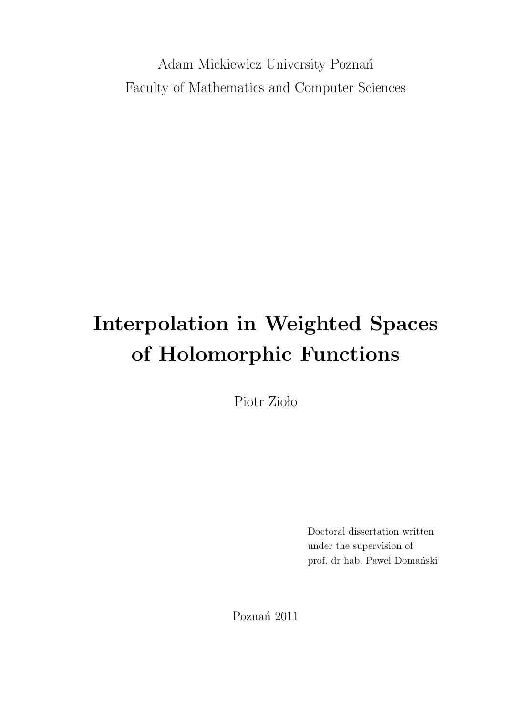Adam Mickiewicz University Poznań Faculty of Mathematics and Computer Sciences

# Interpolation in Weighted Spaces of Holomorphic Functions

Piotr Zioło

Doctoral dissertation written under the supervision of prof. dr hab. Paweł Domański

Poznań 2011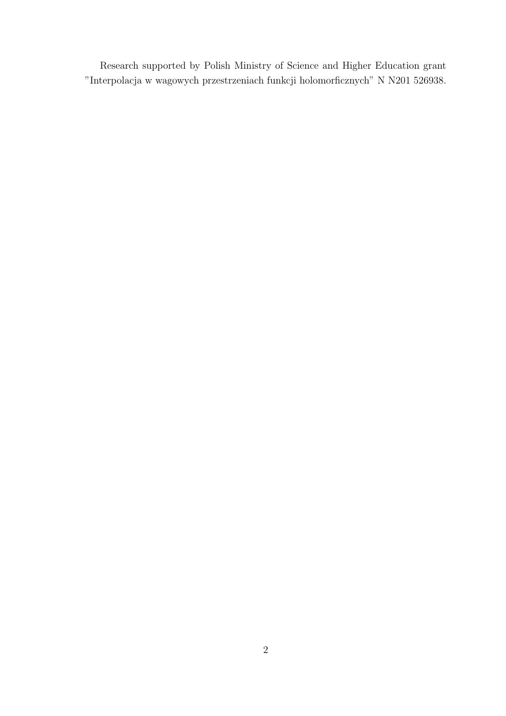Research supported by Polish Ministry of Science and Higher Education grant "Interpolacja w wagowych przestrzeniach funkcji holomorficznych" N N201 526938.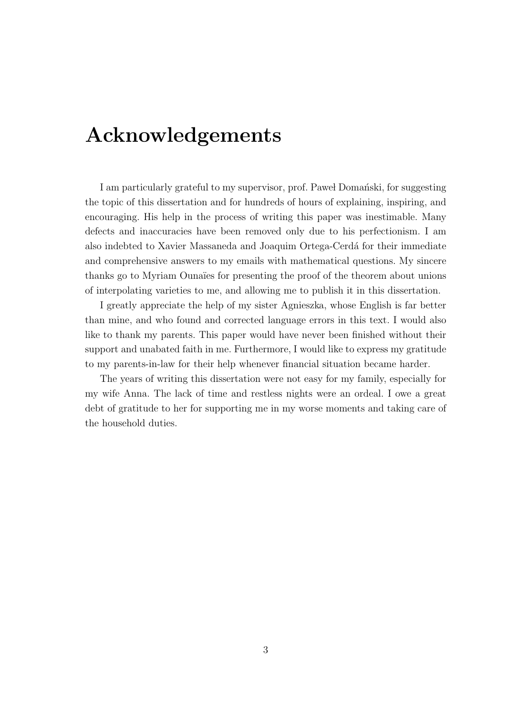# Acknowledgements

I am particularly grateful to my supervisor, prof. Pawel Domant is, for suggesting the topic of this dissertation and for hundreds of hours of explaining, inspiring, and encouraging. His help in the process of writing this paper was inestimable. Many defects and inaccuracies have been removed only due to his perfectionism. I am also indebted to Xavier Massaneda and Joaquim Ortega-Cerdá for their immediate and comprehensive answers to my emails with mathematical questions. My sincere thanks go to Myriam Ounaïes for presenting the proof of the theorem about unions of interpolating varieties to me, and allowing me to publish it in this dissertation.

I greatly appreciate the help of my sister Agnieszka, whose English is far better than mine, and who found and corrected language errors in this text. I would also like to thank my parents. This paper would have never been finished without their support and unabated faith in me. Furthermore, I would like to express my gratitude to my parents-in-law for their help whenever financial situation became harder.

The years of writing this dissertation were not easy for my family, especially for my wife Anna. The lack of time and restless nights were an ordeal. I owe a great debt of gratitude to her for supporting me in my worse moments and taking care of the household duties.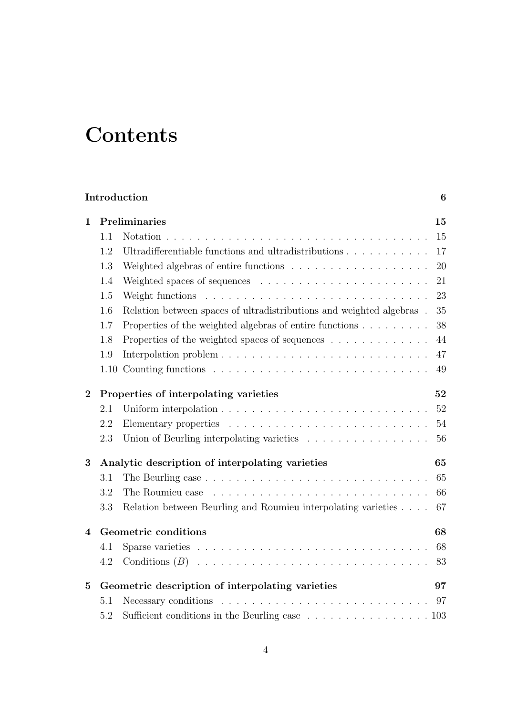# **Contents**

| Introduction<br>6        |                                                 |                                                                                            |    |  |
|--------------------------|-------------------------------------------------|--------------------------------------------------------------------------------------------|----|--|
| 1                        | Preliminaries                                   |                                                                                            |    |  |
|                          | 1.1                                             | Notation.                                                                                  | 15 |  |
|                          | 1.2                                             | Ultradifferentiable functions and ultradistributions                                       | 17 |  |
|                          | 1.3                                             |                                                                                            | 20 |  |
|                          | 1.4                                             |                                                                                            | 21 |  |
|                          | 1.5                                             |                                                                                            | 23 |  |
|                          | 1.6                                             | Relation between spaces of ultradistributions and weighted algebras.                       | 35 |  |
|                          | 1.7                                             | Properties of the weighted algebras of entire functions                                    | 38 |  |
|                          | 1.8                                             | Properties of the weighted spaces of sequences                                             | 44 |  |
|                          | 1.9                                             |                                                                                            | 47 |  |
|                          |                                                 |                                                                                            | 49 |  |
| $\mathbf{2}$             | Properties of interpolating varieties           |                                                                                            | 52 |  |
|                          | 2.1                                             |                                                                                            | 52 |  |
|                          | 2.2                                             |                                                                                            | 54 |  |
|                          | 2.3                                             | Union of Beurling interpolating varieties                                                  | 56 |  |
| 3                        | Analytic description of interpolating varieties |                                                                                            | 65 |  |
|                          | 3.1                                             | The Beurling case $\ldots \ldots \ldots \ldots \ldots \ldots \ldots \ldots \ldots \ldots$  | 65 |  |
|                          | 3.2                                             |                                                                                            | 66 |  |
|                          | 3.3                                             | Relation between Beurling and Roumieu interpolating varieties                              | 67 |  |
| $\overline{\mathcal{A}}$ | Geometric conditions                            |                                                                                            |    |  |
|                          | 4.1                                             |                                                                                            | 68 |  |
|                          | 4.2                                             | Conditions $(B)$                                                                           | 83 |  |
| $\mathbf{5}$             |                                                 | Geometric description of interpolating varieties                                           | 97 |  |
|                          | 5.1                                             | Necessary conditions $\ldots \ldots \ldots \ldots \ldots \ldots \ldots \ldots \ldots$      | 97 |  |
|                          | 5.2                                             | Sufficient conditions in the Beurling case $\ldots \ldots \ldots \ldots \ldots \ldots 103$ |    |  |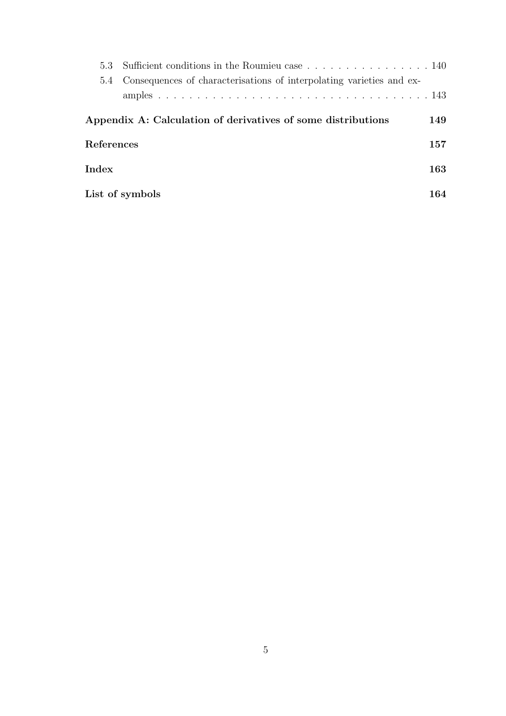|                                                              | 5.4 Consequences of characterisations of interpolating varieties and ex- |     |
|--------------------------------------------------------------|--------------------------------------------------------------------------|-----|
|                                                              |                                                                          |     |
| Appendix A: Calculation of derivatives of some distributions |                                                                          |     |
| References                                                   |                                                                          |     |
| $_{\mathrm{Index}}$                                          |                                                                          |     |
|                                                              | List of symbols                                                          | 164 |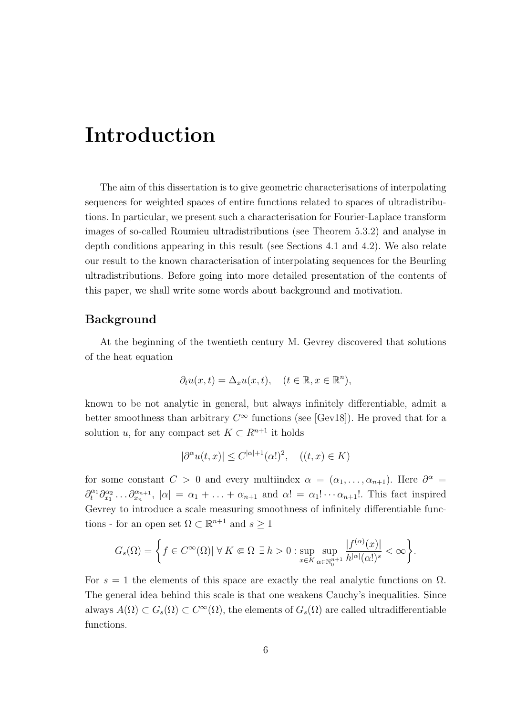# Introduction

The aim of this dissertation is to give geometric characterisations of interpolating sequences for weighted spaces of entire functions related to spaces of ultradistributions. In particular, we present such a characterisation for Fourier-Laplace transform images of so-called Roumieu ultradistributions (see Theorem 5.3.2) and analyse in depth conditions appearing in this result (see Sections 4.1 and 4.2). We also relate our result to the known characterisation of interpolating sequences for the Beurling ultradistributions. Before going into more detailed presentation of the contents of this paper, we shall write some words about background and motivation.

#### Background

At the beginning of the twentieth century M. Gevrey discovered that solutions of the heat equation

$$
\partial_t u(x,t) = \Delta_x u(x,t), \quad (t \in \mathbb{R}, x \in \mathbb{R}^n),
$$

known to be not analytic in general, but always infinitely differentiable, admit a better smoothness than arbitrary  $C^{\infty}$  functions (see [Gev18]). He proved that for a solution u, for any compact set  $K \subset \mathbb{R}^{n+1}$  it holds

$$
|\partial^{\alpha}u(t,x)| \le C^{|\alpha|+1}(\alpha!)^2, \quad ((t,x) \in K)
$$

for some constant  $C > 0$  and every multiindex  $\alpha = (\alpha_1, \ldots, \alpha_{n+1})$ . Here  $\partial^{\alpha} =$  $\partial_t^{\alpha_1} \partial_{x_1}^{\alpha_2} \dots \partial_{x_n}^{\alpha_{n+1}}$ ,  $|\alpha| = \alpha_1 + \dots + \alpha_{n+1}$  and  $\alpha! = \alpha_1! \dots \alpha_{n+1}!$ . This fact inspired Gevrey to introduce a scale measuring smoothness of infinitely differentiable functions - for an open set  $\Omega \subset \mathbb{R}^{n+1}$  and  $s \geq 1$ 

$$
G_s(\Omega) = \left\{ f \in C^{\infty}(\Omega) | \ \forall \ K \Subset \Omega \ \exists \ h > 0 : \sup_{x \in K} \sup_{\alpha \in \mathbb{N}_0^{n+1}} \frac{|f^{(\alpha)}(x)|}{h^{|\alpha|}(\alpha!)^s} < \infty \right\}.
$$

For  $s = 1$  the elements of this space are exactly the real analytic functions on  $\Omega$ . The general idea behind this scale is that one weakens Cauchy's inequalities. Since always  $A(\Omega) \subset G_s(\Omega) \subset C^{\infty}(\Omega)$ , the elements of  $G_s(\Omega)$  are called ultradifferentiable functions.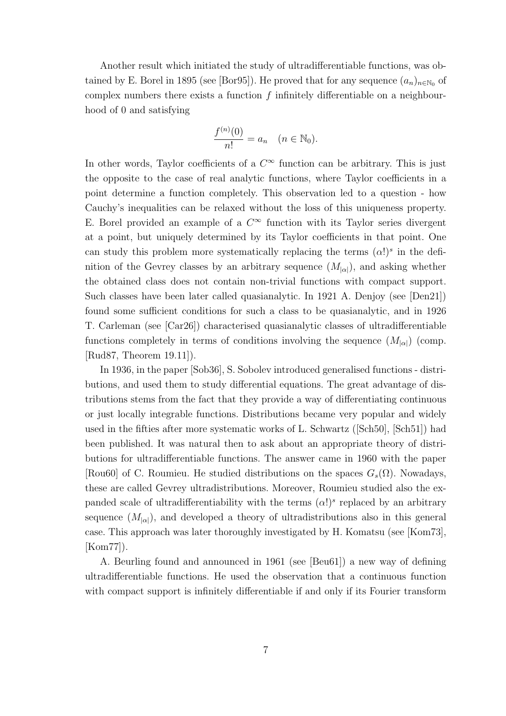Another result which initiated the study of ultradifferentiable functions, was obtained by E. Borel in 1895 (see [Bor95]). He proved that for any sequence  $(a_n)_{n\in\mathbb{N}_0}$  of complex numbers there exists a function  $f$  infinitely differentiable on a neighbourhood of 0 and satisfying

$$
\frac{f^{(n)}(0)}{n!} = a_n \quad (n \in \mathbb{N}_0).
$$

In other words, Taylor coefficients of a  $C^{\infty}$  function can be arbitrary. This is just the opposite to the case of real analytic functions, where Taylor coefficients in a point determine a function completely. This observation led to a question - how Cauchy's inequalities can be relaxed without the loss of this uniqueness property. E. Borel provided an example of a  $C^{\infty}$  function with its Taylor series divergent at a point, but uniquely determined by its Taylor coefficients in that point. One can study this problem more systematically replacing the terms  $(\alpha!)^s$  in the definition of the Gevrey classes by an arbitrary sequence  $(M_{\alpha})$ , and asking whether the obtained class does not contain non-trivial functions with compact support. Such classes have been later called quasianalytic. In 1921 A. Denjoy (see [Den21]) found some sufficient conditions for such a class to be quasianalytic, and in 1926 T. Carleman (see [Car26]) characterised quasianalytic classes of ultradifferentiable functions completely in terms of conditions involving the sequence  $(M_{\vert\alpha\vert})$  (comp. [Rud87, Theorem 19.11]).

In 1936, in the paper [Sob36], S. Sobolev introduced generalised functions - distributions, and used them to study differential equations. The great advantage of distributions stems from the fact that they provide a way of differentiating continuous or just locally integrable functions. Distributions became very popular and widely used in the fifties after more systematic works of L. Schwartz ([Sch50], [Sch51]) had been published. It was natural then to ask about an appropriate theory of distributions for ultradifferentiable functions. The answer came in 1960 with the paper [Rou60] of C. Roumieu. He studied distributions on the spaces  $G_s(\Omega)$ . Nowadays, these are called Gevrey ultradistributions. Moreover, Roumieu studied also the expanded scale of ultradifferentiability with the terms  $(\alpha!)^s$  replaced by an arbitrary sequence  $(M_{\alpha})$ , and developed a theory of ultradistributions also in this general case. This approach was later thoroughly investigated by H. Komatsu (see [Kom73], [Kom77]).

A. Beurling found and announced in 1961 (see [Beu61]) a new way of defining ultradifferentiable functions. He used the observation that a continuous function with compact support is infinitely differentiable if and only if its Fourier transform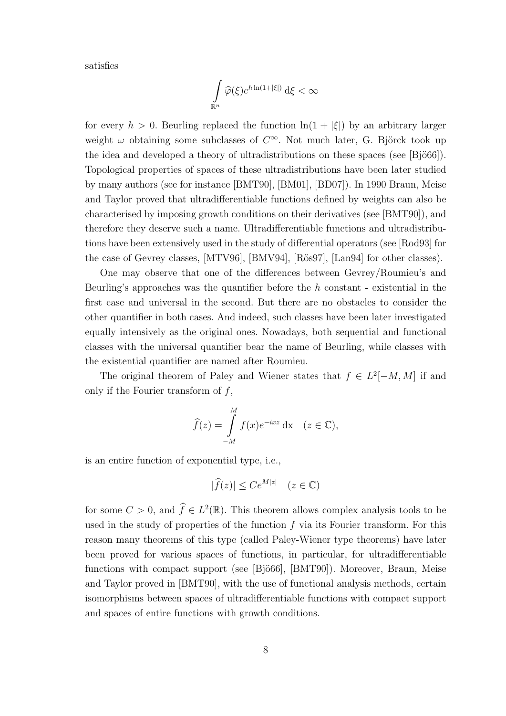satisfies

$$
\int\limits_{\mathbb R^n}\widehat{\varphi}(\xi) e^{h\ln(1+|\xi|)}\,\mathrm{d}\xi<\infty
$$

for every  $h > 0$ . Beurling replaced the function  $\ln(1 + |\xi|)$  by an arbitrary larger weight  $\omega$  obtaining some subclasses of  $C^{\infty}$ . Not much later, G. Björck took up the idea and developed a theory of ultradistributions on these spaces (see  $[\text{Bjö66}]$ ). Topological properties of spaces of these ultradistributions have been later studied by many authors (see for instance [BMT90], [BM01], [BD07]). In 1990 Braun, Meise and Taylor proved that ultradifferentiable functions defined by weights can also be characterised by imposing growth conditions on their derivatives (see [BMT90]), and therefore they deserve such a name. Ultradifferentiable functions and ultradistributions have been extensively used in the study of differential operators (see [Rod93] for the case of Gevrey classes, [MTV96], [BMV94], [Rös97], [Lan94] for other classes).

One may observe that one of the differences between Gevrey/Roumieu's and Beurling's approaches was the quantifier before the  $h$  constant - existential in the first case and universal in the second. But there are no obstacles to consider the other quantifier in both cases. And indeed, such classes have been later investigated equally intensively as the original ones. Nowadays, both sequential and functional classes with the universal quantifier bear the name of Beurling, while classes with the existential quantifier are named after Roumieu.

The original theorem of Paley and Wiener states that  $f \in L^2[-M, M]$  if and only if the Fourier transform of  $f$ ,

$$
\widehat{f}(z) = \int_{-M}^{M} f(x)e^{-ixz} dx \quad (z \in \mathbb{C}),
$$

is an entire function of exponential type, i.e.,

$$
|\widehat{f}(z)| \le Ce^{M|z|} \quad (z \in \mathbb{C})
$$

for some  $C > 0$ , and  $\widehat{f} \in L^2(\mathbb{R})$ . This theorem allows complex analysis tools to be used in the study of properties of the function  $f$  via its Fourier transform. For this reason many theorems of this type (called Paley-Wiener type theorems) have later been proved for various spaces of functions, in particular, for ultradifferentiable functions with compact support (see [Bjö66], [BMT90]). Moreover, Braun, Meise and Taylor proved in [BMT90], with the use of functional analysis methods, certain isomorphisms between spaces of ultradifferentiable functions with compact support and spaces of entire functions with growth conditions.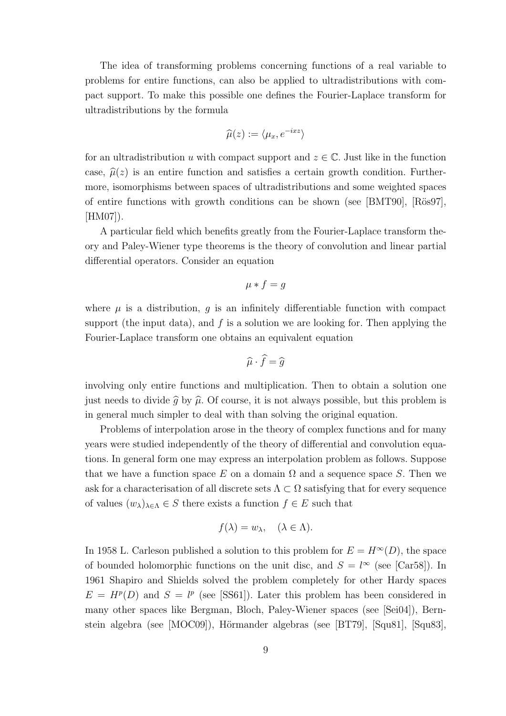The idea of transforming problems concerning functions of a real variable to problems for entire functions, can also be applied to ultradistributions with compact support. To make this possible one defines the Fourier-Laplace transform for ultradistributions by the formula

$$
\widehat{\mu}(z) := \langle \mu_x, e^{-ixz} \rangle
$$

for an ultradistribution u with compact support and  $z \in \mathbb{C}$ . Just like in the function case,  $\hat{\mu}(z)$  is an entire function and satisfies a certain growth condition. Furthermore, isomorphisms between spaces of ultradistributions and some weighted spaces of entire functions with growth conditions can be shown (see  $[BMT90]$ ,  $[R\ddot{o}sg7]$ ,  $|HM07|$ ).

A particular field which benefits greatly from the Fourier-Laplace transform theory and Paley-Wiener type theorems is the theory of convolution and linear partial differential operators. Consider an equation

$$
\mu * f = g
$$

where  $\mu$  is a distribution, q is an infinitely differentiable function with compact support (the input data), and  $f$  is a solution we are looking for. Then applying the Fourier-Laplace transform one obtains an equivalent equation

$$
\widehat{\mu} \cdot \widehat{f} = \widehat{g}
$$

involving only entire functions and multiplication. Then to obtain a solution one just needs to divide  $\hat{g}$  by  $\hat{\mu}$ . Of course, it is not always possible, but this problem is in general much simpler to deal with than solving the original equation.

Problems of interpolation arose in the theory of complex functions and for many years were studied independently of the theory of differential and convolution equations. In general form one may express an interpolation problem as follows. Suppose that we have a function space E on a domain  $\Omega$  and a sequence space S. Then we ask for a characterisation of all discrete sets  $\Lambda \subset \Omega$  satisfying that for every sequence of values  $(w_{\lambda})_{\lambda \in \Lambda} \in S$  there exists a function  $f \in E$  such that

$$
f(\lambda) = w_{\lambda}, \quad (\lambda \in \Lambda).
$$

In 1958 L. Carleson published a solution to this problem for  $E = H^{\infty}(D)$ , the space of bounded holomorphic functions on the unit disc, and  $S = l^{\infty}$  (see [Car58]). In 1961 Shapiro and Shields solved the problem completely for other Hardy spaces  $E = H^p(D)$  and  $S = l^p$  (see [SS61]). Later this problem has been considered in many other spaces like Bergman, Bloch, Paley-Wiener spaces (see [Sei04]), Bernstein algebra (see  $[MOC09]$ ), Hörmander algebras (see [BT79], [Squ81], [Squ83],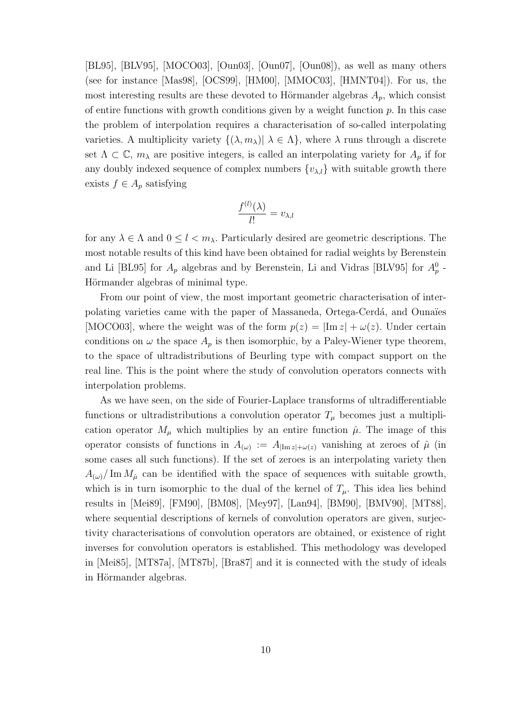[BL95], [BLV95], [MOCO03], [Oun03], [Oun07], [Oun08]), as well as many others (see for instance [Mas98], [OCS99], [HM00], [MMOC03], [HMNT04]). For us, the most interesting results are these devoted to Hörmander algebras  $A_p$ , which consist of entire functions with growth conditions given by a weight function  $p$ . In this case the problem of interpolation requires a characterisation of so-called interpolating varieties. A multiplicity variety  $\{(\lambda, m_\lambda)| \lambda \in \Lambda\}$ , where  $\lambda$  runs through a discrete set  $\Lambda \subset \mathbb{C}$ ,  $m_{\lambda}$  are positive integers, is called an interpolating variety for  $A_p$  if for any doubly indexed sequence of complex numbers  $\{v_{\lambda,l}\}\$  with suitable growth there exists  $f \in A_p$  satisfying

$$
\frac{f^{(l)}(\lambda)}{l!} = v_{\lambda,l}
$$

for any  $\lambda \in \Lambda$  and  $0 \leq l < m_{\lambda}$ . Particularly desired are geometric descriptions. The most notable results of this kind have been obtained for radial weights by Berenstein and Li [BL95] for  $A_p$  algebras and by Berenstein, Li and Vidras [BLV95] for  $A_p^0$  -Hörmander algebras of minimal type.

From our point of view, the most important geometric characterisation of interpolating varieties came with the paper of Massaneda, Ortega-Cerdá, and Ounaïes [MOCO03], where the weight was of the form  $p(z) = |Im z| + \omega(z)$ . Under certain conditions on  $\omega$  the space  $A_p$  is then isomorphic, by a Paley-Wiener type theorem, to the space of ultradistributions of Beurling type with compact support on the real line. This is the point where the study of convolution operators connects with interpolation problems.

As we have seen, on the side of Fourier-Laplace transforms of ultradifferentiable functions or ultradistributions a convolution operator  $T_{\mu}$  becomes just a multiplication operator  $M_{\mu}$  which multiplies by an entire function  $\hat{\mu}$ . The image of this operator consists of functions in  $A_{(\omega)} := A_{|\text{Im }z| + \omega(z)}$  vanishing at zeroes of  $\hat{\mu}$  (in some cases all such functions). If the set of zeroes is an interpolating variety then  $A_{(\omega)}/\text{Im }M_{\hat{\mu}}$  can be identified with the space of sequences with suitable growth, which is in turn isomorphic to the dual of the kernel of  $T_{\mu}$ . This idea lies behind results in [Mei89], [FM90], [BM08], [Mey97], [Lan94], [BM90], [BMV90], [MT88], where sequential descriptions of kernels of convolution operators are given, surjectivity characterisations of convolution operators are obtained, or existence of right inverses for convolution operators is established. This methodology was developed in [Mei85], [MT87a], [MT87b], [Bra87] and it is connected with the study of ideals in Hörmander algebras.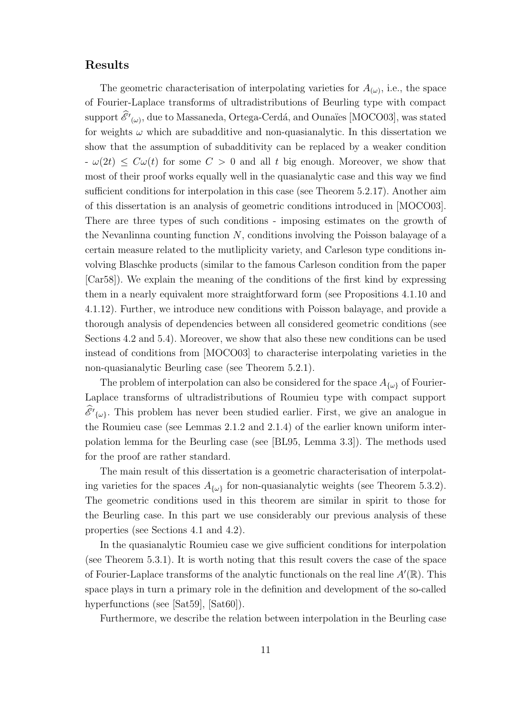#### Results

The geometric characterisation of interpolating varieties for  $A_{(\omega)}$ , i.e., the space of Fourier-Laplace transforms of ultradistributions of Beurling type with compact support  $\mathscr{E}^\prime(\omega)$ , due to Massaneda, Ortega-Cerdá, and Ounaïes [MOCO03], was stated for weights  $\omega$  which are subadditive and non-quasianalytic. In this dissertation we show that the assumption of subadditivity can be replaced by a weaker condition  $-\omega(2t) \leq C\omega(t)$  for some  $C > 0$  and all t big enough. Moreover, we show that most of their proof works equally well in the quasianalytic case and this way we find sufficient conditions for interpolation in this case (see Theorem 5.2.17). Another aim of this dissertation is an analysis of geometric conditions introduced in [MOCO03]. There are three types of such conditions - imposing estimates on the growth of the Nevanlinna counting function  $N$ , conditions involving the Poisson balayage of a certain measure related to the mutliplicity variety, and Carleson type conditions involving Blaschke products (similar to the famous Carleson condition from the paper [Car58]). We explain the meaning of the conditions of the first kind by expressing them in a nearly equivalent more straightforward form (see Propositions 4.1.10 and 4.1.12). Further, we introduce new conditions with Poisson balayage, and provide a thorough analysis of dependencies between all considered geometric conditions (see Sections 4.2 and 5.4). Moreover, we show that also these new conditions can be used instead of conditions from [MOCO03] to characterise interpolating varieties in the non-quasianalytic Beurling case (see Theorem 5.2.1).

The problem of interpolation can also be considered for the space  $A_{\{\omega\}}$  of Fourier-Laplace transforms of ultradistributions of Roumieu type with compact support  $\mathscr{E'}_{\{\omega\}}$ . This problem has never been studied earlier. First, we give an analogue in the Roumieu case (see Lemmas 2.1.2 and 2.1.4) of the earlier known uniform interpolation lemma for the Beurling case (see [BL95, Lemma 3.3]). The methods used for the proof are rather standard.

The main result of this dissertation is a geometric characterisation of interpolating varieties for the spaces  $A_{\{\omega\}}$  for non-quasianalytic weights (see Theorem 5.3.2). The geometric conditions used in this theorem are similar in spirit to those for the Beurling case. In this part we use considerably our previous analysis of these properties (see Sections 4.1 and 4.2).

In the quasianalytic Roumieu case we give sufficient conditions for interpolation (see Theorem 5.3.1). It is worth noting that this result covers the case of the space of Fourier-Laplace transforms of the analytic functionals on the real line  $A'(\mathbb{R})$ . This space plays in turn a primary role in the definition and development of the so-called hyperfunctions (see [Sat59], [Sat60]).

Furthermore, we describe the relation between interpolation in the Beurling case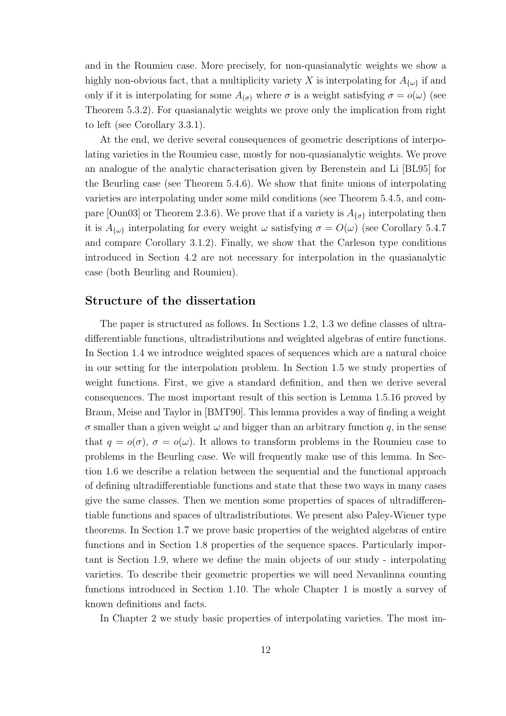and in the Roumieu case. More precisely, for non-quasianalytic weights we show a highly non-obvious fact, that a multiplicity variety X is interpolating for  $A_{\{\omega\}}$  if and only if it is interpolating for some  $A_{(\sigma)}$  where  $\sigma$  is a weight satisfying  $\sigma = o(\omega)$  (see Theorem 5.3.2). For quasianalytic weights we prove only the implication from right to left (see Corollary 3.3.1).

At the end, we derive several consequences of geometric descriptions of interpolating varieties in the Roumieu case, mostly for non-quasianalytic weights. We prove an analogue of the analytic characterisation given by Berenstein and Li [BL95] for the Beurling case (see Theorem 5.4.6). We show that finite unions of interpolating varieties are interpolating under some mild conditions (see Theorem 5.4.5, and compare [Oun03] or Theorem 2.3.6). We prove that if a variety is  $A_{\{\sigma\}}$  interpolating then it is  $A_{\{\omega\}}$  interpolating for every weight  $\omega$  satisfying  $\sigma = O(\omega)$  (see Corollary 5.4.7) and compare Corollary 3.1.2). Finally, we show that the Carleson type conditions introduced in Section 4.2 are not necessary for interpolation in the quasianalytic case (both Beurling and Roumieu).

#### Structure of the dissertation

The paper is structured as follows. In Sections 1.2, 1.3 we define classes of ultradifferentiable functions, ultradistributions and weighted algebras of entire functions. In Section 1.4 we introduce weighted spaces of sequences which are a natural choice in our setting for the interpolation problem. In Section 1.5 we study properties of weight functions. First, we give a standard definition, and then we derive several consequences. The most important result of this section is Lemma 1.5.16 proved by Braun, Meise and Taylor in [BMT90]. This lemma provides a way of finding a weight  $\sigma$  smaller than a given weight  $\omega$  and bigger than an arbitrary function q, in the sense that  $q = o(\sigma)$ ,  $\sigma = o(\omega)$ . It allows to transform problems in the Roumieu case to problems in the Beurling case. We will frequently make use of this lemma. In Section 1.6 we describe a relation between the sequential and the functional approach of defining ultradifferentiable functions and state that these two ways in many cases give the same classes. Then we mention some properties of spaces of ultradifferentiable functions and spaces of ultradistributions. We present also Paley-Wiener type theorems. In Section 1.7 we prove basic properties of the weighted algebras of entire functions and in Section 1.8 properties of the sequence spaces. Particularly important is Section 1.9, where we define the main objects of our study - interpolating varieties. To describe their geometric properties we will need Nevanlinna counting functions introduced in Section 1.10. The whole Chapter 1 is mostly a survey of known definitions and facts.

In Chapter 2 we study basic properties of interpolating varieties. The most im-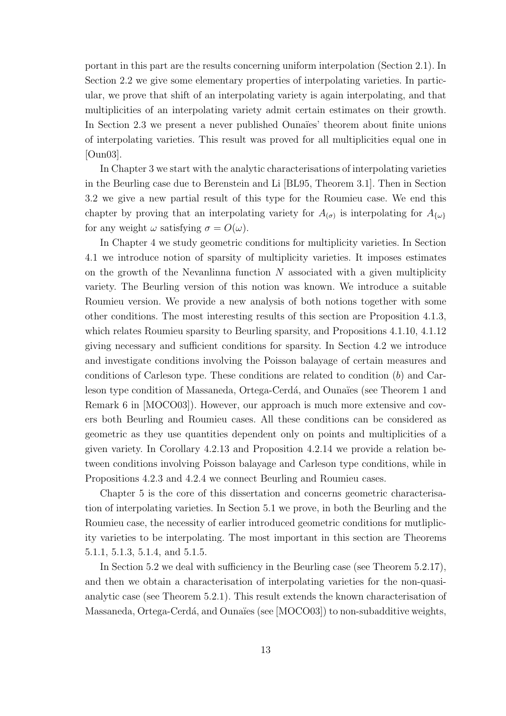portant in this part are the results concerning uniform interpolation (Section 2.1). In Section 2.2 we give some elementary properties of interpolating varieties. In particular, we prove that shift of an interpolating variety is again interpolating, and that multiplicities of an interpolating variety admit certain estimates on their growth. In Section 2.3 we present a never published Ounaïes' theorem about finite unions of interpolating varieties. This result was proved for all multiplicities equal one in [Oun03].

In Chapter 3 we start with the analytic characterisations of interpolating varieties in the Beurling case due to Berenstein and Li [BL95, Theorem 3.1]. Then in Section 3.2 we give a new partial result of this type for the Roumieu case. We end this chapter by proving that an interpolating variety for  $A_{(\sigma)}$  is interpolating for  $A_{\{\omega\}}$ for any weight  $\omega$  satisfying  $\sigma = O(\omega)$ .

In Chapter 4 we study geometric conditions for multiplicity varieties. In Section 4.1 we introduce notion of sparsity of multiplicity varieties. It imposes estimates on the growth of the Nevanlinna function  $N$  associated with a given multiplicity variety. The Beurling version of this notion was known. We introduce a suitable Roumieu version. We provide a new analysis of both notions together with some other conditions. The most interesting results of this section are Proposition 4.1.3, which relates Roumieu sparsity to Beurling sparsity, and Propositions 4.1.10, 4.1.12 giving necessary and sufficient conditions for sparsity. In Section 4.2 we introduce and investigate conditions involving the Poisson balayage of certain measures and conditions of Carleson type. These conditions are related to condition  $(b)$  and Carleson type condition of Massaneda, Ortega-Cerdá, and Ounaïes (see Theorem 1 and Remark 6 in [MOCO03]). However, our approach is much more extensive and covers both Beurling and Roumieu cases. All these conditions can be considered as geometric as they use quantities dependent only on points and multiplicities of a given variety. In Corollary 4.2.13 and Proposition 4.2.14 we provide a relation between conditions involving Poisson balayage and Carleson type conditions, while in Propositions 4.2.3 and 4.2.4 we connect Beurling and Roumieu cases.

Chapter 5 is the core of this dissertation and concerns geometric characterisation of interpolating varieties. In Section 5.1 we prove, in both the Beurling and the Roumieu case, the necessity of earlier introduced geometric conditions for mutliplicity varieties to be interpolating. The most important in this section are Theorems 5.1.1, 5.1.3, 5.1.4, and 5.1.5.

In Section 5.2 we deal with sufficiency in the Beurling case (see Theorem 5.2.17), and then we obtain a characterisation of interpolating varieties for the non-quasianalytic case (see Theorem 5.2.1). This result extends the known characterisation of Massaneda, Ortega-Cerdá, and Ounaïes (see [MOCO03]) to non-subadditive weights,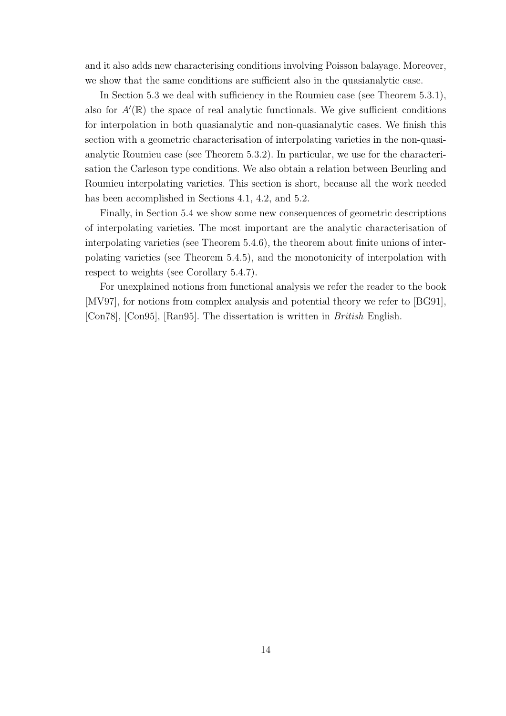and it also adds new characterising conditions involving Poisson balayage. Moreover, we show that the same conditions are sufficient also in the quasianalytic case.

In Section 5.3 we deal with sufficiency in the Roumieu case (see Theorem 5.3.1), also for  $A'(\mathbb{R})$  the space of real analytic functionals. We give sufficient conditions for interpolation in both quasianalytic and non-quasianalytic cases. We finish this section with a geometric characterisation of interpolating varieties in the non-quasianalytic Roumieu case (see Theorem 5.3.2). In particular, we use for the characterisation the Carleson type conditions. We also obtain a relation between Beurling and Roumieu interpolating varieties. This section is short, because all the work needed has been accomplished in Sections 4.1, 4.2, and 5.2.

Finally, in Section 5.4 we show some new consequences of geometric descriptions of interpolating varieties. The most important are the analytic characterisation of interpolating varieties (see Theorem 5.4.6), the theorem about finite unions of interpolating varieties (see Theorem 5.4.5), and the monotonicity of interpolation with respect to weights (see Corollary 5.4.7).

For unexplained notions from functional analysis we refer the reader to the book [MV97], for notions from complex analysis and potential theory we refer to [BG91], [Con78], [Con95], [Ran95]. The dissertation is written in British English.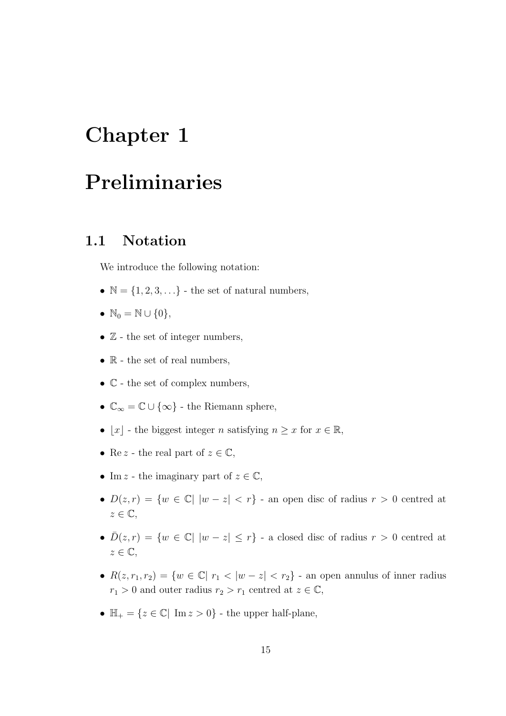## Chapter 1

## Preliminaries

#### 1.1 Notation

We introduce the following notation:

- $\mathbb{N} = \{1, 2, 3, \ldots\}$  the set of natural numbers,
- $\mathbb{N}_0 = \mathbb{N} \cup \{0\},\$
- $\mathbb{Z}$  the set of integer numbers,
- $\mathbb R$  the set of real numbers,
- $\bullet$   $\mathbb{C}$  the set of complex numbers,
- $\mathbb{C}_{\infty} = \mathbb{C} \cup \{\infty\}$  the Riemann sphere,
- $\lfloor x \rfloor$  the biggest integer n satisfying  $n \geq x$  for  $x \in \mathbb{R}$ ,
- Re z the real part of  $z \in \mathbb{C}$ ,
- Im z the imaginary part of  $z \in \mathbb{C}$ ,
- $D(z,r) = \{w \in \mathbb{C} | |w-z| < r\}$  an open disc of radius  $r > 0$  centred at  $z \in \mathbb{C}$ ,
- $\bar{D}(z,r) = \{w \in \mathbb{C} | |w-z| \leq r\}$  a closed disc of radius  $r > 0$  centred at  $z \in \mathbb{C},$
- $R(z, r_1, r_2) = \{w \in \mathbb{C} | r_1 < |w z| < r_2\}$  an open annulus of inner radius  $r_1 > 0$  and outer radius  $r_2 > r_1$  centred at  $z \in \mathbb{C}$ ,
- $\mathbb{H}_{+} = \{z \in \mathbb{C} | \text{ Im } z > 0\}$  the upper half-plane,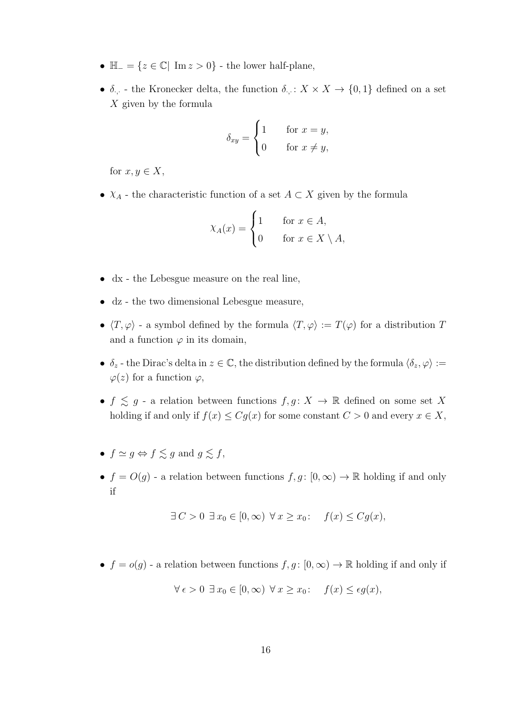- $\mathbb{H}_{-} = \{z \in \mathbb{C} | \text{Im } z > 0\}$  the lower half-plane,
- $\delta_{\cdot,\cdot}$  the Kronecker delta, the function  $\delta_{\cdot,\cdot}: X \times X \to \{0,1\}$  defined on a set X given by the formula

$$
\delta_{xy} = \begin{cases} 1 & \text{for } x = y, \\ 0 & \text{for } x \neq y, \end{cases}
$$

for  $x, y \in X$ ,

•  $X_A$  - the characteristic function of a set  $A \subset X$  given by the formula

$$
\chi_A(x) = \begin{cases} 1 & \text{for } x \in A, \\ 0 & \text{for } x \in X \setminus A, \end{cases}
$$

- dx the Lebesgue measure on the real line,
- dz the two dimensional Lebesgue measure,
- $\langle T, \varphi \rangle$  a symbol defined by the formula  $\langle T, \varphi \rangle := T(\varphi)$  for a distribution  $T$ and a function  $\varphi$  in its domain,
- $\delta_z$  the Dirac's delta in  $z \in \mathbb{C}$ , the distribution defined by the formula  $\langle \delta_z, \varphi \rangle :=$  $\varphi(z)$  for a function  $\varphi$ ,
- $f \lesssim g$  a relation between functions  $f, g \colon X \to \mathbb{R}$  defined on some set X holding if and only if  $f(x) \leq Cg(x)$  for some constant  $C > 0$  and every  $x \in X$ ,
- $f \simeq q \Leftrightarrow f \leq q$  and  $q \leq f$ ,
- $f = O(g)$  a relation between functions  $f, g : [0, \infty) \to \mathbb{R}$  holding if and only if

$$
\exists C > 0 \ \exists x_0 \in [0, \infty) \ \forall x \ge x_0 \colon \quad f(x) \le Cg(x),
$$

•  $f = o(g)$  - a relation between functions  $f, g : [0, \infty) \to \mathbb{R}$  holding if and only if

$$
\forall \epsilon > 0 \ \exists \ x_0 \in [0, \infty) \ \forall \ x \geq x_0 \colon \quad f(x) \leq \epsilon g(x),
$$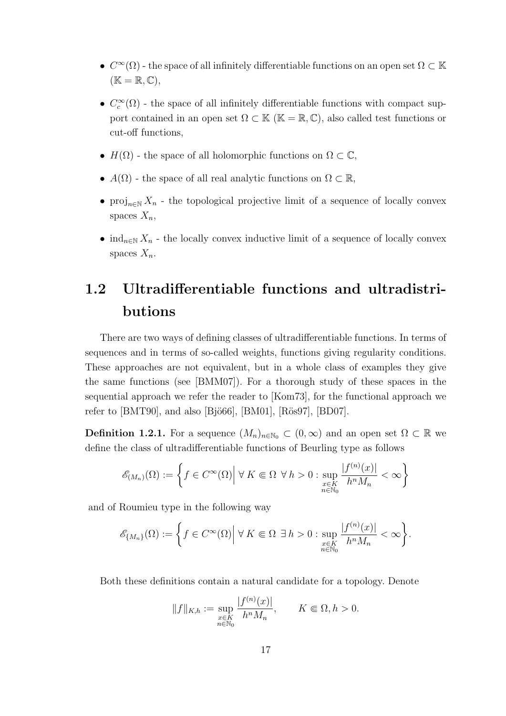- $C^{\infty}(\Omega)$  the space of all infinitely differentiable functions on an open set  $\Omega \subset \mathbb{K}$  $(\mathbb{K} = \mathbb{R}, \mathbb{C}),$
- $C_c^{\infty}(\Omega)$  the space of all infinitely differentiable functions with compact support contained in an open set  $\Omega \subset \mathbb{K}$  ( $\mathbb{K} = \mathbb{R}, \mathbb{C}$ ), also called test functions or cut-off functions,
- $H(\Omega)$  the space of all holomorphic functions on  $\Omega \subset \mathbb{C}$ ,
- $A(\Omega)$  the space of all real analytic functions on  $\Omega \subset \mathbb{R}$ ,
- proj<sub>n∈N</sub> X<sub>n</sub> the topological projective limit of a sequence of locally convex spaces  $X_n$ ,
- ind<sub>n∈N</sub>  $X_n$  the locally convex inductive limit of a sequence of locally convex spaces  $X_n$ .

### 1.2 Ultradifferentiable functions and ultradistributions

There are two ways of defining classes of ultradifferentiable functions. In terms of sequences and in terms of so-called weights, functions giving regularity conditions. These approaches are not equivalent, but in a whole class of examples they give the same functions (see [BMM07]). For a thorough study of these spaces in the sequential approach we refer the reader to [Kom73], for the functional approach we refer to  $[BMT90]$ , and also  $[Bj\ddot{o}66]$ ,  $[BM01]$ ,  $[R\ddot{o}s97]$ ,  $[BD07]$ .

**Definition 1.2.1.** For a sequence  $(M_n)_{n\in\mathbb{N}_0} \subset (0,\infty)$  and an open set  $\Omega \subset \mathbb{R}$  we define the class of ultradifferentiable functions of Beurling type as follows

$$
\mathscr{E}_{(M_n)}(\Omega):=\bigg\{f\in C^\infty(\Omega)\Big|\ \forall\,K\Subset\Omega\ \forall\,h>0:\sup_{\substack{x\in K\\ n\in\mathbb{N}_0}}\frac{|f^{(n)}(x)|}{h^nM_n}<\infty\bigg\}
$$

and of Roumieu type in the following way

$$
\mathscr{E}_{\{M_n\}}(\Omega):=\bigg\{f\in C^\infty(\Omega)\Big|\ \forall\, K\Subset\Omega\,\,\exists\, h>0:\sup_{\substack{x\in K\\ n\in\mathbb{N}_0}}\frac{|f^{(n)}(x)|}{h^nM_n}<\infty\bigg\}.
$$

Both these definitions contain a natural candidate for a topology. Denote

$$
||f||_{K,h} := \sup_{\substack{x \in K \\ n \in \mathbb{N}_0}} \frac{|f^{(n)}(x)|}{h^n M_n}, \qquad K \Subset \Omega, h > 0.
$$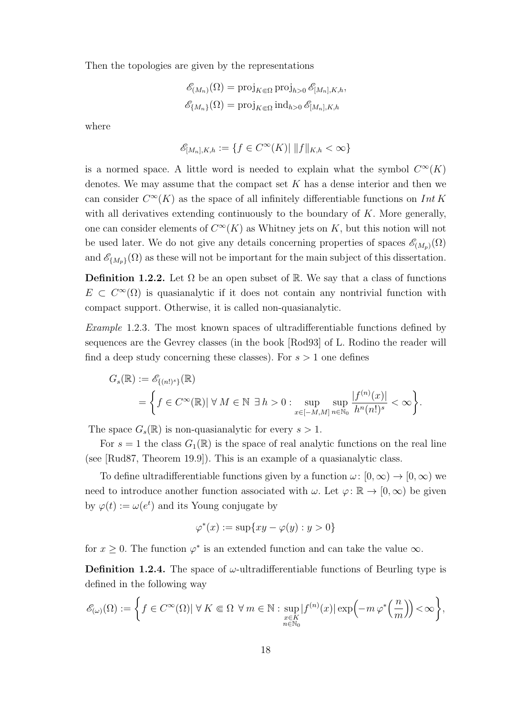Then the topologies are given by the representations

$$
\mathcal{E}_{(M_n)}(\Omega) = \text{proj}_{K \in \Omega} \text{proj}_{h>0} \mathcal{E}_{[M_n], K, h},
$$

$$
\mathcal{E}_{\{M_n\}}(\Omega) = \text{proj}_{K \in \Omega} \text{ind}_{h>0} \mathcal{E}_{[M_n], K, h}
$$

where

$$
\mathscr{E}_{[M_n], K, h} := \{ f \in C^{\infty}(K) | ||f||_{K, h} < \infty \}
$$

is a normed space. A little word is needed to explain what the symbol  $C^{\infty}(K)$ denotes. We may assume that the compact set  $K$  has a dense interior and then we can consider  $C^{\infty}(K)$  as the space of all infinitely differentiable functions on Int K with all derivatives extending continuously to the boundary of  $K$ . More generally, one can consider elements of  $C^{\infty}(K)$  as Whitney jets on K, but this notion will not be used later. We do not give any details concerning properties of spaces  $\mathscr{E}_{(M_p)}(\Omega)$ and  $\mathscr{E}_{\{M_p\}}(\Omega)$  as these will not be important for the main subject of this dissertation.

**Definition 1.2.2.** Let  $\Omega$  be an open subset of R. We say that a class of functions  $E \text{ }\subset C^{\infty}(\Omega)$  is quasianalytic if it does not contain any nontrivial function with compact support. Otherwise, it is called non-quasianalytic.

Example 1.2.3. The most known spaces of ultradifferentiable functions defined by sequences are the Gevrey classes (in the book [Rod93] of L. Rodino the reader will find a deep study concerning these classes). For  $s > 1$  one defines

$$
\begin{split} G_s(\mathbb{R}) &:= \mathscr{E}_{\{(n!)^s\}}(\mathbb{R}) \\ & = \bigg\{ f \in C^\infty(\mathbb{R}) | \; \forall \; M \in \mathbb{N} \; \exists \, h > 0 : \sup_{x \in [-M,M]} \sup_{n \in \mathbb{N}_0} \frac{|f^{(n)}(x)|}{h^n(n!)^s} < \infty \bigg\}. \end{split}
$$

The space  $G_s(\mathbb{R})$  is non-quasianalytic for every  $s > 1$ .

For  $s = 1$  the class  $G_1(\mathbb{R})$  is the space of real analytic functions on the real line (see [Rud87, Theorem 19.9]). This is an example of a quasianalytic class.

To define ultradifferentiable functions given by a function  $\omega: [0, \infty) \to [0, \infty)$  we need to introduce another function associated with  $\omega$ . Let  $\varphi \colon \mathbb{R} \to [0,\infty)$  be given by  $\varphi(t) := \omega(e^t)$  and its Young conjugate by

$$
\varphi^*(x) := \sup\{xy - \varphi(y) : y > 0\}
$$

for  $x \geq 0$ . The function  $\varphi^*$  is an extended function and can take the value  $\infty$ .

**Definition 1.2.4.** The space of  $\omega$ -ultradifferentiable functions of Beurling type is defined in the following way

$$
\mathscr{E}_{(\omega)}(\Omega) := \left\{ f \in C^{\infty}(\Omega) | \ \forall \, K \Subset \Omega \ \forall \, m \in \mathbb{N} : \sup_{\substack{x \in K \\ n \in \mathbb{N}_0}} |f^{(n)}(x)| \exp\left(-m \, \varphi^*\left(\frac{n}{m}\right)\right) < \infty \right\},\
$$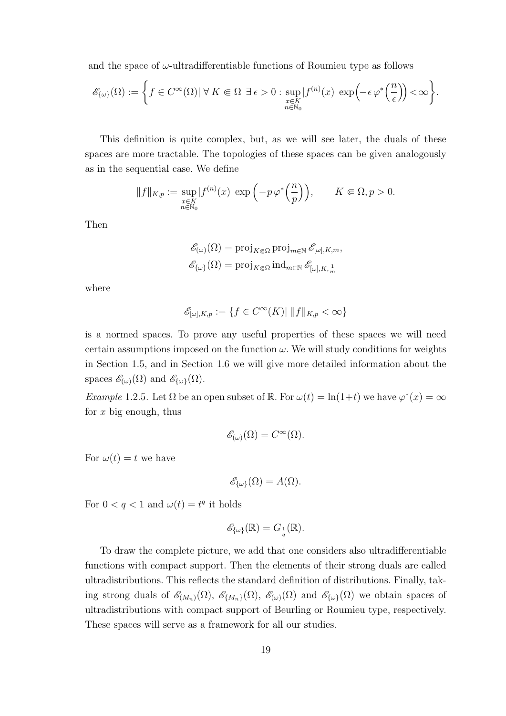and the space of  $\omega$ -ultradifferentiable functions of Roumieu type as follows

$$
\mathscr{E}_{\{\omega\}}(\Omega) := \left\{ f \in C^{\infty}(\Omega) | \ \forall \, K \Subset \Omega \; \exists \, \epsilon > 0 : \sup_{\substack{x \in K \\ n \in \mathbb{N}_0}} |f^{(n)}(x)| \exp\left(-\epsilon \, \varphi^*\left(\frac{n}{\epsilon}\right)\right) < \infty \right\}.
$$

This definition is quite complex, but, as we will see later, the duals of these spaces are more tractable. The topologies of these spaces can be given analogously as in the sequential case. We define

$$
||f||_{K,p} := \sup_{\substack{x \in K \\ n \in \mathbb{N}_0}} |f^{(n)}(x)| \exp\left(-p \, \varphi^*\left(\frac{n}{p}\right)\right), \qquad K \Subset \Omega, p > 0.
$$

Then

$$
\mathcal{E}_{(\omega)}(\Omega) = \text{proj}_{K \in \Omega} \text{proj}_{m \in \mathbb{N}} \mathcal{E}_{[\omega], K, m},
$$

$$
\mathcal{E}_{\{\omega\}}(\Omega) = \text{proj}_{K \in \Omega} \text{ind}_{m \in \mathbb{N}} \mathcal{E}_{[\omega], K, \frac{1}{m}}
$$

where

$$
\mathscr{E}_{[\omega],K,p} := \{ f \in C^\infty(K) | \|f\|_{K,p} < \infty \}
$$

is a normed spaces. To prove any useful properties of these spaces we will need certain assumptions imposed on the function  $\omega$ . We will study conditions for weights in Section 1.5, and in Section 1.6 we will give more detailed information about the spaces  $\mathscr{E}_{(\omega)}(\Omega)$  and  $\mathscr{E}_{\{\omega\}}(\Omega)$ .

Example 1.2.5. Let  $\Omega$  be an open subset of  $\mathbb{R}$ . For  $\omega(t) = \ln(1+t)$  we have  $\varphi^*(x) = \infty$ for  $x$  big enough, thus

$$
\mathscr{E}_{(\omega)}(\Omega) = C^{\infty}(\Omega).
$$

For  $\omega(t) = t$  we have

$$
\mathscr{E}_{\{\omega\}}(\Omega) = A(\Omega).
$$

For  $0 < q < 1$  and  $\omega(t) = t^q$  it holds

$$
\mathscr{E}_{\{\omega\}}(\mathbb{R}) = G_{\frac{1}{q}}(\mathbb{R}).
$$

To draw the complete picture, we add that one considers also ultradifferentiable functions with compact support. Then the elements of their strong duals are called ultradistributions. This reflects the standard definition of distributions. Finally, taking strong duals of  $\mathscr{E}_{(M_n)}(\Omega)$ ,  $\mathscr{E}_{\{M_n\}}(\Omega)$ ,  $\mathscr{E}_{\{\omega\}}(\Omega)$  and  $\mathscr{E}_{\{\omega\}}(\Omega)$  we obtain spaces of ultradistributions with compact support of Beurling or Roumieu type, respectively. These spaces will serve as a framework for all our studies.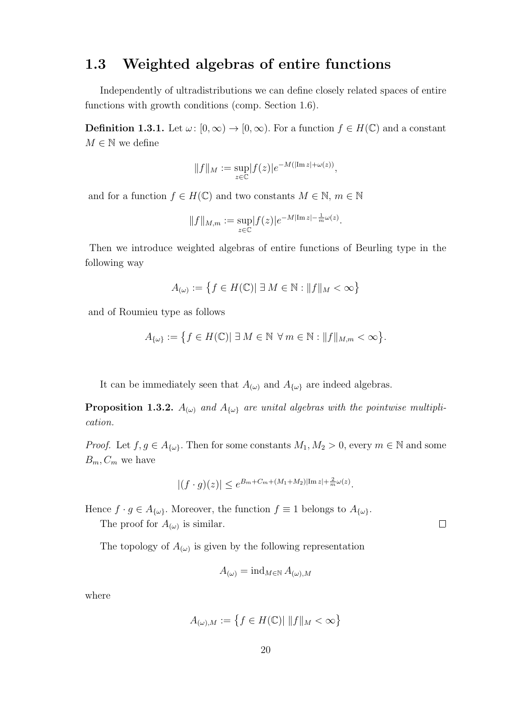#### 1.3 Weighted algebras of entire functions

Independently of ultradistributions we can define closely related spaces of entire functions with growth conditions (comp. Section 1.6).

**Definition 1.3.1.** Let  $\omega: [0, \infty) \to [0, \infty)$ . For a function  $f \in H(\mathbb{C})$  and a constant  $M\in\mathbb{N}$  we define

$$
||f||_M := \sup_{z \in \mathbb{C}} |f(z)|e^{-M(|\text{Im }z| + \omega(z))},
$$

and for a function  $f \in H(\mathbb{C})$  and two constants  $M \in \mathbb{N}$ ,  $m \in \mathbb{N}$ 

$$
||f||_{M,m} := \sup_{z \in \mathbb{C}} |f(z)|e^{-M|\text{Im }z| - \frac{1}{m}\omega(z)}.
$$

Then we introduce weighted algebras of entire functions of Beurling type in the following way

$$
A_{(\omega)} := \left\{ f \in H(\mathbb{C}) \mid \exists M \in \mathbb{N} : \|f\|_M < \infty \right\}
$$

and of Roumieu type as follows

$$
A_{\{\omega\}}:=\left\{f\in H(\mathbb{C})|\;\exists\,M\in\mathbb{N}\;\forall\,m\in\mathbb{N}:\|f\|_{M,m}<\infty\right\}.
$$

It can be immediately seen that  $A_{(\omega)}$  and  $A_{\{\omega\}}$  are indeed algebras.

**Proposition 1.3.2.**  $A_{(\omega)}$  and  $A_{\{\omega\}}$  are unital algebras with the pointwise multiplication.

*Proof.* Let  $f, g \in A_{\{\omega\}}$ . Then for some constants  $M_1, M_2 > 0$ , every  $m \in \mathbb{N}$  and some  $B_m, C_m$  we have

$$
|(f \cdot g)(z)| \le e^{B_m + C_m + (M_1 + M_2)|\operatorname{Im} z| + \frac{2}{m}\omega(z)}.
$$

Hence  $f \cdot g \in A_{\{\omega\}}$ . Moreover, the function  $f \equiv 1$  belongs to  $A_{\{\omega\}}$ .

The proof for  $A_{(\omega)}$  is similar.

The topology of  $A_{(\omega)}$  is given by the following representation

$$
A_{(\omega)} = \operatorname{ind}_{M \in \mathbb{N}} A_{(\omega),M}
$$

where

$$
A_{(\omega),M} := \left\{ f \in H(\mathbb{C}) | \|f\|_M < \infty \right\}
$$

 $\Box$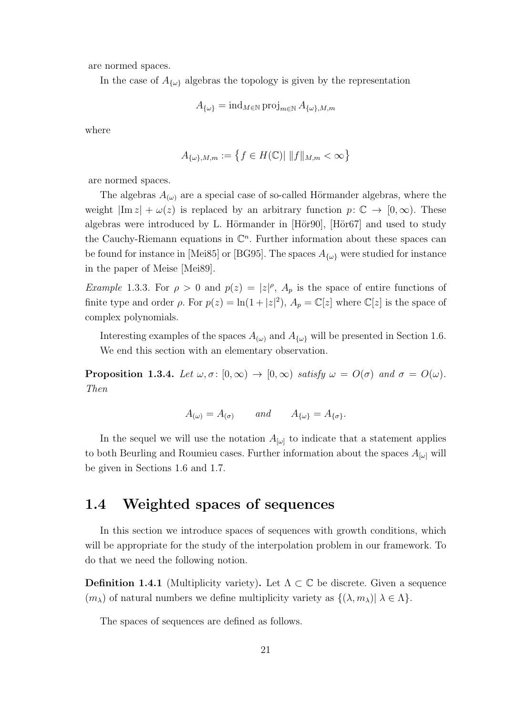are normed spaces.

In the case of  $A_{\{\omega\}}$  algebras the topology is given by the representation

$$
A_{\{\omega\}} = \operatorname{ind}_{M \in \mathbb{N}} \operatorname{proj}_{m \in \mathbb{N}} A_{\{\omega\}, M, m}
$$

where

$$
A_{\{\omega\},M,m} := \left\{ f \in H(\mathbb{C}) \mid \|f\|_{M,m} < \infty \right\}
$$

are normed spaces.

The algebras  $A_{(\omega)}$  are a special case of so-called Hörmander algebras, where the weight  $|\text{Im } z| + \omega(z)$  is replaced by an arbitrary function  $p: \mathbb{C} \to [0, \infty)$ . These algebras were introduced by L. Hörmander in [Hör90], [Hör67] and used to study the Cauchy-Riemann equations in  $\mathbb{C}^n$ . Further information about these spaces can be found for instance in [Mei85] or [BG95]. The spaces  $A_{\{\omega\}}$  were studied for instance in the paper of Meise [Mei89].

*Example* 1.3.3. For  $\rho > 0$  and  $p(z) = |z|^{\rho}$ ,  $A_p$  is the space of entire functions of finite type and order  $\rho$ . For  $p(z) = \ln(1+|z|^2)$ ,  $A_p = \mathbb{C}[z]$  where  $\mathbb{C}[z]$  is the space of complex polynomials.

Interesting examples of the spaces  $A_{(\omega)}$  and  $A_{\{\omega\}}$  will be presented in Section 1.6. We end this section with an elementary observation.

**Proposition 1.3.4.** Let  $\omega, \sigma : [0, \infty) \to [0, \infty)$  satisfy  $\omega = O(\sigma)$  and  $\sigma = O(\omega)$ . Then

$$
A_{(\omega)} = A_{(\sigma)} \qquad and \qquad A_{\{\omega\}} = A_{\{\sigma\}}.
$$

In the sequel we will use the notation  $A_{\omega}$  to indicate that a statement applies to both Beurling and Roumieu cases. Further information about the spaces  $A_{[\omega]}$  will be given in Sections 1.6 and 1.7.

### 1.4 Weighted spaces of sequences

In this section we introduce spaces of sequences with growth conditions, which will be appropriate for the study of the interpolation problem in our framework. To do that we need the following notion.

**Definition 1.4.1** (Multiplicity variety). Let  $\Lambda \subset \mathbb{C}$  be discrete. Given a sequence  $(m_\lambda)$  of natural numbers we define multiplicity variety as  $\{(\lambda, m_\lambda)| \lambda \in \Lambda\}.$ 

The spaces of sequences are defined as follows.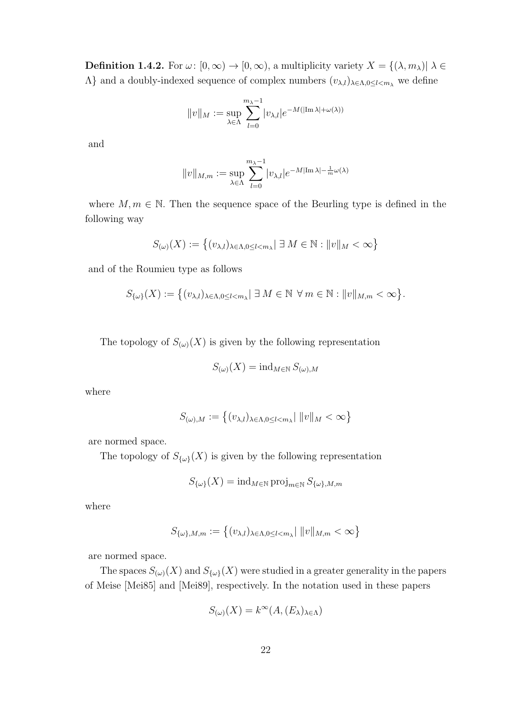**Definition 1.4.2.** For  $\omega: [0, \infty) \to [0, \infty)$ , a multiplicity variety  $X = \{(\lambda, m_\lambda) | \lambda \in$  $Λ$ } and a doubly-indexed sequence of complex numbers  $(v_{λ,l})_{λ∈Λ,0≤l we define$ 

$$
||v||_M := \sup_{\lambda \in \Lambda} \sum_{l=0}^{m_{\lambda}-1} |v_{\lambda,l}| e^{-M(|\text{Im }\lambda| + \omega(\lambda))}
$$

and

$$
||v||_{M,m} := \sup_{\lambda \in \Lambda} \sum_{l=0}^{m_{\lambda}-1} |v_{\lambda,l}| e^{-M|\text{Im }\lambda| - \frac{1}{m}\omega(\lambda)}
$$

where  $M, m \in \mathbb{N}$ . Then the sequence space of the Beurling type is defined in the following way

$$
S_{(\omega)}(X) := \left\{ (v_{\lambda,l})_{\lambda \in \Lambda, 0 \le l < m_\lambda} \mid \exists M \in \mathbb{N} : ||v||_M < \infty \right\}
$$

and of the Roumieu type as follows

$$
S_{\{\omega\}}(X):=\big\{(v_{\lambda,l})_{\lambda\in\Lambda,0\leq l
$$

The topology of  $S_{(\omega)}(X)$  is given by the following representation

$$
S_{(\omega)}(X) = \operatorname{ind}_{M \in \mathbb{N}} S_{(\omega), M}
$$

where

$$
S_{(\omega),M} := \left\{ (v_{\lambda,l})_{\lambda \in \Lambda, 0 \le l < m_\lambda} \middle| \ ||v||_M < \infty \right\}
$$

are normed space.

The topology of  $S_{\{\omega\}}(X)$  is given by the following representation

$$
S_{\{\omega\}}(X) = \operatorname{ind}_{M \in \mathbb{N}} \operatorname{proj}_{m \in \mathbb{N}} S_{\{\omega\}, M, m}
$$

where

$$
S_{\{\omega\},M,m} := \left\{ (v_{\lambda,l})_{\lambda \in \Lambda, 0 \le l < m_\lambda} \mid ||v||_{M,m} < \infty \right\}
$$

are normed space.

The spaces  $S_{(\omega)}(X)$  and  $S_{\{\omega\}}(X)$  were studied in a greater generality in the papers of Meise [Mei85] and [Mei89], respectively. In the notation used in these papers

$$
S_{(\omega)}(X) = k^{\infty}(A, (E_{\lambda})_{\lambda \in \Lambda})
$$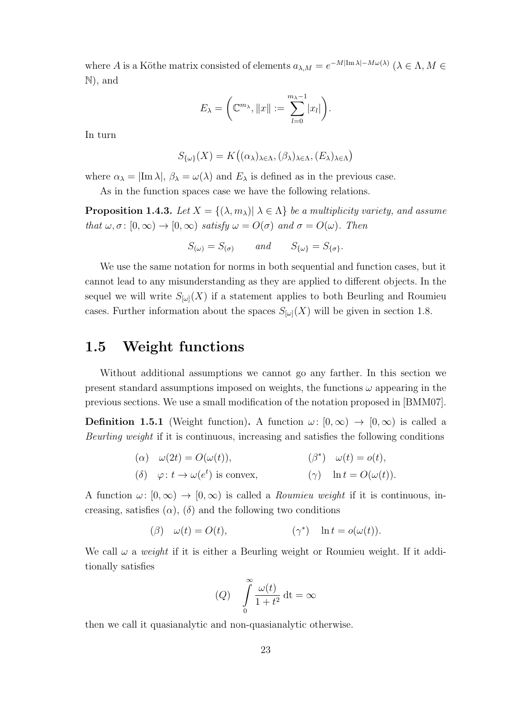where A is a Köthe matrix consisted of elements  $a_{\lambda,M} = e^{-M|\text{Im }\lambda| - M\omega(\lambda)}$   $(\lambda \in \Lambda, M \in$ N), and

$$
E_{\lambda} = \left(\mathbb{C}^{m_{\lambda}}, \|x\| := \sum_{l=0}^{m_{\lambda}-1} |x_l|\right).
$$

In turn

$$
S_{\{\omega\}}(X) = K((\alpha_{\lambda})_{\lambda \in \Lambda}, (\beta_{\lambda})_{\lambda \in \Lambda}, (E_{\lambda})_{\lambda \in \Lambda})
$$

where  $\alpha_{\lambda} = |{\rm Im}\,\lambda|, \beta_{\lambda} = \omega(\lambda)$  and  $E_{\lambda}$  is defined as in the previous case.

As in the function spaces case we have the following relations.

**Proposition 1.4.3.** Let  $X = \{(\lambda, m_\lambda) | \lambda \in \Lambda \}$  be a multiplicity variety, and assume that  $\omega, \sigma : [0, \infty) \to [0, \infty)$  satisfy  $\omega = O(\sigma)$  and  $\sigma = O(\omega)$ . Then

$$
S_{(\omega)} = S_{(\sigma)} \qquad and \qquad S_{\{\omega\}} = S_{\{\sigma\}}.
$$

We use the same notation for norms in both sequential and function cases, but it cannot lead to any misunderstanding as they are applied to different objects. In the sequel we will write  $S_{[\omega]}(X)$  if a statement applies to both Beurling and Roumieu cases. Further information about the spaces  $S_{\lbrack \omega \rbrack}(X)$  will be given in section 1.8.

#### 1.5 Weight functions

Without additional assumptions we cannot go any farther. In this section we present standard assumptions imposed on weights, the functions  $\omega$  appearing in the previous sections. We use a small modification of the notation proposed in [BMM07].

**Definition 1.5.1** (Weight function). A function  $\omega: [0, \infty) \to [0, \infty)$  is called a Beurling weight if it is continuous, increasing and satisfies the following conditions

\n- (
$$
\alpha
$$
)  $\omega(2t) = O(\omega(t)),$   $(\beta^*) \omega(t) = o(t),$
\n- ( $\delta$ )  $\varphi: t \to \omega(e^t)$  is convex,  $(\gamma)$   $\ln t = O(\omega(t)).$
\n

A function  $\omega: [0, \infty) \to [0, \infty)$  is called a *Roumieu weight* if it is continuous, increasing, satisfies  $(\alpha)$ ,  $(\delta)$  and the following two conditions

$$
(\beta) \quad \omega(t) = O(t), \qquad (\gamma^*) \quad \ln t = o(\omega(t)).
$$

We call  $\omega$  a *weight* if it is either a Beurling weight or Roumieu weight. If it additionally satisfies

(Q) 
$$
\int_{0}^{\infty} \frac{\omega(t)}{1+t^2} dt = \infty
$$

then we call it quasianalytic and non-quasianalytic otherwise.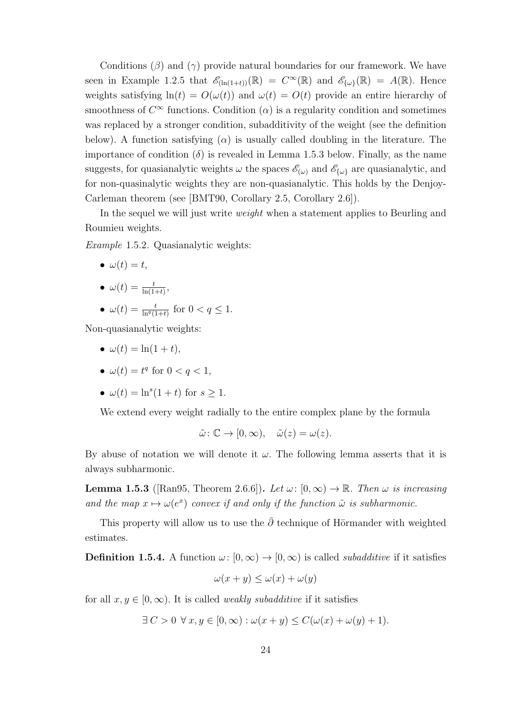Conditions  $(\beta)$  and  $(\gamma)$  provide natural boundaries for our framework. We have seen in Example 1.2.5 that  $\mathscr{E}_{(\ln(1+t))}(\mathbb{R}) = C^{\infty}(\mathbb{R})$  and  $\mathscr{E}_{\{\omega\}}(\mathbb{R}) = A(\mathbb{R})$ . Hence weights satisfying  $ln(t) = O(\omega(t))$  and  $\omega(t) = O(t)$  provide an entire hierarchy of smoothness of  $C^{\infty}$  functions. Condition  $(\alpha)$  is a regularity condition and sometimes was replaced by a stronger condition, subadditivity of the weight (see the definition below). A function satisfying ( $\alpha$ ) is usually called doubling in the literature. The importance of condition  $(\delta)$  is revealed in Lemma 1.5.3 below. Finally, as the name suggests, for quasianalytic weights  $\omega$  the spaces  $\mathscr{E}_{(\omega)}$  and  $\mathscr{E}_{\{\omega\}}$  are quasianalytic, and for non-quasinalytic weights they are non-quasianalytic. This holds by the Denjoy-Carleman theorem (see [BMT90, Corollary 2.5, Corollary 2.6]).

In the sequel we will just write weight when a statement applies to Beurling and Roumieu weights.

Example 1.5.2. Quasianalytic weights:

- $\bullet \ \omega(t) = t,$
- $\omega(t) = \frac{t}{\ln(1+t)},$
- $\omega(t) = \frac{t}{\ln^q(1+t)}$  for  $0 < q \leq 1$ .

Non-quasianalytic weights:

- $\omega(t) = \ln(1+t),$
- $\omega(t) = t^q$  for  $0 < q < 1$ ,
- $\omega(t) = \ln^s(1+t)$  for  $s \geq 1$ .

We extend every weight radially to the entire complex plane by the formula

$$
\tilde{\omega} \colon \mathbb{C} \to [0, \infty), \quad \tilde{\omega}(z) = \omega(z).
$$

By abuse of notation we will denote it  $\omega$ . The following lemma asserts that it is always subharmonic.

**Lemma 1.5.3** ([Ran95, Theorem 2.6.6]). Let  $\omega$ :  $[0, \infty) \to \mathbb{R}$ . Then  $\omega$  is increasing and the map  $x \mapsto \omega(e^x)$  convex if and only if the function  $\tilde{\omega}$  is subharmonic.

This property will allow us to use the  $\bar{\partial}$  technique of Hörmander with weighted estimates.

**Definition 1.5.4.** A function  $\omega: [0, \infty) \to [0, \infty)$  is called *subadditive* if it satisfies

$$
\omega(x+y) \le \omega(x) + \omega(y)
$$

for all  $x, y \in [0, \infty)$ . It is called *weakly subadditive* if it satisfies

 $\exists C > 0 \ \forall x, y \in [0, \infty) : \omega(x + y) \leq C(\omega(x) + \omega(y) + 1).$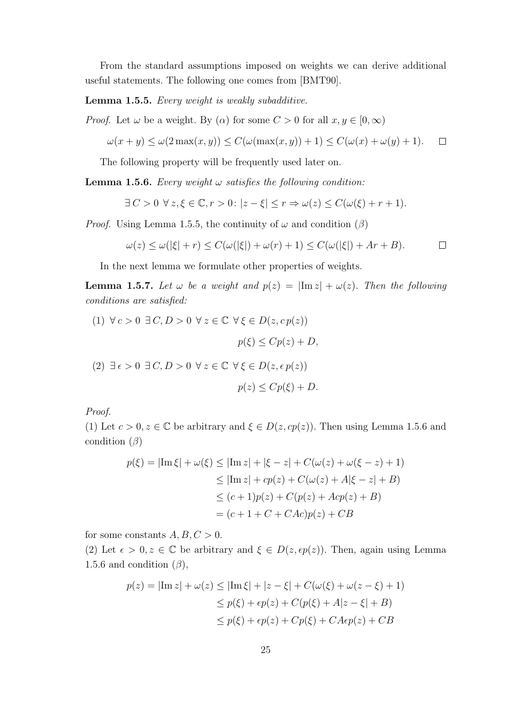From the standard assumptions imposed on weights we can derive additional useful statements. The following one comes from [BMT90].

Lemma 1.5.5. Every weight is weakly subadditive.

*Proof.* Let  $\omega$  be a weight. By  $(\alpha)$  for some  $C > 0$  for all  $x, y \in [0, \infty)$ 

$$
\omega(x+y) \le \omega(2\max(x,y)) \le C(\omega(\max(x,y)) + 1) \le C(\omega(x) + \omega(y) + 1). \quad \Box
$$

The following property will be frequently used later on.

**Lemma 1.5.6.** Every weight  $\omega$  satisfies the following condition:

$$
\exists C > 0 \ \forall z, \xi \in \mathbb{C}, r > 0 \colon |z - \xi| \le r \Rightarrow \omega(z) \le C(\omega(\xi) + r + 1).
$$

*Proof.* Using Lemma 1.5.5, the continuity of  $\omega$  and condition ( $\beta$ )

$$
\omega(z) \le \omega(|\xi| + r) \le C(\omega(|\xi|) + \omega(r) + 1) \le C(\omega(|\xi|) + Ar + B).
$$

In the next lemma we formulate other properties of weights.

**Lemma 1.5.7.** Let  $\omega$  be a weight and  $p(z) = |\text{Im } z| + \omega(z)$ . Then the following conditions are satisfied:

(1) 
$$
\forall c > 0 \exists C, D > 0 \forall z \in \mathbb{C} \forall \xi \in D(z, cp(z))
$$
  
\n
$$
p(\xi) \le Cp(z) + D,
$$
\n(2)  $\exists \epsilon > 0 \exists C, D > 0 \forall z \in \mathbb{C} \forall \xi \in D(z, \epsilon p(z))$   
\n
$$
p(z) \le Cp(\xi) + D.
$$

Proof.

(1) Let  $c > 0, z \in \mathbb{C}$  be arbitrary and  $\xi \in D(z, cp(z))$ . Then using Lemma 1.5.6 and condition  $(\beta)$ 

$$
p(\xi) = |\text{Im}\,\xi| + \omega(\xi) \le |\text{Im}\,z| + |\xi - z| + C(\omega(z) + \omega(\xi - z) + 1)
$$
  
\n
$$
\le |\text{Im}\,z| + cp(z) + C(\omega(z) + A|\xi - z| + B)
$$
  
\n
$$
\le (c+1)p(z) + C(p(z) + Acp(z) + B)
$$
  
\n
$$
= (c+1 + C + CAc)p(z) + CB
$$

for some constants  $A, B, C > 0$ .

(2) Let  $\epsilon > 0, z \in \mathbb{C}$  be arbitrary and  $\xi \in D(z, \epsilon p(z))$ . Then, again using Lemma 1.5.6 and condition  $(\beta)$ ,

$$
p(z) = |\text{Im } z| + \omega(z) \le |\text{Im } \xi| + |z - \xi| + C(\omega(\xi) + \omega(z - \xi) + 1)
$$
  
\n
$$
\le p(\xi) + \epsilon p(z) + C(p(\xi) + A|z - \xi| + B)
$$
  
\n
$$
\le p(\xi) + \epsilon p(z) + Cp(\xi) + CA\epsilon p(z) + CB
$$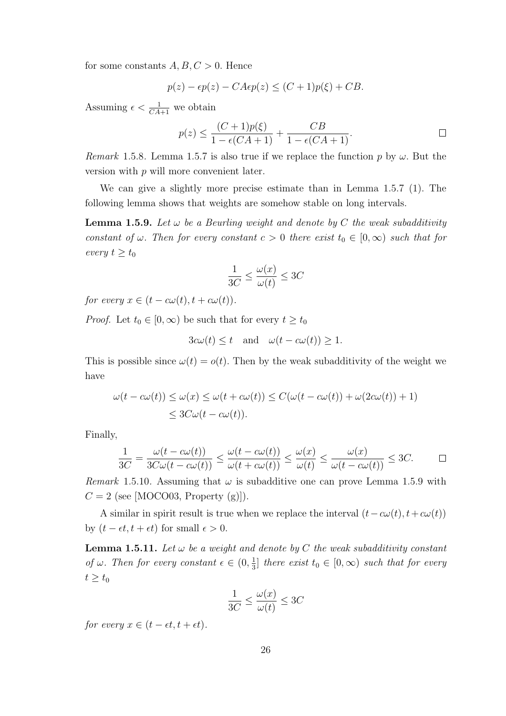for some constants  $A, B, C > 0$ . Hence

$$
p(z) - \epsilon p(z) - CA\epsilon p(z) \le (C+1)p(\xi) + CB.
$$

Assuming  $\epsilon < \frac{1}{CA+1}$  we obtain

$$
p(z) \le \frac{(C+1)p(\xi)}{1 - \epsilon(CA+1)} + \frac{CB}{1 - \epsilon(CA+1)}.
$$

Remark 1.5.8. Lemma 1.5.7 is also true if we replace the function p by  $\omega$ . But the version with p will more convenient later.

We can give a slightly more precise estimate than in Lemma 1.5.7 (1). The following lemma shows that weights are somehow stable on long intervals.

**Lemma 1.5.9.** Let  $\omega$  be a Beurling weight and denote by C the weak subadditivity constant of  $\omega$ . Then for every constant  $c > 0$  there exist  $t_0 \in [0, \infty)$  such that for every  $t \geq t_0$ 

$$
\frac{1}{3C} \le \frac{\omega(x)}{\omega(t)} \le 3C
$$

for every  $x \in (t - c\omega(t), t + c\omega(t)).$ 

*Proof.* Let  $t_0 \in [0, \infty)$  be such that for every  $t \geq t_0$ 

$$
3c\omega(t) \le t
$$
 and  $\omega(t - c\omega(t)) \ge 1$ .

This is possible since  $\omega(t) = o(t)$ . Then by the weak subadditivity of the weight we have

$$
\omega(t - c\omega(t)) \le \omega(x) \le \omega(t + c\omega(t)) \le C(\omega(t - c\omega(t)) + \omega(2c\omega(t)) + 1)
$$
  

$$
\le 3C\omega(t - c\omega(t)).
$$

Finally,

$$
\frac{1}{3C} = \frac{\omega(t - c\omega(t))}{3C\omega(t - c\omega(t))} \le \frac{\omega(t - c\omega(t))}{\omega(t + c\omega(t))} \le \frac{\omega(x)}{\omega(t)} \le \frac{\omega(x)}{\omega(t - c\omega(t))} \le 3C. \qquad \Box
$$

*Remark* 1.5.10. Assuming that  $\omega$  is subadditive one can prove Lemma 1.5.9 with  $C = 2$  (see [MOCO03, Property (g)]).

A similar in spirit result is true when we replace the interval  $(t-c\omega(t), t+c\omega(t))$ by  $(t - \epsilon t, t + \epsilon t)$  for small  $\epsilon > 0$ .

**Lemma 1.5.11.** Let  $\omega$  be a weight and denote by C the weak subadditivity constant of  $\omega$ . Then for every constant  $\epsilon \in (0, \frac{1}{3})$  $\frac{1}{3}$  there exist  $t_0 \in [0, \infty)$  such that for every  $t \geq t_0$ 

$$
\frac{1}{3C} \le \frac{\omega(x)}{\omega(t)} \le 3C
$$

for every  $x \in (t - \epsilon t, t + \epsilon t)$ .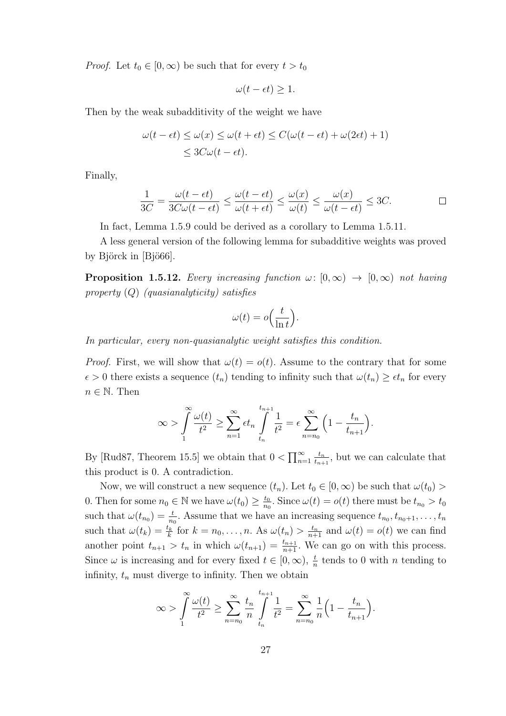*Proof.* Let  $t_0 \in [0, \infty)$  be such that for every  $t > t_0$ 

$$
\omega(t - \epsilon t) \ge 1.
$$

Then by the weak subadditivity of the weight we have

$$
\omega(t - \epsilon t) \le \omega(x) \le \omega(t + \epsilon t) \le C(\omega(t - \epsilon t) + \omega(2\epsilon t) + 1)
$$
  

$$
\le 3C\omega(t - \epsilon t).
$$

Finally,

$$
\frac{1}{3C} = \frac{\omega(t - \epsilon t)}{3C\omega(t - \epsilon t)} \le \frac{\omega(t - \epsilon t)}{\omega(t + \epsilon t)} \le \frac{\omega(x)}{\omega(t)} \le \frac{\omega(x)}{\omega(t - \epsilon t)} \le 3C.
$$

In fact, Lemma 1.5.9 could be derived as a corollary to Lemma 1.5.11.

A less general version of the following lemma for subadditive weights was proved by Björck in  $[Bj\ddot{o}66]$ .

**Proposition 1.5.12.** Every increasing function  $\omega: [0, \infty) \to [0, \infty)$  not having property  $(Q)$  (quasianalyticity) satisfies

$$
\omega(t) = o\Big(\frac{t}{\ln t}\Big).
$$

In particular, every non-quasianalytic weight satisfies this condition.

*Proof.* First, we will show that  $\omega(t) = o(t)$ . Assume to the contrary that for some  $\epsilon > 0$  there exists a sequence  $(t_n)$  tending to infinity such that  $\omega(t_n) \geq \epsilon t_n$  for every  $n \in \mathbb{N}$ . Then

$$
\infty > \int_{1}^{\infty} \frac{\omega(t)}{t^2} \ge \sum_{n=1}^{\infty} \epsilon t_n \int_{t_n}^{t_{n+1}} \frac{1}{t^2} = \epsilon \sum_{n=n_0}^{\infty} \left(1 - \frac{t_n}{t_{n+1}}\right).
$$

By [Rud87, Theorem 15.5] we obtain that  $0 < \prod_{n=1}^{\infty} \frac{t_n}{t_{n+1}}$  $\frac{t_n}{t_{n+1}}$ , but we can calculate that this product is 0. A contradiction.

Now, we will construct a new sequence  $(t_n)$ . Let  $t_0 \in [0, \infty)$  be such that  $\omega(t_0)$ 0. Then for some  $n_0 \in \mathbb{N}$  we have  $\omega(t_0) \geq \frac{t_0}{n_0}$  $\frac{t_0}{n_0}$ . Since  $\omega(t) = o(t)$  there must be  $t_{n_0} > t_0$ such that  $\omega(t_{n_0}) = \frac{t}{n_0}$ . Assume that we have an increasing sequence  $t_{n_0}, t_{n_0+1}, \ldots, t_n$ such that  $\omega(t_k) = \frac{t_k}{k}$  for  $k = n_0, \ldots, n$ . As  $\omega(t_n) > \frac{t_n}{n+1}$  and  $\omega(t) = o(t)$  we can find another point  $t_{n+1} > t_n$  in which  $\omega(t_{n+1}) = \frac{t_{n+1}}{n+1}$ . We can go on with this process. Since  $\omega$  is increasing and for every fixed  $t \in [0, \infty)$ ,  $\frac{t}{n}$  tends to 0 with *n* tending to infinity,  $t_n$  must diverge to infinity. Then we obtain

$$
\infty > \int_{1}^{\infty} \frac{\omega(t)}{t^2} \ge \sum_{n=n_0}^{\infty} \frac{t_n}{n} \int_{t_n}^{t_{n+1}} \frac{1}{t^2} = \sum_{n=n_0}^{\infty} \frac{1}{n} \left( 1 - \frac{t_n}{t_{n+1}} \right).
$$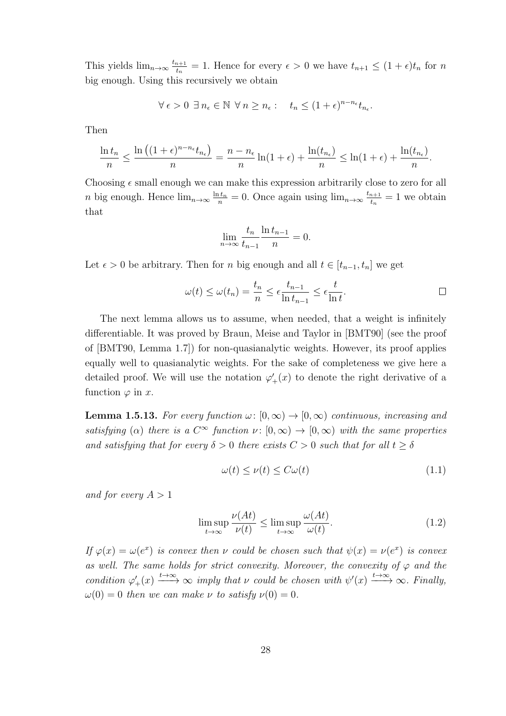This yields  $\lim_{n\to\infty} \frac{t_{n+1}}{t_n}$  $t_{n+1}^{n+1} = 1$ . Hence for every  $\epsilon > 0$  we have  $t_{n+1} \leq (1 + \epsilon)t_n$  for n big enough. Using this recursively we obtain

$$
\forall \epsilon > 0 \ \exists \ n_{\epsilon} \in \mathbb{N} \ \forall \ n \ge n_{\epsilon} : \quad t_n \le (1+\epsilon)^{n-n_{\epsilon}} t_{n_{\epsilon}}.
$$

Then

$$
\frac{\ln t_n}{n} \le \frac{\ln \left( (1+\epsilon)^{n-n_{\epsilon}} t_{n_{\epsilon}} \right)}{n} = \frac{n-n_{\epsilon}}{n} \ln(1+\epsilon) + \frac{\ln(t_{n_{\epsilon}})}{n} \le \ln(1+\epsilon) + \frac{\ln(t_{n_{\epsilon}})}{n}.
$$

Choosing  $\epsilon$  small enough we can make this expression arbitrarily close to zero for all *n* big enough. Hence  $\lim_{n\to\infty} \frac{\ln t_n}{n} = 0$ . Once again using  $\lim_{n\to\infty} \frac{t_{n+1}}{t_n}$  $\frac{n+1}{t_n} = 1$  we obtain that

$$
\lim_{n \to \infty} \frac{t_n}{t_{n-1}} \frac{\ln t_{n-1}}{n} = 0.
$$

Let  $\epsilon > 0$  be arbitrary. Then for n big enough and all  $t \in [t_{n-1}, t_n]$  we get

$$
\omega(t) \le \omega(t_n) = \frac{t_n}{n} \le \epsilon \frac{t_{n-1}}{\ln t_{n-1}} \le \epsilon \frac{t}{\ln t}.
$$

The next lemma allows us to assume, when needed, that a weight is infinitely differentiable. It was proved by Braun, Meise and Taylor in [BMT90] (see the proof of [BMT90, Lemma 1.7]) for non-quasianalytic weights. However, its proof applies equally well to quasianalytic weights. For the sake of completeness we give here a detailed proof. We will use the notation  $\varphi'_{+}(x)$  to denote the right derivative of a function  $\varphi$  in x.

**Lemma 1.5.13.** For every function  $\omega: [0, \infty) \to [0, \infty)$  continuous, increasing and satisfying ( $\alpha$ ) there is a  $C^{\infty}$  function  $\nu : [0, \infty) \to [0, \infty)$  with the same properties and satisfying that for every  $\delta > 0$  there exists  $C > 0$  such that for all  $t \geq \delta$ 

$$
\omega(t) \le \nu(t) \le C\omega(t) \tag{1.1}
$$

and for every  $A > 1$ 

$$
\limsup_{t \to \infty} \frac{\nu(At)}{\nu(t)} \le \limsup_{t \to \infty} \frac{\omega(At)}{\omega(t)}.
$$
\n(1.2)

If  $\varphi(x) = \omega(e^x)$  is convex then v could be chosen such that  $\psi(x) = \nu(e^x)$  is convex as well. The same holds for strict convexity. Moreover, the convexity of  $\varphi$  and the condition  $\varphi'_+(x) \xrightarrow{t \to \infty} \infty$  imply that  $\nu$  could be chosen with  $\psi'(x) \xrightarrow{t \to \infty} \infty$ . Finally,  $\omega(0) = 0$  then we can make  $\nu$  to satisfy  $\nu(0) = 0$ .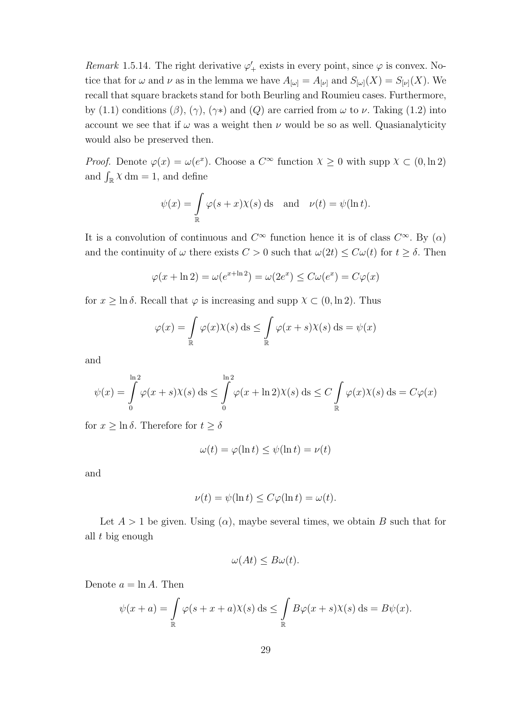Remark 1.5.14. The right derivative  $\varphi'_{+}$  exists in every point, since  $\varphi$  is convex. Notice that for  $\omega$  and  $\nu$  as in the lemma we have  $A_{[\omega]} = A_{[\nu]}$  and  $S_{[\omega]}(X) = S_{[\nu]}(X)$ . We recall that square brackets stand for both Beurling and Roumieu cases. Furthermore, by (1.1) conditions ( $\beta$ ), ( $\gamma$ ), ( $\gamma$ \*) and ( $Q$ ) are carried from  $\omega$  to  $\nu$ . Taking (1.2) into account we see that if  $\omega$  was a weight then  $\nu$  would be so as well. Quasianalyticity would also be preserved then.

*Proof.* Denote  $\varphi(x) = \omega(e^x)$ . Choose a  $C^{\infty}$  function  $\chi \geq 0$  with supp  $\chi \subset (0, \ln 2)$ and  $\int_{\mathbb{R}} \chi \, dm = 1$ , and define

$$
\psi(x) = \int_{\mathbb{R}} \varphi(s+x) \chi(s) \, ds \quad \text{and} \quad \nu(t) = \psi(\ln t).
$$

It is a convolution of continuous and  $C^{\infty}$  function hence it is of class  $C^{\infty}$ . By  $(\alpha)$ and the continuity of  $\omega$  there exists  $C > 0$  such that  $\omega(2t) \leq C\omega(t)$  for  $t \geq \delta$ . Then

$$
\varphi(x + \ln 2) = \omega(e^{x + \ln 2}) = \omega(2e^x) \le C\omega(e^x) = C\varphi(x)
$$

for  $x \geq \ln \delta$ . Recall that  $\varphi$  is increasing and supp  $\chi \subset (0, \ln 2)$ . Thus

$$
\varphi(x) = \int_{\mathbb{R}} \varphi(x) \chi(s) \, ds \le \int_{\mathbb{R}} \varphi(x+s) \chi(s) \, ds = \psi(x)
$$

and

$$
\psi(x) = \int_{0}^{\ln 2} \varphi(x+s)\chi(s) \, ds \le \int_{0}^{\ln 2} \varphi(x+\ln 2)\chi(s) \, ds \le C \int_{\mathbb{R}} \varphi(x)\chi(s) \, ds = C\varphi(x)
$$

for  $x \geq \ln \delta$ . Therefore for  $t \geq \delta$ 

$$
\omega(t) = \varphi(\ln t) \le \psi(\ln t) = \nu(t)
$$

and

$$
\nu(t) = \psi(\ln t) \le C\varphi(\ln t) = \omega(t).
$$

Let  $A > 1$  be given. Using  $(\alpha)$ , maybe several times, we obtain B such that for all t big enough

$$
\omega(At) \le B\omega(t).
$$

Denote  $a = \ln A$ . Then

$$
\psi(x+a) = \int_{\mathbb{R}} \varphi(s+x+a) \chi(s) \, ds \le \int_{\mathbb{R}} B\varphi(x+s) \chi(s) \, ds = B\psi(x).
$$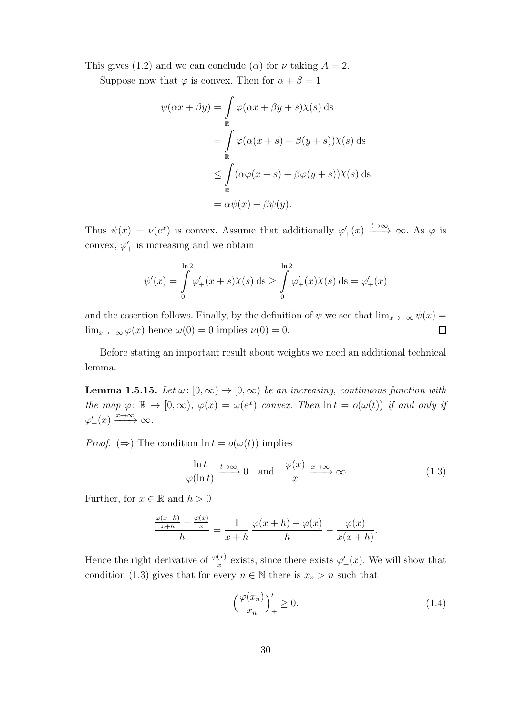This gives (1.2) and we can conclude ( $\alpha$ ) for  $\nu$  taking  $A = 2$ .

Suppose now that  $\varphi$  is convex. Then for  $\alpha + \beta = 1$ 

$$
\psi(\alpha x + \beta y) = \int_{\mathbb{R}} \varphi(\alpha x + \beta y + s) \chi(s) ds
$$
  
= 
$$
\int_{\mathbb{R}} \varphi(\alpha(x + s) + \beta(y + s)) \chi(s) ds
$$
  

$$
\leq \int_{\mathbb{R}} (\alpha \varphi(x + s) + \beta \varphi(y + s)) \chi(s) ds
$$
  
= 
$$
\alpha \psi(x) + \beta \psi(y).
$$

Thus  $\psi(x) = \nu(e^x)$  is convex. Assume that additionally  $\varphi'_+(x) \xrightarrow{t \to \infty} \infty$ . As  $\varphi$  is convex,  $\varphi'_{+}$  is increasing and we obtain

$$
\psi'(x) = \int_{0}^{\ln 2} \varphi'_+(x+s)\chi(s) \, ds \ge \int_{0}^{\ln 2} \varphi'_+(x)\chi(s) \, ds = \varphi'_+(x)
$$

and the assertion follows. Finally, by the definition of  $\psi$  we see that  $\lim_{x\to-\infty}\psi(x) =$ lim<sub>x→−∞</sub>  $\varphi(x)$  hence  $\omega(0) = 0$  implies  $\nu(0) = 0$ .  $\Box$ 

Before stating an important result about weights we need an additional technical lemma.

**Lemma 1.5.15.** Let  $\omega: [0, \infty) \to [0, \infty)$  be an increasing, continuous function with the map  $\varphi: \mathbb{R} \to [0, \infty), \varphi(x) = \omega(e^x)$  convex. Then  $\ln t = o(\omega(t))$  if and only if  $\varphi'_+(x) \xrightarrow{x \to \infty} \infty$ .

*Proof.* ( $\Rightarrow$ ) The condition ln  $t = o(\omega(t))$  implies

$$
\frac{\ln t}{\varphi(\ln t)} \xrightarrow{t \to \infty} 0 \quad \text{and} \quad \frac{\varphi(x)}{x} \xrightarrow{x \to \infty} \infty \tag{1.3}
$$

Further, for  $x \in \mathbb{R}$  and  $h > 0$ 

$$
\frac{\frac{\varphi(x+h)}{x+h} - \frac{\varphi(x)}{x}}{h} = \frac{1}{x+h} \frac{\varphi(x+h) - \varphi(x)}{h} - \frac{\varphi(x)}{x(x+h)}.
$$

Hence the right derivative of  $\frac{\varphi(x)}{x}$  exists, since there exists  $\varphi'_{+}(x)$ . We will show that condition (1.3) gives that for every  $n \in \mathbb{N}$  there is  $x_n > n$  such that

$$
\left(\frac{\varphi(x_n)}{x_n}\right)_+ \ge 0. \tag{1.4}
$$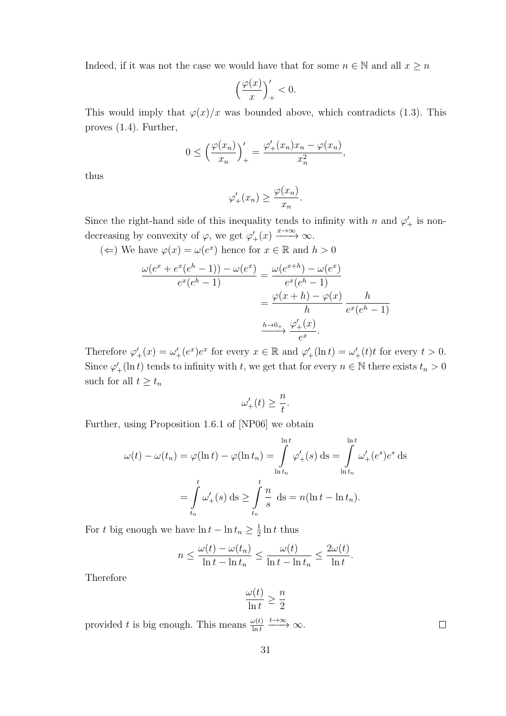Indeed, if it was not the case we would have that for some  $n\in\mathbb{N}$  and all  $x\geq n$ 

$$
\left(\frac{\varphi(x)}{x}\right)'_+ < 0.
$$

This would imply that  $\varphi(x)/x$  was bounded above, which contradicts (1.3). This proves (1.4). Further,

$$
0 \le \left(\frac{\varphi(x_n)}{x_n}\right)_+^\prime = \frac{\varphi'_+(x_n)x_n - \varphi(x_n)}{x_n^2},
$$

thus

$$
\varphi'_+(x_n) \ge \frac{\varphi(x_n)}{x_n}.
$$

Since the right-hand side of this inequality tends to infinity with n and  $\varphi'_{+}$  is nondecreasing by convexity of  $\varphi$ , we get  $\varphi'_{+}(x) \xrightarrow{x \to \infty} \infty$ .

$$
(\Leftarrow)
$$
 We have  $\varphi(x) = \omega(e^x)$  hence for  $x \in \mathbb{R}$  and  $h > 0$ 

$$
\frac{\omega(e^x + e^x(e^h - 1)) - \omega(e^x)}{e^x(e^h - 1)} = \frac{\omega(e^{x+h}) - \omega(e^x)}{e^x(e^h - 1)}
$$

$$
= \frac{\varphi(x+h) - \varphi(x)}{h} \frac{h}{e^x(e^h - 1)}
$$

$$
\xrightarrow{h \to 0+} \frac{\varphi_+'(x)}{e^x}.
$$

Therefore  $\varphi'_+(x) = \omega'_+(e^x)e^x$  for every  $x \in \mathbb{R}$  and  $\varphi'_+(ln t) = \omega'_+(t)t$  for every  $t > 0$ . Since  $\varphi'_{+}(\ln t)$  tends to infinity with t, we get that for every  $n \in \mathbb{N}$  there exists  $t_n > 0$ such for all  $t \geq t_n$ 

$$
\omega'_+(t) \ge \frac{n}{t}.
$$

Further, using Proposition 1.6.1 of [NP06] we obtain

$$
\omega(t) - \omega(t_n) = \varphi(\ln t) - \varphi(\ln t_n) = \int_{\ln t_n}^{\ln t} \varphi'_+(s) \, ds = \int_{\ln t_n}^{\ln t} \omega'_+(e^s) e^s \, ds
$$

$$
= \int_{t_n}^t \omega'_+(s) \, ds \ge \int_{t_n}^t \frac{n}{s} \, ds = n(\ln t - \ln t_n).
$$

For t big enough we have  $\ln t - \ln t_n \geq \frac{1}{2}$  $\frac{1}{2} \ln t$  thus

$$
n \le \frac{\omega(t) - \omega(t_n)}{\ln t - \ln t_n} \le \frac{\omega(t)}{\ln t - \ln t_n} \le \frac{2\omega(t)}{\ln t}.
$$

Therefore

$$
\frac{\omega(t)}{\ln t} \ge \frac{n}{2}
$$

provided t is big enough. This means  $\frac{\omega(t)}{\ln t} \xrightarrow{t \to \infty} \infty$ .

 $\Box$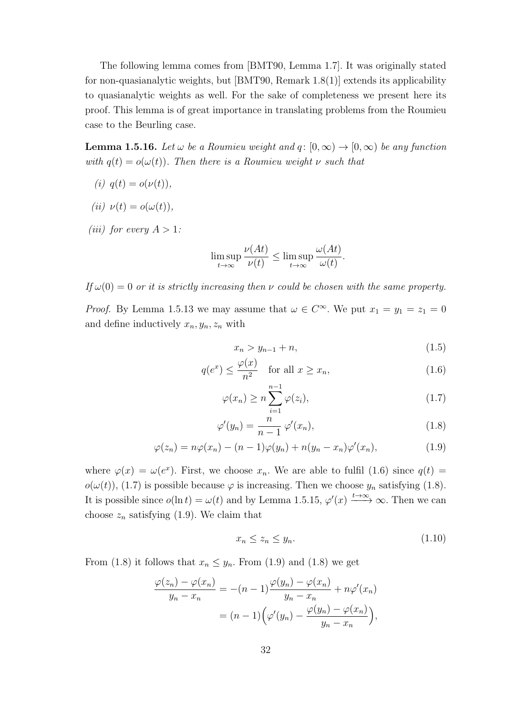The following lemma comes from [BMT90, Lemma 1.7]. It was originally stated for non-quasianalytic weights, but [BMT90, Remark 1.8(1)] extends its applicability to quasianalytic weights as well. For the sake of completeness we present here its proof. This lemma is of great importance in translating problems from the Roumieu case to the Beurling case.

**Lemma 1.5.16.** Let  $\omega$  be a Roumieu weight and  $q: [0, \infty) \to [0, \infty)$  be any function with  $q(t) = o(\omega(t))$ . Then there is a Roumieu weight  $\nu$  such that

- (i)  $q(t) = o(\nu(t)),$
- (ii)  $\nu(t) = o(\omega(t)),$
- (*iii*) for every  $A > 1$ :

$$
\limsup_{t \to \infty} \frac{\nu(At)}{\nu(t)} \le \limsup_{t \to \infty} \frac{\omega(At)}{\omega(t)}.
$$

If  $\omega(0) = 0$  or it is strictly increasing then v could be chosen with the same property.

*Proof.* By Lemma 1.5.13 we may assume that  $\omega \in C^{\infty}$ . We put  $x_1 = y_1 = z_1 = 0$ and define inductively  $x_n, y_n, z_n$  with

$$
x_n > y_{n-1} + n,\t\t(1.5)
$$

$$
q(e^x) \le \frac{\varphi(x)}{n^2} \quad \text{for all } x \ge x_n,\tag{1.6}
$$

$$
\varphi(x_n) \ge n \sum_{i=1}^{n-1} \varphi(z_i), \tag{1.7}
$$

$$
\varphi'(y_n) = \frac{n}{n-1} \varphi'(x_n), \qquad (1.8)
$$

$$
\varphi(z_n) = n\varphi(x_n) - (n-1)\varphi(y_n) + n(y_n - x_n)\varphi'(x_n), \qquad (1.9)
$$

where  $\varphi(x) = \omega(e^x)$ . First, we choose  $x_n$ . We are able to fulfil (1.6) since  $q(t)$  $o(\omega(t))$ , (1.7) is possible because  $\varphi$  is increasing. Then we choose  $y_n$  satisfying (1.8). It is possible since  $o(\ln t) = \omega(t)$  and by Lemma 1.5.15,  $\varphi'(x) \xrightarrow{t \to \infty} \infty$ . Then we can choose  $z_n$  satisfying (1.9). We claim that

$$
x_n \le z_n \le y_n. \tag{1.10}
$$

From (1.8) it follows that  $x_n \leq y_n$ . From (1.9) and (1.8) we get

$$
\frac{\varphi(z_n) - \varphi(x_n)}{y_n - x_n} = -(n-1)\frac{\varphi(y_n) - \varphi(x_n)}{y_n - x_n} + n\varphi'(x_n)
$$

$$
= (n-1)\Big(\varphi'(y_n) - \frac{\varphi(y_n) - \varphi(x_n)}{y_n - x_n}\Big),
$$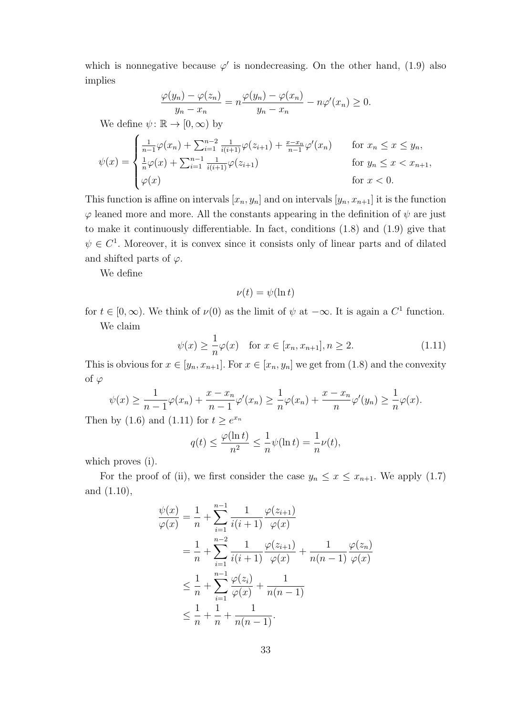which is nonnegative because  $\varphi'$  is nondecreasing. On the other hand, (1.9) also implies

$$
\frac{\varphi(y_n) - \varphi(z_n)}{y_n - x_n} = n \frac{\varphi(y_n) - \varphi(x_n)}{y_n - x_n} - n \varphi'(x_n) \ge 0.
$$

We define  $\psi: \mathbb{R} \to [0, \infty)$  by

$$
\psi(x) = \begin{cases}\n\frac{1}{n-1}\varphi(x_n) + \sum_{i=1}^{n-2} \frac{1}{i(i+1)}\varphi(z_{i+1}) + \frac{x-x_n}{n-1}\varphi'(x_n) & \text{for } x_n \leq x \leq y_n, \\
\frac{1}{n}\varphi(x) + \sum_{i=1}^{n-1} \frac{1}{i(i+1)}\varphi(z_{i+1}) & \text{for } y_n \leq x < x_{n+1}, \\
\varphi(x) & \text{for } x < 0.\n\end{cases}
$$

This function is affine on intervals  $[x_n, y_n]$  and on intervals  $[y_n, x_{n+1}]$  it is the function  $\varphi$  leaned more and more. All the constants appearing in the definition of  $\psi$  are just to make it continuously differentiable. In fact, conditions (1.8) and (1.9) give that  $\psi \in C^1$ . Moreover, it is convex since it consists only of linear parts and of dilated and shifted parts of  $\varphi$ .

We define

$$
\nu(t) = \psi(\ln t)
$$

for  $t \in [0, \infty)$ . We think of  $\nu(0)$  as the limit of  $\psi$  at  $-\infty$ . It is again a  $C^1$  function. We claim

$$
\psi(x) \ge \frac{1}{n}\varphi(x) \text{ for } x \in [x_n, x_{n+1}], n \ge 2.
$$
 (1.11)

This is obvious for  $x \in [y_n, x_{n+1}]$ . For  $x \in [x_n, y_n]$  we get from (1.8) and the convexity of  $\varphi$ 

$$
\psi(x) \ge \frac{1}{n-1} \varphi(x_n) + \frac{x - x_n}{n-1} \varphi'(x_n) \ge \frac{1}{n} \varphi(x_n) + \frac{x - x_n}{n} \varphi'(y_n) \ge \frac{1}{n} \varphi(x).
$$

Then by (1.6) and (1.11) for  $t \geq e^{x_n}$ 

$$
q(t) \le \frac{\varphi(\ln t)}{n^2} \le \frac{1}{n}\psi(\ln t) = \frac{1}{n}\nu(t),
$$

which proves  $(i)$ .

For the proof of (ii), we first consider the case  $y_n \leq x \leq x_{n+1}$ . We apply (1.7) and (1.10),

$$
\frac{\psi(x)}{\varphi(x)} = \frac{1}{n} + \sum_{i=1}^{n-1} \frac{1}{i(i+1)} \frac{\varphi(z_{i+1})}{\varphi(x)}
$$
  
\n
$$
= \frac{1}{n} + \sum_{i=1}^{n-2} \frac{1}{i(i+1)} \frac{\varphi(z_{i+1})}{\varphi(x)} + \frac{1}{n(n-1)} \frac{\varphi(z_n)}{\varphi(x)}
$$
  
\n
$$
\leq \frac{1}{n} + \sum_{i=1}^{n-1} \frac{\varphi(z_i)}{\varphi(x)} + \frac{1}{n(n-1)}
$$
  
\n
$$
\leq \frac{1}{n} + \frac{1}{n} + \frac{1}{n(n-1)}.
$$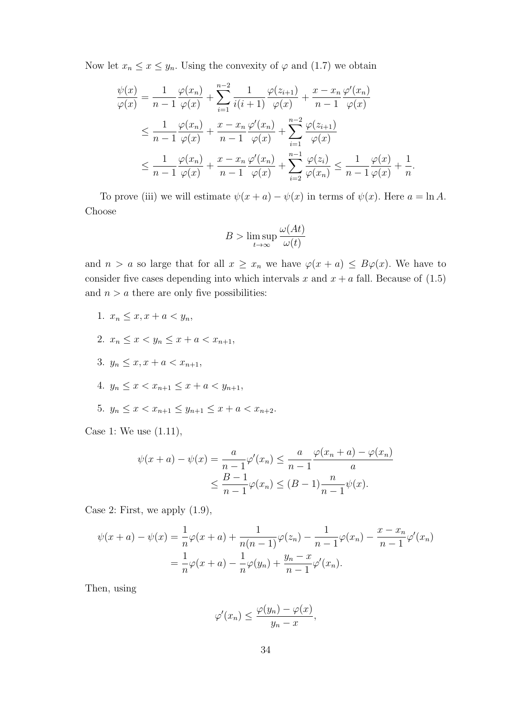Now let  $x_n \leq x \leq y_n$ . Using the convexity of  $\varphi$  and (1.7) we obtain

$$
\frac{\psi(x)}{\varphi(x)} = \frac{1}{n-1} \frac{\varphi(x_n)}{\varphi(x)} + \sum_{i=1}^{n-2} \frac{1}{i(i+1)} \frac{\varphi(z_{i+1})}{\varphi(x)} + \frac{x - x_n}{n-1} \frac{\varphi'(x_n)}{\varphi(x)}
$$
\n
$$
\leq \frac{1}{n-1} \frac{\varphi(x_n)}{\varphi(x)} + \frac{x - x_n}{n-1} \frac{\varphi'(x_n)}{\varphi(x)} + \sum_{i=1}^{n-2} \frac{\varphi(z_{i+1})}{\varphi(x)}
$$
\n
$$
\leq \frac{1}{n-1} \frac{\varphi(x_n)}{\varphi(x)} + \frac{x - x_n}{n-1} \frac{\varphi'(x_n)}{\varphi(x)} + \sum_{i=2}^{n-1} \frac{\varphi(z_i)}{\varphi(x_n)} \leq \frac{1}{n-1} \frac{\varphi(x)}{\varphi(x)} + \frac{1}{n}.
$$

To prove (iii) we will estimate  $\psi(x + a) - \psi(x)$  in terms of  $\psi(x)$ . Here  $a = \ln A$ . Choose

$$
B > \limsup_{t \to \infty} \frac{\omega(At)}{\omega(t)}
$$

and  $n > a$  so large that for all  $x \geq x_n$  we have  $\varphi(x + a) \leq B\varphi(x)$ . We have to consider five cases depending into which intervals x and  $x + a$  fall. Because of (1.5) and  $n > a$  there are only five possibilities:

- 1.  $x_n \leq x, x + a < y_n$
- 2.  $x_n \leq x \leq y_n \leq x + a \leq x_{n+1}$
- 3.  $y_n \leq x, x + a < x_{n+1}$
- 4.  $y_n \leq x < x_{n+1} \leq x + a < y_{n+1}$
- 5.  $y_n \leq x < x_{n+1} \leq y_{n+1} \leq x + a < x_{n+2}$ .

Case 1: We use (1.11),

$$
\psi(x+a) - \psi(x) = \frac{a}{n-1} \varphi'(x_n) \le \frac{a}{n-1} \frac{\varphi(x_n+a) - \varphi(x_n)}{a}
$$
  

$$
\le \frac{B-1}{n-1} \varphi(x_n) \le (B-1) \frac{n}{n-1} \psi(x).
$$

Case 2: First, we apply (1.9),

$$
\psi(x+a) - \psi(x) = \frac{1}{n}\varphi(x+a) + \frac{1}{n(n-1)}\varphi(z_n) - \frac{1}{n-1}\varphi(x_n) - \frac{x-x_n}{n-1}\varphi'(x_n)
$$

$$
= \frac{1}{n}\varphi(x+a) - \frac{1}{n}\varphi(y_n) + \frac{y_n-x}{n-1}\varphi'(x_n).
$$

Then, using

$$
\varphi'(x_n) \le \frac{\varphi(y_n) - \varphi(x)}{y_n - x},
$$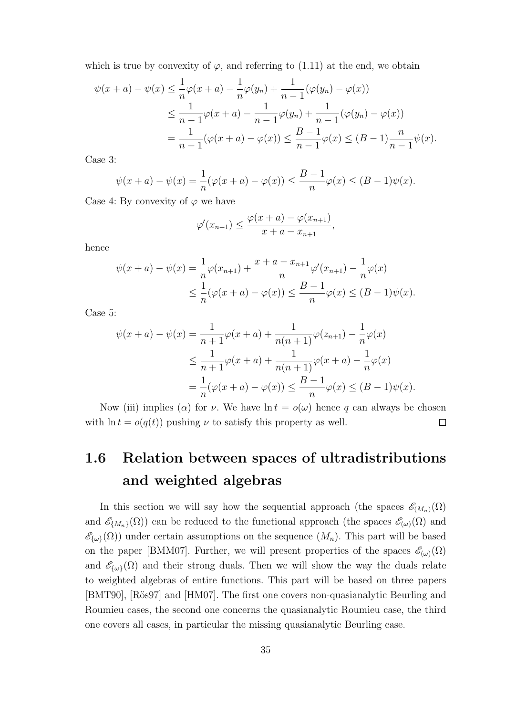which is true by convexity of  $\varphi$ , and referring to (1.11) at the end, we obtain

$$
\psi(x+a) - \psi(x) \le \frac{1}{n} \varphi(x+a) - \frac{1}{n} \varphi(y_n) + \frac{1}{n-1} (\varphi(y_n) - \varphi(x))
$$
  

$$
\le \frac{1}{n-1} \varphi(x+a) - \frac{1}{n-1} \varphi(y_n) + \frac{1}{n-1} (\varphi(y_n) - \varphi(x))
$$
  

$$
= \frac{1}{n-1} (\varphi(x+a) - \varphi(x)) \le \frac{B-1}{n-1} \varphi(x) \le (B-1) \frac{n}{n-1} \psi(x).
$$

Case 3:

$$
\psi(x + a) - \psi(x) = \frac{1}{n}(\varphi(x + a) - \varphi(x)) \le \frac{B - 1}{n}\varphi(x) \le (B - 1)\psi(x).
$$

Case 4: By convexity of  $\varphi$  we have

$$
\varphi'(x_{n+1}) \leq \frac{\varphi(x+a) - \varphi(x_{n+1})}{x+a - x_{n+1}},
$$

hence

$$
\psi(x+a) - \psi(x) = \frac{1}{n}\varphi(x_{n+1}) + \frac{x+a - x_{n+1}}{n}\varphi'(x_{n+1}) - \frac{1}{n}\varphi(x)
$$
  

$$
\leq \frac{1}{n}(\varphi(x+a) - \varphi(x)) \leq \frac{B-1}{n}\varphi(x) \leq (B-1)\psi(x).
$$

Case 5:

$$
\psi(x+a) - \psi(x) = \frac{1}{n+1} \varphi(x+a) + \frac{1}{n(n+1)} \varphi(z_{n+1}) - \frac{1}{n} \varphi(x)
$$
  

$$
\leq \frac{1}{n+1} \varphi(x+a) + \frac{1}{n(n+1)} \varphi(x+a) - \frac{1}{n} \varphi(x)
$$
  

$$
= \frac{1}{n} (\varphi(x+a) - \varphi(x)) \leq \frac{B-1}{n} \varphi(x) \leq (B-1)\psi(x).
$$

Now (iii) implies ( $\alpha$ ) for  $\nu$ . We have  $\ln t = o(\omega)$  hence q can always be chosen with  $\ln t = o(q(t))$  pushing  $\nu$  to satisfy this property as well.  $\Box$ 

### 1.6 Relation between spaces of ultradistributions and weighted algebras

In this section we will say how the sequential approach (the spaces  $\mathscr{E}_{(M_n)}(\Omega)$ and  $\mathscr{E}_{\{M_n\}}(\Omega)$  can be reduced to the functional approach (the spaces  $\mathscr{E}_{(\omega)}(\Omega)$ ) and  $\mathscr{E}_{\{\omega\}}(\Omega)$  under certain assumptions on the sequence  $(M_n)$ . This part will be based on the paper [BMM07]. Further, we will present properties of the spaces  $\mathscr{E}_{(\omega)}(\Omega)$ and  $\mathscr{E}_{\{\omega\}}(\Omega)$  and their strong duals. Then we will show the way the duals relate to weighted algebras of entire functions. This part will be based on three papers [BMT90], [Rös97] and [HM07]. The first one covers non-quasianalytic Beurling and Roumieu cases, the second one concerns the quasianalytic Roumieu case, the third one covers all cases, in particular the missing quasianalytic Beurling case.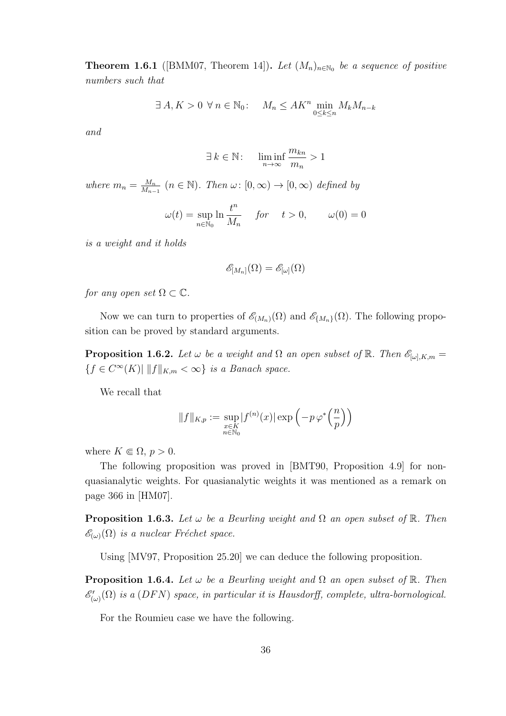**Theorem 1.6.1** ([BMM07, Theorem 14]). Let  $(M_n)_{n \in \mathbb{N}_0}$  be a sequence of positive numbers such that

$$
\exists A, K > 0 \ \forall n \in \mathbb{N}_0: \quad M_n \leq AK^n \min_{0 \leq k \leq n} M_k M_{n-k}
$$

and

$$
\exists k \in \mathbb{N}: \quad \liminf_{n \to \infty} \frac{m_{kn}}{m_n} > 1
$$

where  $m_n = \frac{M_n}{M_n}$  $\frac{M_n}{M_{n-1}}$   $(n \in \mathbb{N})$ . Then  $\omega: [0, \infty) \to [0, \infty)$  defined by

$$
\omega(t) = \sup_{n \in \mathbb{N}_0} \ln \frac{t^n}{M_n} \quad \text{for} \quad t > 0, \qquad \omega(0) = 0
$$

is a weight and it holds

$$
\mathscr{E}_{[M_n]}(\Omega)=\mathscr{E}_{[\omega]}(\Omega)
$$

for any open set  $\Omega \subset \mathbb{C}$ .

Now we can turn to properties of  $\mathscr{E}_{(M_n)}(\Omega)$  and  $\mathscr{E}_{\{M_n\}}(\Omega)$ . The following proposition can be proved by standard arguments.

**Proposition 1.6.2.** Let  $\omega$  be a weight and  $\Omega$  an open subset of  $\mathbb{R}$ . Then  $\mathscr{E}_{[\omega],K,m}$  =  ${f \in C^{\infty}(K) \mid \|f\|_{K,m} < \infty}$  is a Banach space.

We recall that

$$
||f||_{K,p} := \sup_{\substack{x \in K \\ n \in \mathbb{N}_0}} |f^{(n)}(x)| \exp\left(-p \varphi^*\left(\frac{n}{p}\right)\right)
$$

where  $K \in \Omega$ ,  $p > 0$ .

The following proposition was proved in [BMT90, Proposition 4.9] for nonquasianalytic weights. For quasianalytic weights it was mentioned as a remark on page 366 in [HM07].

**Proposition 1.6.3.** Let  $\omega$  be a Beurling weight and  $\Omega$  an open subset of  $\mathbb{R}$ . Then  $\mathscr{E}_{(\omega)}(\Omega)$  is a nuclear Fréchet space.

Using [MV97, Proposition 25.20] we can deduce the following proposition.

**Proposition 1.6.4.** Let  $\omega$  be a Beurling weight and  $\Omega$  an open subset of  $\mathbb{R}$ . Then  $\mathscr{E}'_{(\omega)}(\Omega)$  is a (DFN) space, in particular it is Hausdorff, complete, ultra-bornological.

For the Roumieu case we have the following.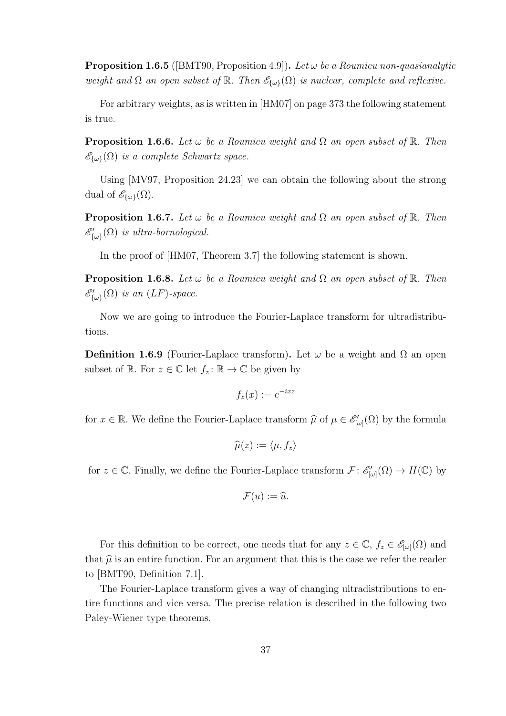**Proposition 1.6.5** ([BMT90, Proposition 4.9]). Let  $\omega$  be a Roumieu non-quasianalytic weight and  $\Omega$  an open subset of  $\mathbb R$ . Then  $\mathscr{E}_{\{\omega\}}(\Omega)$  is nuclear, complete and reflexive.

For arbitrary weights, as is written in [HM07] on page 373 the following statement is true.

**Proposition 1.6.6.** Let  $\omega$  be a Roumieu weight and  $\Omega$  an open subset of  $\mathbb{R}$ . Then  $\mathscr{E}_{\{\omega\}}(\Omega)$  is a complete Schwartz space.

Using [MV97, Proposition 24.23] we can obtain the following about the strong dual of  $\mathscr{E}_{\{\omega\}}(\Omega)$ .

**Proposition 1.6.7.** Let  $\omega$  be a Roumieu weight and  $\Omega$  an open subset of  $\mathbb{R}$ . Then  $\mathscr{E}'_{\{\omega\}}(\Omega)$  is ultra-bornological.

In the proof of  $[HM07, Theorem 3.7]$  the following statement is shown.

**Proposition 1.6.8.** Let  $\omega$  be a Roumieu weight and  $\Omega$  an open subset of  $\mathbb{R}$ . Then  $\mathscr{E}'_{\{\omega\}}(\Omega)$  is an  $(LF)$ -space.

Now we are going to introduce the Fourier-Laplace transform for ultradistributions.

**Definition 1.6.9** (Fourier-Laplace transform). Let  $\omega$  be a weight and  $\Omega$  an open subset of  $\mathbb{R}$ . For  $z \in \mathbb{C}$  let  $f_z : \mathbb{R} \to \mathbb{C}$  be given by

$$
f_z(x) := e^{-ixz}
$$

for  $x \in \mathbb{R}$ . We define the Fourier-Laplace transform  $\hat{\mu}$  of  $\mu \in \mathscr{E}'_{[\omega]}(\Omega)$  by the formula

$$
\widehat{\mu}(z):=\langle\mu,f_z\rangle
$$

for  $z \in \mathbb{C}$ . Finally, we define the Fourier-Laplace transform  $\mathcal{F}: \mathscr{E}'_{[\omega]}(\Omega) \to H(\mathbb{C})$  by

$$
\mathcal{F}(u):=\widehat{u}.
$$

For this definition to be correct, one needs that for any  $z \in \mathbb{C}$ ,  $f_z \in \mathscr{E}_{[\omega]}(\Omega)$  and that  $\hat{\mu}$  is an entire function. For an argument that this is the case we refer the reader to [BMT90, Definition 7.1].

The Fourier-Laplace transform gives a way of changing ultradistributions to entire functions and vice versa. The precise relation is described in the following two Paley-Wiener type theorems.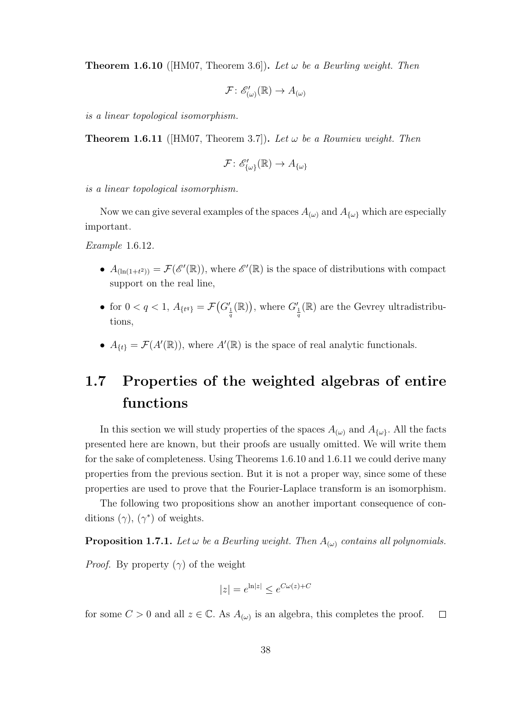**Theorem 1.6.10** ([HM07, Theorem 3.6]). Let  $\omega$  be a Beurling weight. Then

$$
\mathcal{F} \colon \mathscr{E}'_{(\omega)}(\mathbb{R}) \to A_{(\omega)}
$$

is a linear topological isomorphism.

**Theorem 1.6.11** (HM07, Theorem 3.7)). Let  $\omega$  be a Roumieu weight. Then

$$
\mathcal{F} \colon \mathscr{E}'_{\{\omega\}}(\mathbb{R}) \to A_{\{\omega\}}
$$

is a linear topological isomorphism.

Now we can give several examples of the spaces  $A_{(\omega)}$  and  $A_{\{\omega\}}$  which are especially important.

Example 1.6.12.

- $A_{(\ln(1+t^2))} = \mathcal{F}(\mathscr{E}'(\mathbb{R}))$ , where  $\mathscr{E}'(\mathbb{R})$  is the space of distributions with compact support on the real line,
- for  $0 < q < 1$ ,  $A_{\{t^q\}} = \mathcal{F}(G'_{\frac{1}{q}}(\mathbb{R}))$ , where  $G'_{\frac{1}{q}}(\mathbb{R})$  are the Gevrey ultradistributions,
- $A_{\{t\}} = \mathcal{F}(A'(\mathbb{R}))$ , where  $A'(\mathbb{R})$  is the space of real analytic functionals.

## 1.7 Properties of the weighted algebras of entire functions

In this section we will study properties of the spaces  $A_{(\omega)}$  and  $A_{\{\omega\}}$ . All the facts presented here are known, but their proofs are usually omitted. We will write them for the sake of completeness. Using Theorems 1.6.10 and 1.6.11 we could derive many properties from the previous section. But it is not a proper way, since some of these properties are used to prove that the Fourier-Laplace transform is an isomorphism.

The following two propositions show an another important consequence of conditions  $(\gamma)$ ,  $(\gamma^*)$  of weights.

**Proposition 1.7.1.** Let  $\omega$  be a Beurling weight. Then  $A_{(\omega)}$  contains all polynomials.

*Proof.* By property  $(\gamma)$  of the weight

$$
|z| = e^{\ln|z|} \le e^{C\omega(z) + C}
$$

for some  $C > 0$  and all  $z \in \mathbb{C}$ . As  $A_{(\omega)}$  is an algebra, this completes the proof.  $\Box$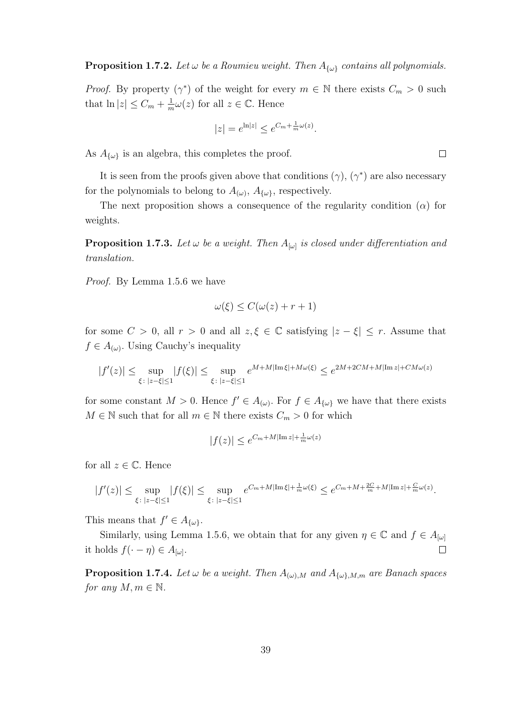*Proof.* By property  $(\gamma^*)$  of the weight for every  $m \in \mathbb{N}$  there exists  $C_m > 0$  such that  $\ln|z| \leq C_m + \frac{1}{n}$  $\frac{1}{m}\omega(z)$  for all  $z \in \mathbb{C}$ . Hence

$$
|z| = e^{\ln|z|} \le e^{C_m + \frac{1}{m}\omega(z)}.
$$

As  $A_{\{\omega\}}$  is an algebra, this completes the proof.

It is seen from the proofs given above that conditions  $(\gamma)$ ,  $(\gamma^*)$  are also necessary for the polynomials to belong to  $A_{(\omega)}$ ,  $A_{\{\omega\}}$ , respectively.

The next proposition shows a consequence of the regularity condition  $(\alpha)$  for weights.

**Proposition 1.7.3.** Let  $\omega$  be a weight. Then  $A_{[\omega]}$  is closed under differentiation and translation.

Proof. By Lemma 1.5.6 we have

$$
\omega(\xi) \le C(\omega(z) + r + 1)
$$

for some  $C > 0$ , all  $r > 0$  and all  $z, \xi \in \mathbb{C}$  satisfying  $|z - \xi| \leq r$ . Assume that  $f \in A_{(\omega)}$ . Using Cauchy's inequality

$$
|f'(z)| \le \sup_{\xi \colon |z-\xi| \le 1} |f(\xi)| \le \sup_{\xi \colon |z-\xi| \le 1} e^{M+M|\operatorname{Im} \xi| + M\omega(\xi)} \le e^{2M+2CM+M|\operatorname{Im} z| + CM\omega(z)}
$$

for some constant  $M > 0$ . Hence  $f' \in A_{(\omega)}$ . For  $f \in A_{\{\omega\}}$  we have that there exists  $M \in \mathbb{N}$  such that for all  $m \in \mathbb{N}$  there exists  $C_m > 0$  for which

$$
|f(z)| \le e^{C_m + M|\operatorname{Im} z| + \frac{1}{m}\omega(z)}
$$

for all  $z \in \mathbb{C}$ . Hence

$$
|f'(z)| \leq \sup_{\xi \colon |z-\xi| \leq 1} |f(\xi)| \leq \sup_{\xi \colon |z-\xi| \leq 1} e^{C_m+M|\operatorname{Im} \xi| + \frac{1}{m}\omega(\xi)} \leq e^{C_m+M+\frac{2C}{m}+M|\operatorname{Im} z| + \frac{C}{m}\omega(z)}.
$$

This means that  $f' \in A_{\{\omega\}}$ .

Similarly, using Lemma 1.5.6, we obtain that for any given  $\eta \in \mathbb{C}$  and  $f \in A_{[\omega]}$ it holds  $f(\cdot - \eta) \in A_{[\omega]}.$  $\Box$ 

**Proposition 1.7.4.** Let  $\omega$  be a weight. Then  $A_{(\omega),M}$  and  $A_{\{\omega\},M,m}$  are Banach spaces for any  $M, m \in \mathbb{N}$ .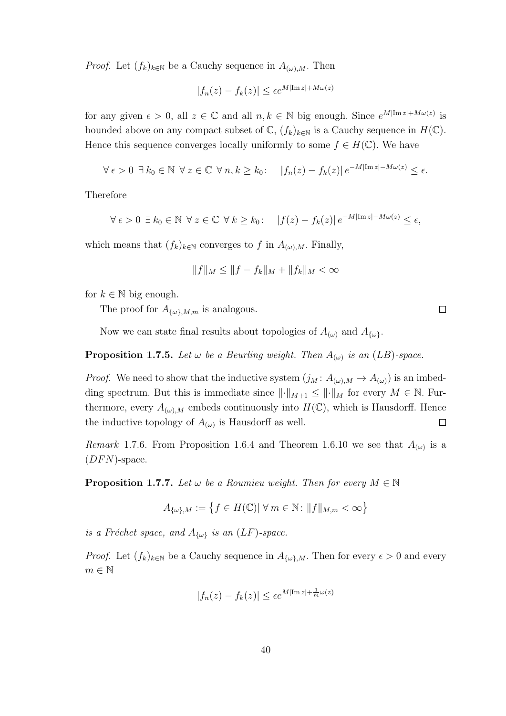*Proof.* Let  $(f_k)_{k\in\mathbb{N}}$  be a Cauchy sequence in  $A_{(\omega),M}$ . Then

$$
|f_n(z) - f_k(z)| \le \epsilon e^{M|\text{Im } z| + M\omega(z)}
$$

for any given  $\epsilon > 0$ , all  $z \in \mathbb{C}$  and all  $n, k \in \mathbb{N}$  big enough. Since  $e^{M|\text{Im }z| + M\omega(z)}$  is bounded above on any compact subset of  $\mathbb{C}$ ,  $(f_k)_{k\in\mathbb{N}}$  is a Cauchy sequence in  $H(\mathbb{C})$ . Hence this sequence converges locally uniformly to some  $f \in H(\mathbb{C})$ . We have

$$
\forall \epsilon > 0 \ \exists \ k_0 \in \mathbb{N} \ \forall \ z \in \mathbb{C} \ \forall \ n, k \geq k_0 \colon \quad |f_n(z) - f_k(z)| \, e^{-M|\operatorname{Im} z| - M\omega(z)} \leq \epsilon.
$$

Therefore

$$
\forall \epsilon > 0 \ \exists \ k_0 \in \mathbb{N} \ \forall \ z \in \mathbb{C} \ \forall \ k \geq k_0 \colon \quad |f(z) - f_k(z)| \, e^{-M|\operatorname{Im} z| - M\omega(z)} \leq \epsilon,
$$

which means that  $(f_k)_{k\in\mathbb{N}}$  converges to f in  $A_{(\omega),M}$ . Finally,

$$
||f||_M \le ||f - f_k||_M + ||f_k||_M < \infty
$$

for  $k \in \mathbb{N}$  big enough.

The proof for  $A_{\{\omega\},M,m}$  is analogous.

Now we can state final results about topologies of  $A_{(\omega)}$  and  $A_{\{\omega\}}$ .

#### **Proposition 1.7.5.** Let  $\omega$  be a Beurling weight. Then  $A_{(\omega)}$  is an (LB)-space.

*Proof.* We need to show that the inductive system  $(j_M: A_{(\omega),M} \to A_{(\omega)})$  is an imbedding spectrum. But this is immediate since  $\lVert \cdot \rVert_{M+1} \leq \lVert \cdot \rVert_M$  for every  $M \in \mathbb{N}$ . Furthermore, every  $A_{(\omega),M}$  embeds continuously into  $H(\mathbb{C})$ , which is Hausdorff. Hence the inductive topology of  $A_{(\omega)}$  is Hausdorff as well.  $\Box$ 

*Remark* 1.7.6. From Proposition 1.6.4 and Theorem 1.6.10 we see that  $A_{(\omega)}$  is a  $(DFN)$ -space.

**Proposition 1.7.7.** Let  $\omega$  be a Roumieu weight. Then for every  $M \in \mathbb{N}$ 

$$
A_{\{\omega\},M} := \left\{ f \in H(\mathbb{C}) \middle| \ \forall \ m \in \mathbb{N} \colon ||f||_{M,m} < \infty \right\}
$$

is a Fréchet space, and  $A_{\{\omega\}}$  is an  $(LF)$ -space.

*Proof.* Let  $(f_k)_{k\in\mathbb{N}}$  be a Cauchy sequence in  $A_{\{\omega\},M}$ . Then for every  $\epsilon > 0$  and every  $m \in \mathbb{N}$ 

$$
|f_n(z) - f_k(z)| \le \epsilon e^{M|\operatorname{Im} z| + \frac{1}{m}\omega(z)}
$$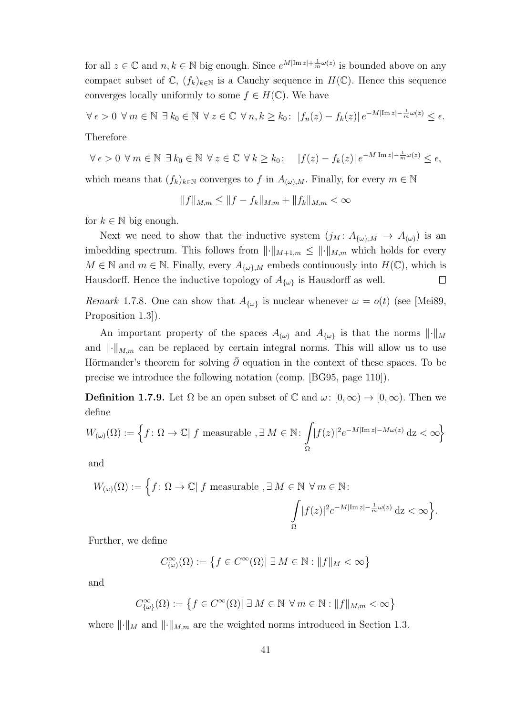for all  $z \in \mathbb{C}$  and  $n, k \in \mathbb{N}$  big enough. Since  $e^{M|\text{Im }z| + \frac{1}{m}\omega(z)}$  is bounded above on any compact subset of  $\mathbb{C}$ ,  $(f_k)_{k\in\mathbb{N}}$  is a Cauchy sequence in  $H(\mathbb{C})$ . Hence this sequence converges locally uniformly to some  $f \in H(\mathbb{C})$ . We have

$$
\forall \epsilon > 0 \ \forall \, m \in \mathbb{N} \ \exists \, k_0 \in \mathbb{N} \ \forall \, z \in \mathbb{C} \ \forall \, n, k \geq k_0 \colon \ |f_n(z) - f_k(z)| \, e^{-M|\text{Im}\, z| - \frac{1}{m}\omega(z)} \leq \epsilon.
$$

Therefore

$$
\forall \epsilon > 0 \ \forall m \in \mathbb{N} \ \exists \ k_0 \in \mathbb{N} \ \forall \ z \in \mathbb{C} \ \forall \ k \geq k_0 \colon \quad |f(z) - f_k(z)| \, e^{-M|\text{Im}\, z| - \frac{1}{m}\omega(z)} \leq \epsilon,
$$

which means that  $(f_k)_{k\in\mathbb{N}}$  converges to f in  $A_{(\omega),M}$ . Finally, for every  $m\in\mathbb{N}$ 

$$
||f||_{M,m} \le ||f - f_k||_{M,m} + ||f_k||_{M,m} < \infty
$$

for  $k \in \mathbb{N}$  big enough.

Next we need to show that the inductive system  $(j_M: A_{\{\omega\},M} \to A_{(\omega)})$  is an imbedding spectrum. This follows from  $\lVert \cdot \rVert_{M+1,m} \leq \lVert \cdot \rVert_{M,m}$  which holds for every  $M \in \mathbb{N}$  and  $m \in \mathbb{N}$ . Finally, every  $A_{\{\omega\},M}$  embeds continuously into  $H(\mathbb{C})$ , which is Hausdorff. Hence the inductive topology of  $A_{\{\omega\}}$  is Hausdorff as well.  $\Box$ 

Remark 1.7.8. One can show that  $A_{\{\omega\}}$  is nuclear whenever  $\omega = o(t)$  (see [Mei89, Proposition 1.3]).

An important property of the spaces  $A_{(\omega)}$  and  $A_{\{\omega\}}$  is that the norms  $\|\cdot\|_M$ and  $\lVert \cdot \rVert_{M,m}$  can be replaced by certain integral norms. This will allow us to use Hörmander's theorem for solving  $\bar{\partial}$  equation in the context of these spaces. To be precise we introduce the following notation (comp. [BG95, page 110]).

**Definition 1.7.9.** Let  $\Omega$  be an open subset of  $\mathbb{C}$  and  $\omega: [0, \infty) \to [0, \infty)$ . Then we define

$$
W_{(\omega)}(\Omega) := \left\{ f \colon \Omega \to \mathbb{C} \mid f \text{ measurable }, \exists M \in \mathbb{N} \colon \int_{\Omega} |f(z)|^2 e^{-M|\text{Im } z| - M\omega(z)} dz < \infty \right\}
$$

and

$$
W_{(\omega)}(\Omega) := \left\{ f : \Omega \to \mathbb{C} | f \text{ measurable }, \exists M \in \mathbb{N} \,\forall m \in \mathbb{N} : \int_{\Omega} |f(z)|^2 e^{-M|\text{Im } z| - \frac{1}{m}\omega(z)} dz < \infty \right\}.
$$

Further, we define

$$
C^{\infty}_{(\omega)}(\Omega) := \left\{ f \in C^{\infty}(\Omega) | \exists M \in \mathbb{N} : ||f||_{M} < \infty \right\}
$$

and

$$
C_{\{\omega\}}^{\infty}(\Omega):=\left\{f\in C^{\infty}(\Omega)|\;\exists\;M\in\mathbb{N}\;\;\forall\;m\in\mathbb{N}:\|f\|_{M,m}<\infty\right\}
$$

where  $\lVert \cdot \rVert_M$  and  $\lVert \cdot \rVert_{M,m}$  are the weighted norms introduced in Section 1.3.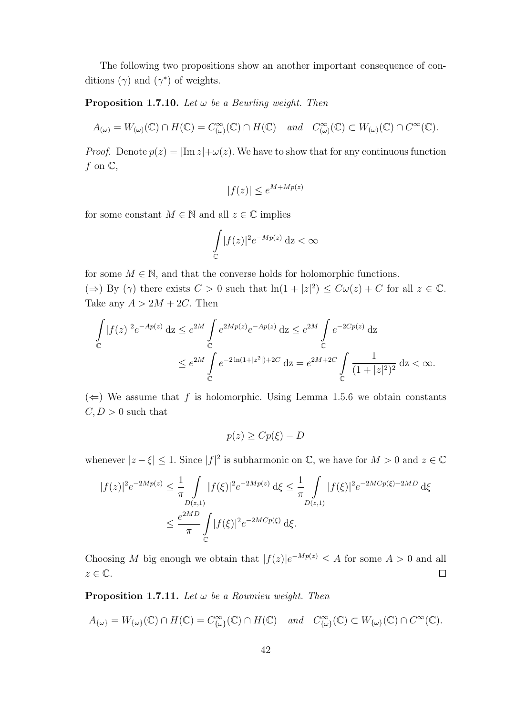The following two propositions show an another important consequence of conditions  $(\gamma)$  and  $(\gamma^*)$  of weights.

#### **Proposition 1.7.10.** Let  $\omega$  be a Beurling weight. Then

$$
A_{(\omega)} = W_{(\omega)}(\mathbb{C}) \cap H(\mathbb{C}) = C^{\infty}_{(\omega)}(\mathbb{C}) \cap H(\mathbb{C}) \quad and \quad C^{\infty}_{(\omega)}(\mathbb{C}) \subset W_{(\omega)}(\mathbb{C}) \cap C^{\infty}(\mathbb{C}).
$$

*Proof.* Denote  $p(z) = |\text{Im } z| + \omega(z)$ . We have to show that for any continuous function f on  $\mathbb{C},$ 

$$
|f(z)| \le e^{M + Mp(z)}
$$

for some constant  $M \in \mathbb{N}$  and all  $z \in \mathbb{C}$  implies

$$
\int\limits_{\mathbb{C}} |f(z)|^2 e^{-Mp(z)} \, \mathrm{d}z < \infty
$$

for some  $M \in \mathbb{N}$ , and that the converse holds for holomorphic functions.  $(\Rightarrow)$  By  $(\gamma)$  there exists  $C > 0$  such that  $\ln(1+|z|^2) \leq C\omega(z) + C$  for all  $z \in \mathbb{C}$ . Take any  $A > 2M + 2C$ . Then

$$
\int_{\mathbb{C}} |f(z)|^2 e^{-Ap(z)} dz \le e^{2M} \int_{\mathbb{C}} e^{2Mp(z)} e^{-Ap(z)} dz \le e^{2M} \int_{\mathbb{C}} e^{-2Cp(z)} dz
$$
\n
$$
\le e^{2M} \int_{\mathbb{C}} e^{-2\ln(1+|z^2|)+2C} dz = e^{2M+2C} \int_{\mathbb{C}} \frac{1}{(1+|z|^2)^2} dz < \infty.
$$

 $(\Leftarrow)$  We assume that f is holomorphic. Using Lemma 1.5.6 we obtain constants  $C, D > 0$  such that

$$
p(z) \ge Cp(\xi) - D
$$

whenever  $|z-\xi| \leq 1$ . Since  $|f|^2$  is subharmonic on  $\mathbb{C}$ , we have for  $M > 0$  and  $z \in \mathbb{C}$ 

$$
|f(z)|^2 e^{-2Mp(z)} \leq \frac{1}{\pi} \int_{D(z,1)} |f(\xi)|^2 e^{-2Mp(z)} d\xi \leq \frac{1}{\pi} \int_{D(z,1)} |f(\xi)|^2 e^{-2MCp(\xi)+2MD} d\xi
$$
  

$$
\leq \frac{e^{2MD}}{\pi} \int_{\mathbb{C}} |f(\xi)|^2 e^{-2MCp(\xi)} d\xi.
$$

Choosing M big enough we obtain that  $|f(z)|e^{-Mp(z)} \leq A$  for some  $A > 0$  and all  $z \in \mathbb{C}$ .  $\Box$ 

**Proposition 1.7.11.** Let  $\omega$  be a Roumieu weight. Then

$$
A_{\{\omega\}} = W_{\{\omega\}}(\mathbb{C}) \cap H(\mathbb{C}) = C^{\infty}_{\{\omega\}}(\mathbb{C}) \cap H(\mathbb{C}) \quad and \quad C^{\infty}_{\{\omega\}}(\mathbb{C}) \subset W_{\{\omega\}}(\mathbb{C}) \cap C^{\infty}(\mathbb{C}).
$$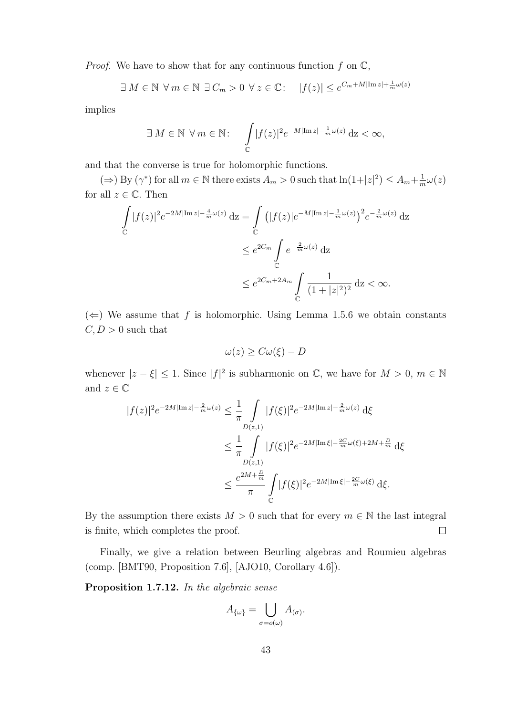*Proof.* We have to show that for any continuous function  $f$  on  $\mathbb{C}$ ,

$$
\exists M \in \mathbb{N} \ \forall m \in \mathbb{N} \ \exists C_m > 0 \ \forall z \in \mathbb{C}: \quad |f(z)| \le e^{C_m + M|\text{Im } z| + \frac{1}{m}\omega(z)}
$$

implies

$$
\exists M \in \mathbb{N} \ \forall m \in \mathbb{N}: \quad \int_{\mathbb{C}} |f(z)|^2 e^{-M|\text{Im } z| - \frac{1}{m}\omega(z)} \,dz < \infty,
$$

and that the converse is true for holomorphic functions.

 $(\Rightarrow)$  By  $(\gamma^*)$  for all  $m \in \mathbb{N}$  there exists  $A_m > 0$  such that  $\ln(1+|z|^2) \leq A_m + \frac{1}{n}$  $\frac{1}{m}\omega(z)$ for all  $z \in \mathbb{C}$ . Then

$$
\int_{\mathbb{C}} |f(z)|^2 e^{-2M|\operatorname{Im} z| - \frac{4}{m}\omega(z)} dz = \int_{\mathbb{C}} \left( |f(z)|e^{-M|\operatorname{Im} z| - \frac{1}{m}\omega(z)} \right)^2 e^{-\frac{2}{m}\omega(z)} dz
$$
\n
$$
\leq e^{2C_m} \int_{\mathbb{C}} e^{-\frac{2}{m}\omega(z)} dz
$$
\n
$$
\leq e^{2C_m + 2A_m} \int_{\mathbb{C}} \frac{1}{(1 + |z|^2)^2} dz < \infty.
$$

 $(\Leftarrow)$  We assume that f is holomorphic. Using Lemma 1.5.6 we obtain constants  $C, D > 0$  such that

$$
\omega(z) \ge C\omega(\xi) - D
$$

whenever  $|z-\xi| \leq 1$ . Since  $|f|^2$  is subharmonic on  $\mathbb{C}$ , we have for  $M > 0$ ,  $m \in \mathbb{N}$ and  $z \in \mathbb{C}$ 

$$
|f(z)|^2 e^{-2M|\text{Im }z| - \frac{2}{m}\omega(z)} \leq \frac{1}{\pi} \int_{D(z,1)} |f(\xi)|^2 e^{-2M|\text{Im }z| - \frac{2}{m}\omega(z)} d\xi
$$
  

$$
\leq \frac{1}{\pi} \int_{D(z,1)} |f(\xi)|^2 e^{-2M|\text{Im }z| - \frac{2C}{m}\omega(\xi) + 2M + \frac{D}{m}} d\xi
$$
  

$$
\leq \frac{e^{2M + \frac{D}{m}}}{\pi} \int_{\mathbb{C}} |f(\xi)|^2 e^{-2M|\text{Im }z| - \frac{2C}{m}\omega(\xi)} d\xi.
$$

By the assumption there exists  $M > 0$  such that for every  $m \in \mathbb{N}$  the last integral is finite, which completes the proof.  $\Box$ 

Finally, we give a relation between Beurling algebras and Roumieu algebras (comp. [BMT90, Proposition 7.6], [AJO10, Corollary 4.6]).

Proposition 1.7.12. In the algebraic sense

$$
A_{\{\omega\}} = \bigcup_{\sigma = o(\omega)} A_{(\sigma)}.
$$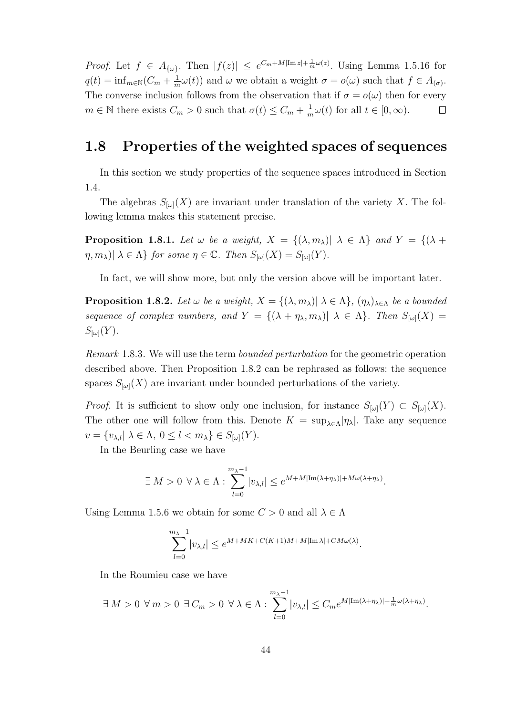*Proof.* Let  $f \in A_{\{\omega\}}$ . Then  $|f(z)| \leq e^{C_m + M|\text{Im }z| + \frac{1}{m}\omega(z)}$ . Using Lemma 1.5.16 for  $q(t) = \inf_{m \in \mathbb{N}} (C_m + \frac{1}{n})$  $\frac{1}{m}\omega(t)$  and  $\omega$  we obtain a weight  $\sigma = o(\omega)$  such that  $f \in A_{(\sigma)}$ . The converse inclusion follows from the observation that if  $\sigma = o(\omega)$  then for every  $m \in \mathbb{N}$  there exists  $C_m > 0$  such that  $\sigma(t) \leq C_m + \frac{1}{n}$  $\frac{1}{m}\omega(t)$  for all  $t \in [0, \infty)$ .  $\Box$ 

### 1.8 Properties of the weighted spaces of sequences

In this section we study properties of the sequence spaces introduced in Section 1.4.

The algebras  $S_{[\omega]}(X)$  are invariant under translation of the variety X. The following lemma makes this statement precise.

**Proposition 1.8.1.** Let  $\omega$  be a weight,  $X = \{(\lambda, m_{\lambda}) | \lambda \in \Lambda\}$  and  $Y = \{(\lambda +$  $\eta, m_\lambda$ )|  $\lambda \in \Lambda$ } for some  $\eta \in \mathbb{C}$ . Then  $S_{\lbrack \omega \rbrack}(X) = S_{\lbrack \omega \rbrack}(Y)$ .

In fact, we will show more, but only the version above will be important later.

**Proposition 1.8.2.** Let  $\omega$  be a weight,  $X = \{(\lambda, m_\lambda) | \lambda \in \Lambda\}$ ,  $(\eta_\lambda)_{\lambda \in \Lambda}$  be a bounded sequence of complex numbers, and  $Y = \{(\lambda + \eta_{\lambda}, m_{\lambda}) | \lambda \in \Lambda\}$ . Then  $S_{[\omega]}(X) =$  $S_{[\omega]}(Y)$ .

Remark 1.8.3. We will use the term bounded perturbation for the geometric operation described above. Then Proposition 1.8.2 can be rephrased as follows: the sequence spaces  $S_{[\omega]}(X)$  are invariant under bounded perturbations of the variety.

*Proof.* It is sufficient to show only one inclusion, for instance  $S_{[\omega]}(Y) \subset S_{[\omega]}(X)$ . The other one will follow from this. Denote  $K = \sup_{\lambda \in \Lambda} |\eta_{\lambda}|$ . Take any sequence  $v = \{v_{\lambda,l} | \lambda \in \Lambda, 0 \leq l < m_{\lambda}\}\in S_{\lbrack \omega \rbrack}(Y).$ 

In the Beurling case we have

$$
\exists M > 0 \ \forall \lambda \in \Lambda : \sum_{l=0}^{m_{\lambda}-1} |v_{\lambda,l}| \leq e^{M+M|\text{Im}(\lambda+\eta_{\lambda})|+M\omega(\lambda+\eta_{\lambda})}.
$$

Using Lemma 1.5.6 we obtain for some  $C > 0$  and all  $\lambda \in \Lambda$ 

$$
\sum_{l=0}^{m_{\lambda}-1} |v_{\lambda,l}| \le e^{M+MK+C(K+1)M+M|\text{Im }\lambda|+CM\omega(\lambda)}.
$$

In the Roumieu case we have

$$
\exists M > 0 \ \forall m > 0 \ \exists C_m > 0 \ \forall \lambda \in \Lambda : \sum_{l=0}^{m_{\lambda}-1} |v_{\lambda,l}| \leq C_m e^{M|\text{Im}(\lambda + \eta_{\lambda})| + \frac{1}{m}\omega(\lambda + \eta_{\lambda})}.
$$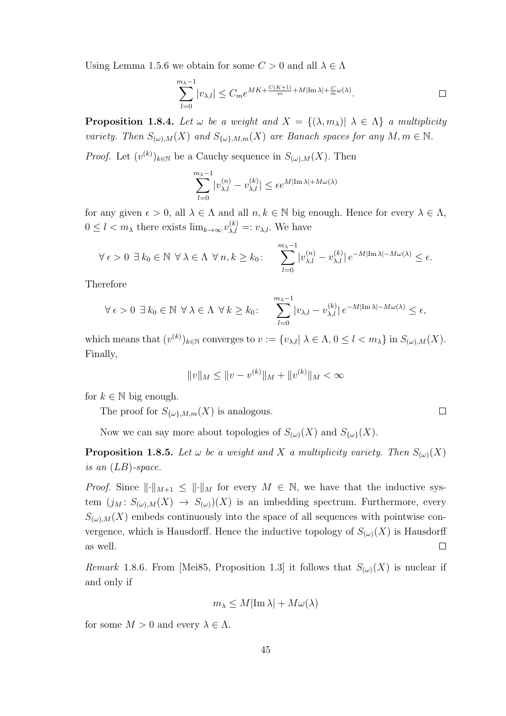Using Lemma 1.5.6 we obtain for some  $C > 0$  and all  $\lambda \in \Lambda$ 

$$
\sum_{l=0}^{m_{\lambda}-1} |v_{\lambda,l}| \leq C_m e^{MK + \frac{C(K+1)}{m} + M|\operatorname{Im}\lambda| + \frac{C}{m}\omega(\lambda)}.
$$

**Proposition 1.8.4.** Let  $\omega$  be a weight and  $X = \{(\lambda, m_{\lambda}) | \lambda \in \Lambda\}$  a multiplicity variety. Then  $S_{(\omega),M}(X)$  and  $S_{\{\omega\},M,m}(X)$  are Banach spaces for any  $M, m \in \mathbb{N}$ .

*Proof.* Let  $(v^{(k)})_{k \in \mathbb{N}}$  be a Cauchy sequence in  $S_{(\omega),M}(X)$ . Then

$$
\sum_{l=0}^{m_{\lambda}-1} |v_{\lambda,l}^{(n)} - v_{\lambda,l}^{(k)}| \le \epsilon e^{M|\text{Im }\lambda| + M\omega(\lambda)}
$$

for any given  $\epsilon > 0$ , all  $\lambda \in \Lambda$  and all  $n, k \in \mathbb{N}$  big enough. Hence for every  $\lambda \in \Lambda$ ,  $0 \leq l < m_\lambda$  there exists  $\lim_{k \to \infty} v_{\lambda, l}^{(k)} =: v_{\lambda, l}$ . We have

$$
\forall \epsilon > 0 \ \exists \ k_0 \in \mathbb{N} \ \forall \ \lambda \in \Lambda \ \forall \ n, k \geq k_0: \quad \sum_{l=0}^{m_{\lambda}-1} |v_{\lambda,l}^{(n)} - v_{\lambda,l}^{(k)}| \, e^{-M|\text{Im}\lambda| - M\omega(\lambda)} \leq \epsilon.
$$

Therefore

$$
\forall \epsilon > 0 \ \exists \ k_0 \in \mathbb{N} \ \forall \ \lambda \in \Lambda \ \forall \ k \geq k_0: \quad \sum_{l=0}^{m_{\lambda}-1} |v_{\lambda,l} - v_{\lambda,l}^{(k)}| \, e^{-M|\text{Im}\lambda| - M\omega(\lambda)} \leq \epsilon,
$$

which means that  $(v^{(k)})_{k\in\mathbb{N}}$  converges to  $v := \{v_{\lambda,l} | \lambda \in \Lambda, 0 \leq l < m_{\lambda}\}\$ in  $S_{(\omega),M}(X)$ . Finally,

$$
||v||_M \le ||v - v^{(k)}||_M + ||v^{(k)}||_M < \infty
$$

for  $k \in \mathbb{N}$  big enough.

The proof for  $S_{\{\omega\},M,m}(X)$  is analogous.

Now we can say more about topologies of  $S_{(\omega)}(X)$  and  $S_{\{\omega\}}(X)$ .

**Proposition 1.8.5.** Let  $\omega$  be a weight and X a multiplicity variety. Then  $S_{(\omega)}(X)$ is an  $(LB)$ -space.

*Proof.* Since  $\|\cdot\|_{M+1} \leq \|\cdot\|_{M}$  for every  $M \in \mathbb{N}$ , we have that the inductive system  $(j_M: S_{(\omega),M}(X) \to S_{(\omega)})(X)$  is an imbedding spectrum. Furthermore, every  $S_{(\omega),M}(X)$  embeds continuously into the space of all sequences with pointwise convergence, which is Hausdorff. Hence the inductive topology of  $S_{(\omega)}(X)$  is Hausdorff as well.  $\Box$ 

Remark 1.8.6. From [Mei85, Proposition 1.3] it follows that  $S_{(\omega)}(X)$  is nuclear if and only if

$$
m_{\lambda} \le M|\text{Im }\lambda| + M\omega(\lambda)
$$

for some  $M > 0$  and every  $\lambda \in \Lambda$ .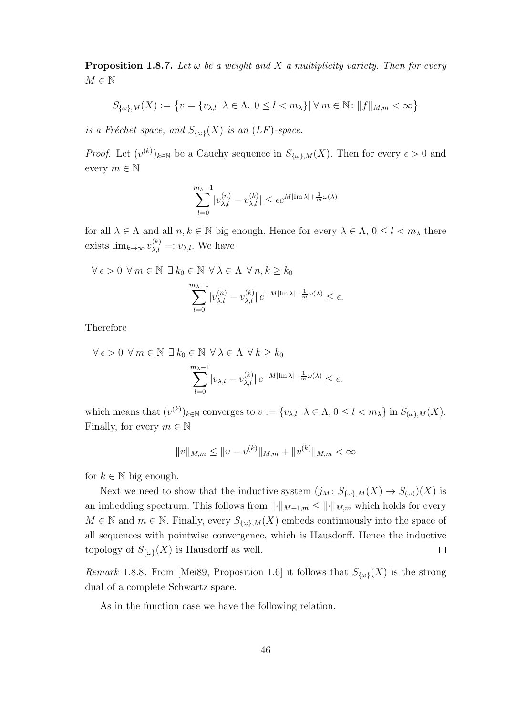**Proposition 1.8.7.** Let  $\omega$  be a weight and X a multiplicity variety. Then for every  $M \in \mathbb{N}$ 

$$
S_{\{\omega\},M}(X):=\left\{v=\{v_{\lambda,l}|\ \lambda\in\Lambda,\ 0\leq l
$$

is a Fréchet space, and  $S_{\{\omega\}}(X)$  is an  $(LF)$ -space.

*Proof.* Let  $(v^{(k)})_{k\in\mathbb{N}}$  be a Cauchy sequence in  $S_{\{\omega\},M}(X)$ . Then for every  $\epsilon > 0$  and every  $m \in \mathbb{N}$ 

$$
\sum_{l=0}^{m_{\lambda}-1} |v_{\lambda,l}^{(n)} - v_{\lambda,l}^{(k)}| \le \epsilon e^{M|\text{Im }\lambda| + \frac{1}{m}\omega(\lambda)}
$$

for all  $\lambda \in \Lambda$  and all  $n, k \in \mathbb{N}$  big enough. Hence for every  $\lambda \in \Lambda$ ,  $0 \leq l < m_\lambda$  there exists  $\lim_{k\to\infty} v_{\lambda,l}^{(k)} =: v_{\lambda,l}$ . We have

$$
\forall \epsilon > 0 \ \forall m \in \mathbb{N} \ \exists k_0 \in \mathbb{N} \ \forall \lambda \in \Lambda \ \forall n, k \ge k_0
$$

$$
\sum_{l=0}^{m_{\lambda}-1} |v_{\lambda,l}^{(n)} - v_{\lambda,l}^{(k)}| e^{-M|\text{Im }\lambda| - \frac{1}{m}\omega(\lambda)} \le \epsilon.
$$

Therefore

$$
\forall \epsilon > 0 \ \forall \, m \in \mathbb{N} \ \exists \, k_0 \in \mathbb{N} \ \forall \, \lambda \in \Lambda \ \forall \, k \ge k_0
$$

$$
\sum_{l=0}^{m_{\lambda}-1} |v_{\lambda,l} - v_{\lambda,l}^{(k)}| \, e^{-M|\text{Im}\lambda| - \frac{1}{m}\omega(\lambda)} \le \epsilon.
$$

which means that  $(v^{(k)})_{k\in\mathbb{N}}$  converges to  $v := \{v_{\lambda,l} | \lambda \in \Lambda, 0 \leq l < m_{\lambda}\}\$ in  $S_{(\omega),M}(X)$ . Finally, for every  $m \in \mathbb{N}$ 

$$
||v||_{M,m} \le ||v - v^{(k)}||_{M,m} + ||v^{(k)}||_{M,m} < \infty
$$

for  $k \in \mathbb{N}$  big enough.

Next we need to show that the inductive system  $(j_M: S_{\{\omega\},M}(X) \to S_{(\omega)})(X)$  is an imbedding spectrum. This follows from  $\lVert \cdot \rVert_{M+1,m} \leq \lVert \cdot \rVert_{M,m}$  which holds for every  $M \in \mathbb{N}$  and  $m \in \mathbb{N}$ . Finally, every  $S_{\{\omega\},M}(X)$  embeds continuously into the space of all sequences with pointwise convergence, which is Hausdorff. Hence the inductive topology of  $S_{\{\omega\}}(X)$  is Hausdorff as well.  $\Box$ 

*Remark* 1.8.8. From [Mei89, Proposition 1.6] it follows that  $S_{\{\omega\}}(X)$  is the strong dual of a complete Schwartz space.

As in the function case we have the following relation.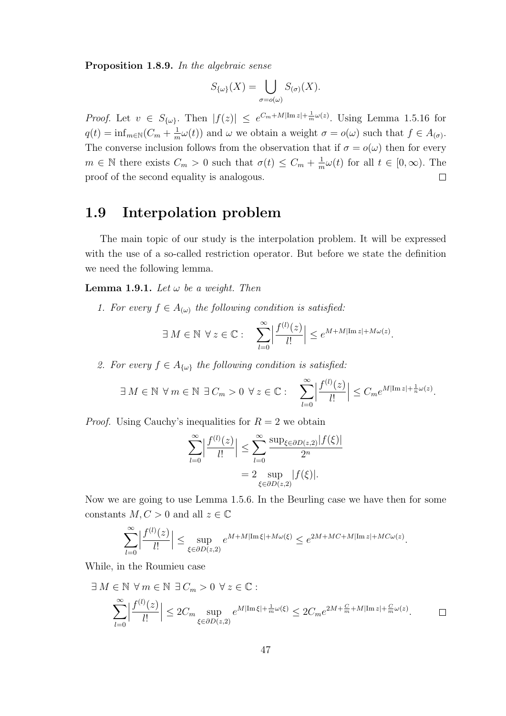Proposition 1.8.9. In the algebraic sense

$$
S_{\{\omega\}}(X) = \bigcup_{\sigma = o(\omega)} S_{(\sigma)}(X).
$$

*Proof.* Let  $v \in S_{\{\omega\}}$ . Then  $|f(z)| \leq e^{C_m + M|\text{Im }z| + \frac{1}{m}\omega(z)}$ . Using Lemma 1.5.16 for  $q(t) = \inf_{m \in \mathbb{N}} (C_m + \frac{1}{n})$  $\frac{1}{m}\omega(t)$  and  $\omega$  we obtain a weight  $\sigma = o(\omega)$  such that  $f \in A_{(\sigma)}$ . The converse inclusion follows from the observation that if  $\sigma = o(\omega)$  then for every  $m \in \mathbb{N}$  there exists  $C_m > 0$  such that  $\sigma(t) \leq C_m + \frac{1}{n}$  $\frac{1}{m}\omega(t)$  for all  $t \in [0, \infty)$ . The proof of the second equality is analogous.  $\Box$ 

#### 1.9 Interpolation problem

The main topic of our study is the interpolation problem. It will be expressed with the use of a so-called restriction operator. But before we state the definition we need the following lemma.

**Lemma 1.9.1.** Let  $\omega$  be a weight. Then

1. For every  $f \in A_{(\omega)}$  the following condition is satisfied:

$$
\exists M \in \mathbb{N} \ \forall z \in \mathbb{C} : \quad \sum_{l=0}^{\infty} \left| \frac{f^{(l)}(z)}{l!} \right| \leq e^{M + M |\text{Im } z| + M \omega(z)}.
$$

2. For every  $f \in A_{\{\omega\}}$  the following condition is satisfied:

$$
\exists M \in \mathbb{N} \ \forall m \in \mathbb{N} \ \exists C_m > 0 \ \forall z \in \mathbb{C} : \quad \sum_{l=0}^{\infty} \left| \frac{f^{(l)}(z)}{l!} \right| \leq C_m e^{M |\operatorname{Im} z| + \frac{1}{n} \omega(z)}.
$$

*Proof.* Using Cauchy's inequalities for  $R = 2$  we obtain

$$
\sum_{l=0}^{\infty} \left| \frac{f^{(l)}(z)}{l!} \right| \le \sum_{l=0}^{\infty} \frac{\sup_{\xi \in \partial D(z,2)} |f(\xi)|}{2^n}
$$

$$
= 2 \sup_{\xi \in \partial D(z,2)} |f(\xi)|.
$$

Now we are going to use Lemma 1.5.6. In the Beurling case we have then for some constants  $M, C > 0$  and all  $z \in \mathbb{C}$ 

$$
\sum_{l=0}^{\infty} \left| \frac{f^{(l)}(z)}{l!} \right| \le \sup_{\xi \in \partial D(z,2)} e^{M+M|\mathrm{Im}\,\xi|+M\omega(\xi)} \le e^{2M+MC+M|\mathrm{Im}\,z|+MC\omega(z)}.
$$

While, in the Roumieu case

$$
\exists M \in \mathbb{N} \ \forall m \in \mathbb{N} \ \exists C_m > 0 \ \forall z \in \mathbb{C} : \newline \sum_{l=0}^{\infty} \left| \frac{f^{(l)}(z)}{l!} \right| \leq 2C_m \sup_{\xi \in \partial D(z,2)} e^{M|\text{Im}\xi| + \frac{1}{m}\omega(\xi)} \leq 2C_m e^{2M + \frac{C}{m} + M|\text{Im}\,z| + \frac{C}{m}\omega(z)}.
$$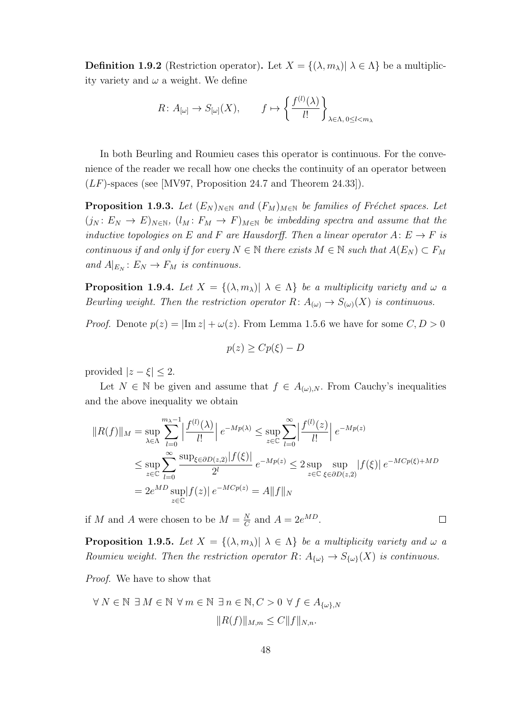**Definition 1.9.2** (Restriction operator). Let  $X = \{(\lambda, m_{\lambda}) | \lambda \in \Lambda \}$  be a multiplicity variety and  $\omega$  a weight. We define

$$
R\colon A_{[\omega]} \to S_{[\omega]}(X), \qquad f \mapsto \left\{ \frac{f^{(l)}(\lambda)}{l!} \right\}_{\lambda \in \Lambda, 0 \le l < m_\lambda}
$$

In both Beurling and Roumieu cases this operator is continuous. For the convenience of the reader we recall how one checks the continuity of an operator between  $(LF)$ -spaces (see [MV97, Proposition 24.7 and Theorem 24.33]).

**Proposition 1.9.3.** Let  $(E_N)_{N \in \mathbb{N}}$  and  $(F_M)_{M \in \mathbb{N}}$  be families of Fréchet spaces. Let  $(j_N: E_N \to E)_{N \in \mathbb{N}}$ ,  $(l_M: F_M \to F)_{M \in \mathbb{N}}$  be imbedding spectra and assume that the inductive topologies on E and F are Hausdorff. Then a linear operator  $A: E \to F$  is continuous if and only if for every  $N \in \mathbb{N}$  there exists  $M \in \mathbb{N}$  such that  $A(E_N) \subset F_M$ and  $A|_{E_N}: E_N \to F_M$  is continuous.

**Proposition 1.9.4.** Let  $X = \{(\lambda, m_\lambda) | \lambda \in \Lambda \}$  be a multiplicity variety and  $\omega$  a Beurling weight. Then the restriction operator  $R: A_{(\omega)} \to S_{(\omega)}(X)$  is continuous.

*Proof.* Denote  $p(z) = |\text{Im } z| + \omega(z)$ . From Lemma 1.5.6 we have for some  $C, D > 0$ 

$$
p(z) \ge Cp(\xi) - D
$$

provided  $|z-\xi| \leq 2$ .

Let  $N \in \mathbb{N}$  be given and assume that  $f \in A_{(\omega),N}$ . From Cauchy's inequalities and the above inequality we obtain

$$
||R(f)||_M = \sup_{\lambda \in \Lambda} \sum_{l=0}^{m_{\lambda}-1} \left| \frac{f^{(l)}(\lambda)}{l!} \right| e^{-Mp(\lambda)} \le \sup_{z \in \mathbb{C}} \sum_{l=0}^{\infty} \left| \frac{f^{(l)}(z)}{l!} \right| e^{-Mp(z)}
$$
  

$$
\le \sup_{z \in \mathbb{C}} \sum_{l=0}^{\infty} \frac{\sup_{\xi \in \partial D(z,2)} |f(\xi)|}{2^l} e^{-Mp(z)} \le 2 \sup_{z \in \mathbb{C}} \sup_{\xi \in \partial D(z,2)} |f(\xi)| e^{-MCp(\xi)+MD}
$$
  

$$
= 2e^{MD} \sup_{z \in \mathbb{C}} |f(z)| e^{-MCp(z)} = A ||f||_N
$$

if M and A were chosen to be  $M = \frac{N}{C}$  $\frac{N}{C}$  and  $A = 2e^{MD}$ .

**Proposition 1.9.5.** Let  $X = \{(\lambda, m_{\lambda}) | \lambda \in \Lambda\}$  be a multiplicity variety and  $\omega$  a Roumieu weight. Then the restriction operator  $R: A_{\{\omega\}} \to S_{\{\omega\}}(X)$  is continuous.

Proof. We have to show that

$$
\forall N \in \mathbb{N} \exists M \in \mathbb{N} \ \forall m \in \mathbb{N} \ \exists n \in \mathbb{N}, C > 0 \ \forall f \in A_{\{\omega\}, N}
$$

$$
||R(f)||_{M,m} \le C ||f||_{N,n}.
$$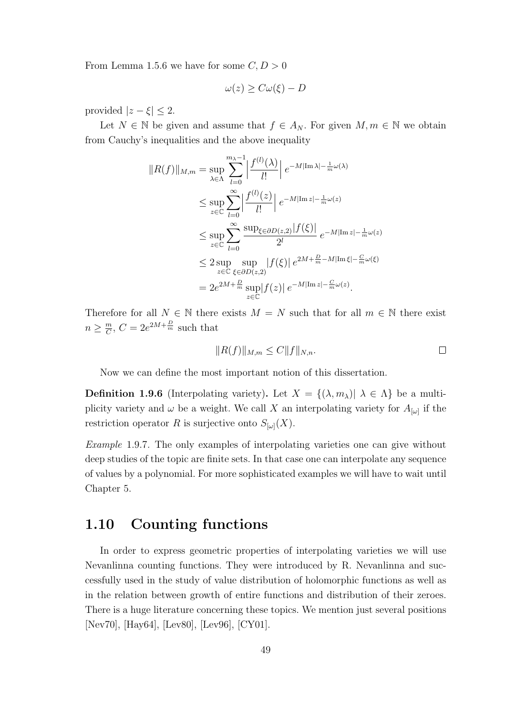From Lemma 1.5.6 we have for some  $C, D > 0$ 

$$
\omega(z) \ge C\omega(\xi) - D
$$

provided  $|z-\xi| \leq 2$ .

Let  $N \in \mathbb{N}$  be given and assume that  $f \in A_N$ . For given  $M, m \in \mathbb{N}$  we obtain from Cauchy's inequalities and the above inequality

$$
||R(f)||_{M,m} = \sup_{\lambda \in \Lambda} \sum_{l=0}^{m_{\lambda}-1} \left| \frac{f^{(l)}(\lambda)}{l!} \right| e^{-M|\text{Im }\lambda| - \frac{1}{m}\omega(\lambda)}
$$
  
\n
$$
\leq \sup_{z \in \mathbb{C}} \sum_{l=0}^{\infty} \left| \frac{f^{(l)}(z)}{l!} \right| e^{-M|\text{Im }z| - \frac{1}{m}\omega(z)}
$$
  
\n
$$
\leq \sup_{z \in \mathbb{C}} \sum_{l=0}^{\infty} \frac{\sup_{\xi \in \partial D(z,2)} |f(\xi)|}{2^{l}} e^{-M|\text{Im }z| - \frac{1}{m}\omega(z)}
$$
  
\n
$$
\leq 2 \sup_{z \in \mathbb{C}} \sup_{\xi \in \partial D(z,2)} |f(\xi)| e^{2M + \frac{D}{m} - M|\text{Im }z| - \frac{C}{m}\omega(\xi)}
$$
  
\n
$$
= 2e^{2M + \frac{D}{m}} \sup_{z \in \mathbb{C}} |f(z)| e^{-M|\text{Im }z| - \frac{C}{m}\omega(z)}.
$$

Therefore for all  $N \in \mathbb{N}$  there exists  $M = N$  such that for all  $m \in \mathbb{N}$  there exist  $n \geq \frac{m}{C}$  $\frac{m}{C}$ ,  $C = 2e^{2M + \frac{D}{m}}$  such that

$$
||R(f)||_{M,m} \le C||f||_{N,n}.
$$

Now we can define the most important notion of this dissertation.

**Definition 1.9.6** (Interpolating variety). Let  $X = \{(\lambda, m_{\lambda}) | \lambda \in \Lambda\}$  be a multiplicity variety and  $\omega$  be a weight. We call X an interpolating variety for  $A_{\omega}$  if the restriction operator R is surjective onto  $S_{[\omega]}(X)$ .

Example 1.9.7. The only examples of interpolating varieties one can give without deep studies of the topic are finite sets. In that case one can interpolate any sequence of values by a polynomial. For more sophisticated examples we will have to wait until Chapter 5.

#### 1.10 Counting functions

In order to express geometric properties of interpolating varieties we will use Nevanlinna counting functions. They were introduced by R. Nevanlinna and successfully used in the study of value distribution of holomorphic functions as well as in the relation between growth of entire functions and distribution of their zeroes. There is a huge literature concerning these topics. We mention just several positions [Nev70], [Hay64], [Lev80], [Lev96], [CY01].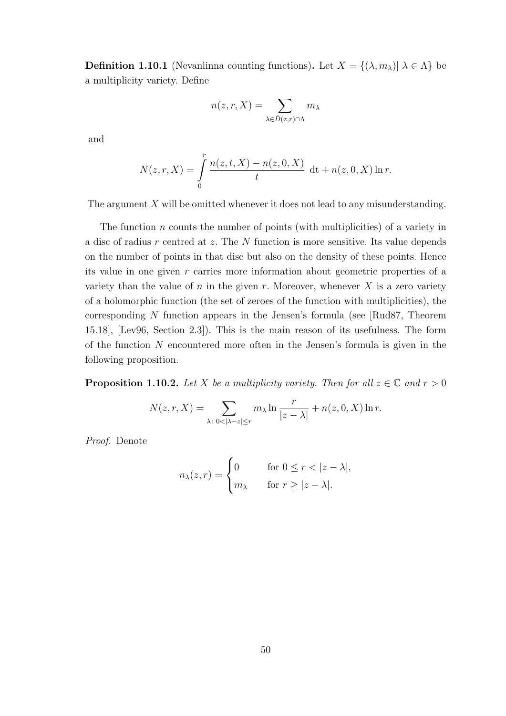**Definition 1.10.1** (Nevanlinna counting functions). Let  $X = \{(\lambda, m_{\lambda}) | \lambda \in \Lambda\}$  be a multiplicity variety. Define

$$
n(z,r,X) = \sum_{\lambda \in \bar{D}(z,r) \cap \Lambda} m_{\lambda}
$$

and

$$
N(z,r,X) = \int_{0}^{r} \frac{n(z,t,X) - n(z,0,X)}{t} dt + n(z,0,X) \ln r.
$$

The argument  $X$  will be omitted whenever it does not lead to any misunderstanding.

The function  $n$  counts the number of points (with multiplicities) of a variety in a disc of radius  $r$  centred at  $z$ . The  $N$  function is more sensitive. Its value depends on the number of points in that disc but also on the density of these points. Hence its value in one given r carries more information about geometric properties of a variety than the value of n in the given r. Moreover, whenever  $X$  is a zero variety of a holomorphic function (the set of zeroes of the function with multiplicities), the corresponding N function appears in the Jensen's formula (see [Rud87, Theorem 15.18], [Lev96, Section 2.3]). This is the main reason of its usefulness. The form of the function  $N$  encountered more often in the Jensen's formula is given in the following proposition.

**Proposition 1.10.2.** Let X be a multiplicity variety. Then for all  $z \in \mathbb{C}$  and  $r > 0$ 

$$
N(z,r,X) = \sum_{\lambda: 0 < |\lambda - z| \le r} m_{\lambda} \ln \frac{r}{|z - \lambda|} + n(z,0,X) \ln r.
$$

Proof. Denote

$$
n_{\lambda}(z,r) = \begin{cases} 0 & \text{for } 0 \le r < |z - \lambda|, \\ m_{\lambda} & \text{for } r \ge |z - \lambda|. \end{cases}
$$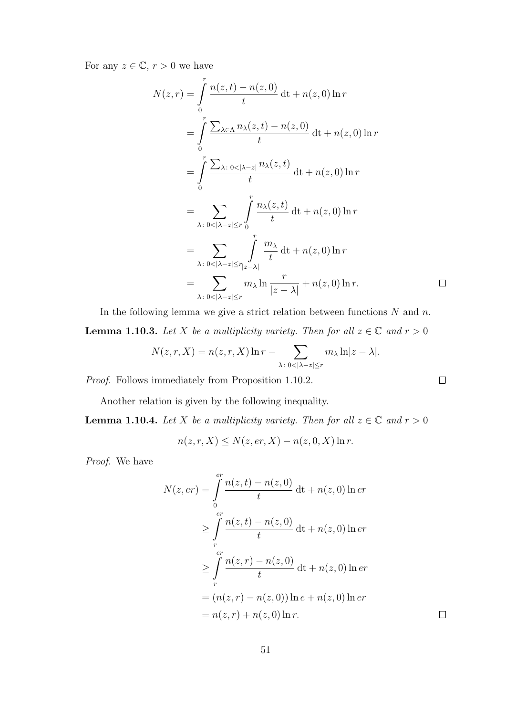For any  $z \in \mathbb{C}$ ,  $r > 0$  we have

$$
N(z,r) = \int_{0}^{r} \frac{n(z,t) - n(z,0)}{t} dt + n(z,0) \ln r
$$
  
\n
$$
= \int_{0}^{r} \frac{\sum_{\lambda \in \Lambda} n_{\lambda}(z,t) - n(z,0)}{t} dt + n(z,0) \ln r
$$
  
\n
$$
= \int_{0}^{r} \frac{\sum_{\lambda: 0 < |\lambda - z|} n_{\lambda}(z,t)}{t} dt + n(z,0) \ln r
$$
  
\n
$$
= \sum_{\lambda: 0 < |\lambda - z| \le r} \int_{0}^{r} \frac{n_{\lambda}(z,t)}{t} dt + n(z,0) \ln r
$$
  
\n
$$
= \sum_{\lambda: 0 < |\lambda - z| \le r} \int_{|z - \lambda|}^{r} \frac{m_{\lambda}}{t} dt + n(z,0) \ln r
$$
  
\n
$$
= \sum_{\lambda: 0 < |\lambda - z| \le r} \int_{|z - \lambda|}^{r} \frac{m_{\lambda}}{t} dt + n(z,0) \ln r.
$$

 $\Box$ 

 $\Box$ 

In the following lemma we give a strict relation between functions  $N$  and  $n$ . **Lemma 1.10.3.** Let X be a multiplicity variety. Then for all  $z \in \mathbb{C}$  and  $r > 0$ 

$$
N(z,r,X) = n(z,r,X) \ln r - \sum_{\lambda: 0 < |\lambda - z| \le r} m_{\lambda} \ln|z - \lambda|.
$$

Proof. Follows immediately from Proposition 1.10.2.

Another relation is given by the following inequality.

**Lemma 1.10.4.** Let X be a multiplicity variety. Then for all  $z \in \mathbb{C}$  and  $r > 0$ 

$$
n(z, r, X) \le N(z, er, X) - n(z, 0, X) \ln r.
$$

Proof. We have

$$
N(z, er) = \int_{0}^{er} \frac{n(z, t) - n(z, 0)}{t} dt + n(z, 0) \ln er
$$
  
\n
$$
\geq \int_{r}^{er} \frac{n(z, t) - n(z, 0)}{t} dt + n(z, 0) \ln er
$$
  
\n
$$
\geq \int_{r}^{er} \frac{n(z, r) - n(z, 0)}{t} dt + n(z, 0) \ln er
$$
  
\n
$$
= (n(z, r) - n(z, 0)) \ln e + n(z, 0) \ln er
$$
  
\n
$$
= n(z, r) + n(z, 0) \ln r.
$$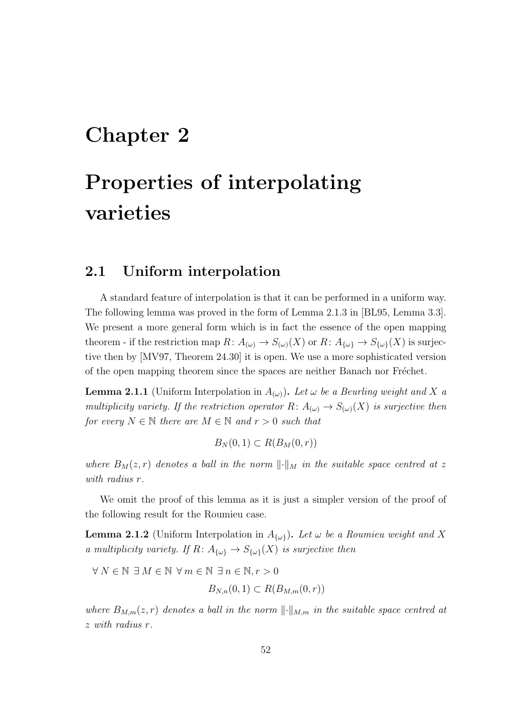## Chapter 2

# Properties of interpolating varieties

#### 2.1 Uniform interpolation

A standard feature of interpolation is that it can be performed in a uniform way. The following lemma was proved in the form of Lemma 2.1.3 in [BL95, Lemma 3.3]. We present a more general form which is in fact the essence of the open mapping theorem - if the restriction map  $R: A_{(\omega)} \to S_{(\omega)}(X)$  or  $R: A_{\{\omega\}} \to S_{\{\omega\}}(X)$  is surjective then by [MV97, Theorem 24.30] it is open. We use a more sophisticated version of the open mapping theorem since the spaces are neither Banach nor Fréchet.

**Lemma 2.1.1** (Uniform Interpolation in  $A_{(\omega)}$ ). Let  $\omega$  be a Beurling weight and X a multiplicity variety. If the restriction operator  $R: A_{(\omega)} \to S_{(\omega)}(X)$  is surjective then for every  $N \in \mathbb{N}$  there are  $M \in \mathbb{N}$  and  $r > 0$  such that

$$
B_N(0,1) \subset R(B_M(0,r))
$$

where  $B_M(z,r)$  denotes a ball in the norm  $\lVert \cdot \rVert_M$  in the suitable space centred at z with radius r.

We omit the proof of this lemma as it is just a simpler version of the proof of the following result for the Roumieu case.

**Lemma 2.1.2** (Uniform Interpolation in  $A_{\{\omega\}}$ ). Let  $\omega$  be a Roumieu weight and X a multiplicity variety. If  $R: A_{\{\omega\}} \to S_{\{\omega\}}(X)$  is surjective then

$$
\forall N \in \mathbb{N} \exists M \in \mathbb{N} \ \forall m \in \mathbb{N} \ \exists n \in \mathbb{N}, r > 0
$$
\n
$$
B_{N,n}(0,1) \subset R(B_{M,m}(0,r))
$$

where  $B_{M,m}(z,r)$  denotes a ball in the norm  $\lVert \cdot \rVert_{M,m}$  in the suitable space centred at z with radius r.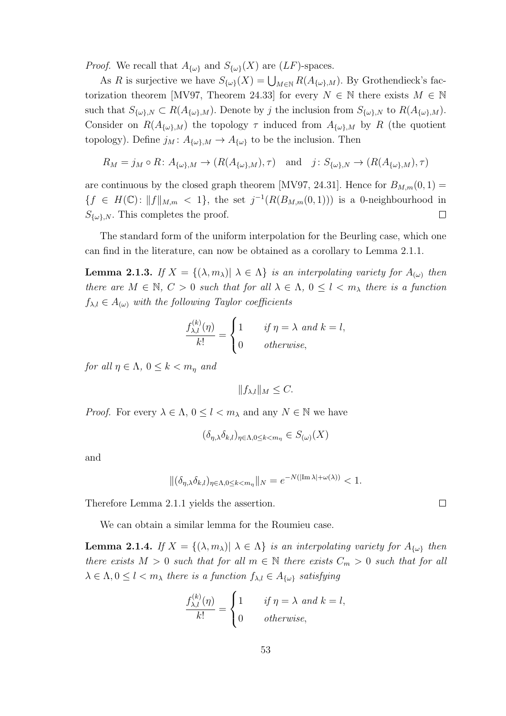*Proof.* We recall that  $A_{\{\omega\}}$  and  $S_{\{\omega\}}(X)$  are  $(LF)$ -spaces.

As R is surjective we have  $S_{\{\omega\}}(X) = \bigcup_{M \in \mathbb{N}} R(A_{\{\omega\},M})$ . By Grothendieck's factorization theorem [MV97, Theorem 24.33] for every  $N \in \mathbb{N}$  there exists  $M \in \mathbb{N}$ such that  $S_{\{\omega\},N} \subset R(A_{\{\omega\},M})$ . Denote by j the inclusion from  $S_{\{\omega\},N}$  to  $R(A_{\{\omega\},M})$ . Consider on  $R(A_{\{\omega\},M})$  the topology  $\tau$  induced from  $A_{\{\omega\},M}$  by R (the quotient topology). Define  $j_M: A_{\{\omega\},M} \to A_{\{\omega\}}$  to be the inclusion. Then

$$
R_M = j_M \circ R \colon A_{\{\omega\},M} \to (R(A_{\{\omega\},M}), \tau)
$$
 and  $j \colon S_{\{\omega\},N} \to (R(A_{\{\omega\},M}), \tau)$ 

are continuous by the closed graph theorem [MV97, 24.31]. Hence for  $B_{M,m}(0,1) =$  ${f \in H(\mathbb{C}) : ||f||_{M,m} < 1},$  the set  $j^{-1}(R(B_{M,m}(0,1)))$  is a 0-neighbourhood in  $S_{\{\omega\},N}$ . This completes the proof.  $\Box$ 

The standard form of the uniform interpolation for the Beurling case, which one can find in the literature, can now be obtained as a corollary to Lemma 2.1.1.

**Lemma 2.1.3.** If  $X = \{(\lambda, m_\lambda) | \lambda \in \Lambda\}$  is an interpolating variety for  $A_{(\omega)}$  then there are  $M \in \mathbb{N}$ ,  $C > 0$  such that for all  $\lambda \in \Lambda$ ,  $0 \leq l < m_{\lambda}$  there is a function  $f_{\lambda,l} \in A_{(\omega)}$  with the following Taylor coefficients

$$
\frac{f_{\lambda,l}^{(k)}(\eta)}{k!} = \begin{cases} 1 & \text{if } \eta = \lambda \text{ and } k = l, \\ 0 & \text{otherwise,} \end{cases}
$$

for all  $\eta \in \Lambda$ ,  $0 \leq k < m_n$  and

 $||f_{\lambda,l}||_M \leq C.$ 

*Proof.* For every  $\lambda \in \Lambda$ ,  $0 \leq l < m_{\lambda}$  and any  $N \in \mathbb{N}$  we have

$$
(\delta_{\eta,\lambda}\delta_{k,l})_{\eta\in\Lambda,0\leq k
$$

and

$$
\|(\delta_{\eta,\lambda}\delta_{k,l})_{\eta\in\Lambda,0\leq k\leq m_{\eta}}\|_{N}=e^{-N(|\text{Im }\lambda|+\omega(\lambda))}<1.
$$

Therefore Lemma 2.1.1 yields the assertion.

We can obtain a similar lemma for the Roumieu case.

**Lemma 2.1.4.** If  $X = \{(\lambda, m_\lambda) | \lambda \in \Lambda\}$  is an interpolating variety for  $A_{\{\omega\}}$  then there exists  $M > 0$  such that for all  $m \in \mathbb{N}$  there exists  $C_m > 0$  such that for all  $\lambda \in \Lambda, 0 \leq l < m_{\lambda}$  there is a function  $f_{\lambda,l} \in A_{\{\omega\}}$  satisfying

$$
\frac{f_{\lambda,l}^{(k)}(\eta)}{k!} = \begin{cases} 1 & \text{if } \eta = \lambda \text{ and } k = l, \\ 0 & \text{otherwise,} \end{cases}
$$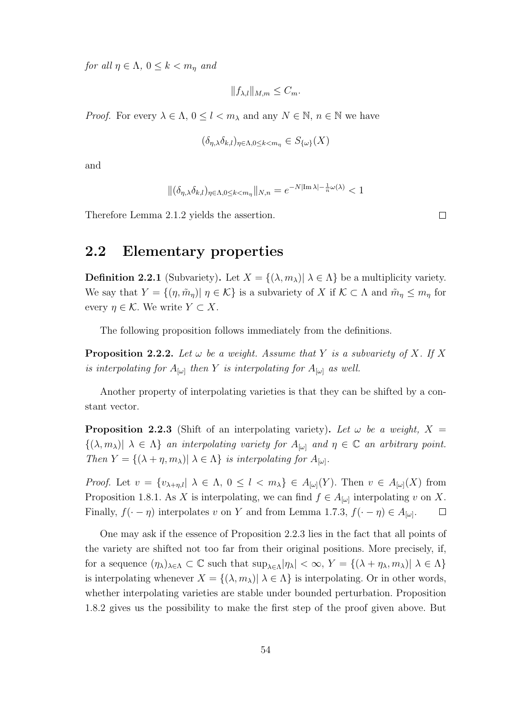for all  $\eta \in \Lambda$ ,  $0 \leq k < m_{\eta}$  and

$$
||f_{\lambda,l}||_{M,m} \leq C_m.
$$

*Proof.* For every  $\lambda \in \Lambda$ ,  $0 \leq l < m_{\lambda}$  and any  $N \in \mathbb{N}$ ,  $n \in \mathbb{N}$  we have

$$
(\delta_{\eta,\lambda}\delta_{k,l})_{\eta\in\Lambda,0\leq k
$$

and

$$
\|(\delta_{\eta,\lambda}\delta_{k,l})_{\eta\in\Lambda,0\leq k
$$

Therefore Lemma 2.1.2 yields the assertion.

#### 2.2 Elementary properties

**Definition 2.2.1** (Subvariety). Let  $X = \{(\lambda, m_\lambda) | \lambda \in \Lambda \}$  be a multiplicity variety. We say that  $Y = \{(\eta, \tilde{m}_\eta) | \eta \in \mathcal{K}\}\$ is a subvariety of X if  $\mathcal{K} \subset \Lambda$  and  $\tilde{m}_\eta \leq m_\eta$  for every  $\eta \in \mathcal{K}$ . We write  $Y \subset X$ .

The following proposition follows immediately from the definitions.

**Proposition 2.2.2.** Let  $\omega$  be a weight. Assume that Y is a subvariety of X. If X is interpolating for  $A_{[\omega]}$  then Y is interpolating for  $A_{[\omega]}$  as well.

Another property of interpolating varieties is that they can be shifted by a constant vector.

**Proposition 2.2.3** (Shift of an interpolating variety). Let  $\omega$  be a weight, X =  $\{(\lambda, m_\lambda)| \lambda \in \Lambda\}$  an interpolating variety for  $A_{[\omega]}$  and  $\eta \in \mathbb{C}$  an arbitrary point. Then  $Y = \{(\lambda + \eta, m_\lambda) | \lambda \in \Lambda\}$  is interpolating for  $A_{\omega}$ .

*Proof.* Let  $v = \{v_{\lambda+\eta,l} | \lambda \in \Lambda, 0 \leq l < m_{\lambda}\}\in A_{[\omega]}(Y)$ . Then  $v \in A_{[\omega]}(X)$  from Proposition 1.8.1. As X is interpolating, we can find  $f \in A_{\lbrack \omega \rbrack}$  interpolating v on X. Finally,  $f(\cdot - \eta)$  interpolates v on Y and from Lemma 1.7.3,  $f(\cdot - \eta) \in A_{\lbrack \omega \rbrack}$ .  $\Box$ 

One may ask if the essence of Proposition 2.2.3 lies in the fact that all points of the variety are shifted not too far from their original positions. More precisely, if, for a sequence  $(\eta_{\lambda})_{\lambda \in \Lambda} \subset \mathbb{C}$  such that  $\sup_{\lambda \in \Lambda} |\eta_{\lambda}| < \infty$ ,  $Y = \{(\lambda + \eta_{\lambda}, m_{\lambda}) | \lambda \in \Lambda\}$ is interpolating whenever  $X = \{(\lambda, m_\lambda) | \lambda \in \Lambda\}$  is interpolating. Or in other words, whether interpolating varieties are stable under bounded perturbation. Proposition 1.8.2 gives us the possibility to make the first step of the proof given above. But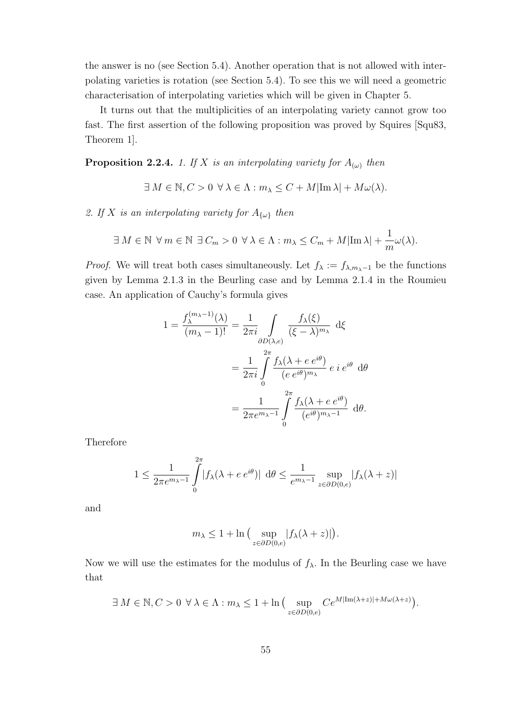the answer is no (see Section 5.4). Another operation that is not allowed with interpolating varieties is rotation (see Section 5.4). To see this we will need a geometric characterisation of interpolating varieties which will be given in Chapter 5.

It turns out that the multiplicities of an interpolating variety cannot grow too fast. The first assertion of the following proposition was proved by Squires [Squ83, Theorem 1].

**Proposition 2.2.4.** 1. If X is an interpolating variety for  $A_{(\omega)}$  then

$$
\exists M \in \mathbb{N}, C > 0 \ \forall \lambda \in \Lambda : m_{\lambda} \le C + M |\text{Im }\lambda| + M \omega(\lambda).
$$

2. If X is an interpolating variety for  $A_{\{\omega\}}$  then

$$
\exists M \in \mathbb{N} \ \forall m \in \mathbb{N} \ \exists C_m > 0 \ \forall \lambda \in \Lambda : m_{\lambda} \leq C_m + M |\text{Im }\lambda| + \frac{1}{m}\omega(\lambda).
$$

*Proof.* We will treat both cases simultaneously. Let  $f_{\lambda} := f_{\lambda, m_{\lambda}-1}$  be the functions given by Lemma 2.1.3 in the Beurling case and by Lemma 2.1.4 in the Roumieu case. An application of Cauchy's formula gives

$$
1 = \frac{f_{\lambda}^{(m_{\lambda}-1)}(\lambda)}{(m_{\lambda}-1)!} = \frac{1}{2\pi i} \int_{\partial D(\lambda,e)} \frac{f_{\lambda}(\xi)}{(\xi-\lambda)^{m_{\lambda}}} d\xi
$$
  

$$
= \frac{1}{2\pi i} \int_{0}^{2\pi} \frac{f_{\lambda}(\lambda + e e^{i\theta})}{(e e^{i\theta})^{m_{\lambda}}} e i e^{i\theta} d\theta
$$
  

$$
= \frac{1}{2\pi e^{m_{\lambda}-1}} \int_{0}^{2\pi} \frac{f_{\lambda}(\lambda + e e^{i\theta})}{(e^{i\theta})^{m_{\lambda}-1}} d\theta.
$$

Therefore

$$
1 \le \frac{1}{2\pi e^{m_{\lambda}-1}} \int_{0}^{2\pi} |f_{\lambda}(\lambda + e e^{i\theta})| d\theta \le \frac{1}{e^{m_{\lambda}-1}} \sup_{z \in \partial D(0,e)} |f_{\lambda}(\lambda + z)|
$$

and

$$
m_{\lambda} \le 1 + \ln \big( \sup_{z \in \partial D(0,e)} |f_{\lambda}(\lambda + z)| \big).
$$

Now we will use the estimates for the modulus of  $f_{\lambda}$ . In the Beurling case we have that

$$
\exists M \in \mathbb{N}, C > 0 \ \forall \lambda \in \Lambda : m_{\lambda} \leq 1 + \ln \big( \sup_{z \in \partial D(0,e)} Ce^{M|\text{Im}(\lambda+z)| + M\omega(\lambda+z)} \big).
$$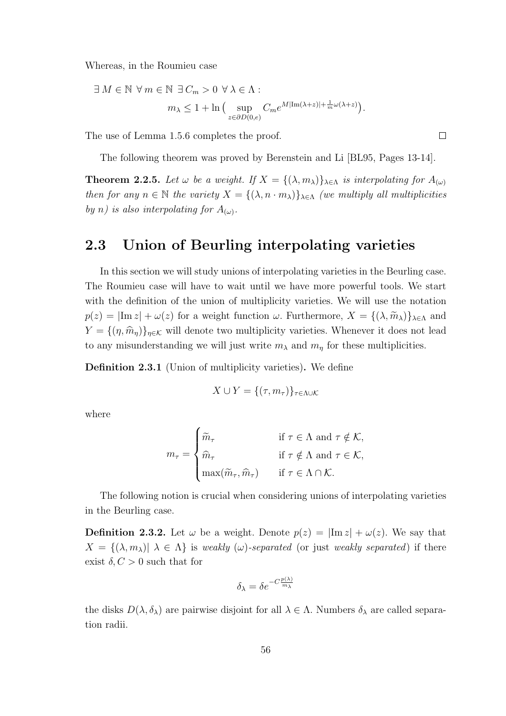Whereas, in the Roumieu case

$$
\exists M \in \mathbb{N} \ \forall m \in \mathbb{N} \ \exists C_m > 0 \ \forall \lambda \in \Lambda : \n m_\lambda \leq 1 + \ln \left( \sup_{z \in \partial D(0,e)} C_m e^{M|\text{Im}(\lambda+z)| + \frac{1}{m}\omega(\lambda+z)} \right).
$$

The use of Lemma 1.5.6 completes the proof.

The following theorem was proved by Berenstein and Li [BL95, Pages 13-14].

**Theorem 2.2.5.** Let  $\omega$  be a weight. If  $X = \{(\lambda, m_{\lambda})\}_{\lambda \in \Lambda}$  is interpolating for  $A_{(\omega)}$ then for any  $n \in \mathbb{N}$  the variety  $X = \{(\lambda, n \cdot m_\lambda)\}_{\lambda \in \Lambda}$  (we multiply all multiplicities by n) is also interpolating for  $A_{(\omega)}$ .

#### 2.3 Union of Beurling interpolating varieties

In this section we will study unions of interpolating varieties in the Beurling case. The Roumieu case will have to wait until we have more powerful tools. We start with the definition of the union of multiplicity varieties. We will use the notation  $p(z) = |\text{Im } z| + \omega(z)$  for a weight function  $\omega$ . Furthermore,  $X = \{(\lambda, \widetilde{m}_{\lambda})\}_{\lambda \in \Lambda}$  and  $Y = \{(\eta, \hat{m}_{\eta})\}_{\eta \in \mathcal{K}}$  will denote two multiplicity varieties. Whenever it does not lead to any misunderstanding we will just write  $m_{\lambda}$  and  $m_{\eta}$  for these multiplicities.

Definition 2.3.1 (Union of multiplicity varieties). We define

$$
X \cup Y = \{(\tau, m_{\tau})\}_{\tau \in \Lambda \cup \mathcal{K}}
$$

where

$$
m_{\tau} = \begin{cases} \widetilde{m}_{\tau} & \text{if } \tau \in \Lambda \text{ and } \tau \notin \mathcal{K}, \\ \widehat{m}_{\tau} & \text{if } \tau \notin \Lambda \text{ and } \tau \in \mathcal{K}, \\ \max(\widetilde{m}_{\tau}, \widehat{m}_{\tau}) & \text{if } \tau \in \Lambda \cap \mathcal{K}. \end{cases}
$$

The following notion is crucial when considering unions of interpolating varieties in the Beurling case.

**Definition 2.3.2.** Let  $\omega$  be a weight. Denote  $p(z) = |\text{Im } z| + \omega(z)$ . We say that  $X = \{(\lambda, m_\lambda) | \lambda \in \Lambda \}$  is weakly  $(\omega)$ -separated (or just weakly separated) if there exist  $\delta, C > 0$  such that for

$$
\delta_{\lambda} = \delta e^{-C\frac{p(\lambda)}{m_{\lambda}}}
$$

the disks  $D(\lambda, \delta_{\lambda})$  are pairwise disjoint for all  $\lambda \in \Lambda$ . Numbers  $\delta_{\lambda}$  are called separation radii.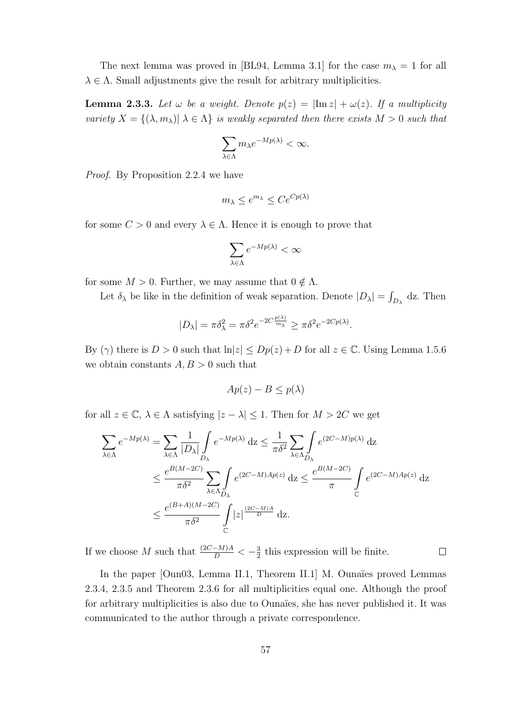The next lemma was proved in [BL94, Lemma 3.1] for the case  $m_{\lambda} = 1$  for all  $\lambda \in \Lambda$ . Small adjustments give the result for arbitrary multiplicities.

**Lemma 2.3.3.** Let  $\omega$  be a weight. Denote  $p(z) = |\text{Im } z| + \omega(z)$ . If a multiplicity variety  $X = \{(\lambda, m_\lambda) | \lambda \in \Lambda\}$  is weakly separated then there exists  $M > 0$  such that

$$
\sum_{\lambda \in \Lambda} m_{\lambda} e^{-Mp(\lambda)} < \infty.
$$

Proof. By Proposition 2.2.4 we have

$$
m_{\lambda} \le e^{m_{\lambda}} \le Ce^{Cp(\lambda)}
$$

for some  $C > 0$  and every  $\lambda \in \Lambda$ . Hence it is enough to prove that

$$
\sum_{\lambda \in \Lambda} e^{-Mp(\lambda)} < \infty
$$

for some  $M > 0$ . Further, we may assume that  $0 \notin \Lambda$ .

Let  $\delta_{\lambda}$  be like in the definition of weak separation. Denote  $|D_{\lambda}| = \int_{D_{\lambda}} dz$ . Then

$$
|D_{\lambda}| = \pi \delta_{\lambda}^2 = \pi \delta^2 e^{-2C \frac{p(\lambda)}{m_{\lambda}}} \ge \pi \delta^2 e^{-2Cp(\lambda)}.
$$

By  $(\gamma)$  there is  $D > 0$  such that  $\ln|z| \le Dp(z) + D$  for all  $z \in \mathbb{C}$ . Using Lemma 1.5.6 we obtain constants  $A, B > 0$  such that

$$
Ap(z) - B \le p(\lambda)
$$

for all  $z \in \mathbb{C}$ ,  $\lambda \in \Lambda$  satisfying  $|z - \lambda| \leq 1$ . Then for  $M > 2C$  we get

$$
\sum_{\lambda \in \Lambda} e^{-Mp(\lambda)} = \sum_{\lambda \in \Lambda} \frac{1}{|D_{\lambda}|} \int_{D_{\lambda}} e^{-Mp(\lambda)} dz \le \frac{1}{\pi \delta^2} \sum_{\lambda \in \Lambda} \int_{D_{\lambda}} e^{(2C - M)p(\lambda)} dz
$$
\n
$$
\le \frac{e^{B(M - 2C)}}{\pi \delta^2} \sum_{\lambda \in \Lambda} \int_{D_{\lambda}} e^{(2C - M)Ap(z)} dz \le \frac{e^{B(M - 2C)}}{\pi} \int_{\mathbb{C}} e^{(2C - M)Ap(z)} dz
$$
\n
$$
\le \frac{e^{(B + A)(M - 2C)}}{\pi \delta^2} \int_{\mathbb{C}} |z|^{\frac{(2C - M)A}{D}} dz.
$$

If we choose M such that  $\frac{(2C-M)A}{D} < -\frac{3}{2}$  $\frac{3}{2}$  this expression will be finite.  $\Box$ 

In the paper [Oun03, Lemma II.1, Theorem II.1] M. Ounaïes proved Lemmas 2.3.4, 2.3.5 and Theorem 2.3.6 for all multiplicities equal one. Although the proof for arbitrary multiplicities is also due to Ounaïes, she has never published it. It was communicated to the author through a private correspondence.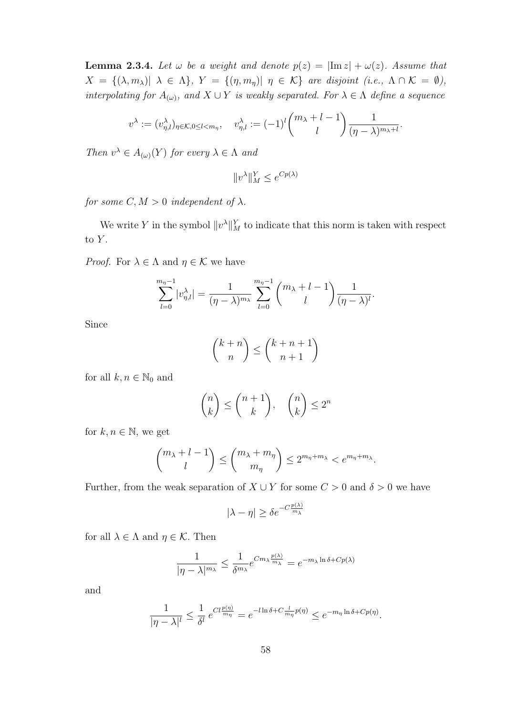**Lemma 2.3.4.** Let  $\omega$  be a weight and denote  $p(z) = |\text{Im } z| + \omega(z)$ . Assume that  $X = \{(\lambda, m_\lambda) | \lambda \in \Lambda\}, Y = \{(\eta, m_\eta) | \eta \in \mathcal{K}\}$  are disjoint (i.e.,  $\Lambda \cap \mathcal{K} = \emptyset$ ), interpolating for  $A_{(\omega)}$ , and  $X \cup Y$  is weakly separated. For  $\lambda \in \Lambda$  define a sequence

$$
v^{\lambda} := (v_{\eta,l}^{\lambda})_{\eta \in \mathcal{K}, 0 \le l < m_{\eta}}, \quad v_{\eta,l}^{\lambda} := (-1)^{l} \binom{m_{\lambda}+l-1}{l} \frac{1}{(\eta-\lambda)^{m_{\lambda}+l}}.
$$

Then  $v^{\lambda} \in A_{(\omega)}(Y)$  for every  $\lambda \in \Lambda$  and

$$
||v^{\lambda}||_M^Y \le e^{Cp(\lambda)}
$$

for some  $C, M > 0$  independent of  $\lambda$ .

We write Y in the symbol  $||v^{\lambda}||_M^Y$  to indicate that this norm is taken with respect to  $Y$ .

*Proof.* For  $\lambda \in \Lambda$  and  $\eta \in \mathcal{K}$  we have

$$
\sum_{l=0}^{m_{\eta}-1} |v_{\eta,l}^{\lambda}| = \frac{1}{(\eta-\lambda)^{m_{\lambda}}} \sum_{l=0}^{m_{\eta}-1} {m_{\lambda}+l-1 \choose l} \frac{1}{(\eta-\lambda)^{l}}.
$$

Since

$$
\binom{k+n}{n} \le \binom{k+n+1}{n+1}
$$

for all  $k, n \in \mathbb{N}_0$  and

$$
\binom{n}{k} \le \binom{n+1}{k}, \quad \binom{n}{k} \le 2^n
$$

for  $k, n \in \mathbb{N}$ , we get

$$
\binom{m_{\lambda}+l-1}{l} \leq \binom{m_{\lambda}+m_{\eta}}{m_{\eta}} \leq 2^{m_{\eta}+m_{\lambda}} < e^{m_{\eta}+m_{\lambda}}.
$$

Further, from the weak separation of  $X \cup Y$  for some  $C > 0$  and  $\delta > 0$  we have

$$
|\lambda - \eta| \ge \delta e^{-C \frac{p(\lambda)}{m_{\lambda}}}
$$

for all  $\lambda \in \Lambda$  and  $\eta \in \mathcal{K}$ . Then

$$
\frac{1}{|\eta - \lambda|^{m_{\lambda}}} \le \frac{1}{\delta^{m_{\lambda}}} e^{C m_{\lambda} \frac{p(\lambda)}{m_{\lambda}}} = e^{-m_{\lambda} \ln \delta + C p(\lambda)}
$$

and

$$
\frac{1}{|\eta - \lambda|^l} \le \frac{1}{\delta^l} e^{C l \frac{p(\eta)}{m_\eta}} = e^{-l \ln \delta + C \frac{l}{m_\eta} p(\eta)} \le e^{-m_\eta \ln \delta + C p(\eta)}.
$$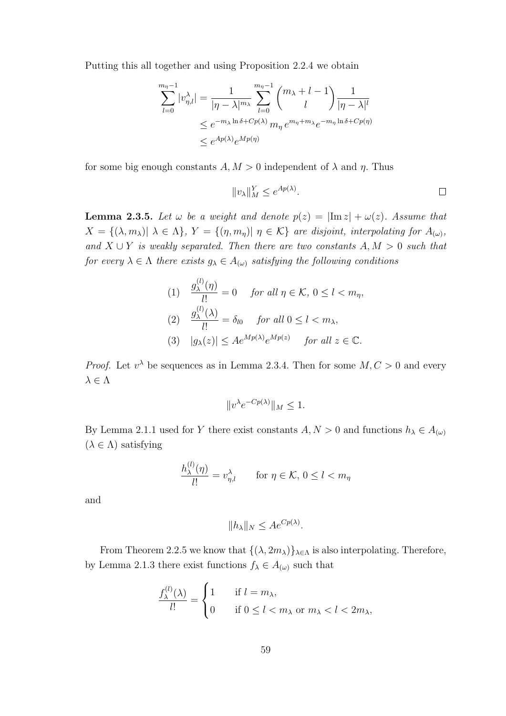Putting this all together and using Proposition 2.2.4 we obtain

$$
\sum_{l=0}^{m_{\eta}-1} |v_{\eta,l}^{\lambda}| = \frac{1}{|\eta - \lambda|^{m_{\lambda}}} \sum_{l=0}^{m_{\eta}-1} {m_{\lambda} + l - 1 \choose l} \frac{1}{|\eta - \lambda|^{l}}
$$
  

$$
\leq e^{-m_{\lambda} \ln \delta + C p(\lambda)} m_{\eta} e^{m_{\eta} + m_{\lambda}} e^{-m_{\eta} \ln \delta + C p(\eta)}
$$
  

$$
\leq e^{A p(\lambda)} e^{M p(\eta)}
$$

for some big enough constants  $A, M > 0$  independent of  $\lambda$  and  $\eta$ . Thus

$$
||v_{\lambda}||_M^Y \le e^{Ap(\lambda)}.
$$

**Lemma 2.3.5.** Let  $\omega$  be a weight and denote  $p(z) = |\text{Im } z| + \omega(z)$ . Assume that  $X = \{(\lambda, m_\lambda) | \lambda \in \Lambda\}, Y = \{(\eta, m_\eta) | \eta \in \mathcal{K}\}\$ are disjoint, interpolating for  $A_{(\omega)}$ , and  $X \cup Y$  is weakly separated. Then there are two constants  $A, M > 0$  such that for every  $\lambda \in \Lambda$  there exists  $g_{\lambda} \in A_{(\omega)}$  satisfying the following conditions

(1) 
$$
\frac{g_{\lambda}^{(l)}(\eta)}{l!} = 0 \quad \text{for all } \eta \in \mathcal{K}, 0 \le l < m_{\eta},
$$
\n(2) 
$$
\frac{g_{\lambda}^{(l)}(\lambda)}{l!} = \delta_{l0} \quad \text{for all } 0 \le l < m_{\lambda},
$$
\n(3) 
$$
|g_{\lambda}(z)| \le Ae^{Mp(\lambda)}e^{Mp(z)} \quad \text{for all } z \in \mathbb{C}.
$$

*Proof.* Let  $v^{\lambda}$  be sequences as in Lemma 2.3.4. Then for some  $M, C > 0$  and every  $\lambda\in\Lambda$ 

$$
||v^{\lambda}e^{-Cp(\lambda)}||_M \le 1.
$$

By Lemma 2.1.1 used for Y there exist constants  $A, N > 0$  and functions  $h_{\lambda} \in A_{(\omega)}$  $(\lambda \in \Lambda)$  satisfying

$$
\frac{h_{\lambda}^{(l)}(\eta)}{l!} = v_{\eta,l}^{\lambda} \quad \text{for } \eta \in \mathcal{K}, 0 \le l < m_{\eta}
$$

and

$$
||h_{\lambda}||_{N} \le Ae^{Cp(\lambda)}.
$$

From Theorem 2.2.5 we know that  $\{(\lambda, 2m_\lambda)\}_{\lambda \in \Lambda}$  is also interpolating. Therefore, by Lemma 2.1.3 there exist functions  $f_{\lambda} \in A_{(\omega)}$  such that

$$
\frac{f_{\lambda}^{(l)}(\lambda)}{l!} = \begin{cases} 1 & \text{if } l = m_{\lambda}, \\ 0 & \text{if } 0 \le l < m_{\lambda} \text{ or } m_{\lambda} < l < 2m_{\lambda}, \end{cases}
$$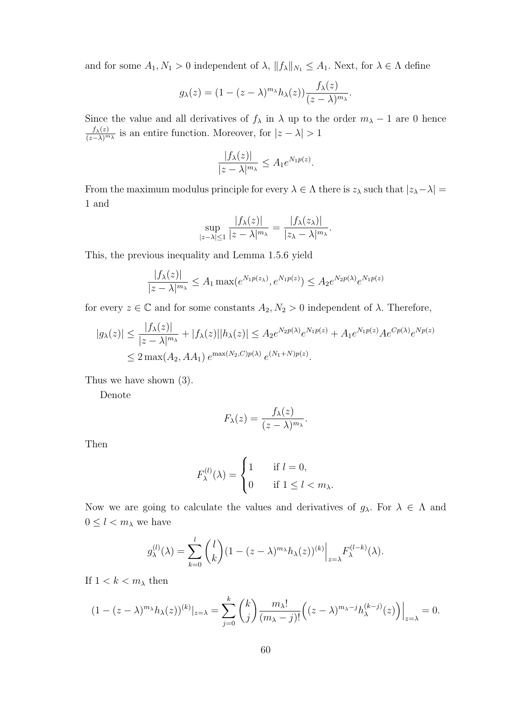and for some  $A_1, N_1 > 0$  independent of  $\lambda$ ,  $||f_{\lambda}||_{N_1} \leq A_1$ . Next, for  $\lambda \in \Lambda$  define

$$
g_{\lambda}(z) = (1 - (z - \lambda)^{m_{\lambda}} h_{\lambda}(z)) \frac{f_{\lambda}(z)}{(z - \lambda)^{m_{\lambda}}}.
$$

Since the value and all derivatives of  $f_{\lambda}$  in  $\lambda$  up to the order  $m_{\lambda} - 1$  are 0 hence  $f_{\lambda}(z)$  $\frac{J_{\lambda}(z)}{(z-\lambda)^{m_{\lambda}}}$  is an entire function. Moreover, for  $|z-\lambda|>1$ 

$$
\frac{|f_{\lambda}(z)|}{|z-\lambda|^{m_{\lambda}}} \leq A_1 e^{N_1 p(z)}.
$$

From the maximum modulus principle for every  $\lambda \in \Lambda$  there is  $z_\lambda$  such that  $|z_\lambda - \lambda|$  = 1 and

$$
\sup_{|z-\lambda|\leq 1} \frac{|f_{\lambda}(z)|}{|z-\lambda|^{m_{\lambda}}} = \frac{|f_{\lambda}(z_{\lambda})|}{|z_{\lambda}-\lambda|^{m_{\lambda}}}.
$$

This, the previous inequality and Lemma 1.5.6 yield

$$
\frac{|f_{\lambda}(z)|}{|z-\lambda|^{m_{\lambda}}} \le A_1 \max(e^{N_1 p(z_{\lambda})}, e^{N_1 p(z)}) \le A_2 e^{N_2 p(\lambda)} e^{N_1 p(z)}
$$

for every  $z \in \mathbb{C}$  and for some constants  $A_2, N_2 > 0$  independent of  $\lambda$ . Therefore,

$$
|g_{\lambda}(z)| \le \frac{|f_{\lambda}(z)|}{|z - \lambda|^{m_{\lambda}}} + |f_{\lambda}(z)||h_{\lambda}(z)| \le A_2 e^{N_2 p(\lambda)} e^{N_1 p(z)} + A_1 e^{N_1 p(z)} A e^{C p(\lambda)} e^{N p(z)}
$$
  

$$
\le 2 \max(A_2, AA_1) e^{\max(N_2, C)p(\lambda)} e^{(N_1 + N)p(z)}.
$$

Thus we have shown (3).

Denote

$$
F_{\lambda}(z) = \frac{f_{\lambda}(z)}{(z-\lambda)^{m_{\lambda}}}.
$$

Then

$$
F_{\lambda}^{(l)}(\lambda) = \begin{cases} 1 & \text{if } l = 0, \\ 0 & \text{if } 1 \le l < m_{\lambda}. \end{cases}
$$

Now we are going to calculate the values and derivatives of  $g_{\lambda}$ . For  $\lambda \in \Lambda$  and  $0\leq l < m_\lambda$  we have

$$
g_{\lambda}^{(l)}(\lambda) = \sum_{k=0}^{l} {l \choose k} (1 - (z - \lambda)^{m_{\lambda}} h_{\lambda}(z))^{(k)} \Big|_{z=\lambda} F_{\lambda}^{(l-k)}(\lambda).
$$

If  $1 < k < m_\lambda$  then

$$
(1 - (z - \lambda)^{m_{\lambda}} h_{\lambda}(z))^{(k)}|_{z=\lambda} = \sum_{j=0}^{k} {k \choose j} \frac{m_{\lambda}!}{(m_{\lambda} - j)!} \Big( (z - \lambda)^{m_{\lambda} - j} h_{\lambda}^{(k-j)}(z) \Big) \Big|_{z=\lambda} = 0.
$$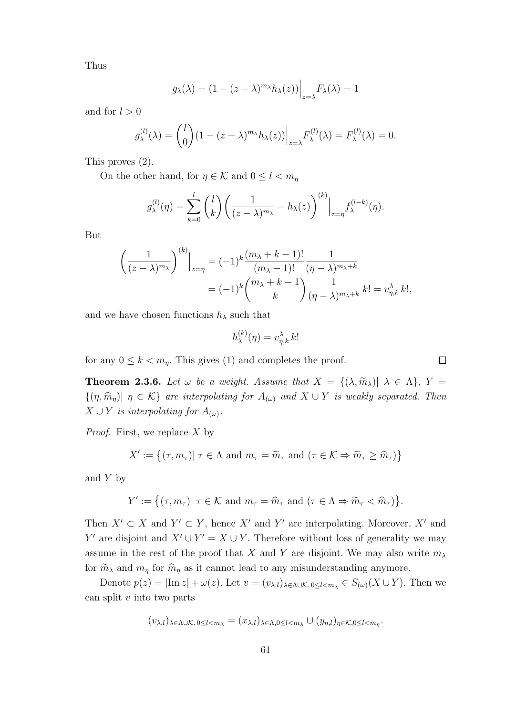Thus

$$
g_{\lambda}(\lambda) = (1 - (z - \lambda)^{m_{\lambda}} h_{\lambda}(z)) \Big|_{z = \lambda} F_{\lambda}(\lambda) = 1
$$

and for  $l > 0$ 

$$
g_{\lambda}^{(l)}(\lambda) = {l \choose 0} (1 - (z - \lambda)^{m_{\lambda}} h_{\lambda}(z)) \Big|_{z=\lambda} F_{\lambda}^{(l)}(\lambda) = F_{\lambda}^{(l)}(\lambda) = 0.
$$

This proves (2).

On the other hand, for  $\eta \in \mathcal{K}$  and  $0 \leq l < m_{\eta}$ 

$$
g_{\lambda}^{(l)}(\eta) = \sum_{k=0}^{l} {l \choose k} \left( \frac{1}{(z-\lambda)^{m_{\lambda}}} - h_{\lambda}(z) \right)^{(k)} \Big|_{z=\eta} f_{\lambda}^{(l-k)}(\eta).
$$

But

$$
\left(\frac{1}{(z-\lambda)^{m_{\lambda}}}\right)^{(k)}\Big|_{z=\eta} = (-1)^k \frac{(m_{\lambda}+k-1)!}{(m_{\lambda}-1)!} \frac{1}{(\eta-\lambda)^{m_{\lambda}+k}}
$$

$$
= (-1)^k {m_{\lambda}+k-1 \choose k} \frac{1}{(\eta-\lambda)^{m_{\lambda}+k}} k! = v_{\eta,k}^{\lambda} k!,
$$

and we have chosen functions  $h_{\lambda}$  such that

$$
h_{\lambda}^{(k)}(\eta) = v_{\eta,k}^{\lambda} k!
$$

for any  $0 \leq k < m_\eta$ . This gives (1) and completes the proof.

**Theorem 2.3.6.** Let  $\omega$  be a weight. Assume that  $X = \{(\lambda, \widetilde{m}_{\lambda}) | \lambda \in \Lambda\}$ ,  $Y =$  $\{(\eta, \hat{m}_{\eta})|\eta \in \mathcal{K}\}\$ are interpolating for  $A_{(\omega)}$  and  $X \cup Y$  is weakly separated. Then  $X \cup Y$  is interpolating for  $A_{(\omega)}$ .

*Proof.* First, we replace  $X$  by

$$
X' := \{ (\tau, m_{\tau}) | \ \tau \in \Lambda \text{ and } m_{\tau} = \widetilde{m}_{\tau} \text{ and } (\tau \in \mathcal{K} \Rightarrow \widetilde{m}_{\tau} \ge \widehat{m}_{\tau}) \}
$$

and  $Y$  by

$$
Y' := \{ (\tau, m_{\tau}) | \tau \in \mathcal{K} \text{ and } m_{\tau} = \widehat{m}_{\tau} \text{ and } (\tau \in \Lambda \Rightarrow \widetilde{m}_{\tau} < \widehat{m}_{\tau}) \}.
$$

Then  $X' \subset X$  and  $Y' \subset Y$ , hence X' and Y' are interpolating. Moreover, X' and Y' are disjoint and  $X' \cup Y' = X \cup Y$ . Therefore without loss of generality we may assume in the rest of the proof that X and Y are disjoint. We may also write  $m_{\lambda}$ for  $\widetilde{m}_{\lambda}$  and  $m_{\eta}$  for  $\widehat{m}_{\eta}$  as it cannot lead to any misunderstanding anymore.

Denote  $p(z) = |\text{Im } z| + \omega(z)$ . Let  $v = (v_{\lambda,l})_{\lambda \in \Lambda \cup \mathcal{K}, 0 \leq l < m_\lambda \in S_{(\omega)}(X \cup Y)$ . Then we can split  $v$  into two parts

$$
(v_{\lambda,l})_{\lambda \in \Lambda \cup \mathcal{K}, 0 \leq l < m_{\lambda}} = (x_{\lambda,l})_{\lambda \in \Lambda, 0 \leq l < m_{\lambda}} \cup (y_{\eta,l})_{\eta \in \mathcal{K}, 0 \leq l < m_{\eta}}.
$$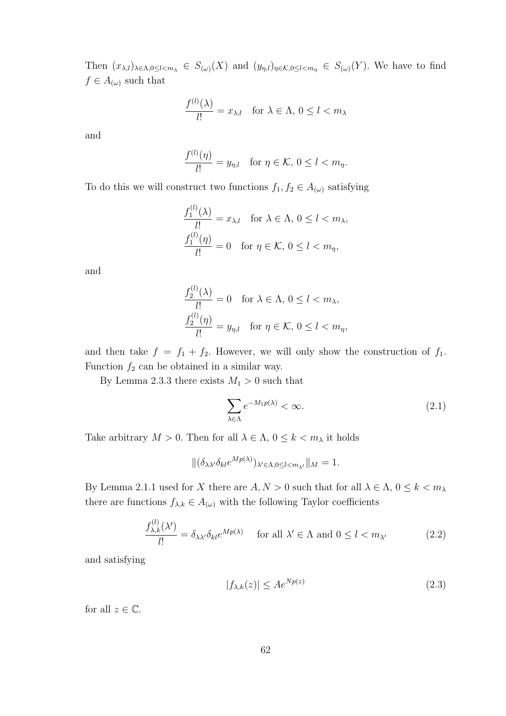Then  $(x_{\lambda,l})_{\lambda\in\Lambda,0\leq l and  $(y_{\eta,l})_{\eta\in\mathcal{K},0\leq l. We have to find$$  $f \in A_{(\omega)}$  such that

$$
\frac{f^{(l)}(\lambda)}{l!} = x_{\lambda,l} \quad \text{for } \lambda \in \Lambda, \, 0 \le l < m_\lambda
$$

and

$$
\frac{f^{(l)}(\eta)}{l!} = y_{\eta,l} \quad \text{for } \eta \in \mathcal{K}, 0 \le l < m_\eta.
$$

To do this we will construct two functions  $f_1, f_2 \in A_{(\omega)}$  satisfying

$$
\frac{f_1^{(l)}(\lambda)}{l!} = x_{\lambda,l} \quad \text{for } \lambda \in \Lambda, 0 \le l < m_\lambda,
$$
\n
$$
\frac{f_1^{(l)}(\eta)}{l!} = 0 \quad \text{for } \eta \in \mathcal{K}, 0 \le l < m_\eta,
$$

and

$$
\frac{f_2^{(l)}(\lambda)}{l!} = 0 \quad \text{for } \lambda \in \Lambda, 0 \le l < m_\lambda,
$$
\n
$$
\frac{f_2^{(l)}(\eta)}{l!} = y_{\eta,l} \quad \text{for } \eta \in \mathcal{K}, 0 \le l < m_\eta,
$$

and then take  $f = f_1 + f_2$ . However, we will only show the construction of  $f_1$ . Function  $f_2$  can be obtained in a similar way.

By Lemma 2.3.3 there exists  $M_1 > 0$  such that

$$
\sum_{\lambda \in \Lambda} e^{-M_1 p(\lambda)} < \infty. \tag{2.1}
$$

Take arbitrary  $M > 0$ . Then for all  $\lambda \in \Lambda$ ,  $0 \leq k < m_\lambda$  it holds

$$
\|(\delta_{\lambda\lambda'}\delta_{kl}e^{Mp(\lambda)})_{\lambda'\in\Lambda,0\leq l
$$

By Lemma 2.1.1 used for X there are  $A, N > 0$  such that for all  $\lambda \in \Lambda$ ,  $0 \leq k < m_{\lambda}$ there are functions  $f_{\lambda,k} \in A_{(\omega)}$  with the following Taylor coefficients

$$
\frac{f_{\lambda,k}^{(l)}(\lambda')}{l!} = \delta_{\lambda\lambda'}\delta_{kl}e^{Mp(\lambda)} \quad \text{ for all } \lambda' \in \Lambda \text{ and } 0 \le l < m_{\lambda'} \tag{2.2}
$$

and satisfying

$$
|f_{\lambda,k}(z)| \le Ae^{Np(z)}\tag{2.3}
$$

for all  $z \in \mathbb{C}$ .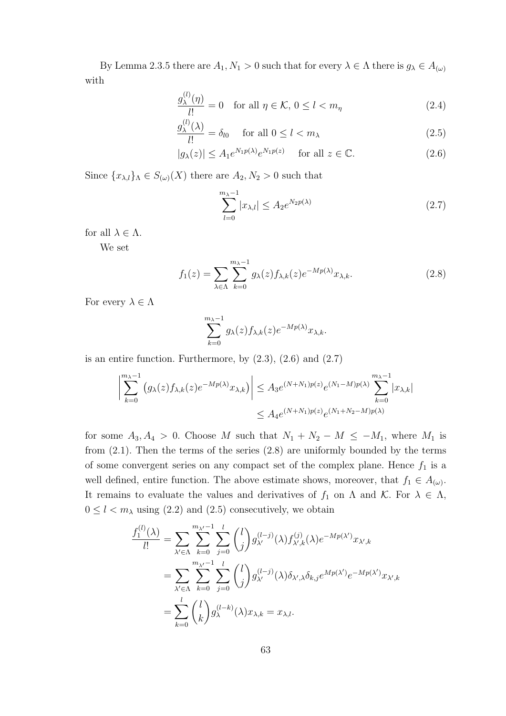By Lemma 2.3.5 there are  $A_1, N_1 > 0$  such that for every  $\lambda \in \Lambda$  there is  $g_{\lambda} \in A_{(\omega)}$ with

$$
\frac{g_{\lambda}^{(l)}(\eta)}{l!} = 0 \quad \text{for all } \eta \in \mathcal{K}, 0 \le l < m_{\eta} \tag{2.4}
$$

$$
\frac{g_{\lambda}^{(l)}(\lambda)}{l!} = \delta_{l0} \quad \text{for all } 0 \le l < m_{\lambda} \tag{2.5}
$$

$$
|g_{\lambda}(z)| \le A_1 e^{N_1 p(\lambda)} e^{N_1 p(z)} \quad \text{ for all } z \in \mathbb{C}.
$$
 (2.6)

Since  ${x_{\lambda,l}}_\Lambda \in S_{(\omega)}(X)$  there are  $A_2, N_2 > 0$  such that

$$
\sum_{l=0}^{m_{\lambda}-1} |x_{\lambda,l}| \le A_2 e^{N_2 p(\lambda)} \tag{2.7}
$$

for all  $\lambda \in \Lambda$ .

We set

$$
f_1(z) = \sum_{\lambda \in \Lambda} \sum_{k=0}^{m_{\lambda}-1} g_{\lambda}(z) f_{\lambda,k}(z) e^{-Mp(\lambda)} x_{\lambda,k}.
$$
 (2.8)

For every  $\lambda \in \Lambda$ 

$$
\sum_{k=0}^{m_{\lambda}-1} g_{\lambda}(z) f_{\lambda,k}(z) e^{-Mp(\lambda)} x_{\lambda,k}.
$$

is an entire function. Furthermore, by  $(2.3)$ ,  $(2.6)$  and  $(2.7)$ 

$$
\left| \sum_{k=0}^{m_{\lambda}-1} (g_{\lambda}(z) f_{\lambda,k}(z) e^{-Mp(\lambda)} x_{\lambda,k}) \right| \leq A_3 e^{(N+N_1)p(z)} e^{(N_1-M)p(\lambda)} \sum_{k=0}^{m_{\lambda}-1} |x_{\lambda,k}|
$$
  

$$
\leq A_4 e^{(N+N_1)p(z)} e^{(N_1+N_2-M)p(\lambda)}
$$

for some  $A_3, A_4 > 0$ . Choose M such that  $N_1 + N_2 - M \le -M_1$ , where  $M_1$  is from (2.1). Then the terms of the series (2.8) are uniformly bounded by the terms of some convergent series on any compact set of the complex plane. Hence  $f_1$  is a well defined, entire function. The above estimate shows, moreover, that  $f_1 \in A_{(\omega)}$ . It remains to evaluate the values and derivatives of  $f_1$  on  $\Lambda$  and  $\mathcal{K}$ . For  $\lambda \in \Lambda$ ,  $0 \leq l < m_{\lambda}$  using (2.2) and (2.5) consecutively, we obtain

$$
\frac{f_1^{(l)}(\lambda)}{l!} = \sum_{\lambda' \in \Lambda} \sum_{k=0}^{m_{\lambda'}-1} \sum_{j=0}^l \binom{l}{j} g_{\lambda'}^{(l-j)}(\lambda) f_{\lambda',k}^{(j)}(\lambda) e^{-Mp(\lambda')} x_{\lambda',k}
$$
  

$$
= \sum_{\lambda' \in \Lambda} \sum_{k=0}^{m_{\lambda'}-1} \sum_{j=0}^l \binom{l}{j} g_{\lambda'}^{(l-j)}(\lambda) \delta_{\lambda',\lambda} \delta_{k,j} e^{Mp(\lambda')} e^{-Mp(\lambda')} x_{\lambda',k}
$$
  

$$
= \sum_{k=0}^l \binom{l}{k} g_{\lambda}^{(l-k)}(\lambda) x_{\lambda,k} = x_{\lambda,l}.
$$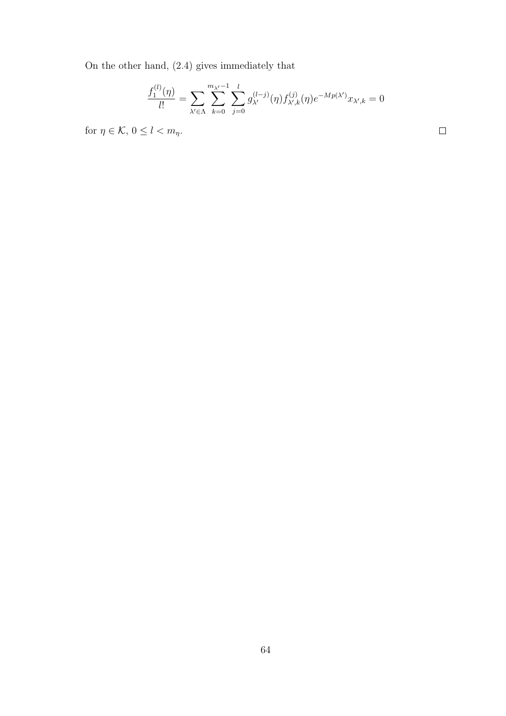On the other hand, (2.4) gives immediately that

$$
\frac{f_1^{(l)}(\eta)}{l!} = \sum_{\lambda' \in \Lambda} \sum_{k=0}^{m_{\lambda'}-1} \sum_{j=0}^l g_{\lambda'}^{(l-j)}(\eta) f_{\lambda',k}^{(j)}(\eta) e^{-Mp(\lambda')} x_{\lambda',k} = 0
$$

 $\Box$ 

for  $\eta \in \mathcal{K}$ ,  $0 \leq l < m_{\eta}$ .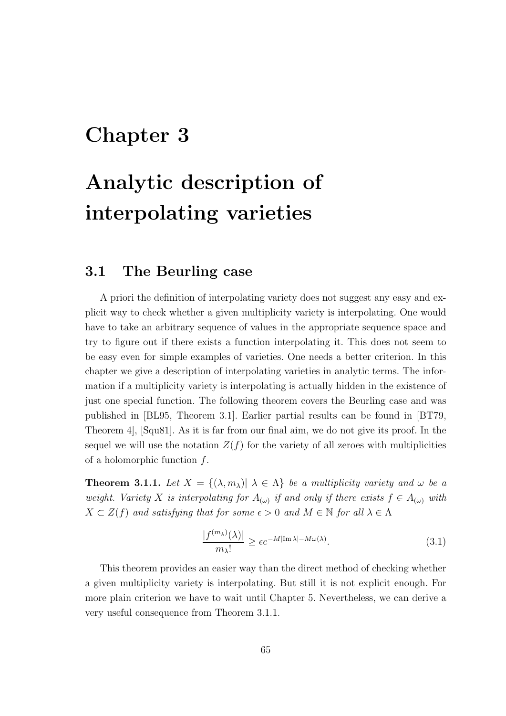## Chapter 3

# Analytic description of interpolating varieties

#### 3.1 The Beurling case

A priori the definition of interpolating variety does not suggest any easy and explicit way to check whether a given multiplicity variety is interpolating. One would have to take an arbitrary sequence of values in the appropriate sequence space and try to figure out if there exists a function interpolating it. This does not seem to be easy even for simple examples of varieties. One needs a better criterion. In this chapter we give a description of interpolating varieties in analytic terms. The information if a multiplicity variety is interpolating is actually hidden in the existence of just one special function. The following theorem covers the Beurling case and was published in [BL95, Theorem 3.1]. Earlier partial results can be found in [BT79, Theorem 4], [Squ81]. As it is far from our final aim, we do not give its proof. In the sequel we will use the notation  $Z(f)$  for the variety of all zeroes with multiplicities of a holomorphic function  $f$ .

**Theorem 3.1.1.** Let  $X = \{(\lambda, m_\lambda) | \lambda \in \Lambda\}$  be a multiplicity variety and  $\omega$  be a weight. Variety X is interpolating for  $A_{(\omega)}$  if and only if there exists  $f \in A_{(\omega)}$  with  $X \subset Z(f)$  and satisfying that for some  $\epsilon > 0$  and  $M \in \mathbb{N}$  for all  $\lambda \in \Lambda$ 

$$
\frac{|f^{(m_{\lambda})}(\lambda)|}{m_{\lambda}!} \ge \epsilon e^{-M|\text{Im }\lambda| - M\omega(\lambda)}.
$$
\n(3.1)

This theorem provides an easier way than the direct method of checking whether a given multiplicity variety is interpolating. But still it is not explicit enough. For more plain criterion we have to wait until Chapter 5. Nevertheless, we can derive a very useful consequence from Theorem 3.1.1.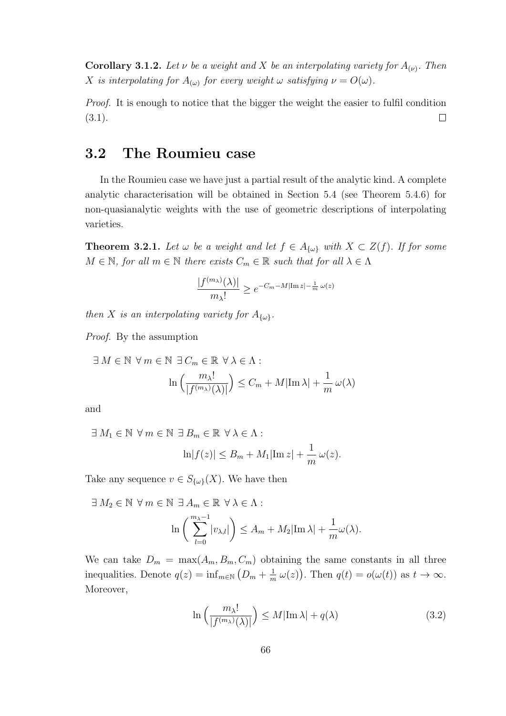**Corollary 3.1.2.** Let  $\nu$  be a weight and X be an interpolating variety for  $A_{(\nu)}$ . Then X is interpolating for  $A_{(\omega)}$  for every weight  $\omega$  satisfying  $\nu = O(\omega)$ .

Proof. It is enough to notice that the bigger the weight the easier to fulfil condition  $\Box$  $(3.1).$ 

#### 3.2 The Roumieu case

In the Roumieu case we have just a partial result of the analytic kind. A complete analytic characterisation will be obtained in Section 5.4 (see Theorem 5.4.6) for non-quasianalytic weights with the use of geometric descriptions of interpolating varieties.

**Theorem 3.2.1.** Let  $\omega$  be a weight and let  $f \in A_{\{\omega\}}$  with  $X \subset Z(f)$ . If for some  $M \in \mathbb{N}$ , for all  $m \in \mathbb{N}$  there exists  $C_m \in \mathbb{R}$  such that for all  $\lambda \in \Lambda$ 

$$
\frac{|f^{(m_\lambda)}(\lambda)|}{m_\lambda!} \ge e^{-C_m - M|\operatorname{Im} z| - \frac{1}{m}\omega(z)}
$$

then X is an interpolating variety for  $A_{\{\omega\}}$ .

Proof. By the assumption

$$
\exists M \in \mathbb{N} \ \forall m \in \mathbb{N} \ \exists C_m \in \mathbb{R} \ \forall \lambda \in \Lambda : \\ \ln\left(\frac{m_{\lambda}!}{|f^{(m_{\lambda})}(\lambda)|}\right) \leq C_m + M|\text{Im}\lambda| + \frac{1}{m}\,\omega(\lambda)
$$

and

$$
\exists M_1 \in \mathbb{N} \ \forall m \in \mathbb{N} \ \exists B_m \in \mathbb{R} \ \forall \lambda \in \Lambda : \\
 \ln|f(z)| \le B_m + M_1|\text{Im } z| + \frac{1}{m}\,\omega(z).
$$

Take any sequence  $v \in S_{\{\omega\}}(X)$ . We have then

$$
\exists M_2 \in \mathbb{N} \ \forall m \in \mathbb{N} \ \exists A_m \in \mathbb{R} \ \forall \lambda \in \Lambda : \\
\ln\left(\sum_{l=0}^{m_{\lambda}-1} |v_{\lambda,l}|\right) \le A_m + M_2 |\text{Im }\lambda| + \frac{1}{m}\omega(\lambda).
$$

We can take  $D_m = \max(A_m, B_m, C_m)$  obtaining the same constants in all three inequalities. Denote  $q(z) = \inf_{m \in \mathbb{N}} (D_m + \frac{1}{m})$  $\frac{1}{m}\omega(z)$ . Then  $q(t) = o(\omega(t))$  as  $t \to \infty$ . Moreover,

$$
\ln\left(\frac{m_{\lambda}!}{|f^{(m_{\lambda})}(\lambda)|}\right) \le M|\operatorname{Im}\lambda| + q(\lambda)
$$
\n(3.2)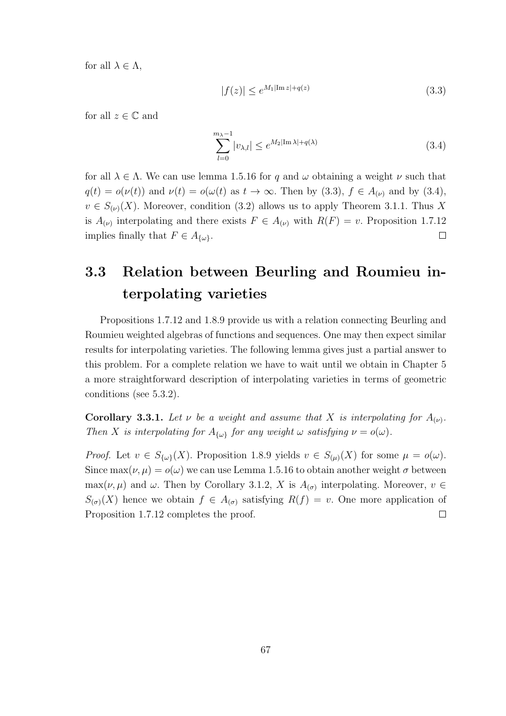for all  $\lambda \in \Lambda$ ,

$$
|f(z)| \le e^{M_1|\operatorname{Im} z| + q(z)}\tag{3.3}
$$

for all  $z \in \mathbb{C}$  and

$$
\sum_{l=0}^{m_{\lambda}-1} |v_{\lambda,l}| \le e^{M_2|\text{Im }\lambda| + q(\lambda)} \tag{3.4}
$$

for all  $\lambda \in \Lambda$ . We can use lemma 1.5.16 for q and  $\omega$  obtaining a weight  $\nu$  such that  $q(t) = o(\nu(t))$  and  $\nu(t) = o(\omega(t))$  as  $t \to \infty$ . Then by (3.3),  $f \in A_{(\nu)}$  and by (3.4),  $v \in S_{(\nu)}(X)$ . Moreover, condition (3.2) allows us to apply Theorem 3.1.1. Thus X is  $A_{(\nu)}$  interpolating and there exists  $F \in A_{(\nu)}$  with  $R(F) = v$ . Proposition 1.7.12 implies finally that  $F \in A_{\{\omega\}}$ .  $\Box$ 

## 3.3 Relation between Beurling and Roumieu interpolating varieties

Propositions 1.7.12 and 1.8.9 provide us with a relation connecting Beurling and Roumieu weighted algebras of functions and sequences. One may then expect similar results for interpolating varieties. The following lemma gives just a partial answer to this problem. For a complete relation we have to wait until we obtain in Chapter 5 a more straightforward description of interpolating varieties in terms of geometric conditions (see 5.3.2).

**Corollary 3.3.1.** Let  $\nu$  be a weight and assume that X is interpolating for  $A_{(\nu)}$ . Then X is interpolating for  $A_{\{\omega\}}$  for any weight  $\omega$  satisfying  $\nu = o(\omega)$ .

*Proof.* Let  $v \in S_{\{\omega\}}(X)$ . Proposition 1.8.9 yields  $v \in S_{(\mu)}(X)$  for some  $\mu = o(\omega)$ . Since  $\max(\nu, \mu) = o(\omega)$  we can use Lemma 1.5.16 to obtain another weight  $\sigma$  between  $\max(\nu, \mu)$  and  $\omega$ . Then by Corollary 3.1.2, X is  $A_{(\sigma)}$  interpolating. Moreover,  $v \in$  $S_{(\sigma)}(X)$  hence we obtain  $f \in A_{(\sigma)}$  satisfying  $R(f) = v$ . One more application of Proposition 1.7.12 completes the proof.  $\Box$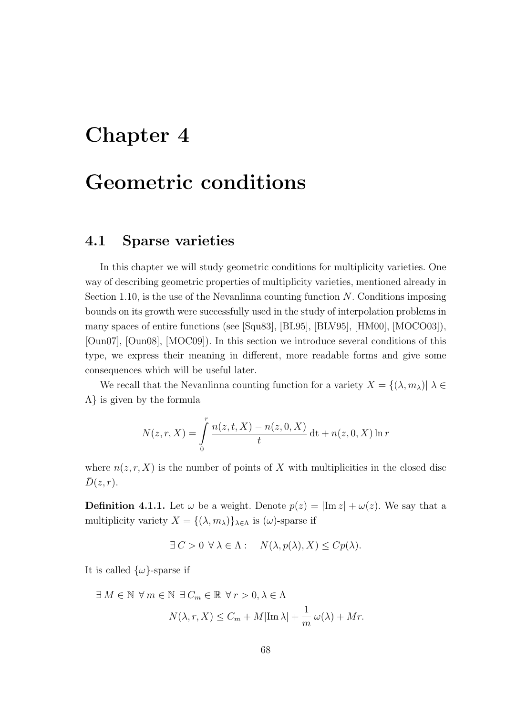## Chapter 4

## Geometric conditions

### 4.1 Sparse varieties

In this chapter we will study geometric conditions for multiplicity varieties. One way of describing geometric properties of multiplicity varieties, mentioned already in Section 1.10, is the use of the Nevanlinna counting function  $N$ . Conditions imposing bounds on its growth were successfully used in the study of interpolation problems in many spaces of entire functions (see [Squ83], [BL95], [BLV95], [HM00], [MOCO03]), [Oun07], [Oun08], [MOC09]). In this section we introduce several conditions of this type, we express their meaning in different, more readable forms and give some consequences which will be useful later.

We recall that the Nevanlinna counting function for a variety  $X = \{(\lambda, m_\lambda)| \lambda \in$ Λ} is given by the formula

$$
N(z,r,X) = \int_{0}^{r} \frac{n(z,t,X) - n(z,0,X)}{t} dt + n(z,0,X) \ln r
$$

where  $n(z, r, X)$  is the number of points of X with multiplicities in the closed disc  $\bar{D}(z, r)$ .

**Definition 4.1.1.** Let  $\omega$  be a weight. Denote  $p(z) = |\text{Im } z| + \omega(z)$ . We say that a multiplicity variety  $X = \{(\lambda, m_\lambda)\}_{\lambda \in \Lambda}$  is  $(\omega)$ -sparse if

$$
\exists C > 0 \ \forall \lambda \in \Lambda : \quad N(\lambda, p(\lambda), X) \leq C p(\lambda).
$$

It is called  $\{\omega\}$ -sparse if

$$
\exists M \in \mathbb{N} \ \forall m \in \mathbb{N} \ \exists C_m \in \mathbb{R} \ \forall r > 0, \lambda \in \Lambda
$$
\n
$$
N(\lambda, r, X) \le C_m + M|\text{Im }\lambda| + \frac{1}{m}\,\omega(\lambda) + Mr.
$$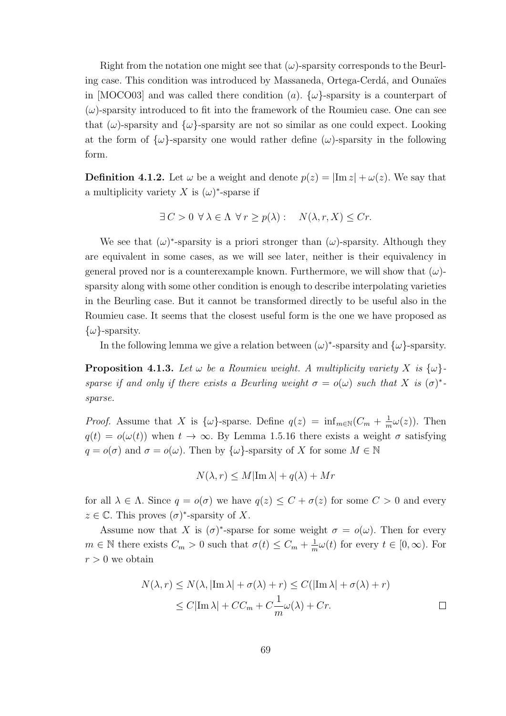Right from the notation one might see that  $(\omega)$ -sparsity corresponds to the Beurling case. This condition was introduced by Massaneda, Ortega-Cerdá, and Ounaïes in [MOCO03] and was called there condition (a).  $\{\omega\}$ -sparsity is a counterpart of  $(\omega)$ -sparsity introduced to fit into the framework of the Roumieu case. One can see that  $(\omega)$ -sparsity and  $\{\omega\}$ -sparsity are not so similar as one could expect. Looking at the form of  $\{\omega\}$ -sparsity one would rather define  $(\omega)$ -sparsity in the following form.

**Definition 4.1.2.** Let  $\omega$  be a weight and denote  $p(z) = |\text{Im } z| + \omega(z)$ . We say that a multiplicity variety X is  $(\omega)^*$ -sparse if

$$
\exists C > 0 \ \forall \lambda \in \Lambda \ \forall r \ge p(\lambda): \quad N(\lambda, r, X) \le Cr.
$$

We see that  $(\omega)^*$ -sparsity is a priori stronger than  $(\omega)$ -sparsity. Although they are equivalent in some cases, as we will see later, neither is their equivalency in general proved nor is a counterexample known. Furthermore, we will show that  $(\omega)$ sparsity along with some other condition is enough to describe interpolating varieties in the Beurling case. But it cannot be transformed directly to be useful also in the Roumieu case. It seems that the closest useful form is the one we have proposed as  $\{\omega\}$ -sparsity.

In the following lemma we give a relation between  $(\omega)^*$ -sparsity and  $\{\omega\}$ -sparsity.

**Proposition 4.1.3.** Let  $\omega$  be a Roumieu weight. A multiplicity variety X is  $\{\omega\}$ sparse if and only if there exists a Beurling weight  $\sigma = o(\omega)$  such that X is  $(\sigma)^*$ . sparse.

*Proof.* Assume that X is  $\{\omega\}$ -sparse. Define  $q(z) = \inf_{m \in \mathbb{N}} (C_m + \frac{1}{n})$  $\frac{1}{m}\omega(z)$ ). Then  $q(t) = o(\omega(t))$  when  $t \to \infty$ . By Lemma 1.5.16 there exists a weight  $\sigma$  satisfying  $q = o(\sigma)$  and  $\sigma = o(\omega)$ . Then by  $\{\omega\}$ -sparsity of X for some  $M \in \mathbb{N}$ 

$$
N(\lambda, r) \le M|\text{Im }\lambda| + q(\lambda) + Mr
$$

for all  $\lambda \in \Lambda$ . Since  $q = o(\sigma)$  we have  $q(z) \leq C + \sigma(z)$  for some  $C > 0$  and every  $z \in \mathbb{C}$ . This proves  $(\sigma)^*$ -sparsity of X.

Assume now that X is  $(\sigma)^*$ -sparse for some weight  $\sigma = o(\omega)$ . Then for every  $m \in \mathbb{N}$  there exists  $C_m > 0$  such that  $\sigma(t) \leq C_m + \frac{1}{n}$  $\frac{1}{m}\omega(t)$  for every  $t \in [0, \infty)$ . For  $r > 0$  we obtain

$$
N(\lambda, r) \le N(\lambda, |\text{Im }\lambda| + \sigma(\lambda) + r) \le C(|\text{Im }\lambda| + \sigma(\lambda) + r)
$$
  
\n
$$
\le C|\text{Im }\lambda| + CC_m + C\frac{1}{m}\omega(\lambda) + Cr.
$$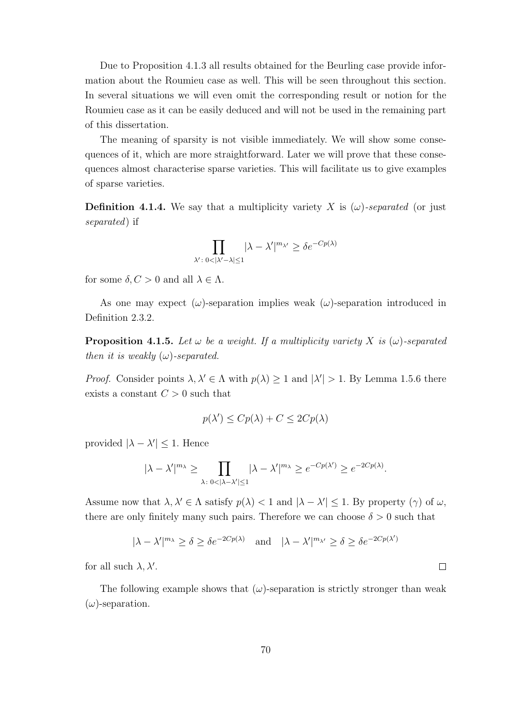Due to Proposition 4.1.3 all results obtained for the Beurling case provide information about the Roumieu case as well. This will be seen throughout this section. In several situations we will even omit the corresponding result or notion for the Roumieu case as it can be easily deduced and will not be used in the remaining part of this dissertation.

The meaning of sparsity is not visible immediately. We will show some consequences of it, which are more straightforward. Later we will prove that these consequences almost characterise sparse varieties. This will facilitate us to give examples of sparse varieties.

**Definition 4.1.4.** We say that a multiplicity variety X is  $(\omega)$ -separated (or just separated) if

$$
\prod_{\lambda':\;0<|\lambda'-\lambda|\leq 1} |\lambda-\lambda'|^{m_{\lambda'}} \geq \delta e^{-Cp(\lambda)}
$$

for some  $\delta, C > 0$  and all  $\lambda \in \Lambda$ .

As one may expect  $(\omega)$ -separation implies weak  $(\omega)$ -separation introduced in Definition 2.3.2.

**Proposition 4.1.5.** Let  $\omega$  be a weight. If a multiplicity variety X is  $(\omega)$ -separated then it is weakly  $(\omega)$ -separated.

*Proof.* Consider points  $\lambda, \lambda' \in \Lambda$  with  $p(\lambda) \geq 1$  and  $|\lambda'| > 1$ . By Lemma 1.5.6 there exists a constant  $C > 0$  such that

$$
p(\lambda') \le Cp(\lambda) + C \le 2Cp(\lambda)
$$

provided  $|\lambda - \lambda'| \leq 1$ . Hence

$$
|\lambda - \lambda'|^{m_{\lambda}} \ge \prod_{\lambda \colon 0 < |\lambda - \lambda'| \le 1} |\lambda - \lambda'|^{m_{\lambda}} \ge e^{-Cp(\lambda')} \ge e^{-2Cp(\lambda)}.
$$

Assume now that  $\lambda, \lambda' \in \Lambda$  satisfy  $p(\lambda) < 1$  and  $|\lambda - \lambda'| \leq 1$ . By property  $(\gamma)$  of  $\omega$ , there are only finitely many such pairs. Therefore we can choose  $\delta > 0$  such that

$$
|\lambda - \lambda'|^{m_{\lambda}} \ge \delta \ge \delta e^{-2Cp(\lambda)}
$$
 and  $|\lambda - \lambda'|^{m_{\lambda'}} \ge \delta \ge \delta e^{-2Cp(\lambda')}$ 

 $\Box$ 

for all such  $\lambda, \lambda'$ .

The following example shows that  $(\omega)$ -separation is strictly stronger than weak  $(\omega)$ -separation.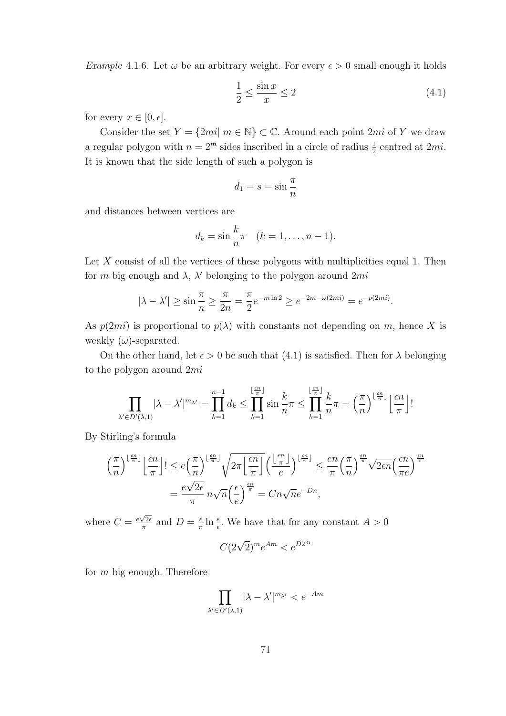*Example* 4.1.6. Let  $\omega$  be an arbitrary weight. For every  $\epsilon > 0$  small enough it holds

$$
\frac{1}{2} \le \frac{\sin x}{x} \le 2\tag{4.1}
$$

for every  $x \in [0, \epsilon]$ .

Consider the set  $Y = \{2mi | m \in \mathbb{N}\}\subset \mathbb{C}$ . Around each point  $2mi$  of Y we draw a regular polygon with  $n = 2^m$  sides inscribed in a circle of radius  $\frac{1}{2}$  centred at  $2mi$ . It is known that the side length of such a polygon is

$$
d_1 = s = \sin \frac{\pi}{n}
$$

and distances between vertices are

$$
d_k = \sin\frac{k}{n}\pi \quad (k = 1, \dots, n-1).
$$

Let  $X$  consist of all the vertices of these polygons with multiplicities equal 1. Then for m big enough and  $\lambda$ ,  $\lambda'$  belonging to the polygon around  $2mi$ 

$$
|\lambda - \lambda'| \ge \sin \frac{\pi}{n} \ge \frac{\pi}{2n} = \frac{\pi}{2} e^{-m \ln 2} \ge e^{-2m - \omega(2mi)} = e^{-p(2mi)}.
$$

As  $p(2mi)$  is proportional to  $p(\lambda)$  with constants not depending on m, hence X is weakly  $(\omega)$ -separated.

On the other hand, let  $\epsilon > 0$  be such that (4.1) is satisfied. Then for  $\lambda$  belonging to the polygon around 2mi

$$
\prod_{\lambda' \in D'(\lambda,1)} |\lambda - \lambda'|^{m_{\lambda'}} = \prod_{k=1}^{n-1} d_k \le \prod_{k=1}^{\lfloor \frac{\epsilon n}{\pi} \rfloor} \sin \frac{k}{n} \pi \le \prod_{k=1}^{\lfloor \frac{\epsilon n}{\pi} \rfloor} \frac{k}{n} \pi = \left(\frac{\pi}{n}\right)^{\lfloor \frac{\epsilon n}{\pi} \rfloor} \left\lfloor \frac{\epsilon n}{\pi} \right\rfloor!
$$

By Stirling's formula

$$
\left(\frac{\pi}{n}\right)^{\lfloor \frac{\epsilon n}{\pi}\rfloor} \left\lfloor \frac{\epsilon n}{\pi}\right\rfloor! \leq e\left(\frac{\pi}{n}\right)^{\lfloor \frac{\epsilon n}{\pi}\rfloor} \sqrt{2\pi\left\lfloor \frac{\epsilon n}{\pi}\right\rfloor} \left(\frac{\lfloor \frac{\epsilon n}{\pi}\rfloor}{e}\right)^{\lfloor \frac{\epsilon n}{\pi}\rfloor} \leq \frac{en}{\pi} \left(\frac{\pi}{n}\right)^{\frac{\epsilon n}{\pi}} \sqrt{2en} \left(\frac{\epsilon n}{\pi e}\right)^{\frac{\epsilon n}{\pi}}
$$

$$
= \frac{e\sqrt{2\epsilon}}{\pi} n\sqrt{n} \left(\frac{\epsilon}{e}\right)^{\frac{\epsilon n}{\pi}} = Cn\sqrt{n}e^{-Dn},
$$

where  $C = \frac{e\sqrt{2\epsilon}}{\pi}$  $\frac{\sqrt{2\epsilon}}{\pi}$  and  $D = \frac{\epsilon}{\pi}$  $\frac{\epsilon}{\pi} \ln \frac{e}{\epsilon}$ . We have that for any constant  $A > 0$ 

$$
C(2\sqrt{2})^m e^{Am} < e^{D2^m}
$$

for  $m$  big enough. Therefore

$$
\prod_{\lambda' \in D'(\lambda,1)} |\lambda - \lambda'|^{m_{\lambda'}} < e^{-Am}
$$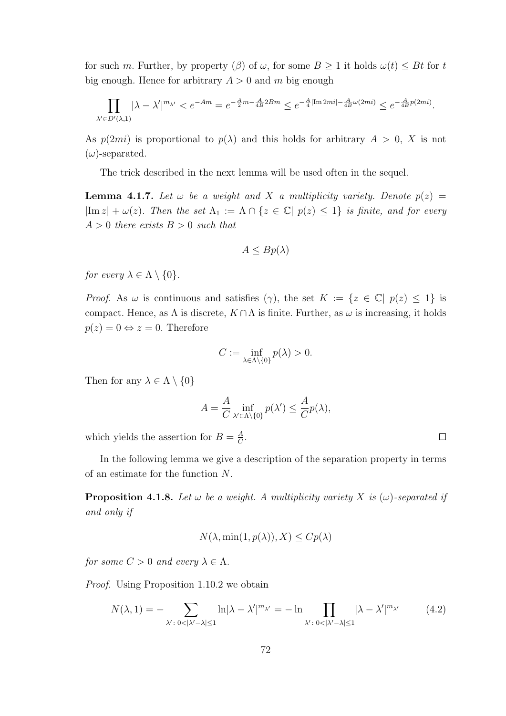for such m. Further, by property ( $\beta$ ) of  $\omega$ , for some  $B \ge 1$  it holds  $\omega(t) \le Bt$  for t big enough. Hence for arbitrary  $A > 0$  and m big enough

$$
\prod_{\lambda' \in D'(\lambda,1)} |\lambda - \lambda'|^{m_{\lambda'}} < e^{-Am} = e^{-\frac{A}{2}m - \frac{A}{4B}2Bm} \le e^{-\frac{A}{4}|\text{Im }2mi| - \frac{A}{4B}\omega(2mi)} \le e^{-\frac{A}{4B}p(2mi)}.
$$

As  $p(2mi)$  is proportional to  $p(\lambda)$  and this holds for arbitrary  $A > 0$ , X is not  $(\omega)$ -separated.

The trick described in the next lemma will be used often in the sequel.

**Lemma 4.1.7.** Let  $\omega$  be a weight and X a multiplicity variety. Denote  $p(z)$  =  $|\text{Im } z| + \omega(z)$ . Then the set  $\Lambda_1 := \Lambda \cap \{z \in \mathbb{C} \mid p(z) \leq 1\}$  is finite, and for every  $A > 0$  there exists  $B > 0$  such that

$$
A \le Bp(\lambda)
$$

for every  $\lambda \in \Lambda \setminus \{0\}.$ 

*Proof.* As  $\omega$  is continuous and satisfies  $(\gamma)$ , the set  $K := \{z \in \mathbb{C} | p(z) \leq 1\}$  is compact. Hence, as  $\Lambda$  is discrete,  $K \cap \Lambda$  is finite. Further, as  $\omega$  is increasing, it holds  $p(z) = 0 \Leftrightarrow z = 0$ . Therefore

$$
C := \inf_{\lambda \in \Lambda \setminus \{0\}} p(\lambda) > 0.
$$

Then for any  $\lambda \in \Lambda \setminus \{0\}$ 

$$
A = \frac{A}{C} \inf_{\lambda' \in \Lambda \backslash \{0\}} p(\lambda') \le \frac{A}{C} p(\lambda),
$$

which yields the assertion for  $B = \frac{A}{C}$  $\frac{A}{C}$ .

In the following lemma we give a description of the separation property in terms of an estimate for the function N.

**Proposition 4.1.8.** Let  $\omega$  be a weight. A multiplicity variety X is  $(\omega)$ -separated if and only if

$$
N(\lambda, \min(1, p(\lambda)), X) \leq C p(\lambda)
$$

for some  $C > 0$  and every  $\lambda \in \Lambda$ .

Proof. Using Proposition 1.10.2 we obtain

$$
N(\lambda, 1) = -\sum_{\lambda' : 0 < |\lambda' - \lambda| \le 1} \ln|\lambda - \lambda'|^{m_{\lambda'}} = -\ln \prod_{\lambda' : 0 < |\lambda' - \lambda| \le 1} |\lambda - \lambda'|^{m_{\lambda'}} \tag{4.2}
$$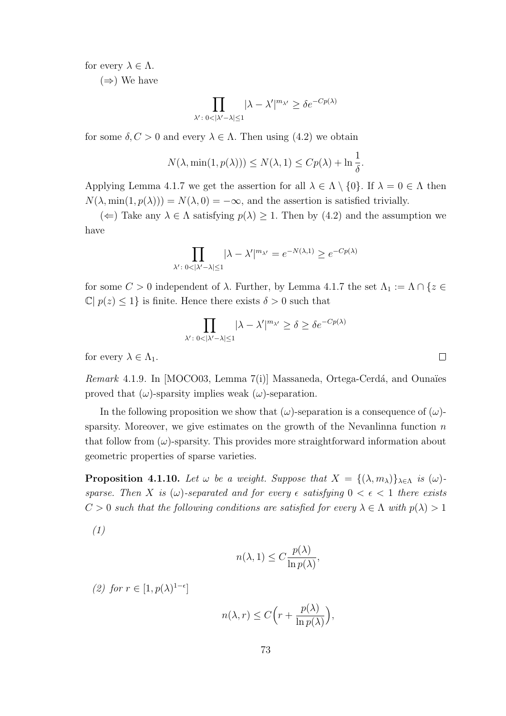for every  $\lambda \in \Lambda$ .

 $(\Rightarrow)$  We have

$$
\prod_{\lambda':\;0<|\lambda'-\lambda|\leq 1} |\lambda-\lambda'|^{m_{\lambda'}} \geq \delta e^{-Cp(\lambda)}
$$

for some  $\delta, C > 0$  and every  $\lambda \in \Lambda$ . Then using (4.2) we obtain

$$
N(\lambda, \min(1, p(\lambda))) \le N(\lambda, 1) \le C p(\lambda) + \ln \frac{1}{\delta}.
$$

Applying Lemma 4.1.7 we get the assertion for all  $\lambda \in \Lambda \setminus \{0\}$ . If  $\lambda = 0 \in \Lambda$  then  $N(\lambda, \min(1, p(\lambda))) = N(\lambda, 0) = -\infty$ , and the assertion is satisfied trivially.

( $\Leftarrow$ ) Take any  $\lambda \in \Lambda$  satisfying  $p(\lambda) \geq 1$ . Then by (4.2) and the assumption we have

$$
\prod_{\lambda' : 0 < |\lambda' - \lambda| \le 1} |\lambda - \lambda'|^{m_{\lambda'}} = e^{-N(\lambda, 1)} \ge e^{-Cp(\lambda)}
$$

for some  $C>0$  independent of  $\lambda.$  Further, by Lemma 4.1.7 the set  $\Lambda_1:=\Lambda\cap\{z\in$  $\mathbb{C}[p(z) \leq 1]$  is finite. Hence there exists  $\delta > 0$  such that

$$
\prod_{\lambda' : 0 < |\lambda' - \lambda| \le 1} |\lambda - \lambda'|^{m_{\lambda'}} \ge \delta \ge \delta e^{-Cp(\lambda)}
$$

for every  $\lambda \in \Lambda_1$ .

 $Remark\ 4.1.9.$  In  $[MOCO03, Lemma 7(i)]$  Massaneda, Ortega-Cerdá, and Ounaïes proved that  $(\omega)$ -sparsity implies weak  $(\omega)$ -separation.

In the following proposition we show that  $(\omega)$ -separation is a consequence of  $(\omega)$ sparsity. Moreover, we give estimates on the growth of the Nevanlinna function  $n$ that follow from  $(\omega)$ -sparsity. This provides more straightforward information about geometric properties of sparse varieties.

**Proposition 4.1.10.** Let  $\omega$  be a weight. Suppose that  $X = \{(\lambda, m_{\lambda})\}_{\lambda \in \Lambda}$  is  $(\omega)$ sparse. Then X is  $(\omega)$ -separated and for every  $\epsilon$  satisfying  $0 < \epsilon < 1$  there exists  $C > 0$  such that the following conditions are satisfied for every  $\lambda \in \Lambda$  with  $p(\lambda) > 1$ 

$$
(1)
$$

$$
n(\lambda, 1) \le C \frac{p(\lambda)}{\ln p(\lambda)},
$$

(2) for  $r \in [1, p(\lambda)^{1-\epsilon}]$ 

$$
n(\lambda, r) \le C \Big( r + \frac{p(\lambda)}{\ln p(\lambda)} \Big),
$$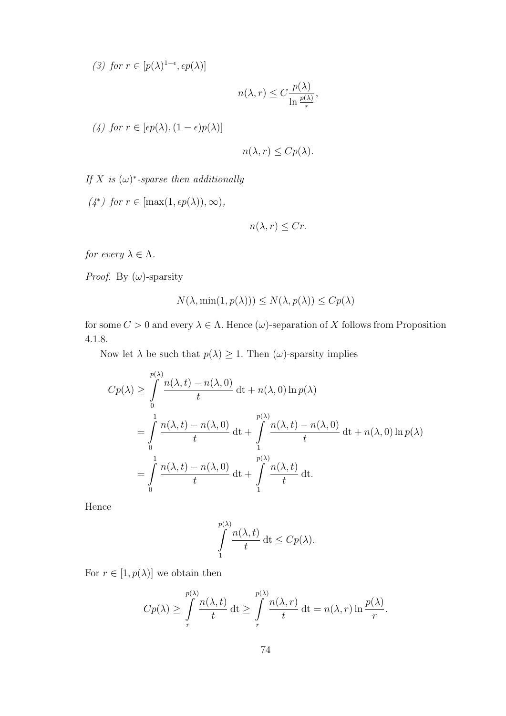(3) for  $r \in [p(\lambda)^{1-\epsilon}, \epsilon p(\lambda)]$ 

$$
n(\lambda, r) \le C \frac{p(\lambda)}{\ln \frac{p(\lambda)}{r}},
$$

(4) for  $r \in [\epsilon p(\lambda), (1-\epsilon)p(\lambda)]$ 

$$
n(\lambda, r) \leq C p(\lambda).
$$

If X is  $(\omega)^*$ -sparse then additionally

 $(4^*)$  for  $r \in [\max(1, \epsilon p(\lambda)), \infty),$ 

$$
n(\lambda, r) \le Cr.
$$

for every  $\lambda \in \Lambda$ .

*Proof.* By  $(\omega)$ -sparsity

$$
N(\lambda, \min(1, p(\lambda))) \le N(\lambda, p(\lambda)) \le C p(\lambda)
$$

for some  $C > 0$  and every  $\lambda \in \Lambda$ . Hence  $(\omega)$ -separation of X follows from Proposition 4.1.8.

Now let  $\lambda$  be such that  $p(\lambda) \geq 1$ . Then  $(\omega)$ -sparsity implies

$$
Cp(\lambda) \ge \int_{0}^{p(\lambda)} \frac{n(\lambda, t) - n(\lambda, 0)}{t} dt + n(\lambda, 0) \ln p(\lambda)
$$
  
= 
$$
\int_{0}^{1} \frac{n(\lambda, t) - n(\lambda, 0)}{t} dt + \int_{1}^{p(\lambda)} \frac{n(\lambda, t) - n(\lambda, 0)}{t} dt + n(\lambda, 0) \ln p(\lambda)
$$
  
= 
$$
\int_{0}^{1} \frac{n(\lambda, t) - n(\lambda, 0)}{t} dt + \int_{1}^{p(\lambda)} \frac{n(\lambda, t)}{t} dt.
$$

Hence

$$
\int_{1}^{p(\lambda)} \frac{n(\lambda, t)}{t} dt \leq C p(\lambda).
$$

For  $r \in [1, p(\lambda)]$  we obtain then

$$
Cp(\lambda) \ge \int\limits_r^{\substack{p(\lambda) \\ r}} \frac{n(\lambda, t)}{t} dt \ge \int\limits_r^{\substack{p(\lambda) \\ r}} \frac{n(\lambda, r)}{t} dt = n(\lambda, r) \ln \frac{p(\lambda)}{r}.
$$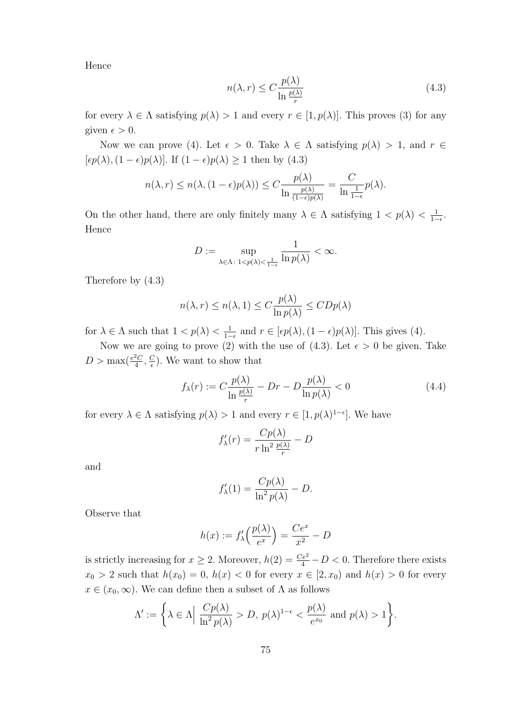Hence

$$
n(\lambda, r) \le C \frac{p(\lambda)}{\ln \frac{p(\lambda)}{r}}
$$
\n(4.3)

for every  $\lambda \in \Lambda$  satisfying  $p(\lambda) > 1$  and every  $r \in [1, p(\lambda)]$ . This proves (3) for any given  $\epsilon > 0$ .

Now we can prove (4). Let  $\epsilon > 0$ . Take  $\lambda \in \Lambda$  satisfying  $p(\lambda) > 1$ , and  $r \in$  $[\epsilon p(\lambda), (1 - \epsilon)p(\lambda)]$ . If  $(1 - \epsilon)p(\lambda) \ge 1$  then by  $(4.3)$ 

$$
n(\lambda, r) \le n(\lambda, (1 - \epsilon)p(\lambda)) \le C \frac{p(\lambda)}{\ln \frac{p(\lambda)}{(1 - \epsilon)p(\lambda)}} = \frac{C}{\ln \frac{1}{1 - \epsilon}} p(\lambda).
$$

On the other hand, there are only finitely many  $\lambda \in \Lambda$  satisfying  $1 < p(\lambda) < \frac{1}{1-p(\lambda)}$  $\frac{1}{1-\epsilon}$ . Hence

$$
D:=\sup_{\lambda\in\Lambda:\ 1
$$

Therefore by (4.3)

$$
n(\lambda, r) \le n(\lambda, 1) \le C \frac{p(\lambda)}{\ln p(\lambda)} \le CDp(\lambda)
$$

for  $\lambda \in \Lambda$  such that  $1 < p(\lambda) < \frac{1}{1-\lambda}$  $\frac{1}{1-\epsilon}$  and  $r \in [\epsilon p(\lambda), (1-\epsilon)p(\lambda)].$  This gives (4).

Now we are going to prove (2) with the use of (4.3). Let  $\epsilon > 0$  be given. Take  $D > \max(\frac{e^2C}{4})$  $\frac{2C}{4}, \frac{C}{\epsilon}$  $\frac{C}{\epsilon}$ ). We want to show that

$$
f_{\lambda}(r) := C \frac{p(\lambda)}{\ln \frac{p(\lambda)}{r}} - Dr - D \frac{p(\lambda)}{\ln p(\lambda)} < 0
$$
\n(4.4)

for every  $\lambda \in \Lambda$  satisfying  $p(\lambda) > 1$  and every  $r \in [1, p(\lambda)^{1-\epsilon}]$ . We have

$$
f'_{\lambda}(r) = \frac{Cp(\lambda)}{r \ln^2 \frac{p(\lambda)}{r}} - D
$$

and

$$
f'_{\lambda}(1) = \frac{Cp(\lambda)}{\ln^2 p(\lambda)} - D.
$$

Observe that

$$
h(x) := f'_{\lambda}\left(\frac{p(\lambda)}{e^x}\right) = \frac{Ce^x}{x^2} - D
$$

is strictly increasing for  $x \ge 2$ . Moreover,  $h(2) = \frac{Ce^2}{4} - D < 0$ . Therefore there exists  $x_0 > 2$  such that  $h(x_0) = 0$ ,  $h(x) < 0$  for every  $x \in [2, x_0)$  and  $h(x) > 0$  for every  $x \in (x_0, \infty)$ . We can define then a subset of  $\Lambda$  as follows

$$
\Lambda' := \left\{ \lambda \in \Lambda \Big| \; \frac{Cp(\lambda)}{\ln^2 p(\lambda)} > D, \; p(\lambda)^{1-\epsilon} < \frac{p(\lambda)}{e^{x_0}} \text{ and } p(\lambda) > 1 \right\}.
$$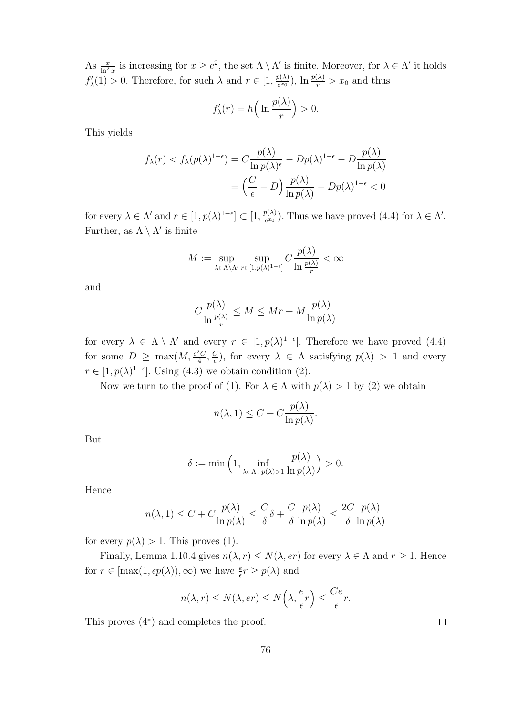As  $\frac{x}{\ln^2 x}$  is increasing for  $x \ge e^2$ , the set  $\Lambda \setminus \Lambda'$  is finite. Moreover, for  $\lambda \in \Lambda'$  it holds  $f'_{\lambda}(1) > 0$ . Therefore, for such  $\lambda$  and  $r \in [1, \frac{p(\lambda)}{e^{x_0}}]$  $\frac{p(\lambda)}{e^{x_0}}$ ),  $\ln \frac{p(\lambda)}{r} > x_0$  and thus

$$
f'_{\lambda}(r) = h\left(\ln \frac{p(\lambda)}{r}\right) > 0.
$$

This yields

$$
f_{\lambda}(r) < f_{\lambda}(p(\lambda)^{1-\epsilon}) = C \frac{p(\lambda)}{\ln p(\lambda)^{\epsilon}} - Dp(\lambda)^{1-\epsilon} - D \frac{p(\lambda)}{\ln p(\lambda)} \\
= \left(\frac{C}{\epsilon} - D\right) \frac{p(\lambda)}{\ln p(\lambda)} - Dp(\lambda)^{1-\epsilon} < 0
$$

for every  $\lambda \in \Lambda'$  and  $r \in [1, p(\lambda)^{1-\epsilon}] \subset [1, \frac{p(\lambda)}{e^{x_0}}]$  $\frac{p(\lambda)}{e^{x_0}}$ ). Thus we have proved (4.4) for  $\lambda \in \Lambda'$ . Further, as  $\Lambda \setminus \Lambda'$  is finite

$$
M:=\sup_{\lambda\in\Lambda\backslash\Lambda'}\sup_{r\in[1,p(\lambda)^{1-\epsilon}]}C\frac{p(\lambda)}{\ln\frac{p(\lambda)}{r}}<\infty
$$

and

$$
C\frac{p(\lambda)}{\ln\frac{p(\lambda)}{r}} \le M \le Mr + M\frac{p(\lambda)}{\ln p(\lambda)}
$$

for every  $\lambda \in \Lambda \setminus \Lambda'$  and every  $r \in [1, p(\lambda)^{1-\epsilon}]$ . Therefore we have proved (4.4) for some  $D \geq \max(M, \frac{e^2 C}{4})$  $\frac{c_2}{4}$ ,  $\frac{C}{\epsilon}$  $(\frac{C}{\epsilon})$ , for every  $\lambda \in \Lambda$  satisfying  $p(\lambda) > 1$  and every  $r \in [1, p(\lambda)^{1-\epsilon}]$ . Using (4.3) we obtain condition (2).

Now we turn to the proof of (1). For  $\lambda \in \Lambda$  with  $p(\lambda) > 1$  by (2) we obtain

$$
n(\lambda, 1) \le C + C \frac{p(\lambda)}{\ln p(\lambda)}.
$$

But

$$
\delta := \min\left(1, \inf_{\lambda \in \Lambda: \ p(\lambda) > 1} \frac{p(\lambda)}{\ln p(\lambda)}\right) > 0.
$$

Hence

$$
n(\lambda, 1) \le C + C \frac{p(\lambda)}{\ln p(\lambda)} \le \frac{C}{\delta} \delta + \frac{C}{\delta} \frac{p(\lambda)}{\ln p(\lambda)} \le \frac{2C}{\delta} \frac{p(\lambda)}{\ln p(\lambda)}
$$

for every  $p(\lambda) > 1$ . This proves (1).

Finally, Lemma 1.10.4 gives  $n(\lambda, r) \leq N(\lambda, er)$  for every  $\lambda \in \Lambda$  and  $r \geq 1$ . Hence for  $r \in [\max(1, \epsilon p(\lambda)), \infty)$  we have  $\frac{e}{\epsilon} r \ge p(\lambda)$  and

$$
n(\lambda, r) \le N(\lambda, er) \le N\left(\lambda, \frac{e}{\epsilon}r\right) \le \frac{Ce}{\epsilon}r.
$$

This proves (4<sup>∗</sup> ) and completes the proof.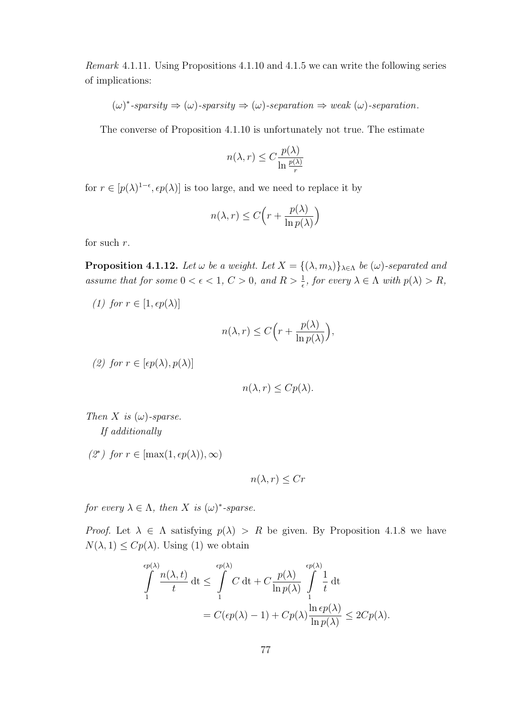Remark 4.1.11. Using Propositions 4.1.10 and 4.1.5 we can write the following series of implications:

$$
(\omega)^*
$$
-sparsity  $\Rightarrow$   $(\omega)$ -sparsity  $\Rightarrow$   $(\omega)$ -separation  $\Rightarrow$  weak  $(\omega)$ -separation.

The converse of Proposition 4.1.10 is unfortunately not true. The estimate

$$
n(\lambda, r) \le C \frac{p(\lambda)}{\ln \frac{p(\lambda)}{r}}
$$

for  $r \in [p(\lambda)^{1-\epsilon}, \epsilon p(\lambda)]$  is too large, and we need to replace it by

$$
n(\lambda, r) \le C \Big( r + \frac{p(\lambda)}{\ln p(\lambda)} \Big)
$$

for such r.

**Proposition 4.1.12.** Let  $\omega$  be a weight. Let  $X = \{(\lambda, m_{\lambda})\}_{\lambda \in \Lambda}$  be  $(\omega)$ -separated and assume that for some  $0 < \epsilon < 1$ ,  $C > 0$ , and  $R > \frac{1}{\epsilon}$ , for every  $\lambda \in \Lambda$  with  $p(\lambda) > R$ ,

(1) for  $r \in [1, \epsilon p(\lambda)]$ 

$$
n(\lambda,r)\leq C\Big(r+\frac{p(\lambda)}{\ln p(\lambda)}\Big),
$$

(2) for  $r \in [\epsilon p(\lambda), p(\lambda)]$ 

$$
n(\lambda, r) \leq C p(\lambda).
$$

Then X is  $(\omega)$ -sparse. If additionally

(2<sup>∗</sup>) for  $r \in [\max(1, \epsilon p(\lambda)), \infty)$ 

$$
n(\lambda, r) \le Cr
$$

for every  $\lambda \in \Lambda$ , then X is  $(\omega)^*$ -sparse.

*Proof.* Let  $\lambda \in \Lambda$  satisfying  $p(\lambda) > R$  be given. By Proposition 4.1.8 we have  $N(\lambda, 1) \leq Cp(\lambda)$ . Using (1) we obtain

$$
\int_{1}^{\epsilon p(\lambda)} \frac{n(\lambda, t)}{t} dt \leq \int_{1}^{\epsilon p(\lambda)} C dt + C \frac{p(\lambda)}{\ln p(\lambda)} \int_{1}^{\epsilon p(\lambda)} \frac{1}{t} dt
$$
  
=  $C(\epsilon p(\lambda) - 1) + C p(\lambda) \frac{\ln \epsilon p(\lambda)}{\ln p(\lambda)} \leq 2C p(\lambda).$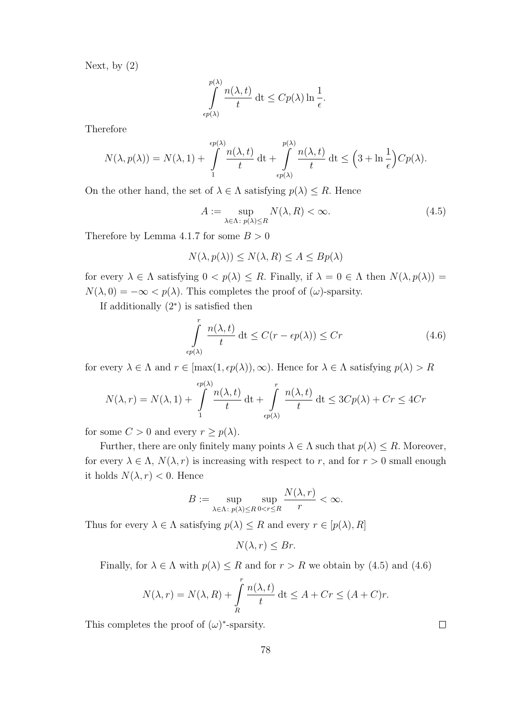Next, by (2)

$$
\int_{\epsilon p(\lambda)}^{p(\lambda)} \frac{n(\lambda, t)}{t} dt \le C p(\lambda) \ln \frac{1}{\epsilon}.
$$

Therefore

$$
N(\lambda, p(\lambda)) = N(\lambda, 1) + \int_{1}^{\epsilon p(\lambda)} \frac{n(\lambda, t)}{t} dt + \int_{\epsilon p(\lambda)}^{p(\lambda)} \frac{n(\lambda, t)}{t} dt \le \left(3 + \ln \frac{1}{\epsilon}\right) C p(\lambda).
$$

On the other hand, the set of  $\lambda \in \Lambda$  satisfying  $p(\lambda) \leq R$ . Hence

$$
A := \sup_{\lambda \in \Lambda: \ p(\lambda) \le R} N(\lambda, R) < \infty. \tag{4.5}
$$

Therefore by Lemma 4.1.7 for some  $B > 0$ 

$$
N(\lambda, p(\lambda)) \le N(\lambda, R) \le A \le Bp(\lambda)
$$

for every  $\lambda \in \Lambda$  satisfying  $0 < p(\lambda) \leq R$ . Finally, if  $\lambda = 0 \in \Lambda$  then  $N(\lambda, p(\lambda)) =$  $N(\lambda, 0) = -\infty < p(\lambda)$ . This completes the proof of  $(\omega)$ -sparsity.

If additionally (2<sup>∗</sup> ) is satisfied then

$$
\int_{\epsilon p(\lambda)}^r \frac{n(\lambda, t)}{t} dt \le C(r - \epsilon p(\lambda)) \le Cr \tag{4.6}
$$

for every  $\lambda \in \Lambda$  and  $r \in [\max(1, \epsilon p(\lambda)), \infty)$ . Hence for  $\lambda \in \Lambda$  satisfying  $p(\lambda) > R$ 

$$
N(\lambda, r) = N(\lambda, 1) + \int_{1}^{\epsilon p(\lambda)} \frac{n(\lambda, t)}{t} dt + \int_{\epsilon p(\lambda)}^{r} \frac{n(\lambda, t)}{t} dt \le 3Cp(\lambda) + Cr \le 4Cr
$$

for some  $C > 0$  and every  $r \geq p(\lambda)$ .

Further, there are only finitely many points  $\lambda \in \Lambda$  such that  $p(\lambda) \leq R$ . Moreover, for every  $\lambda \in \Lambda$ ,  $N(\lambda, r)$  is increasing with respect to r, and for  $r > 0$  small enough it holds  $N(\lambda, r) < 0$ . Hence

$$
B:=\sup_{\lambda\in\Lambda\colon p(\lambda)\leq R}\sup_{0
$$

Thus for every  $\lambda \in \Lambda$  satisfying  $p(\lambda) \leq R$  and every  $r \in [p(\lambda), R]$ 

$$
N(\lambda, r) \leq Br.
$$

Finally, for  $\lambda \in \Lambda$  with  $p(\lambda) \leq R$  and for  $r > R$  we obtain by (4.5) and (4.6)

$$
N(\lambda, r) = N(\lambda, R) + \int\limits_R^r \frac{n(\lambda, t)}{t} dt \le A + Cr \le (A + C)r.
$$

This completes the proof of  $(\omega)$ <sup>\*</sup>-sparsity.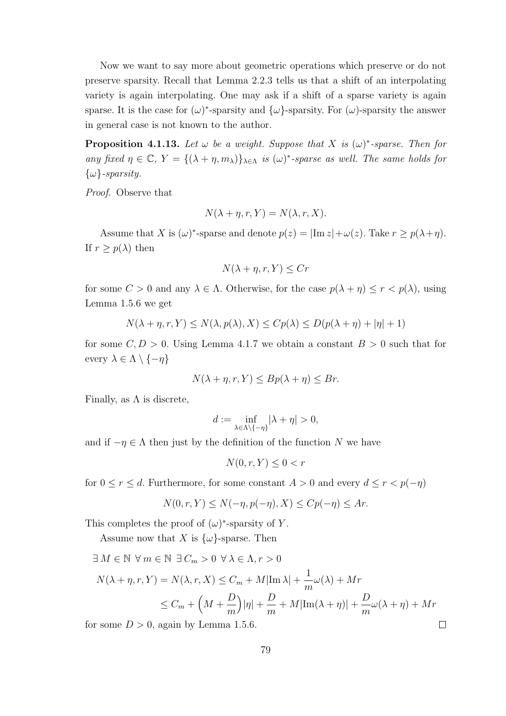Now we want to say more about geometric operations which preserve or do not preserve sparsity. Recall that Lemma 2.2.3 tells us that a shift of an interpolating variety is again interpolating. One may ask if a shift of a sparse variety is again sparse. It is the case for  $(\omega)^*$ -sparsity and  $\{\omega\}$ -sparsity. For  $(\omega)$ -sparsity the answer in general case is not known to the author.

**Proposition 4.1.13.** Let  $\omega$  be a weight. Suppose that X is  $(\omega)^*$ -sparse. Then for any fixed  $\eta \in \mathbb{C}$ ,  $Y = \{(\lambda + \eta, m_\lambda)\}_{\lambda \in \Lambda}$  is  $(\omega)^*$ -sparse as well. The same holds for  $\{\omega\}$ -sparsity.

Proof. Observe that

$$
N(\lambda + \eta, r, Y) = N(\lambda, r, X).
$$

Assume that X is  $(\omega)^*$ -sparse and denote  $p(z) = |\text{Im } z| + \omega(z)$ . Take  $r \ge p(\lambda + \eta)$ . If  $r \geq p(\lambda)$  then

$$
N(\lambda + \eta, r, Y) \le Cr
$$

for some  $C > 0$  and any  $\lambda \in \Lambda$ . Otherwise, for the case  $p(\lambda + \eta) \le r < p(\lambda)$ , using Lemma 1.5.6 we get

$$
N(\lambda + \eta, r, Y) \le N(\lambda, p(\lambda), X) \le C p(\lambda) \le D(p(\lambda + \eta) + |\eta| + 1)
$$

for some  $C, D > 0$ . Using Lemma 4.1.7 we obtain a constant  $B > 0$  such that for every  $\lambda \in \Lambda \setminus \{-\eta\}$ 

$$
N(\lambda + \eta, r, Y) \le Bp(\lambda + \eta) \le Br.
$$

Finally, as  $\Lambda$  is discrete,

$$
d:=\inf_{\lambda\in\Lambda\backslash\{-\eta\}}|\lambda+\eta|>0,
$$

and if  $-\eta \in \Lambda$  then just by the definition of the function N we have

$$
N(0, r, Y) \le 0 < r
$$

for  $0 \le r \le d$ . Furthermore, for some constant  $A > 0$  and every  $d \le r < p(-\eta)$ 

$$
N(0, r, Y) \le N(-\eta, p(-\eta), X) \le C p(-\eta) \le Ar.
$$

This completes the proof of  $(\omega)^*$ -sparsity of Y.

Assume now that X is  $\{\omega\}$ -sparse. Then

$$
\exists M \in \mathbb{N} \ \forall m \in \mathbb{N} \ \exists C_m > 0 \ \forall \lambda \in \Lambda, r > 0
$$

$$
N(\lambda + \eta, r, Y) = N(\lambda, r, X) \le C_m + M|\text{Im }\lambda| + \frac{1}{m}\omega(\lambda) + Mr
$$

$$
\le C_m + \left(M + \frac{D}{m}\right)|\eta| + \frac{D}{m} + M|\text{Im}(\lambda + \eta)| + \frac{D}{m}\omega(\lambda + \eta) + Mr
$$

for some  $D > 0$ , again by Lemma 1.5.6.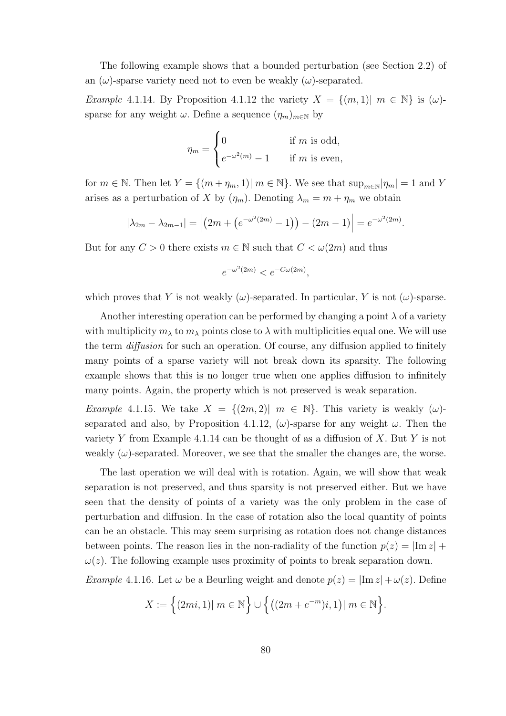The following example shows that a bounded perturbation (see Section 2.2) of an  $(\omega)$ -sparse variety need not to even be weakly  $(\omega)$ -separated.

*Example* 4.1.14. By Proposition 4.1.12 the variety  $X = \{(m, 1) | m \in \mathbb{N}\}\$ is  $(\omega)$ sparse for any weight  $\omega$ . Define a sequence  $(\eta_m)_{m\in\mathbb{N}}$  by

$$
\eta_m = \begin{cases} 0 & \text{if } m \text{ is odd,} \\ e^{-\omega^2(m)} - 1 & \text{if } m \text{ is even,} \end{cases}
$$

for  $m \in \mathbb{N}$ . Then let  $Y = \{(m + \eta_m, 1) | m \in \mathbb{N}\}\)$ . We see that  $\sup_{m \in \mathbb{N}} |\eta_m| = 1$  and Y arises as a perturbation of X by  $(\eta_m)$ . Denoting  $\lambda_m = m + \eta_m$  we obtain

$$
|\lambda_{2m} - \lambda_{2m-1}| = |(2m + (e^{-\omega^2(2m)} - 1)) - (2m - 1)| = e^{-\omega^2(2m)}.
$$

But for any  $C > 0$  there exists  $m \in \mathbb{N}$  such that  $C < \omega(2m)$  and thus

$$
e^{-\omega^2(2m)} < e^{-C\omega(2m)},
$$

which proves that Y is not weakly  $(\omega)$ -separated. In particular, Y is not  $(\omega)$ -sparse.

Another interesting operation can be performed by changing a point  $\lambda$  of a variety with multiplicity  $m_\lambda$  to  $m_\lambda$  points close to  $\lambda$  with multiplicities equal one. We will use the term diffusion for such an operation. Of course, any diffusion applied to finitely many points of a sparse variety will not break down its sparsity. The following example shows that this is no longer true when one applies diffusion to infinitely many points. Again, the property which is not preserved is weak separation.

*Example* 4.1.15. We take  $X = \{(2m, 2) | m \in \mathbb{N}\}\$ . This variety is weakly  $(\omega)$ separated and also, by Proposition 4.1.12,  $(\omega)$ -sparse for any weight  $\omega$ . Then the variety Y from Example 4.1.14 can be thought of as a diffusion of X. But Y is not weakly  $(\omega)$ -separated. Moreover, we see that the smaller the changes are, the worse.

The last operation we will deal with is rotation. Again, we will show that weak separation is not preserved, and thus sparsity is not preserved either. But we have seen that the density of points of a variety was the only problem in the case of perturbation and diffusion. In the case of rotation also the local quantity of points can be an obstacle. This may seem surprising as rotation does not change distances between points. The reason lies in the non-radiality of the function  $p(z) = |\text{Im } z| +$  $\omega(z)$ . The following example uses proximity of points to break separation down.

Example 4.1.16. Let  $\omega$  be a Beurling weight and denote  $p(z) = |Im z| + \omega(z)$ . Define

$$
X := \{(2mi, 1)| m \in \mathbb{N}\} \cup \{( (2m + e^{-m})i, 1) | m \in \mathbb{N}\}.
$$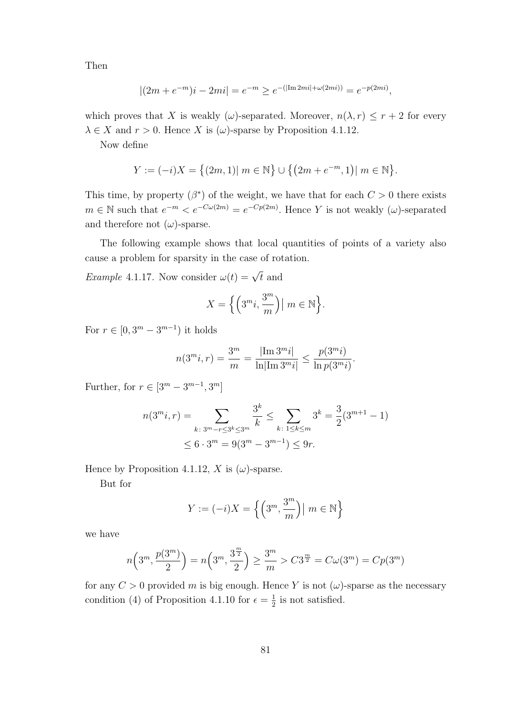Then

$$
|(2m + e^{-m})i - 2mi| = e^{-m} \ge e^{-(|\text{Im } 2mi| + \omega(2mi))} = e^{-p(2mi)},
$$

which proves that X is weakly ( $\omega$ )-separated. Moreover,  $n(\lambda, r) \leq r + 2$  for every  $\lambda \in X$  and  $r > 0$ . Hence X is  $(\omega)$ -sparse by Proposition 4.1.12.

Now define

$$
Y := (-i)X = \{(2m, 1)| m \in \mathbb{N}\} \cup \{(2m + e^{-m}, 1)| m \in \mathbb{N}\}.
$$

This time, by property  $(\beta^*)$  of the weight, we have that for each  $C > 0$  there exists  $m \in \mathbb{N}$  such that  $e^{-m} < e^{-C\omega(2m)} = e^{-Cp(2m)}$ . Hence Y is not weakly  $(\omega)$ -separated and therefore not  $(\omega)$ -sparse.

The following example shows that local quantities of points of a variety also cause a problem for sparsity in the case of rotation.

*Example* 4.1.17. Now consider  $\omega(t) = \sqrt{t}$  and

$$
X = \Big\{ \Big( 3^m i, \frac{3^m}{m} \Big) \big| \ m \in \mathbb{N} \Big\}.
$$

For  $r \in [0, 3^m - 3^{m-1})$  it holds

$$
n(3^m i, r) = \frac{3^m}{m} = \frac{|\text{Im } 3^m i|}{\ln |\text{Im } 3^m i|} \le \frac{p(3^m i)}{\ln p(3^m i)}.
$$

Further, for  $r \in [3^m - 3^{m-1}, 3^m]$ 

$$
n(3^m i, r) = \sum_{k \colon 3^m - r \le 3^k \le 3^m} \frac{3^k}{k} \le \sum_{k \colon 1 \le k \le m} 3^k = \frac{3}{2} (3^{m+1} - 1)
$$
  

$$
\le 6 \cdot 3^m = 9(3^m - 3^{m-1}) \le 9r.
$$

Hence by Proposition 4.1.12, X is  $(\omega)$ -sparse.

But for

$$
Y := (-i)X = \left\{ \left( 3^m, \frac{3^m}{m} \right) \middle| \ m \in \mathbb{N} \right\}
$$

we have

$$
n\left(3^m, \frac{p(3^m)}{2}\right) = n\left(3^m, \frac{3^{\frac{m}{2}}}{2}\right) \ge \frac{3^m}{m} > C3^{\frac{m}{2}} = C\omega(3^m) = Cp(3^m)
$$

for any  $C > 0$  provided m is big enough. Hence Y is not  $(\omega)$ -sparse as the necessary condition (4) of Proposition 4.1.10 for  $\epsilon = \frac{1}{2}$  $\frac{1}{2}$  is not satisfied.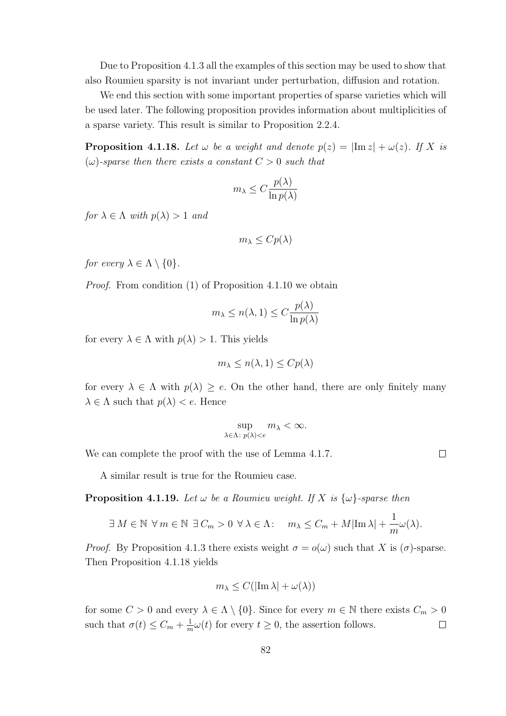Due to Proposition 4.1.3 all the examples of this section may be used to show that also Roumieu sparsity is not invariant under perturbation, diffusion and rotation.

We end this section with some important properties of sparse varieties which will be used later. The following proposition provides information about multiplicities of a sparse variety. This result is similar to Proposition 2.2.4.

**Proposition 4.1.18.** Let  $\omega$  be a weight and denote  $p(z) = |\text{Im } z| + \omega(z)$ . If X is  $(\omega)$ -sparse then there exists a constant  $C > 0$  such that

$$
m_{\lambda} \le C \frac{p(\lambda)}{\ln p(\lambda)}
$$

for  $\lambda \in \Lambda$  with  $p(\lambda) > 1$  and

$$
m_{\lambda} \leq Cp(\lambda)
$$

for every  $\lambda \in \Lambda \setminus \{0\}.$ 

Proof. From condition (1) of Proposition 4.1.10 we obtain

$$
m_{\lambda} \le n(\lambda, 1) \le C \frac{p(\lambda)}{\ln p(\lambda)}
$$

for every  $\lambda \in \Lambda$  with  $p(\lambda) > 1$ . This yields

$$
m_{\lambda} \le n(\lambda, 1) \le C p(\lambda)
$$

for every  $\lambda \in \Lambda$  with  $p(\lambda) \geq e$ . On the other hand, there are only finitely many  $\lambda \in \Lambda$  such that  $p(\lambda) < e$ . Hence

$$
\sup_{\lambda \in \Lambda \colon p(\lambda) < e} m_{\lambda} < \infty.
$$

We can complete the proof with the use of Lemma 4.1.7.

A similar result is true for the Roumieu case.

**Proposition 4.1.19.** Let  $\omega$  be a Roumieu weight. If X is  $\{\omega\}$ -sparse then

$$
\exists M \in \mathbb{N} \ \forall m \in \mathbb{N} \ \exists C_m > 0 \ \forall \lambda \in \Lambda: \quad m_{\lambda} \leq C_m + M |\text{Im }\lambda| + \frac{1}{m} \omega(\lambda).
$$

*Proof.* By Proposition 4.1.3 there exists weight  $\sigma = o(\omega)$  such that X is  $(\sigma)$ -sparse. Then Proposition 4.1.18 yields

$$
m_{\lambda} \le C(|\mathrm{Im}\,\lambda| + \omega(\lambda))
$$

for some  $C > 0$  and every  $\lambda \in \Lambda \setminus \{0\}$ . Since for every  $m \in \mathbb{N}$  there exists  $C_m > 0$ such that  $\sigma(t) \leq C_m + \frac{1}{m}$  $\frac{1}{m}\omega(t)$  for every  $t \geq 0$ , the assertion follows.  $\Box$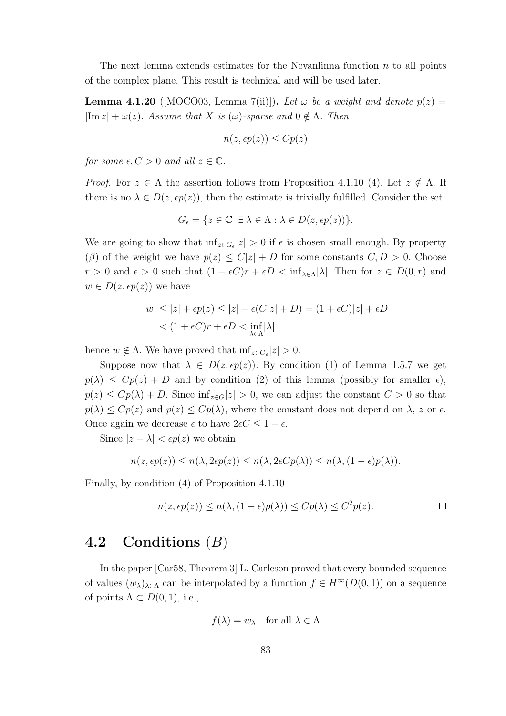The next lemma extends estimates for the Nevanlinna function  $n$  to all points of the complex plane. This result is technical and will be used later.

**Lemma 4.1.20** ([MOCO03, Lemma 7(ii)]). Let  $\omega$  be a weight and denote  $p(z)$  =  $|\text{Im } z| + \omega(z)$ . Assume that X is  $(\omega)$ -sparse and  $0 \notin \Lambda$ . Then

$$
n(z, \epsilon p(z)) \leq C p(z)
$$

for some  $\epsilon, C > 0$  and all  $z \in \mathbb{C}$ .

*Proof.* For  $z \in \Lambda$  the assertion follows from Proposition 4.1.10 (4). Let  $z \notin \Lambda$ . If there is no  $\lambda \in D(z, \epsilon p(z))$ , then the estimate is trivially fulfilled. Consider the set

$$
G_{\epsilon} = \{ z \in \mathbb{C} | \exists \lambda \in \Lambda : \lambda \in D(z, \epsilon p(z)) \}.
$$

We are going to show that  $\inf_{z \in G_{\epsilon}} |z| > 0$  if  $\epsilon$  is chosen small enough. By property  $(\beta)$  of the weight we have  $p(z) \leq C|z| + D$  for some constants  $C, D > 0$ . Choose  $r > 0$  and  $\epsilon > 0$  such that  $(1 + \epsilon C)r + \epsilon D < \inf_{\lambda \in \Lambda} |\lambda|$ . Then for  $z \in D(0, r)$  and  $w \in D(z, \epsilon p(z))$  we have

$$
|w| \le |z| + \epsilon p(z) \le |z| + \epsilon (C|z| + D) = (1 + \epsilon C)|z| + \epsilon D
$$
  
< 
$$
< (1 + \epsilon C)r + \epsilon D < \inf_{\lambda \in \Lambda} |\lambda|
$$

hence  $w \notin \Lambda$ . We have proved that  $\inf_{z \in G_{\epsilon}} |z| > 0$ .

Suppose now that  $\lambda \in D(z, \epsilon p(z))$ . By condition (1) of Lemma 1.5.7 we get  $p(\lambda) \leq Cp(z) + D$  and by condition (2) of this lemma (possibly for smaller  $\epsilon$ ),  $p(z) \leq Cp(\lambda) + D$ . Since  $\inf_{z \in G} |z| > 0$ , we can adjust the constant  $C > 0$  so that  $p(\lambda) \leq Cp(z)$  and  $p(z) \leq Cp(\lambda)$ , where the constant does not depend on  $\lambda$ , z or  $\epsilon$ . Once again we decrease  $\epsilon$  to have  $2\epsilon C \leq 1 - \epsilon$ .

Since  $|z - \lambda| < \epsilon p(z)$  we obtain

$$
n(z, \epsilon p(z)) \le n(\lambda, 2\epsilon p(z)) \le n(\lambda, 2\epsilon C p(\lambda)) \le n(\lambda, (1 - \epsilon)p(\lambda)).
$$

Finally, by condition (4) of Proposition 4.1.10

$$
n(z, \epsilon p(z)) \le n(\lambda, (1 - \epsilon)p(\lambda)) \le C p(\lambda) \le C^2 p(z).
$$

### 4.2 Conditions  $(B)$

In the paper [Car58, Theorem 3] L. Carleson proved that every bounded sequence of values  $(w_{\lambda})_{\lambda \in \Lambda}$  can be interpolated by a function  $f \in H^{\infty}(D(0, 1))$  on a sequence of points  $\Lambda \subset D(0,1)$ , i.e.,

$$
f(\lambda) = w_{\lambda} \quad \text{for all } \lambda \in \Lambda
$$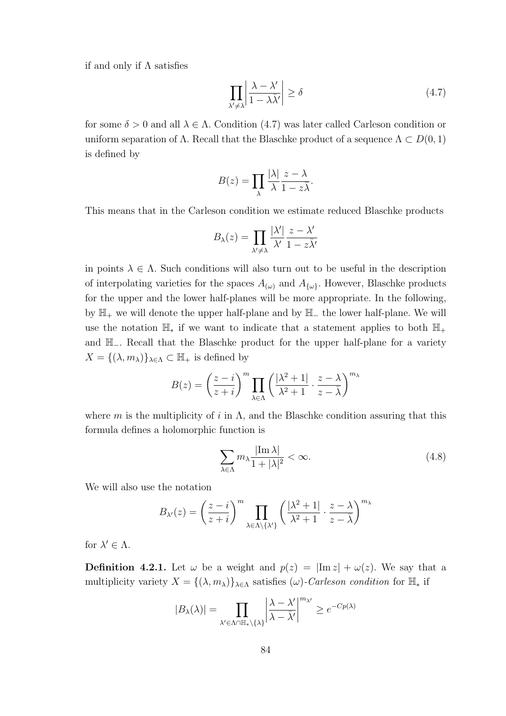if and only if  $\Lambda$  satisfies

$$
\prod_{\lambda' \neq \lambda} \left| \frac{\lambda - \lambda'}{1 - \lambda \bar{\lambda}'} \right| \ge \delta \tag{4.7}
$$

for some  $\delta > 0$  and all  $\lambda \in \Lambda$ . Condition (4.7) was later called Carleson condition or uniform separation of  $\Lambda$ . Recall that the Blaschke product of a sequence  $\Lambda \subset D(0,1)$ is defined by

$$
B(z) = \prod_{\lambda} \frac{|\lambda|}{\lambda} \frac{z - \lambda}{1 - z\overline{\lambda}}.
$$

This means that in the Carleson condition we estimate reduced Blaschke products

$$
B_{\lambda}(z) = \prod_{\lambda' \neq \lambda} \frac{|\lambda'|}{\lambda'} \frac{z - \lambda'}{1 - z\overline{\lambda'}}
$$

in points  $\lambda \in \Lambda$ . Such conditions will also turn out to be useful in the description of interpolating varieties for the spaces  $A_{(\omega)}$  and  $A_{\{\omega\}}$ . However, Blaschke products for the upper and the lower half-planes will be more appropriate. In the following, by H<sup>+</sup> we will denote the upper half-plane and by H<sup>−</sup> the lower half-plane. We will use the notation  $\mathbb{H}_{*}$  if we want to indicate that a statement applies to both  $\mathbb{H}_{+}$ and H−. Recall that the Blaschke product for the upper half-plane for a variety  $X = \{(\lambda, m_{\lambda})\}_{\lambda \in \Lambda} \subset \mathbb{H}_{+}$  is defined by

$$
B(z) = \left(\frac{z-i}{z+i}\right)^m \prod_{\lambda \in \Lambda} \left(\frac{|\lambda^2 + 1|}{\lambda^2 + 1} \cdot \frac{z - \lambda}{z - \overline{\lambda}}\right)^{m_{\lambda}}
$$

where m is the multiplicity of i in  $\Lambda$ , and the Blaschke condition assuring that this formula defines a holomorphic function is

$$
\sum_{\lambda \in \Lambda} m_{\lambda} \frac{|\text{Im } \lambda|}{1 + |\lambda|^2} < \infty. \tag{4.8}
$$

We will also use the notation

$$
B_{\lambda'}(z) = \left(\frac{z-i}{z+i}\right)^m \prod_{\lambda \in \Lambda \setminus \{\lambda'\}} \left(\frac{|\lambda^2+1|}{\lambda^2+1} \cdot \frac{z-\lambda}{z-\overline{\lambda}}\right)^{m_{\lambda}}
$$

for  $\lambda' \in \Lambda$ .

**Definition 4.2.1.** Let  $\omega$  be a weight and  $p(z) = |\text{Im } z| + \omega(z)$ . We say that a multiplicity variety  $X = \{(\lambda, m_\lambda)\}_{\lambda \in \Lambda}$  satisfies  $(\omega)$ -Carleson condition for  $\mathbb{H}_*$  if

$$
|B_{\lambda}(\lambda)| = \prod_{\lambda' \in \Lambda \cap \mathbb{H}_*\backslash \{\lambda\}} \left| \frac{\lambda - \lambda'}{\lambda - \bar{\lambda}'} \right|^{m_{\lambda'}} \ge e^{-Cp(\lambda)}
$$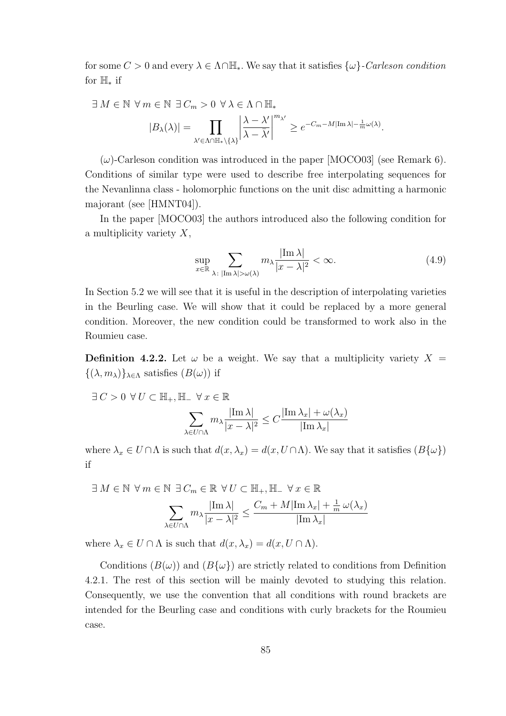for some  $C > 0$  and every  $\lambda \in \Lambda \cap \mathbb{H}_*$ . We say that it satisfies  $\{\omega\}$ -Carleson condition for H<sup>∗</sup> if

$$
\exists M \in \mathbb{N} \ \forall m \in \mathbb{N} \ \exists C_m > 0 \ \forall \lambda \in \Lambda \cap \mathbb{H}_*
$$

$$
|B_{\lambda}(\lambda)| = \prod_{\lambda' \in \Lambda \cap \mathbb{H}_*\backslash\{\lambda\}} \left| \frac{\lambda - \lambda'}{\lambda - \bar{\lambda}'} \right|^{m_{\lambda'}} \ge e^{-C_m - M |\text{Im }\lambda| - \frac{1}{m}\omega(\lambda)}.
$$

 $(\omega)$ -Carleson condition was introduced in the paper [MOCO03] (see Remark 6). Conditions of similar type were used to describe free interpolating sequences for the Nevanlinna class - holomorphic functions on the unit disc admitting a harmonic majorant (see [HMNT04]).

In the paper [MOCO03] the authors introduced also the following condition for a multiplicity variety  $X$ ,

$$
\sup_{x \in \mathbb{R}} \sum_{\lambda \colon |\text{Im }\lambda| > \omega(\lambda)} m_{\lambda} \frac{|\text{Im }\lambda|}{|x - \lambda|^2} < \infty. \tag{4.9}
$$

In Section 5.2 we will see that it is useful in the description of interpolating varieties in the Beurling case. We will show that it could be replaced by a more general condition. Moreover, the new condition could be transformed to work also in the Roumieu case.

**Definition 4.2.2.** Let  $\omega$  be a weight. We say that a multiplicity variety  $X =$  $\{(\lambda, m_{\lambda})\}_{\lambda \in \Lambda}$  satisfies  $(B(\omega))$  if

 $\exists C > 0 \ \forall U \subset \mathbb{H}_+, \mathbb{H}_- \ \forall x \in \mathbb{R}$ 

$$
\sum_{\lambda \in U \cap \Lambda} m_{\lambda} \frac{|\operatorname{Im} \lambda|}{|x - \lambda|^2} \le C \frac{|\operatorname{Im} \lambda_x| + \omega(\lambda_x)}{|\operatorname{Im} \lambda_x|}
$$

where  $\lambda_x \in U \cap \Lambda$  is such that  $d(x, \lambda_x) = d(x, U \cap \Lambda)$ . We say that it satisfies  $(B\{\omega\})$ if

$$
\exists M \in \mathbb{N} \ \forall m \in \mathbb{N} \ \exists \ C_m \in \mathbb{R} \ \forall U \subset \mathbb{H}_+, \mathbb{H}_- \ \forall x \in \mathbb{R}
$$
\n
$$
\sum_{\lambda \in U \cap \Lambda} m_{\lambda} \frac{|\text{Im }\lambda|}{|x - \lambda|^2} \le \frac{C_m + M|\text{Im }\lambda_x| + \frac{1}{m} \omega(\lambda_x)}{|\text{Im }\lambda_x|}
$$

where  $\lambda_x \in U \cap \Lambda$  is such that  $d(x, \lambda_x) = d(x, U \cap \Lambda)$ .

Conditions  $(B(\omega))$  and  $(B{\{\omega\}})$  are strictly related to conditions from Definition 4.2.1. The rest of this section will be mainly devoted to studying this relation. Consequently, we use the convention that all conditions with round brackets are intended for the Beurling case and conditions with curly brackets for the Roumieu case.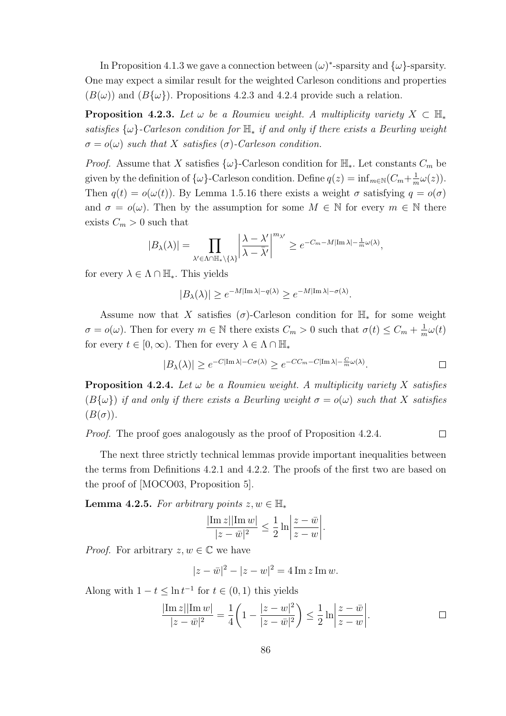In Proposition 4.1.3 we gave a connection between  $(\omega)^*$ -sparsity and  $\{\omega\}$ -sparsity. One may expect a similar result for the weighted Carleson conditions and properties  $(B(\omega))$  and  $(B{\{\omega\}})$ . Propositions 4.2.3 and 4.2.4 provide such a relation.

**Proposition 4.2.3.** Let  $\omega$  be a Roumieu weight. A multiplicity variety  $X \subset \mathbb{H}_{*}$ satisfies  $\{\omega\}$ -Carleson condition for  $\mathbb{H}_*$  if and only if there exists a Beurling weight  $\sigma = o(\omega)$  such that X satisfies ( $\sigma$ )-Carleson condition.

*Proof.* Assume that X satisfies  $\{\omega\}$ -Carleson condition for  $\mathbb{H}_*$ . Let constants  $C_m$  be given by the definition of  $\{\omega\}$ -Carleson condition. Define  $q(z) = \inf_{m \in \mathbb{N}} (C_m + \frac{1}{n})$  $\frac{1}{m}\omega(z)).$ Then  $q(t) = o(\omega(t))$ . By Lemma 1.5.16 there exists a weight  $\sigma$  satisfying  $q = o(\sigma)$ and  $\sigma = o(\omega)$ . Then by the assumption for some  $M \in \mathbb{N}$  for every  $m \in \mathbb{N}$  there exists  $C_m > 0$  such that

$$
|B_\lambda(\lambda)| = \prod_{\lambda' \in \Lambda \cap \mathbb{H}_* \backslash \{\lambda\}} \left| \frac{\lambda - \lambda'}{\lambda - \bar{\lambda}'} \right|^{m_{\lambda'}} \ge e^{-C_m - M |\text{Im }\lambda| - \frac{1}{m}\omega(\lambda)},
$$

for every  $\lambda \in \Lambda \cap \mathbb{H}_*$ . This yields

$$
|B_{\lambda}(\lambda)| \ge e^{-M|\text{Im }\lambda| - q(\lambda)} \ge e^{-M|\text{Im }\lambda| - \sigma(\lambda)}.
$$

Assume now that X satisfies ( $\sigma$ )-Carleson condition for  $\mathbb{H}_{*}$  for some weight  $\sigma = o(\omega)$ . Then for every  $m \in \mathbb{N}$  there exists  $C_m > 0$  such that  $\sigma(t) \leq C_m + \frac{1}{n}$  $\frac{1}{m}\omega(t)$ for every  $t \in [0, \infty)$ . Then for every  $\lambda \in \Lambda \cap \mathbb{H}_*$ 

$$
|B_{\lambda}(\lambda)| \ge e^{-C|\text{Im }\lambda| - C\sigma(\lambda)} \ge e^{-CC_m - C|\text{Im }\lambda| - \frac{C}{m}\omega(\lambda)}.
$$

**Proposition 4.2.4.** Let  $\omega$  be a Roumieu weight. A multiplicity variety X satisfies  $(B\{\omega\})$  if and only if there exists a Beurling weight  $\sigma = o(\omega)$  such that X satisfies  $(B(\sigma))$ .

Proof. The proof goes analogously as the proof of Proposition 4.2.4.  $\Box$ 

The next three strictly technical lemmas provide important inequalities between the terms from Definitions 4.2.1 and 4.2.2. The proofs of the first two are based on the proof of [MOCO03, Proposition 5].

Lemma 4.2.5. For arbitrary points  $z, w \in \mathbb{H}_*$ 

$$
\frac{|\operatorname{Im} z||\operatorname{Im} w|}{|z - \bar{w}|^2} \le \frac{1}{2} \ln \left| \frac{z - \bar{w}}{z - w} \right|.
$$

*Proof.* For arbitrary  $z, w \in \mathbb{C}$  we have

$$
|z - \bar{w}|^2 - |z - w|^2 = 4 \operatorname{Im} z \operatorname{Im} w.
$$

Along with  $1-t \leq \ln t^{-1}$  for  $t \in (0,1)$  this yields

$$
\frac{|\text{Im } z||\text{Im } w|}{|z - \bar{w}|^2} = \frac{1}{4} \left( 1 - \frac{|z - w|^2}{|z - \bar{w}|^2} \right) \le \frac{1}{2} \ln \left| \frac{z - \bar{w}}{z - w} \right|.
$$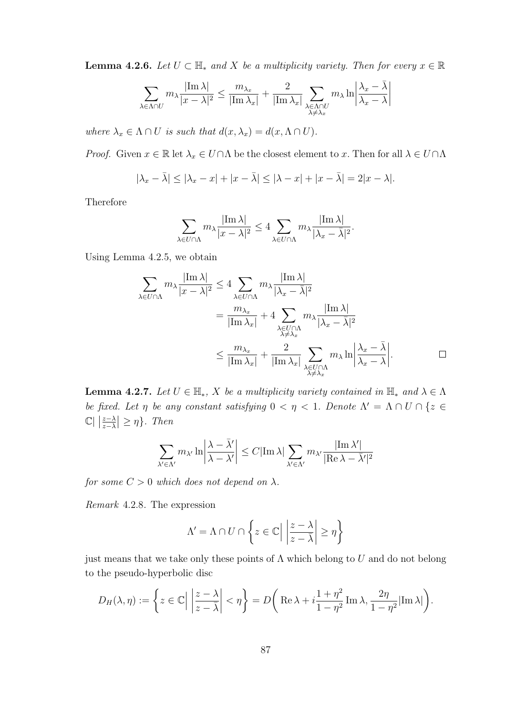**Lemma 4.2.6.** Let  $U \subset \mathbb{H}$  and X be a multiplicity variety. Then for every  $x \in \mathbb{R}$ 

$$
\sum_{\lambda \in \Lambda \cap U} m_\lambda \frac{|\mathrm{Im}\, \lambda|}{|x - \lambda|^2} \le \frac{m_{\lambda_x}}{|\mathrm{Im}\, \lambda_x|} + \frac{2}{|\mathrm{Im}\, \lambda_x|} \sum_{\substack{\lambda \in \Lambda \cap U \\ \lambda \ne \lambda_x}} m_\lambda \ln \biggl|\frac{\lambda_x - \bar{\lambda}}{\lambda_x - \lambda}\biggr|
$$

where  $\lambda_x \in \Lambda \cap U$  is such that  $d(x, \lambda_x) = d(x, \Lambda \cap U)$ .

*Proof.* Given  $x \in \mathbb{R}$  let  $\lambda_x \in U \cap \Lambda$  be the closest element to x. Then for all  $\lambda \in U \cap \Lambda$ 

$$
|\lambda_x - \bar{\lambda}| \le |\lambda_x - x| + |x - \bar{\lambda}| \le |\lambda - x| + |x - \bar{\lambda}| = 2|x - \lambda|.
$$

Therefore

$$
\sum_{\lambda \in U \cap \Lambda} m_{\lambda} \frac{|\operatorname{Im} \lambda|}{|x - \lambda|^2} \le 4 \sum_{\lambda \in U \cap \Lambda} m_{\lambda} \frac{|\operatorname{Im} \lambda|}{|\lambda_x - \bar{\lambda}|^2}.
$$

Using Lemma 4.2.5, we obtain

$$
\sum_{\lambda \in U \cap \Lambda} m_{\lambda} \frac{|\text{Im }\lambda|}{|x - \lambda|^2} \le 4 \sum_{\lambda \in U \cap \Lambda} m_{\lambda} \frac{|\text{Im }\lambda|}{|\lambda_x - \bar{\lambda}|^2}
$$
  
= 
$$
\frac{m_{\lambda_x}}{|\text{Im }\lambda_x|} + 4 \sum_{\substack{\lambda \in U \cap \Lambda \\ \lambda \ne \lambda_x}} m_{\lambda} \frac{|\text{Im }\lambda|}{|\lambda_x - \bar{\lambda}|^2}
$$
  

$$
\le \frac{m_{\lambda_x}}{|\text{Im }\lambda_x|} + \frac{2}{|\text{Im }\lambda_x|} \sum_{\substack{\lambda \in U \cap \Lambda \\ \lambda \ne \lambda_x}} m_{\lambda} \ln \left| \frac{\lambda_x - \bar{\lambda}}{\lambda_x - \lambda} \right|.
$$

**Lemma 4.2.7.** Let  $U \in \mathbb{H}_*$ , X be a multiplicity variety contained in  $\mathbb{H}_*$  and  $\lambda \in \Lambda$ be fixed. Let  $\eta$  be any constant satisfying  $0 < \eta < 1$ . Denote  $\Lambda' = \Lambda \cap U \cap \{z \in$  $\mathbb{C} \left| \left| \frac{z - \lambda}{z - \lambda} \right| \geq \eta \right\}$ . Then

$$
\sum_{\lambda' \in \Lambda'} m_{\lambda'} \ln \left| \frac{\lambda - \bar{\lambda}'}{\lambda - \lambda'} \right| \leq C |\mathrm{Im} \, \lambda| \sum_{\lambda' \in \Lambda'} m_{\lambda'} \frac{| \mathrm{Im} \, \lambda'|}{| \mathrm{Re} \, \lambda - \bar{\lambda}' |^2}
$$

for some  $C > 0$  which does not depend on  $\lambda$ .

Remark 4.2.8. The expression

$$
\Lambda' = \Lambda \cap U \cap \left\{ z \in \mathbb{C} \Big| \left| \frac{z - \lambda}{z - \overline{\lambda}} \right| \ge \eta \right\}
$$

just means that we take only these points of  $\Lambda$  which belong to U and do not belong to the pseudo-hyperbolic disc

$$
D_H(\lambda, \eta) := \left\{ z \in \mathbb{C} \Big| \left| \frac{z - \lambda}{z - \overline{\lambda}} \right| < \eta \right\} = D \left( \text{Re } \lambda + i \frac{1 + \eta^2}{1 - \eta^2} \text{Im } \lambda, \frac{2\eta}{1 - \eta^2} |\text{Im } \lambda| \right).
$$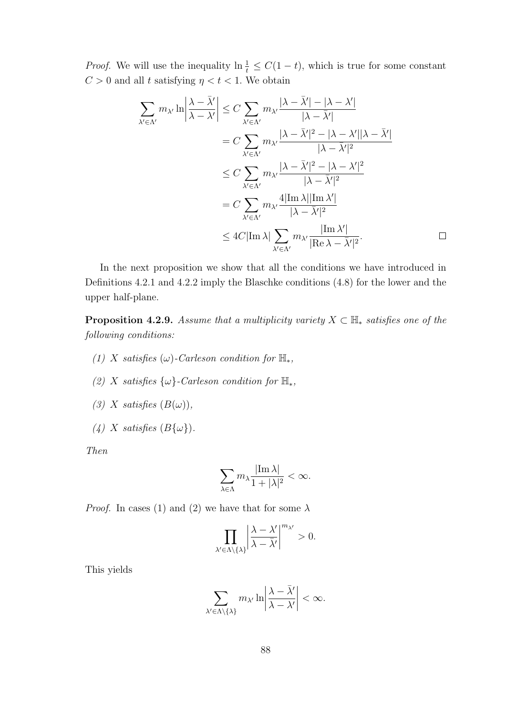*Proof.* We will use the inequality  $\ln \frac{1}{t} \leq C(1-t)$ , which is true for some constant  $C > 0$  and all t satisfying  $\eta < t < 1$ . We obtain

$$
\sum_{\lambda' \in \Lambda'} m_{\lambda'} \ln \left| \frac{\lambda - \bar{\lambda}'}{\lambda - \lambda'} \right| \leq C \sum_{\lambda' \in \Lambda'} m_{\lambda'} \frac{|\lambda - \bar{\lambda}'| - |\lambda - \lambda'|}{|\lambda - \bar{\lambda}'|} \n= C \sum_{\lambda' \in \Lambda'} m_{\lambda'} \frac{|\lambda - \bar{\lambda}'|^2 - |\lambda - \lambda'||\lambda - \bar{\lambda}'|}{|\lambda - \bar{\lambda}'|^2} \n\leq C \sum_{\lambda' \in \Lambda'} m_{\lambda'} \frac{|\lambda - \bar{\lambda}'|^2 - |\lambda - \lambda'|^2}{|\lambda - \bar{\lambda}'|^2} \n= C \sum_{\lambda' \in \Lambda'} m_{\lambda'} \frac{4|\text{Im }\lambda||\text{Im }\lambda'|}{|\lambda - \bar{\lambda}'|^2} \n\leq 4C|\text{Im }\lambda| \sum_{\lambda' \in \Lambda'} m_{\lambda'} \frac{|\text{Im }\lambda'|}{|\text{Re }\lambda - \bar{\lambda}'|^2}.
$$

In the next proposition we show that all the conditions we have introduced in Definitions 4.2.1 and 4.2.2 imply the Blaschke conditions (4.8) for the lower and the upper half-plane.

**Proposition 4.2.9.** Assume that a multiplicity variety  $X \subset \mathbb{H}_{*}$  satisfies one of the following conditions:

- (1) X satisfies (ω)-Carleson condition for  $\mathbb{H}_{*}$ ,
- (2) X satisfies  $\{\omega\}$ -Carleson condition for  $\mathbb{H}_*$ ,
- (3) X satisfies  $(B(\omega))$ ,
- (4) X satisfies  $(B\{\omega\})$ .

Then

$$
\sum_{\lambda \in \Lambda} m_{\lambda} \frac{|\text{Im }\lambda|}{1 + |\lambda|^2} < \infty.
$$

*Proof.* In cases (1) and (2) we have that for some  $\lambda$ 

$$
\prod_{\lambda' \in \Lambda \setminus \{\lambda\}} \left| \frac{\lambda - \lambda'}{\lambda - \bar{\lambda}'} \right|^{m_{\lambda'}} > 0.
$$

This yields

$$
\sum_{\lambda' \in \Lambda \setminus \{\lambda\}} m_{\lambda'} \ln \left| \frac{\lambda - \bar{\lambda}'}{\lambda - \lambda'} \right| < \infty.
$$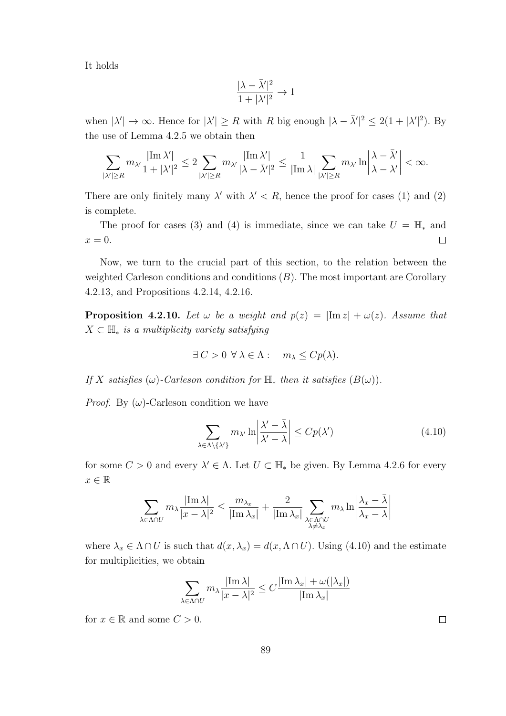It holds

$$
\frac{|\lambda-\bar\lambda'|^2}{1+|\lambda'|^2}\to 1
$$

when  $|\lambda'| \to \infty$ . Hence for  $|\lambda'| \ge R$  with R big enough  $|\lambda - \overline{\lambda'}|^2 \le 2(1 + |\lambda'|^2)$ . By the use of Lemma 4.2.5 we obtain then

$$
\sum_{|\lambda'| \geq R} m_{\lambda'} \frac{|\mathrm{Im}\, \lambda'|}{1+|\lambda'|^2} \leq 2 \sum_{|\lambda'| \geq R} m_{\lambda'} \frac{|\mathrm{Im}\, \lambda'|}{|\lambda - \bar \lambda'|^2} \leq \frac{1}{|\mathrm{Im}\, \lambda|} \sum_{|\lambda'| \geq R} m_{\lambda'} \ln \left|\frac{\lambda - \bar \lambda'}{\lambda - \lambda'}\right| < \infty.
$$

There are only finitely many  $\lambda'$  with  $\lambda' < R$ , hence the proof for cases (1) and (2) is complete.

The proof for cases (3) and (4) is immediate, since we can take  $U = \mathbb{H}_{*}$  and  $x=0.$  $\Box$ 

Now, we turn to the crucial part of this section, to the relation between the weighted Carleson conditions and conditions  $(B)$ . The most important are Corollary 4.2.13, and Propositions 4.2.14, 4.2.16.

**Proposition 4.2.10.** Let  $\omega$  be a weight and  $p(z) = |\text{Im } z| + \omega(z)$ . Assume that  $X \subset \mathbb{H}_{*}$  is a multiplicity variety satisfying

$$
\exists C > 0 \ \forall \lambda \in \Lambda : \quad m_{\lambda} \leq Cp(\lambda).
$$

If X satisfies  $(\omega)$ -Carleson condition for  $\mathbb{H}_{*}$  then it satisfies  $(B(\omega))$ .

*Proof.* By  $(\omega)$ -Carleson condition we have

$$
\sum_{\lambda \in \Lambda \setminus \{\lambda'\}} m_{\lambda'} \ln \left| \frac{\lambda' - \bar{\lambda}}{\lambda' - \lambda} \right| \le C p(\lambda')
$$
\n(4.10)

for some  $C > 0$  and every  $\lambda' \in \Lambda$ . Let  $U \subset \mathbb{H}_{*}$  be given. By Lemma 4.2.6 for every  $x \in \mathbb{R}$ 

$$
\sum_{\lambda \in \Lambda \cap U} m_\lambda \frac{|\mathrm{Im}\, \lambda|}{|x - \lambda|^2} \leq \frac{m_{\lambda_x}}{|\mathrm{Im}\, \lambda_x|} + \frac{2}{|\mathrm{Im}\, \lambda_x|} \sum_{\substack{\lambda \in \Lambda \cap U \\ \lambda \neq \lambda_x}} m_\lambda \ln \left|\frac{\lambda_x - \bar{\lambda}}{\lambda_x - \lambda}\right|
$$

where  $\lambda_x \in \Lambda \cap U$  is such that  $d(x, \lambda_x) = d(x, \Lambda \cap U)$ . Using (4.10) and the estimate for multiplicities, we obtain

$$
\sum_{\lambda \in \Lambda \cap U} m_{\lambda} \frac{|\text{Im }\lambda|}{|x - \lambda|^2} \le C \frac{|\text{Im }\lambda_x| + \omega(|\lambda_x|)}{|\text{Im }\lambda_x|}
$$

for  $x \in \mathbb{R}$  and some  $C > 0$ .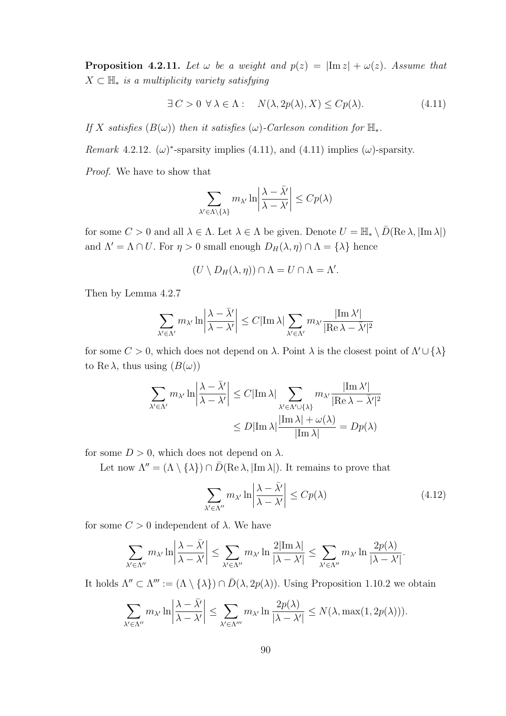**Proposition 4.2.11.** Let  $\omega$  be a weight and  $p(z) = |\text{Im } z| + \omega(z)$ . Assume that  $X \subset \mathbb{H}$ <sub>\*</sub> is a multiplicity variety satisfying

$$
\exists C > 0 \,\,\forall \,\lambda \in \Lambda: \quad N(\lambda, 2p(\lambda), X) \leq Cp(\lambda). \tag{4.11}
$$

If X satisfies  $(B(\omega))$  then it satisfies  $(\omega)$ -Carleson condition for  $\mathbb{H}_*$ .

Remark 4.2.12. ( $\omega$ )\*-sparsity implies (4.11), and (4.11) implies ( $\omega$ )-sparsity.

Proof. We have to show that

$$
\sum_{\lambda' \in \Lambda \setminus \{\lambda\}} m_{\lambda'} \ln \left| \frac{\lambda - \bar{\lambda'}}{\lambda - \lambda'} \right| \le C p(\lambda)
$$

for some  $C > 0$  and all  $\lambda \in \Lambda$ . Let  $\lambda \in \Lambda$  be given. Denote  $U = \mathbb{H}_* \setminus \overline{D}(\text{Re }\lambda, |\text{Im }\lambda|)$ and  $\Lambda' = \Lambda \cap U$ . For  $\eta > 0$  small enough  $D_H(\lambda, \eta) \cap \Lambda = {\lambda}$  hence

$$
(U \setminus D_H(\lambda, \eta)) \cap \Lambda = U \cap \Lambda = \Lambda'.
$$

Then by Lemma 4.2.7

$$
\sum_{\lambda' \in \Lambda'} m_{\lambda'} \ln \left| \frac{\lambda - \bar{\lambda}'}{\lambda - \lambda'} \right| \leq C |\mathrm{Im} \, \lambda| \sum_{\lambda' \in \Lambda'} m_{\lambda'} \frac{| \mathrm{Im} \, \lambda'|}{| \mathrm{Re} \, \lambda - \bar{\lambda}' |^2}
$$

for some  $C > 0$ , which does not depend on  $\lambda$ . Point  $\lambda$  is the closest point of  $\Lambda' \cup \{\lambda\}$ to Re  $\lambda$ , thus using  $(B(\omega))$ 

$$
\sum_{\lambda' \in \Lambda'} m_{\lambda'} \ln \left| \frac{\lambda - \bar{\lambda}'}{\lambda - \lambda'} \right| \le C |\text{Im }\lambda| \sum_{\lambda' \in \Lambda' \cup \{\lambda\}} m_{\lambda'} \frac{|\text{Im }\lambda'|}{|\text{Re }\lambda - \bar{\lambda}'|^2}
$$

$$
\le D |\text{Im }\lambda| \frac{|\text{Im }\lambda| + \omega(\lambda)}{|\text{Im }\lambda|} = Dp(\lambda)
$$

for some  $D > 0$ , which does not depend on  $\lambda$ .

Let now  $\Lambda'' = (\Lambda \setminus {\{\lambda\}}) \cap \overline{D}(\text{Re }\lambda, |\text{Im }\lambda|)$ . It remains to prove that

$$
\sum_{\lambda' \in \Lambda''} m_{\lambda'} \ln \left| \frac{\lambda - \bar{\lambda}'}{\lambda - \lambda'} \right| \le C p(\lambda)
$$
\n(4.12)

for some  $C > 0$  independent of  $\lambda$ . We have

$$
\sum_{\lambda' \in \Lambda''} m_{\lambda'} \ln \left| \frac{\lambda - \bar{\lambda'}}{\lambda - \lambda'} \right| \leq \sum_{\lambda' \in \Lambda''} m_{\lambda'} \ln \frac{2|\mathrm{Im}\,\lambda|}{|\lambda - \lambda'|} \leq \sum_{\lambda' \in \Lambda''} m_{\lambda'} \ln \frac{2p(\lambda)}{|\lambda - \lambda'|}.
$$

It holds  $\Lambda'' \subset \Lambda''' := (\Lambda \setminus {\{\lambda\}}) \cap \overline{D}(\lambda, 2p(\lambda))$ . Using Proposition 1.10.2 we obtain

$$
\sum_{\lambda' \in \Lambda''} m_{\lambda'} \ln \left| \frac{\lambda - \bar{\lambda'}}{\lambda - \lambda'} \right| \le \sum_{\lambda' \in \Lambda'''} m_{\lambda'} \ln \frac{2p(\lambda)}{|\lambda - \lambda'|} \le N(\lambda, \max(1, 2p(\lambda))).
$$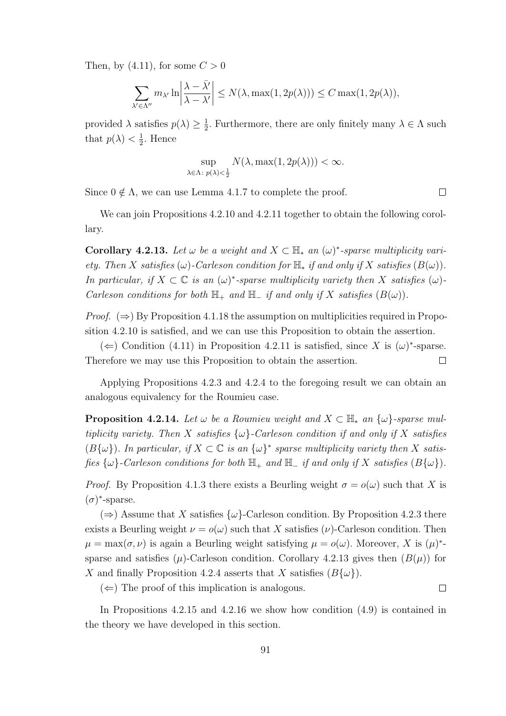Then, by (4.11), for some  $C > 0$ 

$$
\sum_{\lambda' \in \Lambda''} m_{\lambda'} \ln \left| \frac{\lambda - \bar{\lambda'}}{\lambda - \lambda'} \right| \le N(\lambda, \max(1, 2p(\lambda))) \le C \max(1, 2p(\lambda)),
$$

provided  $\lambda$  satisfies  $p(\lambda) \geq \frac{1}{2}$  $\frac{1}{2}$ . Furthermore, there are only finitely many  $\lambda \in \Lambda$  such that  $p(\lambda) < \frac{1}{2}$  $\frac{1}{2}$ . Hence

$$
\sup_{\lambda \in \Lambda: \ p(\lambda) < \frac{1}{2}} N(\lambda, \max(1, 2p(\lambda))) < \infty.
$$

Since  $0 \notin \Lambda$ , we can use Lemma 4.1.7 to complete the proof.

We can join Propositions 4.2.10 and 4.2.11 together to obtain the following corollary.

Corollary 4.2.13. Let  $\omega$  be a weight and  $X \subset \mathbb{H}_*$  an  $(\omega)^*$ -sparse multiplicity variety. Then X satisfies (ω)-Carleson condition for  $\mathbb{H}_*$  if and only if X satisfies  $(B(\omega))$ . In particular, if  $X \subset \mathbb{C}$  is an  $(\omega)^*$ -sparse multiplicity variety then X satisfies  $(\omega)$ -Carleson conditions for both  $\mathbb{H}_+$  and  $\mathbb{H}_-$  if and only if X satisfies  $(B(\omega))$ .

*Proof.*  $(\Rightarrow)$  By Proposition 4.1.18 the assumption on multiplicities required in Proposition 4.2.10 is satisfied, and we can use this Proposition to obtain the assertion.

(←) Condition (4.11) in Proposition 4.2.11 is satisfied, since X is  $(\omega)^*$ -sparse. Therefore we may use this Proposition to obtain the assertion.  $\Box$ 

Applying Propositions 4.2.3 and 4.2.4 to the foregoing result we can obtain an analogous equivalency for the Roumieu case.

**Proposition 4.2.14.** Let  $\omega$  be a Roumieu weight and  $X \subset \mathbb{H}_*$  an  $\{\omega\}$ -sparse multiplicity variety. Then X satisfies  $\{\omega\}$ -Carleson condition if and only if X satisfies  $(B\{\omega\})$ . In particular, if  $X \subset \mathbb{C}$  is an  $\{\omega\}^*$  sparse multiplicity variety then X satisfies  $\{\omega\}$ -Carleson conditions for both  $\mathbb{H}_+$  and  $\mathbb{H}_-$  if and only if X satisfies  $(B\{\omega\})$ .

*Proof.* By Proposition 4.1.3 there exists a Beurling weight  $\sigma = o(\omega)$  such that X is  $(\sigma)^*$ -sparse.

 $(\Rightarrow)$  Assume that X satisfies  $\{\omega\}$ -Carleson condition. By Proposition 4.2.3 there exists a Beurling weight  $\nu = o(\omega)$  such that X satisfies ( $\nu$ )-Carleson condition. Then  $\mu = \max(\sigma, \nu)$  is again a Beurling weight satisfying  $\mu = o(\omega)$ . Moreover, X is  $(\mu)^*$ sparse and satisfies  $(\mu)$ -Carleson condition. Corollary 4.2.13 gives then  $(B(\mu))$  for X and finally Proposition 4.2.4 asserts that X satisfies  $(B\{\omega\})$ .

 $(\Leftarrow)$  The proof of this implication is analogous.

 $\Box$ 

In Propositions 4.2.15 and 4.2.16 we show how condition (4.9) is contained in the theory we have developed in this section.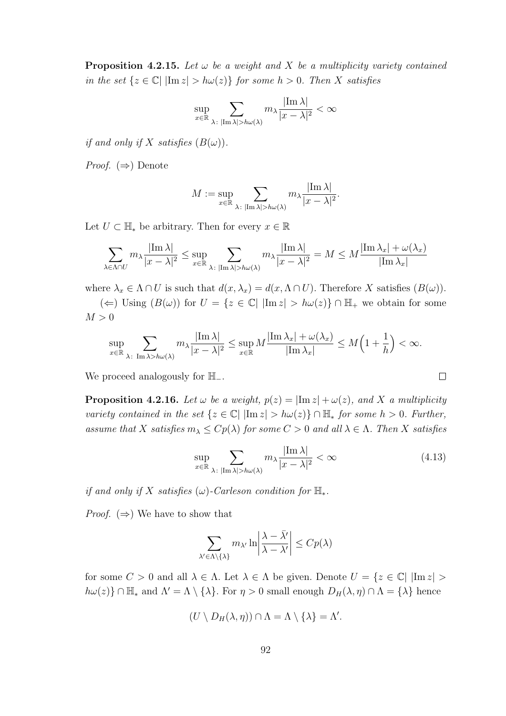**Proposition 4.2.15.** Let  $\omega$  be a weight and X be a multiplicity variety contained in the set  $\{z \in \mathbb{C} | \ |\text{Im } z| > h\omega(z)\}\)$  for some  $h > 0$ . Then X satisfies

$$
\sup_{x \in \mathbb{R}} \sum_{\lambda \colon |\text{Im }\lambda| > h\omega(\lambda)} m_{\lambda} \frac{|\text{Im }\lambda|}{|x - \lambda|^2} < \infty
$$

if and only if X satisfies  $(B(\omega))$ .

*Proof.*  $(\Rightarrow)$  Denote

$$
M:=\sup_{x\in\mathbb{R}}\sum_{\lambda\colon |\mathrm{Im}\,\lambda|>h\omega(\lambda)}m_\lambda\frac{|\mathrm{Im}\,\lambda|}{|x-\lambda|^2}.
$$

Let  $U \subset \mathbb{H}_{*}$  be arbitrary. Then for every  $x \in \mathbb{R}$ 

$$
\sum_{\lambda \in \Lambda \cap U} m_{\lambda} \frac{|\mathrm{Im}\,\lambda|}{|x - \lambda|^2} \leq \sup_{x \in \mathbb{R}} \sum_{\lambda : |\mathrm{Im}\,\lambda| > h\omega(\lambda)} m_{\lambda} \frac{|\mathrm{Im}\,\lambda|}{|x - \lambda|^2} = M \leq M \frac{|\mathrm{Im}\,\lambda_x| + \omega(\lambda_x)}{|\mathrm{Im}\,\lambda_x|}
$$

where  $\lambda_x \in \Lambda \cap U$  is such that  $d(x, \lambda_x) = d(x, \Lambda \cap U)$ . Therefore X satisfies  $(B(\omega))$ .

(←) Using  $(B(\omega))$  for  $U = \{z \in \mathbb{C} | \ |\text{Im } z| > h\omega(z)\}\cap \mathbb{H}_+$  we obtain for some  $M > 0$ 

$$
\sup_{x\in\mathbb{R}}\sum_{\lambda\colon \text{Im }\lambda>h\omega(\lambda)}m_\lambda\frac{|\text{Im }\lambda|}{|x-\lambda|^2}\leq \sup_{x\in\mathbb{R}}M\frac{|\text{Im }\lambda_x|+\omega(\lambda_x)}{|\text{Im }\lambda_x|}\leq M\Big(1+\frac{1}{h}\Big)<\infty.
$$

We proceed analogously for  $\mathbb{H}_-$ .

**Proposition 4.2.16.** Let  $\omega$  be a weight,  $p(z) = |\text{Im } z| + \omega(z)$ , and X a multiplicity variety contained in the set  $\{z \in \mathbb{C} \mid |\text{Im } z| > h\omega(z)\} \cap \mathbb{H}_{*}$  for some  $h > 0$ . Further, assume that X satisfies  $m_{\lambda} \leq Cp(\lambda)$  for some  $C > 0$  and all  $\lambda \in \Lambda$ . Then X satisfies

$$
\sup_{x \in \mathbb{R}} \sum_{\lambda \colon |\text{Im }\lambda| > h\omega(\lambda)} m_{\lambda} \frac{|\text{Im }\lambda|}{|x - \lambda|^2} < \infty \tag{4.13}
$$

 $\Box$ 

if and only if X satisfies  $(\omega)$ -Carleson condition for  $\mathbb{H}_*$ .

*Proof.* ( $\Rightarrow$ ) We have to show that

$$
\sum_{\lambda' \in \Lambda \setminus \{\lambda\}} m_{\lambda'} \ln \left| \frac{\lambda - \bar{\lambda'}}{\lambda - \lambda'} \right| \le C p(\lambda)
$$

for some  $C > 0$  and all  $\lambda \in \Lambda$ . Let  $\lambda \in \Lambda$  be given. Denote  $U = \{z \in \mathbb{C} | \ |\text{Im } z| > \}$  $h\omega(z)$   $\cap$  H<sub>\*</sub> and  $\Lambda' = \Lambda \setminus {\lambda}$ . For  $\eta > 0$  small enough  $D_H(\lambda, \eta) \cap \Lambda = {\lambda}$  hence

$$
(U \setminus D_H(\lambda, \eta)) \cap \Lambda = \Lambda \setminus \{\lambda\} = \Lambda'.
$$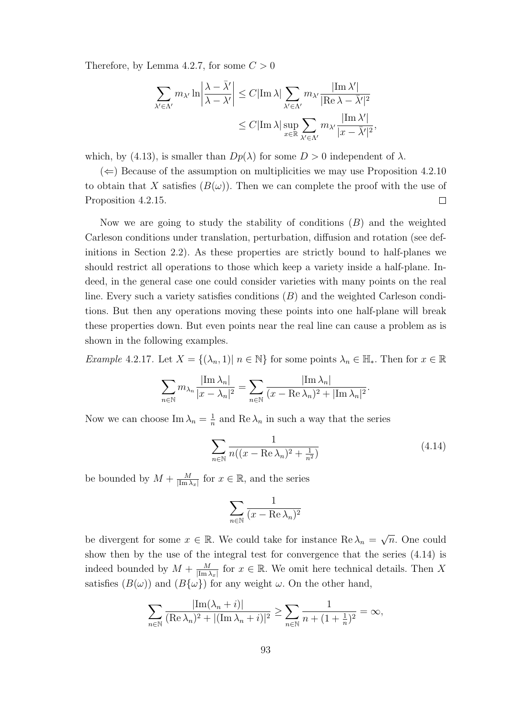Therefore, by Lemma 4.2.7, for some  $C > 0$ 

$$
\sum_{\lambda' \in \Lambda'} m_{\lambda'} \ln \left| \frac{\lambda - \bar{\lambda}'}{\lambda - \lambda'} \right| \leq C |\text{Im }\lambda| \sum_{\lambda' \in \Lambda'} m_{\lambda'} \frac{|\text{Im }\lambda'|}{|\text{Re }\lambda - \bar{\lambda}'|^2}
$$
  

$$
\leq C |\text{Im }\lambda| \sup_{x \in \mathbb{R}} \sum_{\lambda' \in \Lambda'} m_{\lambda'} \frac{|\text{Im }\lambda'|}{|x - \bar{\lambda}'|^2},
$$

which, by (4.13), is smaller than  $Dp(\lambda)$  for some  $D > 0$  independent of  $\lambda$ .

 $(\Leftarrow)$  Because of the assumption on multiplicities we may use Proposition 4.2.10 to obtain that X satisfies  $(B(\omega))$ . Then we can complete the proof with the use of Proposition 4.2.15.  $\Box$ 

Now we are going to study the stability of conditions  $(B)$  and the weighted Carleson conditions under translation, perturbation, diffusion and rotation (see definitions in Section 2.2). As these properties are strictly bound to half-planes we should restrict all operations to those which keep a variety inside a half-plane. Indeed, in the general case one could consider varieties with many points on the real line. Every such a variety satisfies conditions  $(B)$  and the weighted Carleson conditions. But then any operations moving these points into one half-plane will break these properties down. But even points near the real line can cause a problem as is shown in the following examples.

Example 4.2.17. Let  $X = \{(\lambda_n, 1) | n \in \mathbb{N}\}\)$  for some points  $\lambda_n \in \mathbb{H}_*$ . Then for  $x \in \mathbb{R}$ 

$$
\sum_{n\in\mathbb{N}} m_{\lambda_n} \frac{|\operatorname{Im}\lambda_n|}{|x-\lambda_n|^2} = \sum_{n\in\mathbb{N}} \frac{|\operatorname{Im}\lambda_n|}{(x-\operatorname{Re}\lambda_n)^2 + |\operatorname{Im}\lambda_n|^2}.
$$

Now we can choose  $\text{Im }\lambda_n = \frac{1}{n}$  $\frac{1}{n}$  and Re  $\lambda_n$  in such a way that the series

$$
\sum_{n \in \mathbb{N}} \frac{1}{n((x - \operatorname{Re} \lambda_n)^2 + \frac{1}{n^2})}
$$
(4.14)

be bounded by  $M + \frac{M}{\text{Im} \Sigma}$  $\frac{M}{|\text{Im }\lambda_x|}$  for  $x \in \mathbb{R}$ , and the series

$$
\sum_{n \in \mathbb{N}} \frac{1}{(x - \text{Re }\lambda_n)^2}
$$

be divergent for some  $x \in \mathbb{R}$ . We could take for instance  $\text{Re }\lambda_n = \sqrt{\frac{(\lambda_n + \lambda_n)^2}{n}}$  $\overline{n}$ . One could show then by the use of the integral test for convergence that the series (4.14) is indeed bounded by  $M + \frac{M}{\text{Im }\Omega}$  $\frac{M}{|\text{Im }\lambda_x|}$  for  $x \in \mathbb{R}$ . We omit here technical details. Then X satisfies  $(B(\omega))$  and  $(B{\omega})$  for any weight  $\omega$ . On the other hand,

$$
\sum_{n \in \mathbb{N}} \frac{|\text{Im}(\lambda_n + i)|}{(\text{Re }\lambda_n)^2 + |(\text{Im }\lambda_n + i)|^2} \ge \sum_{n \in \mathbb{N}} \frac{1}{n + (1 + \frac{1}{n})^2} = \infty,
$$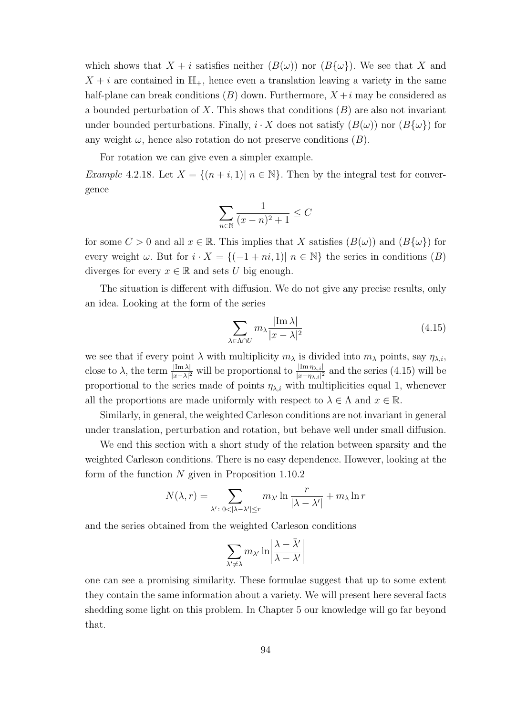which shows that  $X + i$  satisfies neither  $(B(\omega))$  nor  $(B{\omega})$ . We see that X and  $X + i$  are contained in  $\mathbb{H}_{+}$ , hence even a translation leaving a variety in the same half-plane can break conditions  $(B)$  down. Furthermore,  $X + i$  may be considered as a bounded perturbation of X. This shows that conditions  $(B)$  are also not invariant under bounded perturbations. Finally,  $i \cdot X$  does not satisfy  $(B(\omega))$  nor  $(B\{\omega\})$  for any weight  $\omega$ , hence also rotation do not preserve conditions  $(B)$ .

For rotation we can give even a simpler example.

Example 4.2.18. Let  $X = \{(n+i, 1) | n \in \mathbb{N}\}\.$  Then by the integral test for convergence

$$
\sum_{n \in \mathbb{N}} \frac{1}{(x-n)^2 + 1} \le C
$$

for some  $C > 0$  and all  $x \in \mathbb{R}$ . This implies that X satisfies  $(B(\omega))$  and  $(B\{\omega\})$  for every weight  $\omega$ . But for  $i \cdot X = \{(-1 + ni, 1) | n \in \mathbb{N}\}\$  the series in conditions  $(B)$ diverges for every  $x \in \mathbb{R}$  and sets U big enough.

The situation is different with diffusion. We do not give any precise results, only an idea. Looking at the form of the series

$$
\sum_{\lambda \in \Lambda \cap U} m_{\lambda} \frac{|\text{Im } \lambda|}{|x - \lambda|^2} \tag{4.15}
$$

we see that if every point  $\lambda$  with multiplicity  $m_\lambda$  is divided into  $m_\lambda$  points, say  $\eta_{\lambda,i}$ , close to  $\lambda$ , the term  $\frac{|\text{Im }\lambda|}{|x-\lambda|^2}$  will be proportional to  $\frac{|\text{Im }\eta_{\lambda,i}|}{|x-\eta_{\lambda,i}|^2}$  and the series (4.15) will be proportional to the series made of points  $\eta_{\lambda,i}$  with multiplicities equal 1, whenever all the proportions are made uniformly with respect to  $\lambda \in \Lambda$  and  $x \in \mathbb{R}$ .

Similarly, in general, the weighted Carleson conditions are not invariant in general under translation, perturbation and rotation, but behave well under small diffusion.

We end this section with a short study of the relation between sparsity and the weighted Carleson conditions. There is no easy dependence. However, looking at the form of the function  $N$  given in Proposition 1.10.2

$$
N(\lambda, r) = \sum_{\lambda': 0 < |\lambda - \lambda'| \le r} m_{\lambda'} \ln \frac{r}{|\lambda - \lambda'|} + m_{\lambda} \ln r
$$

and the series obtained from the weighted Carleson conditions

$$
\sum_{\lambda'\neq \lambda} m_{\lambda'}\ln\biggl|\frac{\lambda-\bar\lambda'}{\lambda-\lambda'}\biggr|
$$

one can see a promising similarity. These formulae suggest that up to some extent they contain the same information about a variety. We will present here several facts shedding some light on this problem. In Chapter 5 our knowledge will go far beyond that.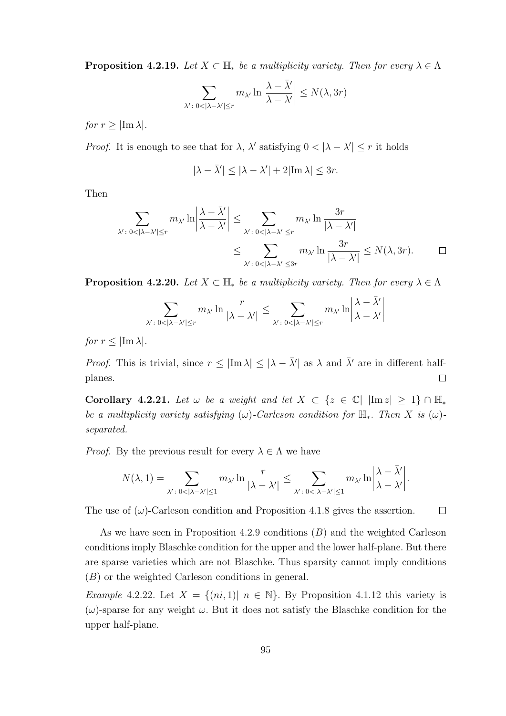**Proposition 4.2.19.** Let  $X \subset \mathbb{H}$  be a multiplicity variety. Then for every  $\lambda \in \Lambda$ 

$$
\sum_{\lambda' : 0 < |\lambda - \lambda'| \le r} m_{\lambda'} \ln \left| \frac{\lambda - \bar{\lambda}'}{\lambda - \lambda'} \right| \le N(\lambda, 3r)
$$

for  $r \geq |\text{Im }\lambda|$ .

*Proof.* It is enough to see that for  $\lambda$ ,  $\lambda'$  satisfying  $0 < |\lambda - \lambda'| \leq r$  it holds

$$
|\lambda-\bar\lambda'|\leq |\lambda-\lambda'|+2|{\rm Im}\,\lambda|\leq 3r.
$$

Then

$$
\sum_{\substack{\lambda': 0<|\lambda-\lambda'|\le r}} m_{\lambda'} \ln \left| \frac{\lambda - \bar{\lambda}'}{\lambda - \lambda'} \right| \le \sum_{\substack{\lambda': 0<|\lambda-\lambda'|\le r}} m_{\lambda'} \ln \frac{3r}{|\lambda - \lambda'|} \le \sum_{\substack{\lambda': 0<|\lambda-\lambda'|\le 3r}} m_{\lambda'} \ln \frac{3r}{|\lambda - \lambda'|} \le N(\lambda, 3r). \qquad \Box
$$

 $\sim$   $\sim$ 

**Proposition 4.2.20.** Let  $X \subset \mathbb{H}$  be a multiplicity variety. Then for every  $\lambda \in \Lambda$ 

$$
\sum_{\lambda':\; 0<|\lambda-\lambda'|\leq r} m_{\lambda'}\ln \frac{r}{|\lambda-\lambda'|}\leq \sum_{\lambda':\; 0<|\lambda-\lambda'|\leq r} m_{\lambda'}\ln \left|\frac{\lambda-\bar{\lambda}'}{\lambda-\lambda'}\right|
$$

for  $r < |\text{Im }\lambda|$ .

*Proof.* This is trivial, since  $r \leq |\text{Im }\lambda| \leq |\lambda - \overline{\lambda}'|$  as  $\lambda$  and  $\overline{\lambda}'$  are in different halfplanes.  $\Box$ 

Corollary 4.2.21. Let  $\omega$  be a weight and let  $X \subset \{z \in \mathbb{C} | |\text{Im } z| \geq 1\} \cap \mathbb{H}_{*}$ be a multiplicity variety satisfying  $(\omega)$ -Carleson condition for  $\mathbb{H}_*$ . Then X is  $(\omega)$ separated.

*Proof.* By the previous result for every  $\lambda \in \Lambda$  we have

$$
N(\lambda,1)=\sum_{\lambda':\;0<|\lambda-\lambda'|\leq 1}m_{\lambda'}\ln\frac{r}{|\lambda-\lambda'|}\leq \sum_{\lambda':\;0<|\lambda-\lambda'|\leq 1}m_{\lambda'}\ln\bigg|\frac{\lambda-\bar{\lambda}'}{\lambda-\lambda'}\bigg|.
$$

The use of  $(\omega)$ -Carleson condition and Proposition 4.1.8 gives the assertion.  $\Box$ 

As we have seen in Proposition 4.2.9 conditions (B) and the weighted Carleson conditions imply Blaschke condition for the upper and the lower half-plane. But there are sparse varieties which are not Blaschke. Thus sparsity cannot imply conditions (B) or the weighted Carleson conditions in general.

Example 4.2.22. Let  $X = \{(ni, 1) | n \in \mathbb{N}\}\$ . By Proposition 4.1.12 this variety is  $(\omega)$ -sparse for any weight  $\omega$ . But it does not satisfy the Blaschke condition for the upper half-plane.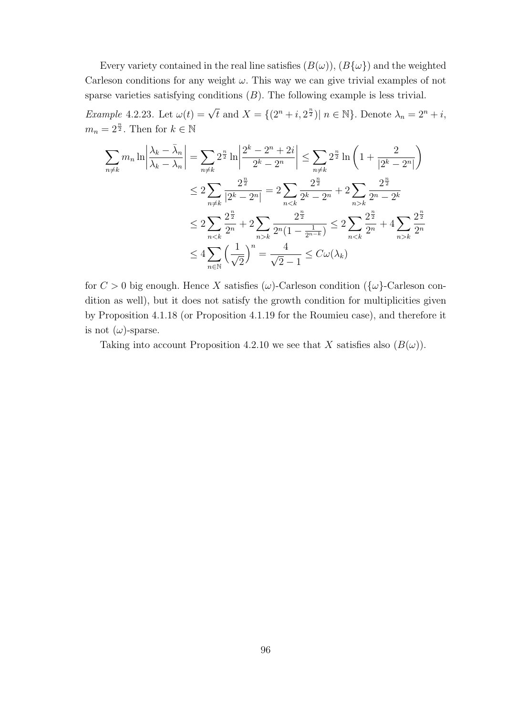Every variety contained in the real line satisfies  $(B(\omega)), (B{\{\omega\}})$  and the weighted Carleson conditions for any weight  $\omega$ . This way we can give trivial examples of not sparse varieties satisfying conditions  $(B)$ . The following example is less trivial.

*Example 4.2.23.* Let  $\omega(t) = \sqrt{t}$  and  $X = \{(2^n + i, 2^{\frac{n}{2}}) | n \in \mathbb{N}\}\)$ . Denote  $\lambda_n = 2^n + i$ ,  $m_n = 2^{\frac{n}{2}}$ . Then for  $k \in \mathbb{N}$ 

$$
\sum_{n \neq k} m_n \ln \left| \frac{\lambda_k - \bar{\lambda}_n}{\lambda_k - \lambda_n} \right| = \sum_{n \neq k} 2^{\frac{n}{2}} \ln \left| \frac{2^k - 2^n + 2i}{2^k - 2^n} \right| \le \sum_{n \neq k} 2^{\frac{n}{2}} \ln \left( 1 + \frac{2}{|2^k - 2^n|} \right)
$$
  
\n
$$
\le 2 \sum_{n \neq k} \frac{2^{\frac{n}{2}}}{|2^k - 2^n|} = 2 \sum_{n < k} \frac{2^{\frac{n}{2}}}{2^k - 2^n} + 2 \sum_{n > k} \frac{2^{\frac{n}{2}}}{2^n - 2^k}
$$
  
\n
$$
\le 2 \sum_{n < k} \frac{2^{\frac{n}{2}}}{2^n} + 2 \sum_{n > k} \frac{2^{\frac{n}{2}}}{2^n (1 - \frac{1}{2^{n-k}})} \le 2 \sum_{n < k} \frac{2^{\frac{n}{2}}}{2^n} + 4 \sum_{n > k} \frac{2^{\frac{n}{2}}}{2^n}
$$
  
\n
$$
\le 4 \sum_{n \in \mathbb{N}} \left( \frac{1}{\sqrt{2}} \right)^n = \frac{4}{\sqrt{2} - 1} \le C\omega(\lambda_k)
$$

for  $C > 0$  big enough. Hence X satisfies ( $\omega$ )-Carleson condition ( $\{\omega\}$ -Carleson condition as well), but it does not satisfy the growth condition for multiplicities given by Proposition 4.1.18 (or Proposition 4.1.19 for the Roumieu case), and therefore it is not  $(\omega)$ -sparse.

Taking into account Proposition 4.2.10 we see that X satisfies also  $(B(\omega))$ .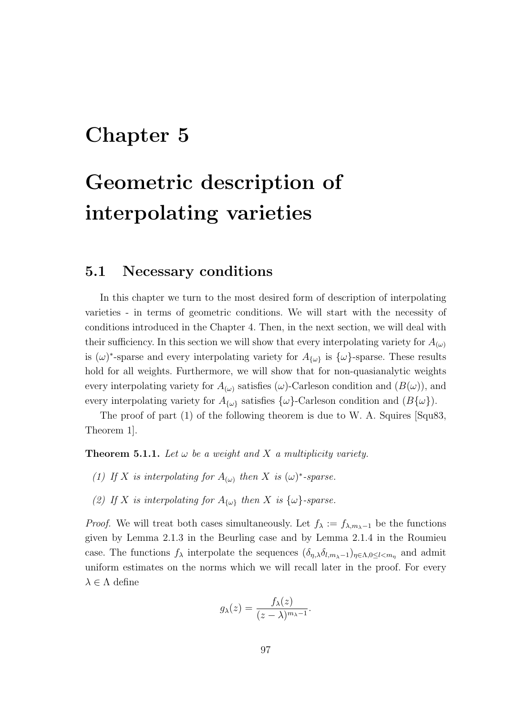## Chapter 5

# Geometric description of interpolating varieties

#### 5.1 Necessary conditions

In this chapter we turn to the most desired form of description of interpolating varieties - in terms of geometric conditions. We will start with the necessity of conditions introduced in the Chapter 4. Then, in the next section, we will deal with their sufficiency. In this section we will show that every interpolating variety for  $A_{(\omega)}$ is  $(\omega)^*$ -sparse and every interpolating variety for  $A_{\{\omega\}}$  is  $\{\omega\}$ -sparse. These results hold for all weights. Furthermore, we will show that for non-quasianalytic weights every interpolating variety for  $A_{(\omega)}$  satisfies  $(\omega)$ -Carleson condition and  $(B(\omega))$ , and every interpolating variety for  $A_{\{\omega\}}$  satisfies  $\{\omega\}$ -Carleson condition and  $(B\{\omega\})$ .

The proof of part (1) of the following theorem is due to W. A. Squires [Squ83, Theorem 1].

**Theorem 5.1.1.** Let  $\omega$  be a weight and X a multiplicity variety.

- (1) If X is interpolating for  $A_{(\omega)}$  then X is  $(\omega)^*$ -sparse.
- (2) If X is interpolating for  $A_{\{\omega\}}$  then X is  $\{\omega\}$ -sparse.

*Proof.* We will treat both cases simultaneously. Let  $f_{\lambda} := f_{\lambda, m_{\lambda}-1}$  be the functions given by Lemma 2.1.3 in the Beurling case and by Lemma 2.1.4 in the Roumieu case. The functions  $f_\lambda$  interpolate the sequences  $(\delta_{\eta,\lambda}\delta_{l,m_{\lambda}-1})_{\eta\in\Lambda,0\leq l and admit$ uniform estimates on the norms which we will recall later in the proof. For every  $\lambda \in \Lambda$  define

$$
g_{\lambda}(z) = \frac{f_{\lambda}(z)}{(z-\lambda)^{m_{\lambda}-1}}.
$$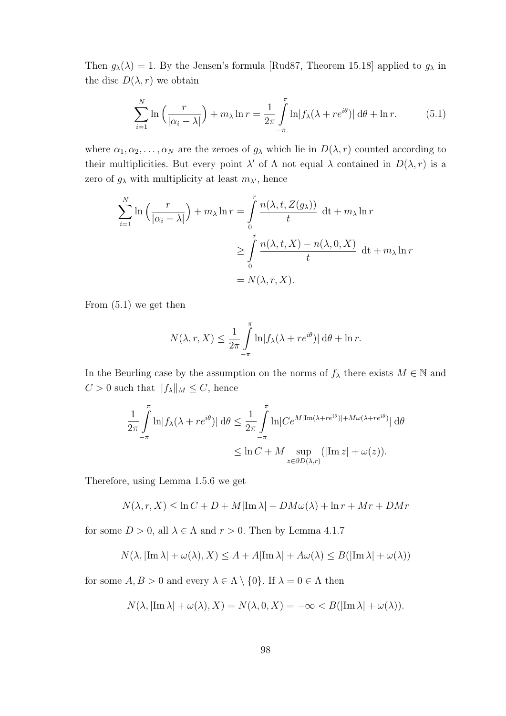Then  $g_{\lambda}(\lambda) = 1$ . By the Jensen's formula [Rud87, Theorem 15.18] applied to  $g_{\lambda}$  in the disc  $D(\lambda, r)$  we obtain

$$
\sum_{i=1}^{N} \ln\left(\frac{r}{|\alpha_i - \lambda|}\right) + m_{\lambda} \ln r = \frac{1}{2\pi} \int_{-\pi}^{\pi} \ln|f_{\lambda}(\lambda + re^{i\theta})| \,d\theta + \ln r. \tag{5.1}
$$

where  $\alpha_1, \alpha_2, \ldots, \alpha_N$  are the zeroes of  $g_\lambda$  which lie in  $D(\lambda, r)$  counted according to their multiplicities. But every point  $\lambda'$  of  $\Lambda$  not equal  $\lambda$  contained in  $D(\lambda, r)$  is a zero of  $g_{\lambda}$  with multiplicity at least  $m_{\lambda'}$ , hence

$$
\sum_{i=1}^{N} \ln\left(\frac{r}{|\alpha_i - \lambda|}\right) + m_{\lambda} \ln r = \int_{0}^{r} \frac{n(\lambda, t, Z(g_{\lambda}))}{t} dt + m_{\lambda} \ln r
$$

$$
\geq \int_{0}^{r} \frac{n(\lambda, t, X) - n(\lambda, 0, X)}{t} dt + m_{\lambda} \ln r
$$

$$
= N(\lambda, r, X).
$$

From (5.1) we get then

$$
N(\lambda, r, X) \le \frac{1}{2\pi} \int_{-\pi}^{\pi} \ln |f_{\lambda}(\lambda + re^{i\theta})| d\theta + \ln r.
$$

In the Beurling case by the assumption on the norms of  $f_{\lambda}$  there exists  $M \in \mathbb{N}$  and  $C > 0$  such that  $||f_\lambda||_M \leq C$ , hence

$$
\frac{1}{2\pi} \int_{-\pi}^{\pi} \ln|f_{\lambda}(\lambda + re^{i\theta})| d\theta \le \frac{1}{2\pi} \int_{-\pi}^{\pi} \ln|Ce^{M|\text{Im}(\lambda + re^{i\theta})| + M\omega(\lambda + re^{i\theta})|} d\theta
$$

$$
\le \ln C + M \sup_{z \in \partial D(\lambda, r)} (|\text{Im } z| + \omega(z)).
$$

Therefore, using Lemma 1.5.6 we get

$$
N(\lambda, r, X) \leq \ln C + D + M|\operatorname{Im} \lambda| + DM\omega(\lambda) + \ln r + Mr + DMr
$$

for some  $D > 0$ , all  $\lambda \in \Lambda$  and  $r > 0$ . Then by Lemma 4.1.7

$$
N(\lambda, |\text{Im }\lambda| + \omega(\lambda), X) \le A + A|\text{Im }\lambda| + A\omega(\lambda) \le B(|\text{Im }\lambda| + \omega(\lambda))
$$

for some  $A, B > 0$  and every  $\lambda \in \Lambda \setminus \{0\}$ . If  $\lambda = 0 \in \Lambda$  then

$$
N(\lambda, |\text{Im }\lambda| + \omega(\lambda), X) = N(\lambda, 0, X) = -\infty < B(|\text{Im }\lambda| + \omega(\lambda)).
$$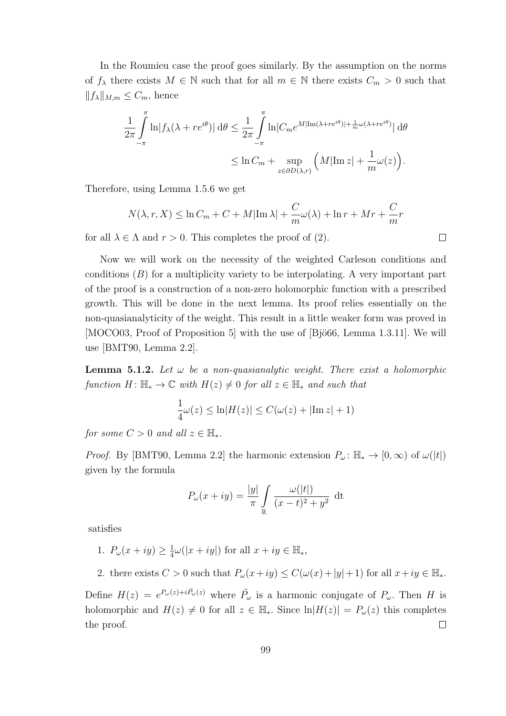In the Roumieu case the proof goes similarly. By the assumption on the norms of  $f_\lambda$  there exists  $M \in \mathbb{N}$  such that for all  $m \in \mathbb{N}$  there exists  $C_m > 0$  such that  $||f_\lambda||_{M,m} \leq C_m$ , hence

$$
\frac{1}{2\pi} \int_{-\pi}^{\pi} \ln|f_{\lambda}(\lambda + re^{i\theta})| d\theta \le \frac{1}{2\pi} \int_{-\pi}^{\pi} \ln|C_m e^{M|\text{Im}(\lambda + re^{i\theta})| + \frac{1}{m}\omega(\lambda + re^{i\theta})}| d\theta
$$

$$
\le \ln C_m + \sup_{z \in \partial D(\lambda, r)} \left( M|\text{Im } z| + \frac{1}{m}\omega(z) \right).
$$

Therefore, using Lemma 1.5.6 we get

$$
N(\lambda, r, X) \leq \ln C_m + C + M|\operatorname{Im}\lambda| + \frac{C}{m}\omega(\lambda) + \ln r + Mr + \frac{C}{m}r
$$

for all  $\lambda \in \Lambda$  and  $r > 0$ . This completes the proof of (2).

Now we will work on the necessity of the weighted Carleson conditions and conditions  $(B)$  for a multiplicity variety to be interpolating. A very important part of the proof is a construction of a non-zero holomorphic function with a prescribed growth. This will be done in the next lemma. Its proof relies essentially on the non-quasianalyticity of the weight. This result in a little weaker form was proved in [MOCO03, Proof of Proposition 5] with the use of [Bjö66, Lemma 1.3.11]. We will use [BMT90, Lemma 2.2].

**Lemma 5.1.2.** Let  $\omega$  be a non-quasianalytic weight. There exist a holomorphic function  $H: \mathbb{H}_* \to \mathbb{C}$  with  $H(z) \neq 0$  for all  $z \in \mathbb{H}_*$  and such that

$$
\frac{1}{4}\omega(z) \le \ln|H(z)| \le C(\omega(z) + |\text{Im } z| + 1)
$$

for some  $C > 0$  and all  $z \in \mathbb{H}_*$ .

*Proof.* By [BMT90, Lemma 2.2] the harmonic extension  $P_{\omega}$ :  $\mathbb{H}_{*} \to [0,\infty)$  of  $\omega(|t|)$ given by the formula

$$
P_{\omega}(x+iy) = \frac{|y|}{\pi} \int_{\mathbb{R}} \frac{\omega(|t|)}{(x-t)^2 + y^2} dt
$$

satisfies

1.  $P_{\omega}(x+iy) \geq \frac{1}{4}$  $\frac{1}{4}\omega(|x+iy|)$  for all  $x+iy \in \mathbb{H}_{*}$ ,

2. there exists  $C > 0$  such that  $P_{\omega}(x+iy) \leq C(\omega(x)+|y|+1)$  for all  $x+iy \in \mathbb{H}_{*}$ .

Define  $H(z) = e^{P_{\omega}(z) + i \tilde{P}_{\omega}(z)}$  where  $\tilde{P}_{\omega}$  is a harmonic conjugate of  $P_{\omega}$ . Then H is holomorphic and  $H(z) \neq 0$  for all  $z \in \mathbb{H}_*$ . Since  $\ln |H(z)| = P_{\omega}(z)$  this completes the proof.  $\Box$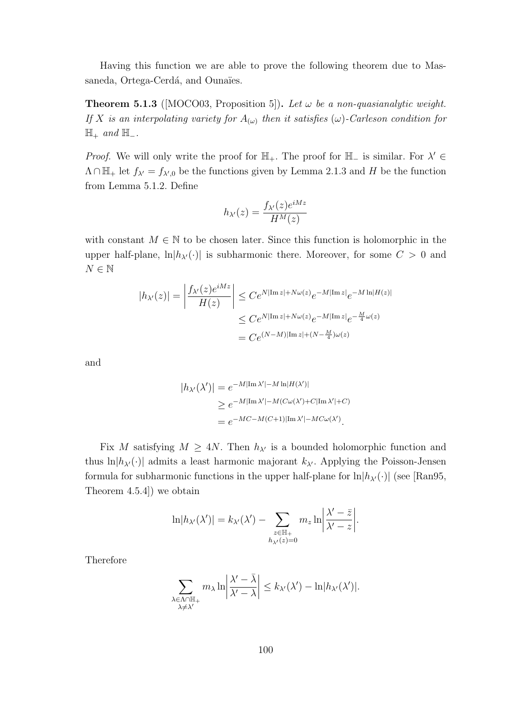Having this function we are able to prove the following theorem due to Massaneda, Ortega-Cerdá, and Ounaïes.

**Theorem 5.1.3** ([MOCO03, Proposition 5]). Let  $\omega$  be a non-quasianalytic weight. If X is an interpolating variety for  $A_{(\omega)}$  then it satisfies  $(\omega)$ -Carleson condition for  $\mathbb{H}_+$  and  $\mathbb{H}_-$ .

*Proof.* We will only write the proof for  $\mathbb{H}_+$ . The proof for  $\mathbb{H}_-$  is similar. For  $\lambda' \in$  $\Lambda \cap \mathbb{H}_{+}$  let  $f_{\lambda} = f_{\lambda',0}$  be the functions given by Lemma 2.1.3 and H be the function from Lemma 5.1.2. Define

$$
h_{\lambda'}(z) = \frac{f_{\lambda'}(z)e^{iMz}}{H^M(z)}
$$

with constant  $M \in \mathbb{N}$  to be chosen later. Since this function is holomorphic in the upper half-plane,  $\ln|h_{\lambda}(\cdot)|$  is subharmonic there. Moreover, for some  $C > 0$  and  $N \in \mathbb{N}$ 

$$
|h_{\lambda'}(z)| = \left| \frac{f_{\lambda'}(z)e^{iMz}}{H(z)} \right| \le Ce^{N|\operatorname{Im} z| + N\omega(z)} e^{-M|\operatorname{Im} z|} e^{-M \ln|H(z)|}
$$
  

$$
\le Ce^{N|\operatorname{Im} z| + N\omega(z)} e^{-M|\operatorname{Im} z|} e^{-\frac{M}{4}\omega(z)}
$$
  

$$
= Ce^{(N-M)|\operatorname{Im} z| + (N - \frac{M}{4})\omega(z)}
$$

and

$$
|h_{\lambda'}(\lambda')| = e^{-M|\text{Im }\lambda'| - M \ln|H(\lambda')|}
$$
  
\n
$$
\geq e^{-M|\text{Im }\lambda'| - M(C\omega(\lambda') + C|\text{Im }\lambda'| + C)}
$$
  
\n
$$
= e^{-MC - M(C+1)|\text{Im }\lambda'| - MC\omega(\lambda')}
$$

Fix M satisfying  $M \geq 4N$ . Then  $h_{\lambda'}$  is a bounded holomorphic function and thus ln $|h_{\lambda}(\cdot)|$  admits a least harmonic majorant  $k_{\lambda}$ . Applying the Poisson-Jensen formula for subharmonic functions in the upper half-plane for  $\ln|h_{\lambda}(\cdot)|$  (see [Ran95, Theorem 4.5.4]) we obtain

$$
\ln|h_{\lambda}(\lambda')| = k_{\lambda'}(\lambda') - \sum_{\substack{z \in \mathbb{H}_+ \\ h_{\lambda'}(z) = 0}} m_z \ln \left| \frac{\lambda' - \bar{z}}{\lambda' - z} \right|.
$$

Therefore

$$
\sum_{\substack{\lambda \in \Lambda \cap \mathbb{H}_+ \\ \lambda \neq \lambda'}} m_{\lambda} \ln \left| \frac{\lambda' - \bar{\lambda}}{\lambda' - \lambda} \right| \leq k_{\lambda'}(\lambda') - \ln |h_{\lambda'}(\lambda')|.
$$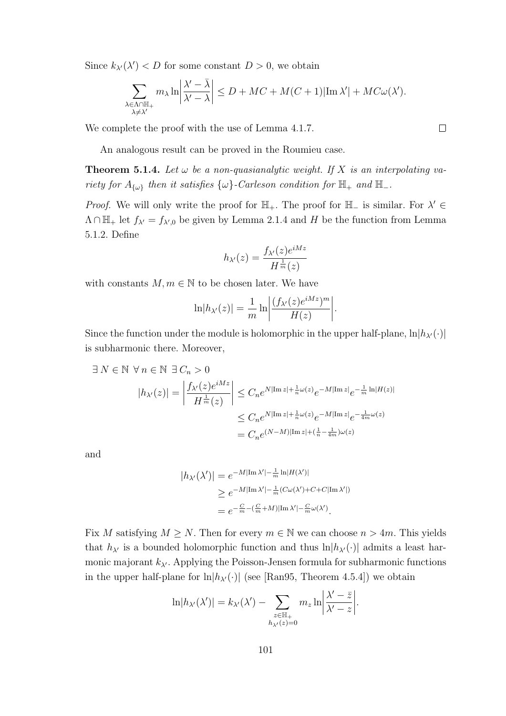Since  $k_{\lambda}(\lambda') < D$  for some constant  $D > 0$ , we obtain

$$
\sum_{\substack{\lambda \in \Lambda \cap \mathbb{H}_+ \\ \lambda \neq \lambda'}} m_{\lambda} \ln \left| \frac{\lambda' - \bar{\lambda}}{\lambda' - \lambda} \right| \le D + MC + M(C+1) |\mathrm{Im} \, \lambda'| + MC\omega(\lambda').
$$

We complete the proof with the use of Lemma 4.1.7.

An analogous result can be proved in the Roumieu case.

**Theorem 5.1.4.** Let  $\omega$  be a non-quasianalytic weight. If X is an interpolating variety for  $A_{\{\omega\}}$  then it satisfies  $\{\omega\}$ -Carleson condition for  $\mathbb{H}_+$  and  $\mathbb{H}_-$ .

*Proof.* We will only write the proof for  $\mathbb{H}_+$ . The proof for  $\mathbb{H}_-$  is similar. For  $\lambda' \in$  $\Lambda \cap \mathbb{H}_{+}$  let  $f_{\lambda} = f_{\lambda',0}$  be given by Lemma 2.1.4 and H be the function from Lemma 5.1.2. Define

$$
h_{\lambda'}(z) = \frac{f_{\lambda'}(z)e^{iMz}}{H^{\frac{1}{m}}(z)}
$$

with constants  $M, m \in \mathbb{N}$  to be chosen later. We have

$$
\ln|h_{\lambda'}(z)| = \frac{1}{m} \ln \left| \frac{(f_{\lambda'}(z)e^{iMz})^m}{H(z)} \right|.
$$

Since the function under the module is holomorphic in the upper half-plane,  $\ln|h_{\lambda'}(\cdot)|$ is subharmonic there. Moreover,

$$
\exists N \in \mathbb{N} \ \forall n \in \mathbb{N} \ \exists C_n > 0
$$
\n
$$
|h_{\lambda'}(z)| = \left| \frac{f_{\lambda'}(z)e^{iMz}}{H^{\frac{1}{m}}(z)} \right| \le C_n e^{N|\text{Im } z| + \frac{1}{n}\omega(z)} e^{-M|\text{Im } z|} e^{-\frac{1}{m}\ln|H(z)|}
$$
\n
$$
\le C_n e^{N|\text{Im } z| + \frac{1}{n}\omega(z)} e^{-M|\text{Im } z|} e^{-\frac{1}{4m}\omega(z)}
$$
\n
$$
= C_n e^{(N-M)|\text{Im } z| + (\frac{1}{n} - \frac{1}{4m})\omega(z)}
$$

and

$$
|h_{\lambda'}(\lambda')| = e^{-M|\text{Im }\lambda'| - \frac{1}{m}\ln|H(\lambda')|}
$$
  
\n
$$
\geq e^{-M|\text{Im }\lambda'| - \frac{1}{m}(C\omega(\lambda') + C + C|\text{Im }\lambda'|)}
$$
  
\n
$$
= e^{-\frac{C}{m} - (\frac{C}{m} + M)|\text{Im }\lambda'| - \frac{C}{m}\omega(\lambda')}
$$

Fix M satisfying  $M \geq N$ . Then for every  $m \in \mathbb{N}$  we can choose  $n > 4m$ . This yields that  $h_{\lambda}$  is a bounded holomorphic function and thus  $\ln|h_{\lambda}(\cdot)|$  admits a least harmonic majorant  $k_{\lambda'}$ . Applying the Poisson-Jensen formula for subharmonic functions in the upper half-plane for  $\ln|h_{\lambda}(\cdot)|$  (see [Ran95, Theorem 4.5.4]) we obtain

$$
\ln|h_{\lambda'}(\lambda')| = k_{\lambda'}(\lambda') - \sum_{\substack{z \in \mathbb{H}_+ \\ h_{\lambda'}(z) = 0}} m_z \ln \left| \frac{\lambda' - \bar{z}}{\lambda' - z} \right|.
$$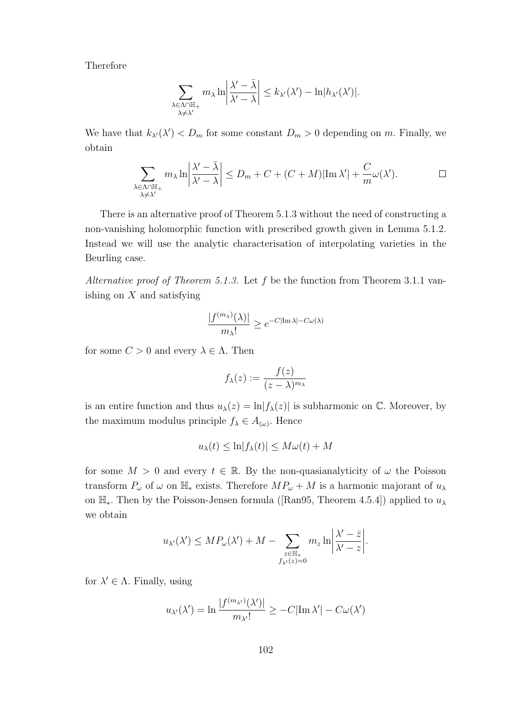Therefore

$$
\sum_{\substack{\lambda \in \Lambda \cap \mathbb{H}_+ \\ \lambda \neq \lambda'}} m_{\lambda} \ln \left| \frac{\lambda' - \bar{\lambda}}{\lambda' - \lambda} \right| \leq k_{\lambda'}(\lambda') - \ln |h_{\lambda'}(\lambda')|.
$$

We have that  $k_{\lambda}(\lambda') < D_m$  for some constant  $D_m > 0$  depending on m. Finally, we obtain

$$
\sum_{\substack{\lambda \in \Lambda \cap \mathbb{H}_+ \\ \lambda \neq \lambda'}} m_{\lambda} \ln \left| \frac{\lambda' - \bar{\lambda}}{\lambda' - \lambda} \right| \leq D_m + C + (C + M) |\text{Im }\lambda'| + \frac{C}{m} \omega(\lambda'). \qquad \Box
$$

There is an alternative proof of Theorem 5.1.3 without the need of constructing a non-vanishing holomorphic function with prescribed growth given in Lemma 5.1.2. Instead we will use the analytic characterisation of interpolating varieties in the Beurling case.

Alternative proof of Theorem 5.1.3. Let  $f$  be the function from Theorem 3.1.1 vanishing on  $X$  and satisfying

$$
\frac{|f^{(m_{\lambda})}(\lambda)|}{m_{\lambda}!} \ge e^{-C|\text{Im }\lambda| - C\omega(\lambda)}
$$

for some  $C > 0$  and every  $\lambda \in \Lambda$ . Then

$$
f_{\lambda}(z) := \frac{f(z)}{(z-\lambda)^{m_{\lambda}}}
$$

is an entire function and thus  $u_\lambda(z) = \ln |f_\lambda(z)|$  is subharmonic on C. Moreover, by the maximum modulus principle  $f_{\lambda} \in A_{(\omega)}$ . Hence

$$
u_{\lambda}(t) \le \ln|f_{\lambda}(t)| \le M\omega(t) + M
$$

for some  $M > 0$  and every  $t \in \mathbb{R}$ . By the non-quasianalyticity of  $\omega$  the Poisson transform  $P_{\omega}$  of  $\omega$  on  $\mathbb{H}_{*}$  exists. Therefore  $MP_{\omega} + M$  is a harmonic majorant of  $u_{\lambda}$ on  $\mathbb{H}_*$ . Then by the Poisson-Jensen formula ([Ran95, Theorem 4.5.4]) applied to  $u_\lambda$ we obtain

$$
u_{\lambda}(\lambda') \le MP_{\omega}(\lambda') + M - \sum_{\substack{z \in \mathbb{H}_* \\ f_{\lambda'}(z) = 0}} m_z \ln \left| \frac{\lambda' - \bar{z}}{\lambda' - z} \right|.
$$

for  $\lambda' \in \Lambda$ . Finally, using

$$
u_{\lambda'}(\lambda') = \ln \frac{|f^{(m_{\lambda'})}(\lambda')|}{m_{\lambda'}!} \ge -C|\text{Im }\lambda'| - C\omega(\lambda')
$$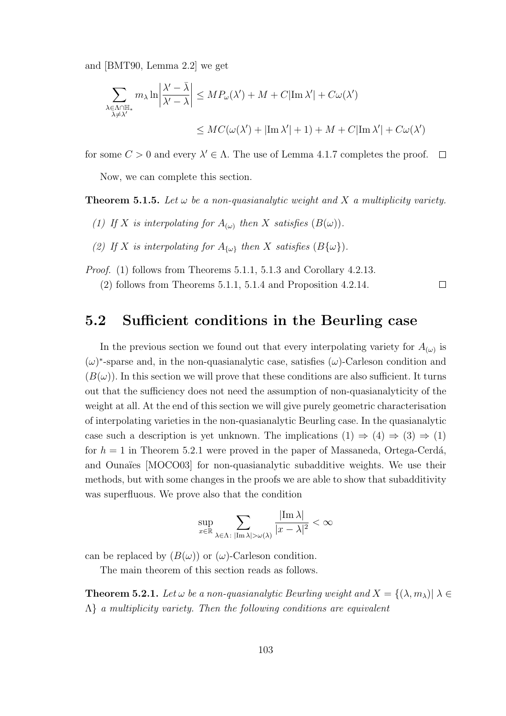and [BMT90, Lemma 2.2] we get

$$
\sum_{\substack{\lambda \in \Lambda \cap \mathbb{H}_* \\ \lambda \neq \lambda'}} m_{\lambda} \ln \left| \frac{\lambda' - \bar{\lambda}}{\lambda' - \lambda} \right| \leq MP_{\omega}(\lambda') + M + C|\text{Im }\lambda'| + C\omega(\lambda')
$$
  

$$
\leq MC(\omega(\lambda') + |\text{Im }\lambda'| + 1) + M + C|\text{Im }\lambda'| + C\omega(\lambda')
$$

for some  $C > 0$  and every  $\lambda' \in \Lambda$ . The use of Lemma 4.1.7 completes the proof.  $\Box$ 

Now, we can complete this section.

**Theorem 5.1.5.** Let  $\omega$  be a non-quasianalytic weight and X a multiplicity variety.

- (1) If X is interpolating for  $A_{(\omega)}$  then X satisfies  $(B(\omega))$ .
- (2) If X is interpolating for  $A_{\{\omega\}}$  then X satisfies  $(B\{\omega\})$ .
- Proof. (1) follows from Theorems 5.1.1, 5.1.3 and Corollary 4.2.13.

(2) follows from Theorems 5.1.1, 5.1.4 and Proposition 4.2.14.

 $\Box$ 

### 5.2 Sufficient conditions in the Beurling case

In the previous section we found out that every interpolating variety for  $A_{(\omega)}$  is  $(\omega)^*$ -sparse and, in the non-quasianalytic case, satisfies  $(\omega)$ -Carleson condition and  $(B(\omega))$ . In this section we will prove that these conditions are also sufficient. It turns out that the sufficiency does not need the assumption of non-quasianalyticity of the weight at all. At the end of this section we will give purely geometric characterisation of interpolating varieties in the non-quasianalytic Beurling case. In the quasianalytic case such a description is yet unknown. The implications  $(1) \Rightarrow (4) \Rightarrow (3) \Rightarrow (1)$ for  $h = 1$  in Theorem 5.2.1 were proved in the paper of Massaneda, Ortega-Cerdá, and Ounaïes [MOCO03] for non-quasianalytic subadditive weights. We use their methods, but with some changes in the proofs we are able to show that subadditivity was superfluous. We prove also that the condition

$$
\sup_{x\in\mathbb{R}}\sum_{\lambda\in\Lambda\colon|\mathrm{Im}\,\lambda|>\omega(\lambda)}\frac{|\mathrm{Im}\,\lambda|}{|x-\lambda|^2}<\infty
$$

can be replaced by  $(B(\omega))$  or  $(\omega)$ -Carleson condition.

The main theorem of this section reads as follows.

**Theorem 5.2.1.** Let  $\omega$  be a non-quasianalytic Beurling weight and  $X = \{(\lambda, m_{\lambda}) | \lambda \in$  $\Lambda$  a multiplicity variety. Then the following conditions are equivalent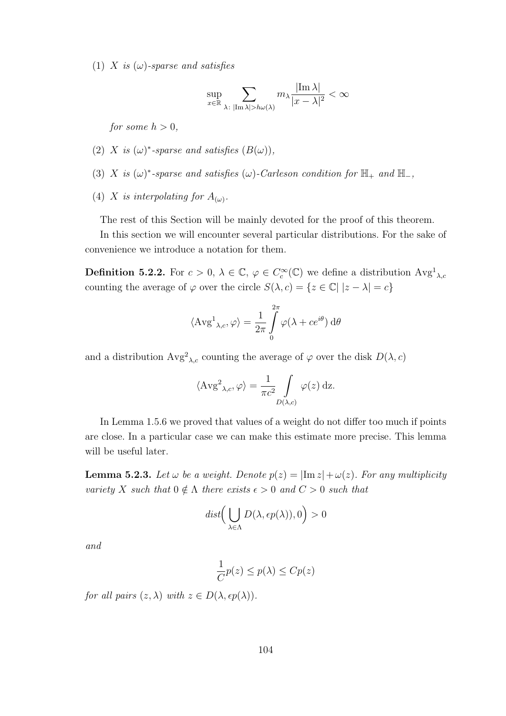(1) X is  $(\omega)$ -sparse and satisfies

$$
\sup_{x \in \mathbb{R}} \sum_{\lambda \colon |\text{Im }\lambda| > h\omega(\lambda)} m_{\lambda} \frac{|\text{Im }\lambda|}{|x - \lambda|^2} < \infty
$$

for some  $h > 0$ .

- (2) X is  $(\omega)^*$ -sparse and satisfies  $(B(\omega))$ ,
- (3) X is  $(\omega)^*$ -sparse and satisfies  $(\omega)$ -Carleson condition for  $\mathbb{H}_+$  and  $\mathbb{H}_-,$
- (4) X is interpolating for  $A_{(\omega)}$ .

The rest of this Section will be mainly devoted for the proof of this theorem.

In this section we will encounter several particular distributions. For the sake of convenience we introduce a notation for them.

**Definition 5.2.2.** For  $c > 0$ ,  $\lambda \in \mathbb{C}$ ,  $\varphi \in C_c^{\infty}(\mathbb{C})$  we define a distribution  $\text{Avg}^1_{\lambda,c}$ counting the average of  $\varphi$  over the circle  $S(\lambda, c) = \{z \in \mathbb{C} | |z - \lambda| = c\}$ 

$$
\langle \operatorname{Avg}^1{}_{\lambda,c}, \varphi \rangle = \frac{1}{2\pi} \int\limits_0^{2\pi} \varphi(\lambda + ce^{i\theta}) \,d\theta
$$

and a distribution  $Avg^{2}{}_{\lambda,c}$  counting the average of  $\varphi$  over the disk  $D(\lambda, c)$ 

$$
\langle \operatorname{Avg}^2_{\lambda,c}, \varphi \rangle = \frac{1}{\pi c^2} \int\limits_{D(\lambda,c)} \varphi(z) \, \mathrm{d}z.
$$

In Lemma 1.5.6 we proved that values of a weight do not differ too much if points are close. In a particular case we can make this estimate more precise. This lemma will be useful later.

**Lemma 5.2.3.** Let  $\omega$  be a weight. Denote  $p(z) = |\text{Im } z| + \omega(z)$ . For any multiplicity variety X such that  $0 \notin \Lambda$  there exists  $\epsilon > 0$  and  $C > 0$  such that

$$
dist\Big(\bigcup_{\lambda \in \Lambda} D(\lambda, \epsilon p(\lambda)), 0\Big) > 0
$$

and

$$
\frac{1}{C}p(z) \le p(\lambda) \le Cp(z)
$$

for all pairs  $(z, \lambda)$  with  $z \in D(\lambda, \epsilon p(\lambda)).$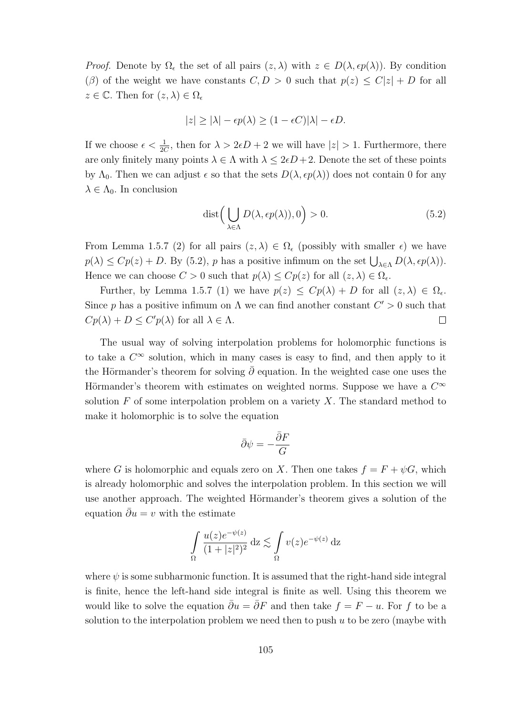*Proof.* Denote by  $\Omega_{\epsilon}$  the set of all pairs  $(z, \lambda)$  with  $z \in D(\lambda, \epsilon p(\lambda))$ . By condition (β) of the weight we have constants  $C, D > 0$  such that  $p(z) \leq C|z| + D$  for all  $z \in \mathbb{C}$ . Then for  $(z, \lambda) \in \Omega$ 

$$
|z| \ge |\lambda| - \epsilon p(\lambda) \ge (1 - \epsilon C)|\lambda| - \epsilon D.
$$

If we choose  $\epsilon < \frac{1}{2C}$ , then for  $\lambda > 2\epsilon D + 2$  we will have  $|z| > 1$ . Furthermore, there are only finitely many points  $\lambda \in \Lambda$  with  $\lambda \leq 2\epsilon D + 2$ . Denote the set of these points by  $\Lambda_0$ . Then we can adjust  $\epsilon$  so that the sets  $D(\lambda, \epsilon p(\lambda))$  does not contain 0 for any  $\lambda \in \Lambda_0$ . In conclusion

$$
dist\left(\bigcup_{\lambda \in \Lambda} D(\lambda, \epsilon p(\lambda)), 0\right) > 0. \tag{5.2}
$$

From Lemma 1.5.7 (2) for all pairs  $(z, \lambda) \in \Omega_{\epsilon}$  (possibly with smaller  $\epsilon$ ) we have  $p(\lambda) \leq Cp(z) + D$ . By (5.2), p has a positive infimum on the set  $\bigcup_{\lambda \in \Lambda} D(\lambda, \epsilon p(\lambda))$ . Hence we can choose  $C > 0$  such that  $p(\lambda) \leq Cp(z)$  for all  $(z, \lambda) \in \Omega_{\epsilon}$ .

Further, by Lemma 1.5.7 (1) we have  $p(z) \leq Cp(\lambda) + D$  for all  $(z, \lambda) \in \Omega_{\epsilon}$ . Since p has a positive infimum on  $\Lambda$  we can find another constant  $C' > 0$  such that  $Cp(\lambda) + D \leq C'p(\lambda)$  for all  $\lambda \in \Lambda$ .  $\Box$ 

The usual way of solving interpolation problems for holomorphic functions is to take a  $C^{\infty}$  solution, which in many cases is easy to find, and then apply to it the Hörmander's theorem for solving  $\bar{\partial}$  equation. In the weighted case one uses the Hörmander's theorem with estimates on weighted norms. Suppose we have a  $C^{\infty}$ solution  $F$  of some interpolation problem on a variety  $X$ . The standard method to make it holomorphic is to solve the equation

$$
\bar{\partial}\psi = -\frac{\bar{\partial}F}{G}
$$

where G is holomorphic and equals zero on X. Then one takes  $f = F + \psi G$ , which is already holomorphic and solves the interpolation problem. In this section we will use another approach. The weighted Hörmander's theorem gives a solution of the equation  $\overline{\partial}u = v$  with the estimate

$$
\int_{\Omega} \frac{u(z)e^{-\psi(z)}}{(1+|z|^2)^2} dz \lesssim \int_{\Omega} v(z)e^{-\psi(z)} dz
$$

where  $\psi$  is some subharmonic function. It is assumed that the right-hand side integral is finite, hence the left-hand side integral is finite as well. Using this theorem we would like to solve the equation  $\bar{\partial}u = \bar{\partial}F$  and then take  $f = F - u$ . For f to be a solution to the interpolation problem we need then to push  $u$  to be zero (maybe with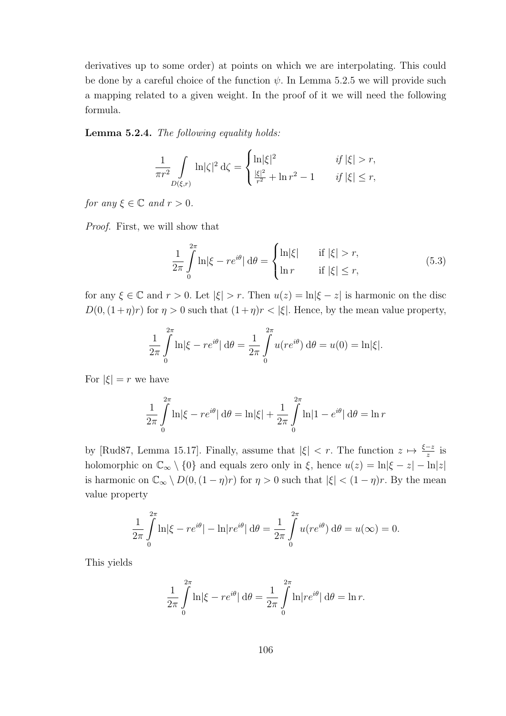derivatives up to some order) at points on which we are interpolating. This could be done by a careful choice of the function  $\psi$ . In Lemma 5.2.5 we will provide such a mapping related to a given weight. In the proof of it we will need the following formula.

Lemma 5.2.4. The following equality holds:

$$
\frac{1}{\pi r^2} \int\limits_{D(\xi,r)} \ln |\zeta|^2 \, \mathrm{d}\zeta = \begin{cases} \ln |\xi|^2 & \text{if } |\xi| > r, \\ \frac{|\xi|^2}{r^2} + \ln r^2 - 1 & \text{if } |\xi| \le r, \end{cases}
$$

for any  $\xi \in \mathbb{C}$  and  $r > 0$ .

Proof. First, we will show that

$$
\frac{1}{2\pi} \int_{0}^{2\pi} \ln|\xi - re^{i\theta}| \,d\theta = \begin{cases} \ln|\xi| & \text{if } |\xi| > r, \\ \ln r & \text{if } |\xi| \le r, \end{cases}
$$
\n(5.3)

for any  $\xi \in \mathbb{C}$  and  $r > 0$ . Let  $|\xi| > r$ . Then  $u(z) = \ln |\xi - z|$  is harmonic on the disc  $D(0,(1+\eta)r)$  for  $\eta > 0$  such that  $(1+\eta)r < |\xi|$ . Hence, by the mean value property,

$$
\frac{1}{2\pi} \int_{0}^{2\pi} \ln |\xi - re^{i\theta}| d\theta = \frac{1}{2\pi} \int_{0}^{2\pi} u(re^{i\theta}) d\theta = u(0) = \ln |\xi|.
$$

For  $|\xi| = r$  we have

$$
\frac{1}{2\pi} \int_{0}^{2\pi} \ln |\xi - re^{i\theta}| \, d\theta = \ln |\xi| + \frac{1}{2\pi} \int_{0}^{2\pi} \ln |1 - e^{i\theta}| \, d\theta = \ln r
$$

by [Rud87, Lemma 15.17]. Finally, assume that  $|\xi| < r$ . The function  $z \mapsto \frac{\xi-z}{z}$  is holomorphic on  $\mathbb{C}_{\infty} \setminus \{0\}$  and equals zero only in  $\xi$ , hence  $u(z) = \ln |\xi - z| - \ln |z|$ is harmonic on  $\mathbb{C}_{\infty} \setminus D(0, (1 - \eta)r)$  for  $\eta > 0$  such that  $|\xi| < (1 - \eta)r$ . By the mean value property

$$
\frac{1}{2\pi} \int_{0}^{2\pi} \ln |\xi - re^{i\theta}| - \ln |re^{i\theta}| d\theta = \frac{1}{2\pi} \int_{0}^{2\pi} u(re^{i\theta}) d\theta = u(\infty) = 0.
$$

This yields

$$
\frac{1}{2\pi} \int_{0}^{2\pi} \ln |\xi - re^{i\theta}| d\theta = \frac{1}{2\pi} \int_{0}^{2\pi} \ln |re^{i\theta}| d\theta = \ln r.
$$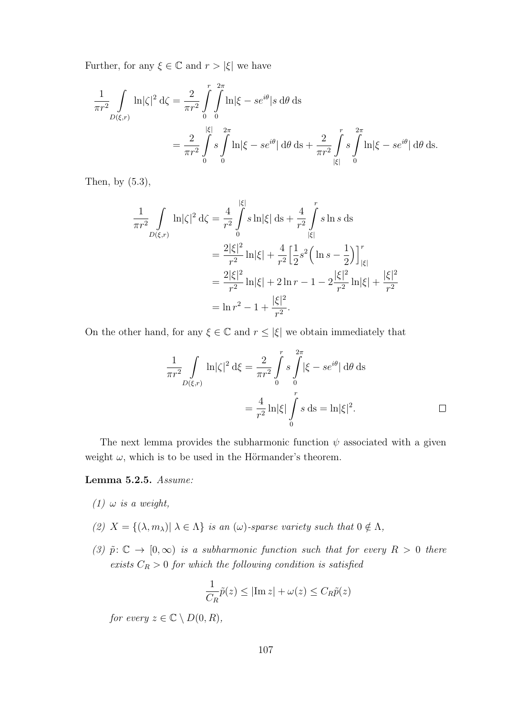Further, for any  $\xi \in \mathbb{C}$  and  $r > |\xi|$  we have

$$
\frac{1}{\pi r^2} \int\limits_{D(\xi,r)} \ln |\zeta|^2 \,d\zeta = \frac{2}{\pi r^2} \int\limits_{0}^{r} \int\limits_{0}^{2\pi} \ln |\xi - s e^{i\theta}| s \,d\theta \,ds
$$
\n
$$
= \frac{2}{\pi r^2} \int\limits_{0}^{|\xi|} s \int\limits_{0}^{2\pi} \ln |\xi - s e^{i\theta}| \,d\theta \,ds + \frac{2}{\pi r^2} \int\limits_{|\xi|}^{r} s \int\limits_{0}^{2\pi} \ln |\xi - s e^{i\theta}| \,d\theta \,ds.
$$

Then, by (5.3),

$$
\frac{1}{\pi r^2} \int\limits_{D(\xi,r)} \ln |\zeta|^2 \,d\zeta = \frac{4}{r^2} \int\limits_0^{|\xi|} s \ln |\xi| \,ds + \frac{4}{r^2} \int\limits_{|\xi|}^r s \ln s \,ds
$$

$$
= \frac{2|\xi|^2}{r^2} \ln |\xi| + \frac{4}{r^2} \Big[ \frac{1}{2} s^2 \Big( \ln s - \frac{1}{2} \Big) \Big]_{|\xi|}^r
$$

$$
= \frac{2|\xi|^2}{r^2} \ln |\xi| + 2 \ln r - 1 - 2 \frac{|\xi|^2}{r^2} \ln |\xi| + \frac{|\xi|^2}{r^2}
$$

$$
= \ln r^2 - 1 + \frac{|\xi|^2}{r^2}.
$$

On the other hand, for any  $\xi \in \mathbb{C}$  and  $r \leq |\xi|$  we obtain immediately that

$$
\frac{1}{\pi r^2} \int\limits_{D(\xi,r)} \ln |\zeta|^2 \,d\xi = \frac{2}{\pi r^2} \int\limits_0^r s \int\limits_0^{2\pi} |\xi - s e^{i\theta}| \,d\theta \,ds
$$

$$
= \frac{4}{r^2} \ln |\xi| \int\limits_0^r s \,ds = \ln |\xi|^2. \qquad \Box
$$

The next lemma provides the subharmonic function  $\psi$  associated with a given weight  $\omega$ , which is to be used in the Hörmander's theorem.

#### Lemma 5.2.5. Assume:

- (1)  $\omega$  is a weight,
- (2)  $X = \{(\lambda, m_{\lambda}) | \lambda \in \Lambda\}$  is an  $(\omega)$ -sparse variety such that  $0 \notin \Lambda$ ,
- (3)  $\tilde{p}: \mathbb{C} \to [0,\infty)$  is a subharmonic function such that for every  $R > 0$  there exists  $C_R > 0$  for which the following condition is satisfied

$$
\frac{1}{C_R}\tilde{p}(z) \le |\text{Im } z| + \omega(z) \le C_R \tilde{p}(z)
$$

for every  $z \in \mathbb{C} \setminus D(0, R)$ ,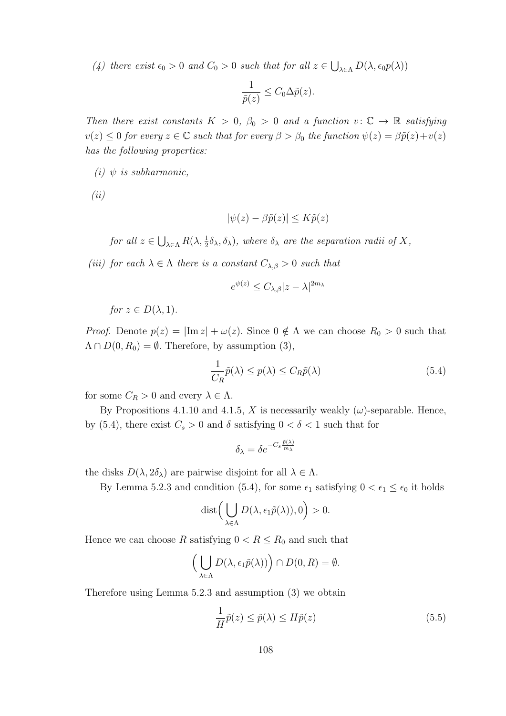(4) there exist  $\epsilon_0 > 0$  and  $C_0 > 0$  such that for all  $z \in \bigcup_{\lambda \in \Lambda} D(\lambda, \epsilon_0 p(\lambda))$ 

$$
\frac{1}{\tilde{p}(z)} \leq C_0 \Delta \tilde{p}(z).
$$

Then there exist constants  $K > 0$ ,  $\beta_0 > 0$  and a function  $v : \mathbb{C} \to \mathbb{R}$  satisfying  $v(z) \leq 0$  for every  $z \in \mathbb{C}$  such that for every  $\beta > \beta_0$  the function  $\psi(z) = \beta \tilde{p}(z) + v(z)$ has the following properties:

(i)  $\psi$  is subharmonic,

(ii)

$$
|\psi(z) - \beta \tilde{p}(z)| \le K \tilde{p}(z)
$$

for all  $z \in \bigcup_{\lambda \in \Lambda} R(\lambda, \frac{1}{2}\delta_\lambda, \delta_\lambda)$ , where  $\delta_\lambda$  are the separation radii of X,

(iii) for each  $\lambda \in \Lambda$  there is a constant  $C_{\lambda,\beta} > 0$  such that

$$
e^{\psi(z)} \le C_{\lambda,\beta} |z - \lambda|^{2m_{\lambda}}
$$

for  $z \in D(\lambda, 1)$ .

*Proof.* Denote  $p(z) = |\text{Im } z| + \omega(z)$ . Since  $0 \notin \Lambda$  we can choose  $R_0 > 0$  such that  $\Lambda \cap D(0, R_0) = \emptyset$ . Therefore, by assumption (3),

$$
\frac{1}{C_R}\tilde{p}(\lambda) \le p(\lambda) \le C_R \tilde{p}(\lambda)
$$
\n(5.4)

for some  $C_R > 0$  and every  $\lambda \in \Lambda$ .

By Propositions 4.1.10 and 4.1.5, X is necessarily weakly  $(\omega)$ -separable. Hence, by (5.4), there exist  $C_s > 0$  and  $\delta$  satisfying  $0 < \delta < 1$  such that for

$$
\delta_{\lambda} = \delta e^{-C_s \frac{\tilde{p}(\lambda)}{m_{\lambda}}}
$$

the disks  $D(\lambda, 2\delta_{\lambda})$  are pairwise disjoint for all  $\lambda \in \Lambda$ .

By Lemma 5.2.3 and condition (5.4), for some  $\epsilon_1$  satisfying  $0 < \epsilon_1 \leq \epsilon_0$  it holds

$$
\text{dist}\Big(\bigcup_{\lambda\in\Lambda}D(\lambda,\epsilon_1\tilde{p}(\lambda)),0\Big)>0.
$$

Hence we can choose R satisfying  $0 < R \le R_0$  and such that

$$
\left(\bigcup_{\lambda \in \Lambda} D(\lambda, \epsilon_1 \tilde{p}(\lambda))\right) \cap D(0, R) = \emptyset.
$$

Therefore using Lemma 5.2.3 and assumption (3) we obtain

$$
\frac{1}{H}\tilde{p}(z) \le \tilde{p}(\lambda) \le H\tilde{p}(z)
$$
\n(5.5)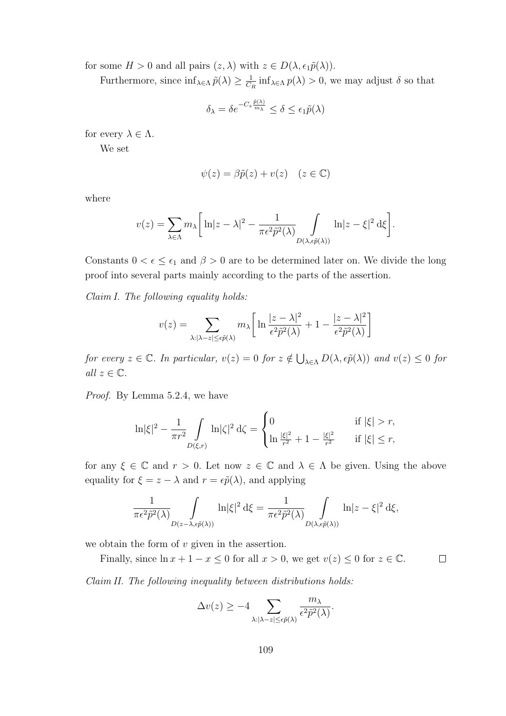for some  $H > 0$  and all pairs  $(z, \lambda)$  with  $z \in D(\lambda, \epsilon_1 \tilde{p}(\lambda)).$ 

Furthermore, since  $\inf_{\lambda \in \Lambda} \tilde{p}(\lambda) \geq \frac{1}{C}$  $\frac{1}{C_R}$  inf<sub> $\lambda \in \Lambda$ </sub>  $p(\lambda) > 0$ , we may adjust  $\delta$  so that

$$
\delta_{\lambda} = \delta e^{-C_s \frac{\tilde{p}(\lambda)}{m_{\lambda}}} \le \delta \le \epsilon_1 \tilde{p}(\lambda)
$$

for every  $\lambda \in \Lambda$ .

We set

$$
\psi(z) = \beta \tilde{p}(z) + v(z) \quad (z \in \mathbb{C})
$$

where

$$
v(z) = \sum_{\lambda \in \Lambda} m_{\lambda} \left[ \ln|z - \lambda|^2 - \frac{1}{\pi \epsilon^2 \tilde{p}^2(\lambda)} \int_{D(\lambda, \epsilon \tilde{p}(\lambda))} \ln|z - \xi|^2 d\xi \right].
$$

Constants  $0 < \epsilon \leq \epsilon_1$  and  $\beta > 0$  are to be determined later on. We divide the long proof into several parts mainly according to the parts of the assertion.

Claim I. The following equality holds:

$$
v(z) = \sum_{\lambda: |\lambda - z| \le \epsilon \tilde{p}(\lambda)} m_{\lambda} \left[ \ln \frac{|z - \lambda|^2}{\epsilon^2 \tilde{p}^2(\lambda)} + 1 - \frac{|z - \lambda|^2}{\epsilon^2 \tilde{p}^2(\lambda)} \right]
$$

for every  $z \in \mathbb{C}$ . In particular,  $v(z) = 0$  for  $z \notin \bigcup_{\lambda \in \Lambda} D(\lambda, \epsilon \tilde{p}(\lambda))$  and  $v(z) \leq 0$  for all  $z \in \mathbb{C}$ .

Proof. By Lemma 5.2.4, we have

$$
\ln |\xi|^2 - \frac{1}{\pi r^2} \int\limits_{D(\xi,r)} \ln |\zeta|^2 \, \mathrm{d}\zeta = \begin{cases} 0 & \text{if } |\xi| > r, \\ \ln \frac{|\xi|^2}{r^2} + 1 - \frac{|\xi|^2}{r^2} & \text{if } |\xi| \le r, \end{cases}
$$

for any  $\xi \in \mathbb{C}$  and  $r > 0$ . Let now  $z \in \mathbb{C}$  and  $\lambda \in \Lambda$  be given. Using the above equality for  $\xi = z - \lambda$  and  $r = \epsilon \tilde{p}(\lambda)$ , and applying

$$
\frac{1}{\pi \epsilon^2 \tilde{p}^2(\lambda)} \int_{D(z-\lambda,\epsilon \tilde{p}(\lambda))} \ln |\xi|^2 d\xi = \frac{1}{\pi \epsilon^2 \tilde{p}^2(\lambda)} \int_{D(\lambda,\epsilon \tilde{p}(\lambda))} \ln |z-\xi|^2 d\xi,
$$

we obtain the form of  $v$  given in the assertion.

Finally, since  $\ln x + 1 - x \le 0$  for all  $x > 0$ , we get  $v(z) \le 0$  for  $z \in \mathbb{C}$ .  $\Box$ 

Claim II. The following inequality between distributions holds:

$$
\Delta v(z) \ge -4 \sum_{\lambda: |\lambda - z| \le \epsilon \tilde{p}(\lambda)} \frac{m_{\lambda}}{\epsilon^2 \tilde{p}^2(\lambda)}.
$$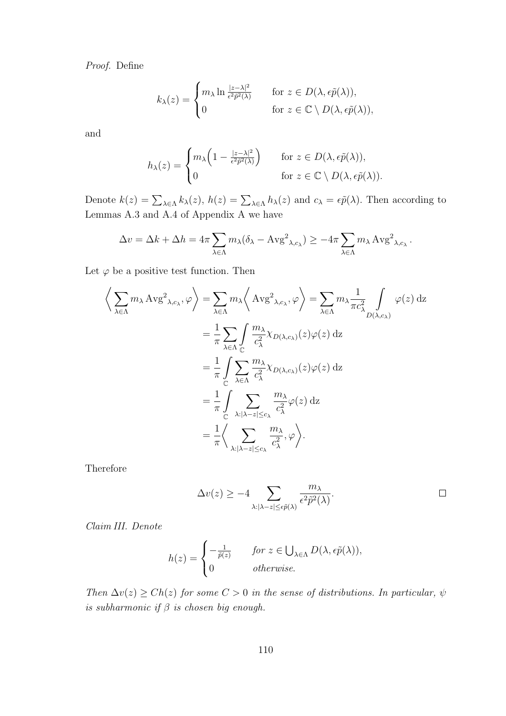Proof. Define

$$
k_{\lambda}(z) = \begin{cases} m_{\lambda} \ln \frac{|z - \lambda|^2}{\epsilon^2 \tilde{p}^2(\lambda)} & \text{for } z \in D(\lambda, \epsilon \tilde{p}(\lambda)), \\ 0 & \text{for } z \in \mathbb{C} \setminus D(\lambda, \epsilon \tilde{p}(\lambda)), \end{cases}
$$

and

$$
h_{\lambda}(z) = \begin{cases} m_{\lambda} \left( 1 - \frac{|z - \lambda|^2}{\epsilon^2 \tilde{p}^2(\lambda)} \right) & \text{for } z \in D(\lambda, \epsilon \tilde{p}(\lambda)), \\ 0 & \text{for } z \in \mathbb{C} \setminus D(\lambda, \epsilon \tilde{p}(\lambda)). \end{cases}
$$

Denote  $k(z) = \sum_{\lambda \in \Lambda} k_{\lambda}(z)$ ,  $h(z) = \sum_{\lambda \in \Lambda} h_{\lambda}(z)$  and  $c_{\lambda} = \epsilon \tilde{p}(\lambda)$ . Then according to Lemmas A.3 and A.4 of Appendix A we have

$$
\Delta v = \Delta k + \Delta h = 4\pi \sum_{\lambda \in \Lambda} m_{\lambda} (\delta_{\lambda} - Avg^{2}_{\lambda, c_{\lambda}}) \ge -4\pi \sum_{\lambda \in \Lambda} m_{\lambda} Avg^{2}_{\lambda, c_{\lambda}}.
$$

Let  $\varphi$  be a positive test function. Then

$$
\left\langle \sum_{\lambda \in \Lambda} m_{\lambda} \operatorname{Avg}^{2}{}_{\lambda, c_{\lambda}}, \varphi \right\rangle = \sum_{\lambda \in \Lambda} m_{\lambda} \left\langle \operatorname{Avg}^{2}{}_{\lambda, c_{\lambda}}, \varphi \right\rangle = \sum_{\lambda \in \Lambda} m_{\lambda} \frac{1}{\pi c_{\lambda}^{2}} \int_{D(\lambda, c_{\lambda})} \varphi(z) \,dz
$$
  
\n
$$
= \frac{1}{\pi} \sum_{\lambda \in \Lambda} \int_{\mathbb{C}} \frac{m_{\lambda}}{c_{\lambda}^{2}} \chi_{D(\lambda, c_{\lambda})}(z) \varphi(z) \,dz
$$
  
\n
$$
= \frac{1}{\pi} \int_{\mathbb{C}} \sum_{\lambda \in \Lambda} \frac{m_{\lambda}}{c_{\lambda}^{2}} \chi_{D(\lambda, c_{\lambda})}(z) \varphi(z) \,dz
$$
  
\n
$$
= \frac{1}{\pi} \int_{\mathbb{C}} \sum_{\lambda : |\lambda - z| \le c_{\lambda}} \frac{m_{\lambda}}{c_{\lambda}^{2}} \varphi(z) \,dz
$$
  
\n
$$
= \frac{1}{\pi} \left\langle \sum_{\lambda : |\lambda - z| \le c_{\lambda}} \frac{m_{\lambda}}{c_{\lambda}^{2}}, \varphi \right\rangle.
$$

Therefore

$$
\Delta v(z) \ge -4 \sum_{\lambda: |\lambda - z| \le \epsilon \tilde{p}(\lambda)} \frac{m_{\lambda}}{\epsilon^2 \tilde{p}^2(\lambda)}.
$$

Claim III. Denote

$$
h(z) = \begin{cases} -\frac{1}{\tilde{p}(z)} & \text{for } z \in \bigcup_{\lambda \in \Lambda} D(\lambda, \epsilon \tilde{p}(\lambda)), \\ 0 & \text{otherwise.} \end{cases}
$$

Then  $\Delta v(z) \geq Ch(z)$  for some  $C > 0$  in the sense of distributions. In particular,  $\psi$ is subharmonic if  $\beta$  is chosen big enough.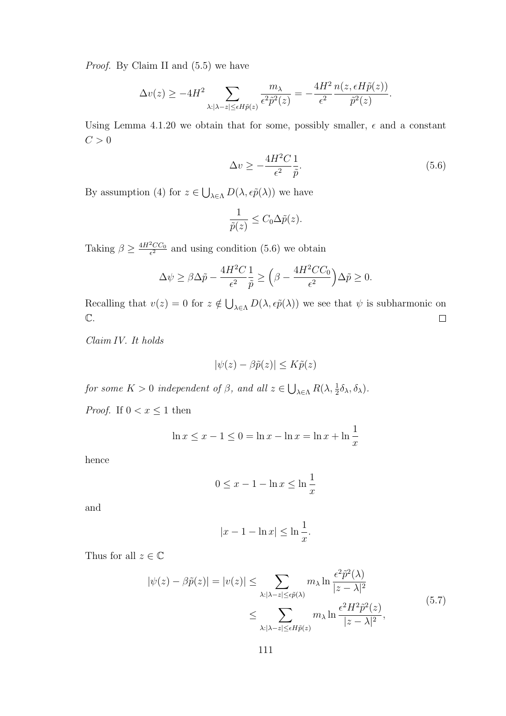Proof. By Claim II and (5.5) we have

$$
\Delta v(z) \ge -4H^2 \sum_{\lambda: |\lambda - z| \le \epsilon H \tilde{p}(z)} \frac{m_{\lambda}}{\epsilon^2 \tilde{p}^2(z)} = -\frac{4H^2}{\epsilon^2} \frac{n(z, \epsilon H \tilde{p}(z))}{\tilde{p}^2(z)}.
$$

Using Lemma 4.1.20 we obtain that for some, possibly smaller,  $\epsilon$  and a constant  $C > 0$ 

$$
\Delta v \ge -\frac{4H^2C}{\epsilon^2} \frac{1}{\tilde{p}}.\tag{5.6}
$$

By assumption (4) for  $z \in \bigcup_{\lambda \in \Lambda} D(\lambda, \epsilon \tilde{p}(\lambda))$  we have

$$
\frac{1}{\tilde{p}(z)} \leq C_0 \Delta \tilde{p}(z).
$$

Taking  $\beta \geq \frac{4H^2CC_0}{\epsilon^2}$  $\frac{2CC_0}{\epsilon^2}$  and using condition (5.6) we obtain

$$
\Delta \psi \ge \beta \Delta \tilde{p} - \frac{4H^2C}{\epsilon^2} \frac{1}{\tilde{p}} \ge \left(\beta - \frac{4H^2CC_0}{\epsilon^2}\right) \Delta \tilde{p} \ge 0.
$$

Recalling that  $v(z) = 0$  for  $z \notin \bigcup_{\lambda \in \Lambda} D(\lambda, \epsilon \tilde{p}(\lambda))$  we see that  $\psi$  is subharmonic on  $\mathbb{C}.$  $\Box$ 

Claim IV. It holds

$$
|\psi(z) - \beta \tilde{p}(z)| \le K \tilde{p}(z)
$$

for some  $K > 0$  independent of  $\beta$ , and all  $z \in \bigcup_{\lambda \in \Lambda} R(\lambda, \frac{1}{2} \delta_\lambda, \delta_\lambda)$ .

*Proof.* If  $0 < x \leq 1$  then

$$
\ln x \le x - 1 \le 0 = \ln x - \ln x = \ln x + \ln \frac{1}{x}
$$

hence

$$
0 \le x - 1 - \ln x \le \ln \frac{1}{x}
$$

and

$$
|x - 1 - \ln x| \le \ln \frac{1}{x}.
$$

Thus for all  $z\in\mathbb{C}$ 

$$
|\psi(z) - \beta \tilde{p}(z)| = |v(z)| \le \sum_{\lambda: |\lambda - z| \le \epsilon \tilde{p}(\lambda)} m_{\lambda} \ln \frac{\epsilon^2 \tilde{p}^2(\lambda)}{|z - \lambda|^2}
$$
  

$$
\le \sum_{\lambda: |\lambda - z| \le \epsilon H \tilde{p}(z)} m_{\lambda} \ln \frac{\epsilon^2 H^2 \tilde{p}^2(z)}{|z - \lambda|^2},
$$
(5.7)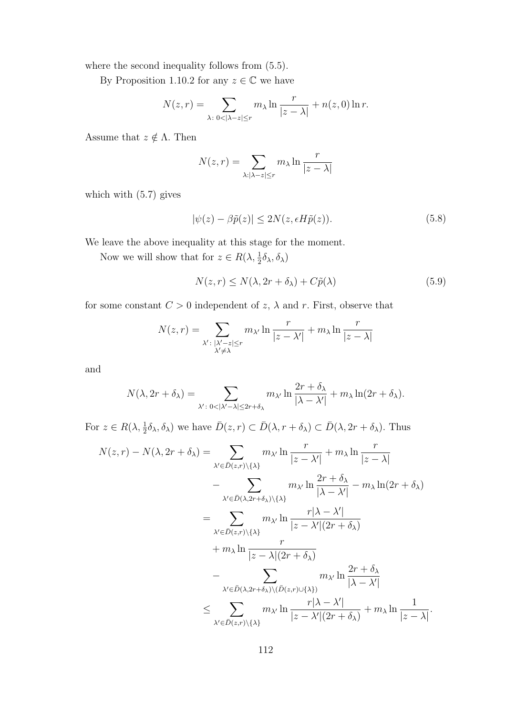where the second inequality follows from  $(5.5)$ .

By Proposition 1.10.2 for any  $z \in \mathbb{C}$  we have

$$
N(z,r) = \sum_{\lambda \colon 0 < |\lambda - z| \le r} m_\lambda \ln \frac{r}{|z - \lambda|} + n(z,0) \ln r.
$$

Assume that  $z \notin \Lambda.$  Then

$$
N(z,r) = \sum_{\lambda: |\lambda - z| \le r} m_{\lambda} \ln \frac{r}{|z - \lambda|}
$$

which with (5.7) gives

$$
|\psi(z) - \beta \tilde{p}(z)| \le 2N(z, \epsilon H \tilde{p}(z)).
$$
\n(5.8)

We leave the above inequality at this stage for the moment.

Now we will show that for  $z \in R(\lambda, \frac{1}{2}\delta_{\lambda}, \delta_{\lambda})$ 

$$
N(z,r) \le N(\lambda, 2r + \delta_{\lambda}) + C\tilde{p}(\lambda)
$$
\n(5.9)

for some constant  $C > 0$  independent of  $z$ ,  $\lambda$  and  $r$ . First, observe that

$$
N(z,r) = \sum_{\substack{\lambda' : |\lambda'-z| \le r \\ \lambda' \neq \lambda}} m_{\lambda'} \ln \frac{r}{|z-\lambda'|} + m_{\lambda} \ln \frac{r}{|z-\lambda|}
$$

and

$$
N(\lambda, 2r + \delta_{\lambda}) = \sum_{\substack{\lambda' : 0 < |\lambda' - \lambda| \le 2r + \delta_{\lambda}}} m_{\lambda'} \ln \frac{2r + \delta_{\lambda}}{|\lambda - \lambda'|} + m_{\lambda} \ln(2r + \delta_{\lambda}).
$$

For  $z \in R(\lambda, \frac{1}{2}\delta_\lambda, \delta_\lambda)$  we have  $\overline{D}(z,r) \subset \overline{D}(\lambda, r + \delta_\lambda) \subset \overline{D}(\lambda, 2r + \delta_\lambda)$ . Thus

$$
N(z,r) - N(\lambda, 2r + \delta_{\lambda}) = \sum_{\lambda' \in \bar{D}(z,r) \setminus \{\lambda\}} m_{\lambda'} \ln \frac{r}{|z - \lambda'|} + m_{\lambda} \ln \frac{r}{|z - \lambda|}
$$
  

$$
- \sum_{\lambda' \in \bar{D}(\lambda, 2r + \delta_{\lambda}) \setminus \{\lambda\}} m_{\lambda'} \ln \frac{2r + \delta_{\lambda}}{|\lambda - \lambda'|} - m_{\lambda} \ln(2r + \delta_{\lambda})
$$
  

$$
= \sum_{\lambda' \in \bar{D}(z,r) \setminus \{\lambda\}} m_{\lambda'} \ln \frac{r |\lambda - \lambda'|}{|z - \lambda'| (2r + \delta_{\lambda})}
$$
  

$$
+ m_{\lambda} \ln \frac{r}{|z - \lambda| (2r + \delta_{\lambda})}
$$
  

$$
- \sum_{\lambda' \in \bar{D}(\lambda, 2r + \delta_{\lambda}) \setminus (\bar{D}(z,r) \cup \{\lambda\})} m_{\lambda'} \ln \frac{2r + \delta_{\lambda}}{|\lambda - \lambda'|}
$$
  

$$
\leq \sum_{\lambda' \in \bar{D}(z,r) \setminus \{\lambda\}} m_{\lambda'} \ln \frac{r |\lambda - \lambda'|}{|z - \lambda'| (2r + \delta_{\lambda})} + m_{\lambda} \ln \frac{1}{|z - \lambda|}.
$$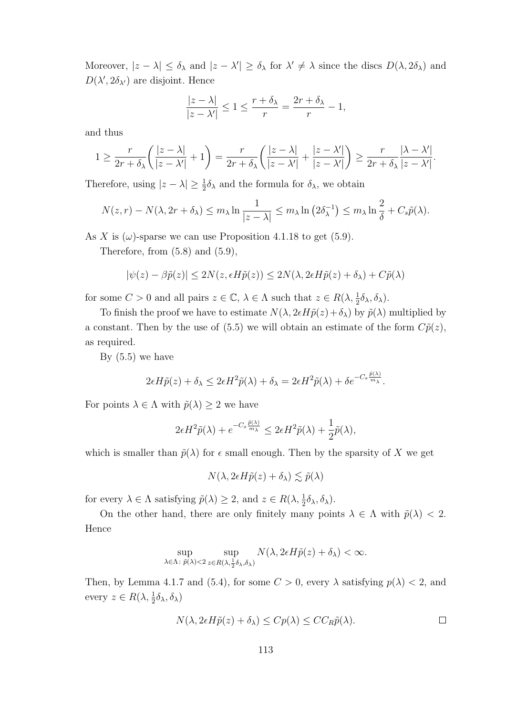Moreover,  $|z - \lambda| \leq \delta_{\lambda}$  and  $|z - \lambda'| \geq \delta_{\lambda}$  for  $\lambda' \neq \lambda$  since the discs  $D(\lambda, 2\delta_{\lambda})$  and  $D(\lambda', 2\delta_{\lambda'})$  are disjoint. Hence

$$
\frac{|z-\lambda|}{|z-\lambda'|} \le 1 \le \frac{r+\delta_\lambda}{r} = \frac{2r+\delta_\lambda}{r} - 1,
$$

and thus

$$
1 \geq \frac{r}{2r + \delta_{\lambda}} \left( \frac{|z - \lambda|}{|z - \lambda'|} + 1 \right) = \frac{r}{2r + \delta_{\lambda}} \left( \frac{|z - \lambda|}{|z - \lambda'|} + \frac{|z - \lambda'|}{|z - \lambda'|} \right) \geq \frac{r}{2r + \delta_{\lambda}} \frac{|\lambda - \lambda'|}{|z - \lambda'|}.
$$

Therefore, using  $|z - \lambda| \ge \frac{1}{2}\delta_{\lambda}$  and the formula for  $\delta_{\lambda}$ , we obtain

$$
N(z,r) - N(\lambda, 2r + \delta_\lambda) \le m_\lambda \ln \frac{1}{|z - \lambda|} \le m_\lambda \ln (2\delta_\lambda^{-1}) \le m_\lambda \ln \frac{2}{\delta} + C_s \tilde{p}(\lambda).
$$

As X is  $(\omega)$ -sparse we can use Proposition 4.1.18 to get (5.9).

Therefore, from  $(5.8)$  and  $(5.9)$ ,

$$
|\psi(z) - \beta \tilde{p}(z)| \le 2N(z, \epsilon H \tilde{p}(z)) \le 2N(\lambda, 2\epsilon H \tilde{p}(z) + \delta_{\lambda}) + C\tilde{p}(\lambda)
$$

for some  $C > 0$  and all pairs  $z \in \mathbb{C}$ ,  $\lambda \in \Lambda$  such that  $z \in R(\lambda, \frac{1}{2}\delta_{\lambda}, \delta_{\lambda})$ .

To finish the proof we have to estimate  $N(\lambda, 2 \epsilon H \tilde{p}(z) + \delta_{\lambda})$  by  $\tilde{p}(\lambda)$  multiplied by a constant. Then by the use of (5.5) we will obtain an estimate of the form  $C\tilde{p}(z)$ , as required.

By  $(5.5)$  we have

$$
2\epsilon H\tilde{p}(z) + \delta_{\lambda} \leq 2\epsilon H^2 \tilde{p}(\lambda) + \delta_{\lambda} = 2\epsilon H^2 \tilde{p}(\lambda) + \delta e^{-C_s \frac{\tilde{p}(\lambda)}{m_{\lambda}}}.
$$

For points  $\lambda \in \Lambda$  with  $\tilde{p}(\lambda) \geq 2$  we have

$$
2\epsilon H^2 \tilde{p}(\lambda) + e^{-C_s \frac{\tilde{p}(\lambda)}{m_\lambda}} \leq 2\epsilon H^2 \tilde{p}(\lambda) + \frac{1}{2} \tilde{p}(\lambda),
$$

which is smaller than  $\tilde{p}(\lambda)$  for  $\epsilon$  small enough. Then by the sparsity of X we get

$$
N(\lambda, 2\epsilon H \tilde{p}(z) + \delta_{\lambda}) \lesssim \tilde{p}(\lambda)
$$

for every  $\lambda \in \Lambda$  satisfying  $\tilde{p}(\lambda) \geq 2$ , and  $z \in R(\lambda, \frac{1}{2}\delta_{\lambda}, \delta_{\lambda})$ .

On the other hand, there are only finitely many points  $\lambda \in \Lambda$  with  $\tilde{p}(\lambda) < 2$ . Hence

$$
\sup_{\lambda \in \Lambda: \ \tilde{p}(\lambda) < 2} \sup_{z \in R(\lambda, \frac{1}{2}\delta_\lambda, \delta_\lambda)} N(\lambda, 2\epsilon H \tilde{p}(z) + \delta_\lambda) < \infty.
$$

Then, by Lemma 4.1.7 and (5.4), for some  $C > 0$ , every  $\lambda$  satisfying  $p(\lambda) < 2$ , and every  $z \in R(\lambda, \frac{1}{2}\delta_{\lambda}, \delta_{\lambda})$ 

$$
N(\lambda, 2\epsilon H \tilde{p}(z) + \delta_{\lambda}) \le C p(\lambda) \le C C_R \tilde{p}(\lambda).
$$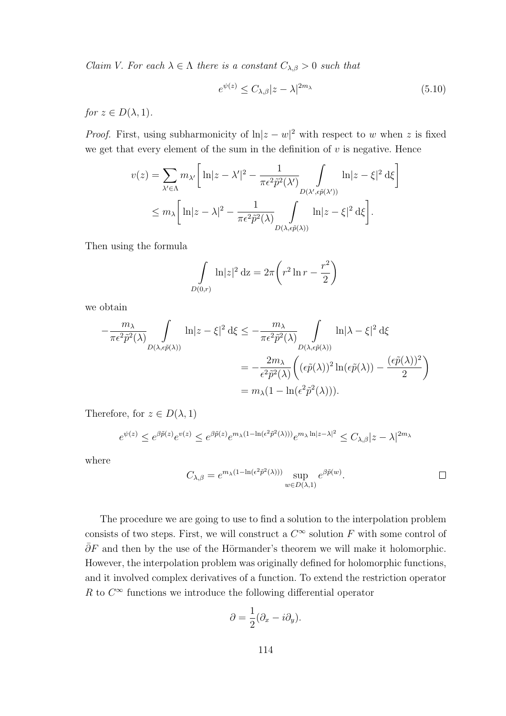Claim V. For each  $\lambda \in \Lambda$  there is a constant  $C_{\lambda,\beta} > 0$  such that

$$
e^{\psi(z)} \le C_{\lambda,\beta}|z-\lambda|^{2m_{\lambda}} \tag{5.10}
$$

for  $z \in D(\lambda, 1)$ .

*Proof.* First, using subharmonicity of  $ln|z-w|^2$  with respect to w when z is fixed we get that every element of the sum in the definition of  $v$  is negative. Hence

$$
v(z) = \sum_{\lambda' \in \Lambda} m_{\lambda'} \left[ \ln|z - \lambda'|^2 - \frac{1}{\pi \epsilon^2 \tilde{p}^2(\lambda')} \int_{D(\lambda', \epsilon \tilde{p}(\lambda'))} \ln|z - \xi|^2 d\xi \right]
$$
  

$$
\leq m_{\lambda} \left[ \ln|z - \lambda|^2 - \frac{1}{\pi \epsilon^2 \tilde{p}^2(\lambda)} \int_{D(\lambda, \epsilon \tilde{p}(\lambda))} \ln|z - \xi|^2 d\xi \right].
$$

Then using the formula

$$
\int_{D(0,r)} \ln|z|^2 dz = 2\pi \left( r^2 \ln r - \frac{r^2}{2} \right)
$$

we obtain

$$
-\frac{m_{\lambda}}{\pi \epsilon^2 \tilde{p}^2(\lambda)} \int_{D(\lambda,\epsilon \tilde{p}(\lambda))} \ln|z-\xi|^2 \,d\xi \le -\frac{m_{\lambda}}{\pi \epsilon^2 \tilde{p}^2(\lambda)} \int_{D(\lambda,\epsilon \tilde{p}(\lambda))} \ln|\lambda-\xi|^2 \,d\xi
$$

$$
= -\frac{2m_{\lambda}}{\epsilon^2 \tilde{p}^2(\lambda)} \left( (\epsilon \tilde{p}(\lambda))^2 \ln(\epsilon \tilde{p}(\lambda)) - \frac{(\epsilon \tilde{p}(\lambda))^2}{2} \right)
$$

$$
= m_{\lambda} (1 - \ln(\epsilon^2 \tilde{p}^2(\lambda))).
$$

Therefore, for  $z \in D(\lambda, 1)$ 

$$
e^{\psi(z)} \leq e^{\beta \tilde{p}(z)} e^{v(z)} \leq e^{\beta \tilde{p}(z)} e^{m_{\lambda}(1 - \ln(\epsilon^2 \tilde{p}^2(\lambda)))} e^{m_{\lambda} \ln|z-\lambda|^2} \leq C_{\lambda,\beta} |z-\lambda|^{2m_{\lambda}}
$$

where

$$
C_{\lambda,\beta} = e^{m_{\lambda}(1-\ln(\epsilon^2 \tilde{p}^2(\lambda)))} \sup_{w \in D(\lambda,1)} e^{\beta \tilde{p}(w)}.
$$

The procedure we are going to use to find a solution to the interpolation problem consists of two steps. First, we will construct a  $C^{\infty}$  solution F with some control of  $\overline{\partial}F$  and then by the use of the Hörmander's theorem we will make it holomorphic. However, the interpolation problem was originally defined for holomorphic functions, and it involved complex derivatives of a function. To extend the restriction operator R to  $C^{\infty}$  functions we introduce the following differential operator

$$
\partial = \frac{1}{2}(\partial_x - i\partial_y).
$$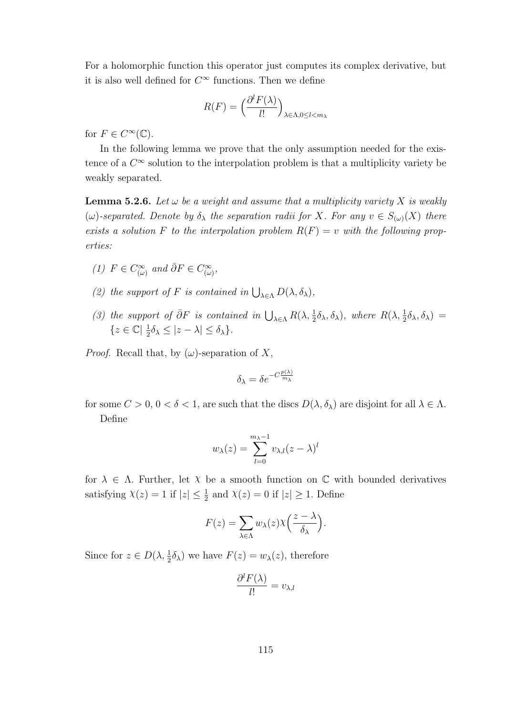For a holomorphic function this operator just computes its complex derivative, but it is also well defined for  $C^{\infty}$  functions. Then we define

$$
R(F) = \left(\frac{\partial^l F(\lambda)}{l!}\right)_{\lambda \in \Lambda, 0 \le l < m_\lambda}
$$

for  $F \in C^{\infty}(\mathbb{C})$ .

In the following lemma we prove that the only assumption needed for the existence of a  $C^{\infty}$  solution to the interpolation problem is that a multiplicity variety be weakly separated.

**Lemma 5.2.6.** Let  $\omega$  be a weight and assume that a multiplicity variety X is weakly  $(\omega)$ -separated. Denote by  $\delta_{\lambda}$  the separation radii for X. For any  $v \in S_{(\omega)}(X)$  there exists a solution F to the interpolation problem  $R(F) = v$  with the following properties:

- (1)  $F \in C^{\infty}_{(\omega)}$  and  $\bar{\partial}F \in C^{\infty}_{(\omega)},$
- (2) the support of F is contained in  $\bigcup_{\lambda \in \Lambda} D(\lambda, \delta_{\lambda}),$
- (3) the support of  $\bar{\partial}F$  is contained in  $\bigcup_{\lambda\in\Lambda} R(\lambda, \frac{1}{2}\delta_{\lambda}, \delta_{\lambda}),$  where  $R(\lambda, \frac{1}{2}\delta_{\lambda}, \delta_{\lambda})=$  ${z \in \mathbb{C} \mid \frac{1}{2}}$  $\frac{1}{2}\delta_{\lambda} \leq |z - \lambda| \leq \delta_{\lambda}$ .

*Proof.* Recall that, by  $(\omega)$ -separation of X,

$$
\delta_{\lambda} = \delta e^{-C \frac{p(\lambda)}{m_{\lambda}}}
$$

for some  $C > 0$ ,  $0 < \delta < 1$ , are such that the discs  $D(\lambda, \delta_{\lambda})$  are disjoint for all  $\lambda \in \Lambda$ . Define

$$
w_{\lambda}(z) = \sum_{l=0}^{m_{\lambda}-1} v_{\lambda,l}(z-\lambda)^l
$$

for  $\lambda \in \Lambda$ . Further, let  $\chi$  be a smooth function on  $\mathbb C$  with bounded derivatives satisfying  $\chi(z) = 1$  if  $|z| \leq \frac{1}{2}$  and  $\chi(z) = 0$  if  $|z| \geq 1$ . Define

$$
F(z) = \sum_{\lambda \in \Lambda} w_{\lambda}(z) \chi \left( \frac{z - \lambda}{\delta_{\lambda}} \right).
$$

Since for  $z \in D(\lambda, \frac{1}{2}\delta_\lambda)$  we have  $F(z) = w_\lambda(z)$ , therefore

$$
\frac{\partial^l F(\lambda)}{l!} = v_{\lambda,l}
$$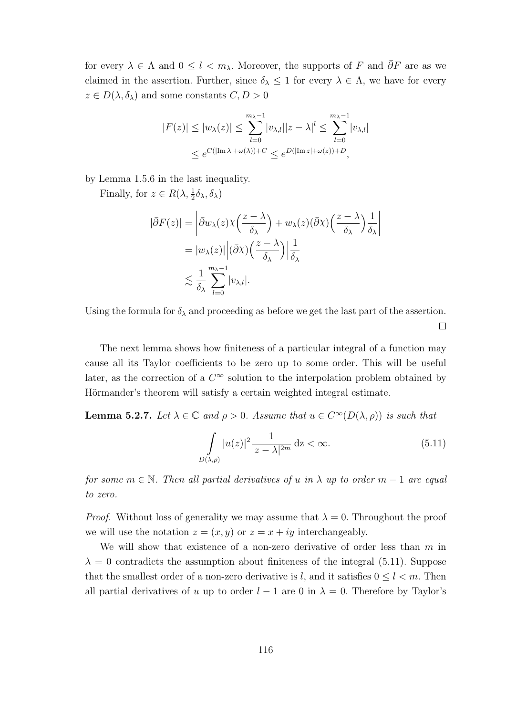for every  $\lambda \in \Lambda$  and  $0 \leq l < m_\lambda$ . Moreover, the supports of F and  $\overline{\partial}$ F are as we claimed in the assertion. Further, since  $\delta_{\lambda} \leq 1$  for every  $\lambda \in \Lambda$ , we have for every  $z \in D(\lambda, \delta_{\lambda})$  and some constants  $C, D > 0$ 

$$
|F(z)| \le |w_{\lambda}(z)| \le \sum_{l=0}^{m_{\lambda}-1} |v_{\lambda,l}||z-\lambda|^l \le \sum_{l=0}^{m_{\lambda}-1} |v_{\lambda,l}|
$$
  

$$
\le e^{C(|\text{Im }\lambda|+\omega(\lambda))+C} \le e^{D(|\text{Im }z|+\omega(z))+D},
$$

by Lemma 1.5.6 in the last inequality.

Finally, for  $z \in R(\lambda, \frac{1}{2}\delta_{\lambda}, \delta_{\lambda})$ 

$$
|\bar{\partial}F(z)| = \left| \bar{\partial}w_{\lambda}(z)\chi\left(\frac{z-\lambda}{\delta_{\lambda}}\right) + w_{\lambda}(z)(\bar{\partial}\chi)\left(\frac{z-\lambda}{\delta_{\lambda}}\right) \frac{1}{\delta_{\lambda}} \right|
$$
  
=  $|w_{\lambda}(z)| \left| (\bar{\partial}\chi)\left(\frac{z-\lambda}{\delta_{\lambda}}\right) \frac{1}{\delta_{\lambda}}$   

$$
\lesssim \frac{1}{\delta_{\lambda}} \sum_{l=0}^{m_{\lambda}-1} |v_{\lambda,l}|.
$$

Using the formula for  $\delta_{\lambda}$  and proceeding as before we get the last part of the assertion.  $\Box$ 

The next lemma shows how finiteness of a particular integral of a function may cause all its Taylor coefficients to be zero up to some order. This will be useful later, as the correction of a  $C^{\infty}$  solution to the interpolation problem obtained by Hörmander's theorem will satisfy a certain weighted integral estimate.

**Lemma 5.2.7.** Let  $\lambda \in \mathbb{C}$  and  $\rho > 0$ . Assume that  $u \in C^{\infty}(D(\lambda, \rho))$  is such that

$$
\int_{D(\lambda,\rho)} |u(z)|^2 \frac{1}{|z-\lambda|^{2m}} \, \mathrm{d}z < \infty. \tag{5.11}
$$

for some  $m \in \mathbb{N}$ . Then all partial derivatives of u in  $\lambda$  up to order  $m-1$  are equal to zero.

*Proof.* Without loss of generality we may assume that  $\lambda = 0$ . Throughout the proof we will use the notation  $z = (x, y)$  or  $z = x + iy$  interchangeably.

We will show that existence of a non-zero derivative of order less than  $m$  in  $\lambda = 0$  contradicts the assumption about finiteness of the integral (5.11). Suppose that the smallest order of a non-zero derivative is l, and it satisfies  $0 \leq l \leq m$ . Then all partial derivatives of u up to order  $l - 1$  are 0 in  $\lambda = 0$ . Therefore by Taylor's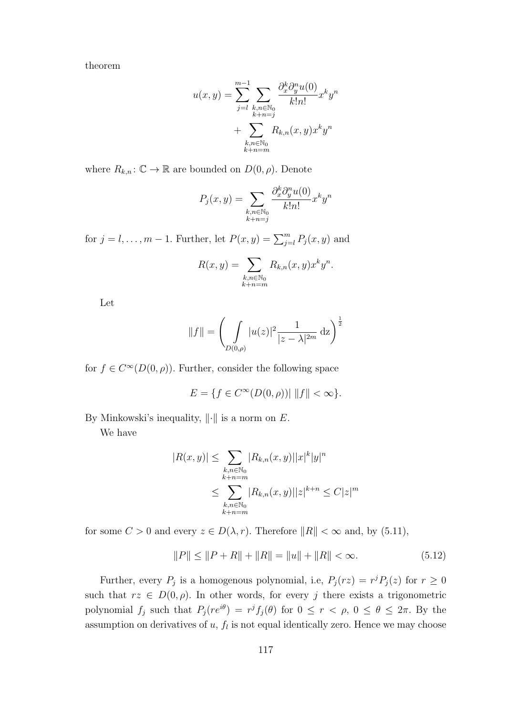theorem

$$
u(x,y) = \sum_{j=l}^{m-1} \sum_{\substack{k,n \in \mathbb{N}_0 \\ k+n=j}} \frac{\partial_x^k \partial_y^n u(0)}{k!n!} x^k y^n
$$

$$
+ \sum_{\substack{k,n \in \mathbb{N}_0 \\ k+n=m}} R_{k,n}(x,y) x^k y^n
$$

where  $R_{k,n}$ :  $\mathbb{C} \to \mathbb{R}$  are bounded on  $D(0, \rho)$ . Denote

$$
P_j(x,y) = \sum_{\substack{k,n \in \mathbb{N}_0 \\ k+n=j}} \frac{\partial_x^k \partial_y^n u(0)}{k!n!} x^k y^n
$$

for  $j = l, \ldots, m - 1$ . Further, let  $P(x, y) = \sum_{j=l}^{m} P_j(x, y)$  and

$$
R(x,y) = \sum_{\substack{k,n \in \mathbb{N}_0 \\ k+n=m}} R_{k,n}(x,y) x^k y^n.
$$

Let

$$
||f|| = \left(\int_{D(0,\rho)} |u(z)|^2 \frac{1}{|z-\lambda|^{2m}} \,\mathrm{d}z\right)^{\frac{1}{2}}
$$

for  $f \in C^{\infty}(D(0, \rho))$ . Further, consider the following space

$$
E = \{ f \in C^{\infty}(D(0,\rho)) | ||f|| < \infty \}.
$$

By Minkowski's inequality,  $\|\cdot\|$  is a norm on E.

We have

$$
|R(x,y)| \leq \sum_{\substack{k,n \in \mathbb{N}_0 \\ k+n=m}} |R_{k,n}(x,y)| |x|^k |y|^n
$$
  

$$
\leq \sum_{\substack{k,n \in \mathbb{N}_0 \\ k+n=m}} |R_{k,n}(x,y)| |z|^{k+n} \leq C|z|^m
$$

for some  $C > 0$  and every  $z \in D(\lambda, r)$ . Therefore  $||R|| < \infty$  and, by (5.11),

$$
||P|| \le ||P + R|| + ||R|| = ||u|| + ||R|| < \infty.
$$
\n(5.12)

Further, every  $P_j$  is a homogenous polynomial, i.e,  $P_j(rz) = r^j P_j(z)$  for  $r \geq 0$ such that  $rz \in D(0, \rho)$ . In other words, for every j there exists a trigonometric polynomial  $f_j$  such that  $P_j(re^{i\theta}) = r^j f_j(\theta)$  for  $0 \le r < \rho, 0 \le \theta \le 2\pi$ . By the assumption on derivatives of  $u, f<sub>l</sub>$  is not equal identically zero. Hence we may choose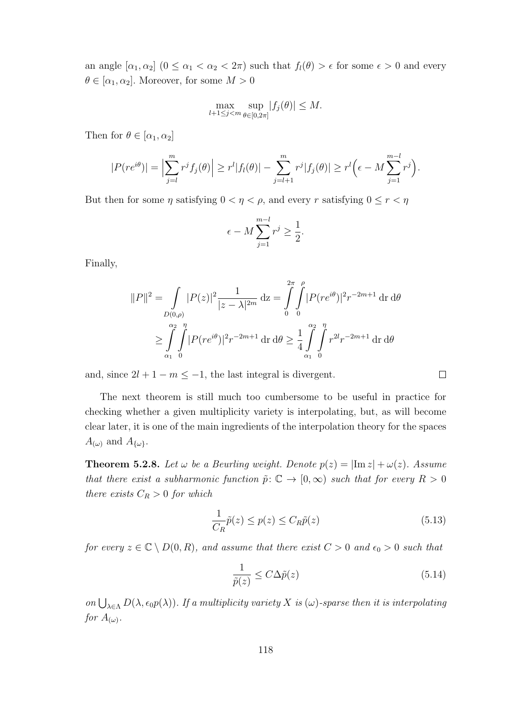an angle  $[\alpha_1, \alpha_2]$   $(0 \le \alpha_1 < \alpha_2 < 2\pi)$  such that  $f_l(\theta) > \epsilon$  for some  $\epsilon > 0$  and every  $\theta \in [\alpha_1, \alpha_2]$ . Moreover, for some  $M > 0$ 

$$
\max_{l+1 \le j < m} \sup_{\theta \in [0,2\pi]} |f_j(\theta)| \le M.
$$

Then for  $\theta \in [\alpha_1, \alpha_2]$ 

$$
|P(re^{i\theta})| = \Big|\sum_{j=l}^{m} r^j f_j(\theta)\Big| \ge r^l |f_l(\theta)| - \sum_{j=l+1}^{m} r^j |f_j(\theta)| \ge r^l \Big(\epsilon - M \sum_{j=1}^{m-l} r^j\Big).
$$

But then for some  $\eta$  satisfying  $0 < \eta < \rho$ , and every r satisfying  $0 \le r < \eta$ 

$$
\epsilon - M \sum_{j=1}^{m-l} r^j \ge \frac{1}{2}.
$$

Finally,

$$
||P||^2 = \int_{D(0,\rho)} |P(z)|^2 \frac{1}{|z-\lambda|^{2m}} dz = \int_0^{2\pi} \int_0^{\rho} |P(re^{i\theta})|^2 r^{-2m+1} dr d\theta
$$
  

$$
\geq \int_{\alpha_1}^{\alpha_2} \int_0^{\eta} |P(re^{i\theta})|^2 r^{-2m+1} dr d\theta \geq \frac{1}{4} \int_{\alpha_1}^{\alpha_2} \int_0^{\eta} r^{2l} r^{-2m+1} dr d\theta
$$

and, since  $2l + 1 - m \le -1$ , the last integral is divergent.

 $\Box$ 

The next theorem is still much too cumbersome to be useful in practice for checking whether a given multiplicity variety is interpolating, but, as will become clear later, it is one of the main ingredients of the interpolation theory for the spaces  $A_{(\omega)}$  and  $A_{\{\omega\}}$ .

**Theorem 5.2.8.** Let  $\omega$  be a Beurling weight. Denote  $p(z) = |Im z| + \omega(z)$ . Assume that there exist a subharmonic function  $\tilde{p}: \mathbb{C} \to [0,\infty)$  such that for every  $R > 0$ there exists  $C_R > 0$  for which

$$
\frac{1}{C_R}\tilde{p}(z) \le p(z) \le C_R \tilde{p}(z)
$$
\n(5.13)

for every  $z \in \mathbb{C} \setminus D(0, R)$ , and assume that there exist  $C > 0$  and  $\epsilon_0 > 0$  such that

$$
\frac{1}{\tilde{p}(z)} \le C\Delta \tilde{p}(z)
$$
\n(5.14)

on  $\bigcup_{\lambda \in \Lambda} D(\lambda, \epsilon_0 p(\lambda))$ . If a multiplicity variety X is  $(\omega)$ -sparse then it is interpolating for  $A_{(\omega)}$ .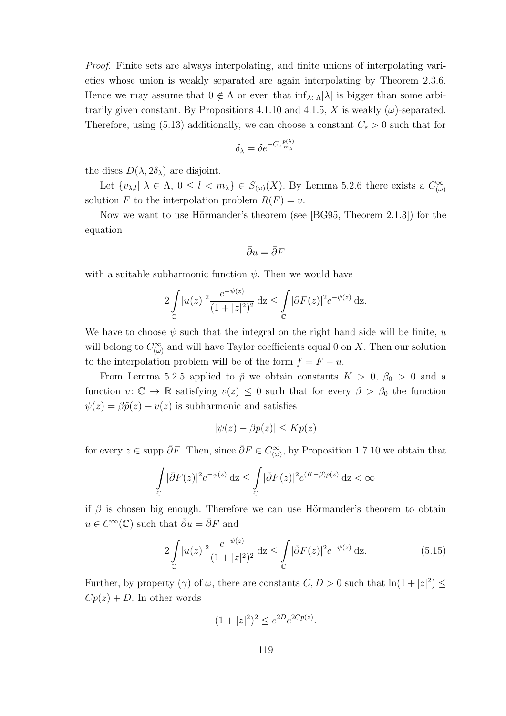Proof. Finite sets are always interpolating, and finite unions of interpolating varieties whose union is weakly separated are again interpolating by Theorem 2.3.6. Hence we may assume that  $0 \notin \Lambda$  or even that  $\inf_{\lambda \in \Lambda} |\lambda|$  is bigger than some arbitrarily given constant. By Propositions 4.1.10 and 4.1.5, X is weakly  $(\omega)$ -separated. Therefore, using (5.13) additionally, we can choose a constant  $C_s > 0$  such that for

$$
\delta_{\lambda} = \delta e^{-C_s \frac{p(\lambda)}{m_{\lambda}}}
$$

the discs  $D(\lambda, 2\delta_{\lambda})$  are disjoint.

Let  $\{v_{\lambda,l} | \lambda \in \Lambda, 0 \leq l < m_{\lambda}\}\in S_{(\omega)}(X)$ . By Lemma 5.2.6 there exists a  $C^{\infty}_{(\omega)}$ solution F to the interpolation problem  $R(F) = v$ .

Now we want to use Hörmander's theorem (see [BG95, Theorem 2.1.3]) for the equation

$$
\bar\partial u=\bar\partial F
$$

with a suitable subharmonic function  $\psi$ . Then we would have

$$
2\int_{\mathbb{C}} |u(z)|^2 \frac{e^{-\psi(z)}}{(1+|z|^2)^2} dz \le \int_{\mathbb{C}} |\bar{\partial}F(z)|^2 e^{-\psi(z)} dz.
$$

We have to choose  $\psi$  such that the integral on the right hand side will be finite, u will belong to  $C^{\infty}_{(\omega)}$  and will have Taylor coefficients equal 0 on X. Then our solution to the interpolation problem will be of the form  $f = F - u$ .

From Lemma 5.2.5 applied to  $\tilde{p}$  we obtain constants  $K > 0$ ,  $\beta_0 > 0$  and a function  $v: \mathbb{C} \to \mathbb{R}$  satisfying  $v(z) \leq 0$  such that for every  $\beta > \beta_0$  the function  $\psi(z) = \beta \tilde{p}(z) + v(z)$  is subharmonic and satisfies

$$
|\psi(z) - \beta p(z)| \le K p(z)
$$

for every  $z \in \text{supp }\overline{\partial}F$ . Then, since  $\overline{\partial}F \in C^{\infty}_{(\omega)}$ , by Proposition 1.7.10 we obtain that

$$
\int\limits_{\mathbb C} |\bar{\partial} F(z)|^2 e^{-\psi(z)}\, {\rm d} z\leq \int\limits_{\mathbb C} |\bar{\partial} F(z)|^2 e^{(K-\beta)p(z)}\, {\rm d} z<\infty
$$

if  $\beta$  is chosen big enough. Therefore we can use Hörmander's theorem to obtain  $u \in C^{\infty}(\mathbb{C})$  such that  $\bar{\partial}u = \bar{\partial}F$  and

$$
2\int_{\mathbb{C}}|u(z)|^2\frac{e^{-\psi(z)}}{(1+|z|^2)^2}\,\mathrm{d}z \le \int_{\mathbb{C}}|\bar{\partial}F(z)|^2e^{-\psi(z)}\,\mathrm{d}z. \tag{5.15}
$$

Further, by property ( $\gamma$ ) of  $\omega$ , there are constants  $C, D > 0$  such that  $\ln(1+|z|^2) \leq$  $Cp(z) + D$ . In other words

$$
(1+|z|^2)^2 \le e^{2D}e^{2Cp(z)}.
$$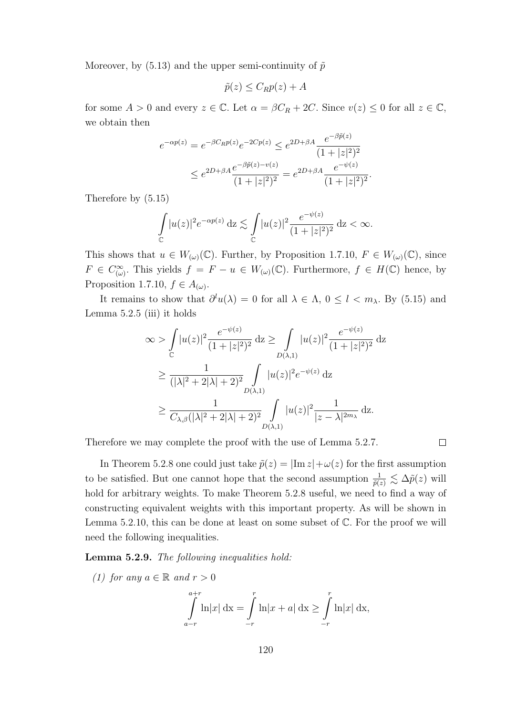Moreover, by (5.13) and the upper semi-continuity of  $\tilde{p}$ 

$$
\tilde{p}(z) \leq C_R p(z) + A
$$

for some  $A > 0$  and every  $z \in \mathbb{C}$ . Let  $\alpha = \beta C_R + 2C$ . Since  $v(z) \leq 0$  for all  $z \in \mathbb{C}$ , we obtain then

$$
e^{-\alpha p(z)} = e^{-\beta C_R p(z)} e^{-2Cp(z)} \le e^{2D + \beta A} \frac{e^{-\beta \tilde{p}(z)}}{(1+|z|^2)^2}
$$
  

$$
\le e^{2D + \beta A} \frac{e^{-\beta \tilde{p}(z) - v(z)}}{(1+|z|^2)^2} = e^{2D + \beta A} \frac{e^{-\psi(z)}}{(1+|z|^2)^2}.
$$

Therefore by (5.15)

$$
\int_{\mathbb{C}} |u(z)|^2 e^{-\alpha p(z)} dz \lesssim \int_{\mathbb{C}} |u(z)|^2 \frac{e^{-\psi(z)}}{(1+|z|^2)^2} dz < \infty.
$$

This shows that  $u \in W_{(\omega)}(\mathbb{C})$ . Further, by Proposition 1.7.10,  $F \in W_{(\omega)}(\mathbb{C})$ , since  $F \in C^{\infty}_{(\omega)}$ . This yields  $f = F - u \in W_{(\omega)}(\mathbb{C})$ . Furthermore,  $f \in H(\mathbb{C})$  hence, by Proposition 1.7.10,  $f \in A_{(\omega)}$ .

It remains to show that  $\partial^l u(\lambda) = 0$  for all  $\lambda \in \Lambda$ ,  $0 \leq l < m_\lambda$ . By (5.15) and Lemma 5.2.5 (iii) it holds

$$
\infty > \int_{\mathbb{C}} |u(z)|^2 \frac{e^{-\psi(z)}}{(1+|z|^2)^2} dz \ge \int_{D(\lambda,1)} |u(z)|^2 \frac{e^{-\psi(z)}}{(1+|z|^2)^2} dz
$$
  
\n
$$
\ge \frac{1}{(|\lambda|^2 + 2|\lambda| + 2)^2} \int_{D(\lambda,1)} |u(z)|^2 e^{-\psi(z)} dz
$$
  
\n
$$
\ge \frac{1}{C_{\lambda,\beta}(|\lambda|^2 + 2|\lambda| + 2)^2} \int_{D(\lambda,1)} |u(z)|^2 \frac{1}{|z - \lambda|^{2m_{\lambda}}} dz.
$$

Therefore we may complete the proof with the use of Lemma 5.2.7.

In Theorem 5.2.8 one could just take  $\tilde{p}(z) = |\text{Im } z| + \omega(z)$  for the first assumption to be satisfied. But one cannot hope that the second assumption  $\frac{1}{\tilde{p}(z)} \lesssim \Delta \tilde{p}(z)$  will hold for arbitrary weights. To make Theorem 5.2.8 useful, we need to find a way of constructing equivalent weights with this important property. As will be shown in Lemma 5.2.10, this can be done at least on some subset of  $\mathbb{C}$ . For the proof we will need the following inequalities.

 $\Box$ 

Lemma 5.2.9. The following inequalities hold:

(1) for any  $a \in \mathbb{R}$  and  $r > 0$  $\int^{a+r}$ a−r  $\ln|x| \, dx = \int$  $-r$  $\ln |x + a| \, \mathrm{dx} \ge \int$  $-r$  $\ln |x| \, dx$ ,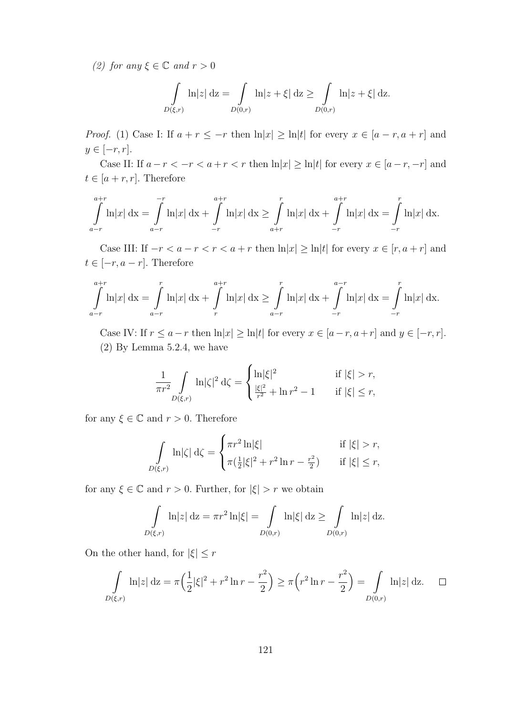(2) for any  $\xi \in \mathbb{C}$  and  $r > 0$ 

$$
\int_{D(\xi,r)} \ln|z| \, \mathrm{d}z = \int_{D(0,r)} \ln|z+\xi| \, \mathrm{d}z \ge \int_{D(0,r)} \ln|z+\xi| \, \mathrm{d}z.
$$

*Proof.* (1) Case I: If  $a + r \leq -r$  then  $\ln|x| \geq \ln|t|$  for every  $x \in [a - r, a + r]$  and  $y \in [-r, r]$ .

Case II: If  $a-r < -r < a+r < r$  then  $\ln|x| \geq \ln|t|$  for every  $x \in [a-r, -r]$  and  $t \in [a + r, r]$ . Therefore

$$
\int_{a-r}^{a+r} \ln|x| dx = \int_{a-r}^{-r} \ln|x| dx + \int_{-r}^{a+r} \ln|x| dx \ge \int_{a+r}^{r} \ln|x| dx + \int_{-r}^{a+r} \ln|x| dx = \int_{-r}^{r} \ln|x| dx.
$$

Case III: If  $-r < a-r < r < a+r$  then  $\ln |x| \ge \ln |t|$  for every  $x \in [r, a+r]$  and  $t \in [-r, a - r]$ . Therefore

$$
\int_{a-r}^{a+r} \ln|x| dx = \int_{a-r}^{r} \ln|x| dx + \int_{r}^{a+r} \ln|x| dx \ge \int_{a-r}^{r} \ln|x| dx + \int_{-r}^{a-r} \ln|x| dx = \int_{-r}^{r} \ln|x| dx.
$$

Case IV: If  $r \le a-r$  then  $\ln |x| \ge \ln |t|$  for every  $x \in [a-r, a+r]$  and  $y \in [-r, r]$ . (2) By Lemma 5.2.4, we have

$$
\frac{1}{\pi r^2} \int\limits_{D(\xi,r)} \ln |\zeta|^2 \, \mathrm{d}\zeta = \begin{cases} \ln |\xi|^2 & \text{if } |\xi| > r, \\ \frac{|\xi|^2}{r^2} + \ln r^2 - 1 & \text{if } |\xi| \le r, \end{cases}
$$

for any  $\xi \in \mathbb{C}$  and  $r > 0$ . Therefore

$$
\int_{D(\xi,r)} \ln |\zeta| d\zeta = \begin{cases} \pi r^2 \ln |\xi| & \text{if } |\xi| > r, \\ \pi (\frac{1}{2} |\xi|^2 + r^2 \ln r - \frac{r^2}{2}) & \text{if } |\xi| \le r, \end{cases}
$$

for any  $\xi \in \mathbb{C}$  and  $r > 0$ . Further, for  $|\xi| > r$  we obtain

$$
\int_{D(\xi,r)} \ln|z| \, \mathrm{d}z = \pi r^2 \ln|\xi| = \int_{D(0,r)} \ln|\xi| \, \mathrm{d}z \ge \int_{D(0,r)} \ln|z| \, \mathrm{d}z.
$$

On the other hand, for  $|\xi| \leq r$ 

$$
\int_{D(\xi,r)} \ln|z| \, \mathrm{d}z = \pi \left( \frac{1}{2} |\xi|^2 + r^2 \ln r - \frac{r^2}{2} \right) \ge \pi \left( r^2 \ln r - \frac{r^2}{2} \right) = \int_{D(0,r)} \ln|z| \, \mathrm{d}z. \quad \Box
$$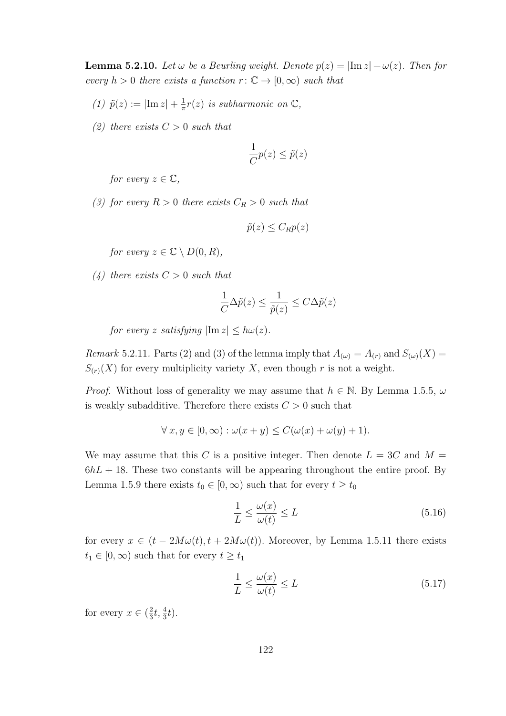**Lemma 5.2.10.** Let  $\omega$  be a Beurling weight. Denote  $p(z) = |\text{Im } z| + \omega(z)$ . Then for every  $h > 0$  there exists a function  $r : \mathbb{C} \to [0, \infty)$  such that

- (1)  $\tilde{p}(z) := |\text{Im } z| + \frac{1}{\pi}$  $\frac{1}{\pi}r(z)$  is subharmonic on  $\mathbb{C},$
- (2) there exists  $C > 0$  such that

$$
\frac{1}{C}p(z) \le \tilde{p}(z)
$$

for every  $z \in \mathbb{C}$ ,

(3) for every  $R > 0$  there exists  $C_R > 0$  such that

$$
\tilde{p}(z) \leq C_R p(z)
$$

for every  $z \in \mathbb{C} \setminus D(0, R)$ ,

 $(4)$  there exists  $C > 0$  such that

$$
\frac{1}{C} \Delta \tilde{p}(z) \leq \frac{1}{\tilde{p}(z)} \leq C \Delta \tilde{p}(z)
$$

for every z satisfying  $|\text{Im } z| < h\omega(z)$ .

*Remark* 5.2.11. Parts (2) and (3) of the lemma imply that  $A_{(\omega)} = A_{(r)}$  and  $S_{(\omega)}(X) =$  $S_{(r)}(X)$  for every multiplicity variety X, even though r is not a weight.

*Proof.* Without loss of generality we may assume that  $h \in \mathbb{N}$ . By Lemma 1.5.5,  $\omega$ is weakly subadditive. Therefore there exists  $C > 0$  such that

$$
\forall x, y \in [0, \infty) : \omega(x + y) \le C(\omega(x) + \omega(y) + 1).
$$

We may assume that this C is a positive integer. Then denote  $L = 3C$  and  $M =$  $6hL + 18$ . These two constants will be appearing throughout the entire proof. By Lemma 1.5.9 there exists  $t_0 \in [0, \infty)$  such that for every  $t \geq t_0$ 

$$
\frac{1}{L} \le \frac{\omega(x)}{\omega(t)} \le L \tag{5.16}
$$

for every  $x \in (t - 2M\omega(t), t + 2M\omega(t))$ . Moreover, by Lemma 1.5.11 there exists  $t_1 \in [0, \infty)$  such that for every  $t \ge t_1$ 

$$
\frac{1}{L} \le \frac{\omega(x)}{\omega(t)} \le L \tag{5.17}
$$

for every  $x \in (\frac{2}{3})$  $\frac{2}{3}t, \frac{4}{3}t$ .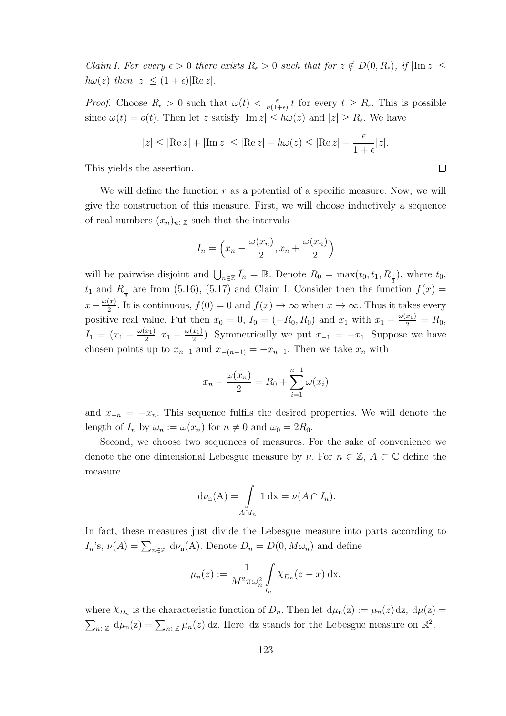*Claim I. For every*  $\epsilon > 0$  there exists  $R_{\epsilon} > 0$  such that for  $z \notin D(0, R_{\epsilon})$ , if  $|\text{Im } z| \leq$  $h\omega(z)$  then  $|z| \leq (1+\epsilon)|\text{Re } z|$ .

*Proof.* Choose  $R_{\epsilon} > 0$  such that  $\omega(t) < \frac{\epsilon}{h(1-\epsilon)}$  $\frac{\epsilon}{h(1+\epsilon)} t$  for every  $t \geq R_{\epsilon}$ . This is possible since  $\omega(t) = o(t)$ . Then let z satisfy  $|\text{Im } z| \le h\omega(z)$  and  $|z| \ge R_{\epsilon}$ . We have

$$
|z| \leq |\text{Re } z| + |\text{Im } z| \leq |\text{Re } z| + h\omega(z) \leq |\text{Re } z| + \frac{\epsilon}{1+\epsilon}|z|.
$$

This yields the assertion.

We will define the function  $r$  as a potential of a specific measure. Now, we will give the construction of this measure. First, we will choose inductively a sequence of real numbers  $(x_n)_{n\in\mathbb{Z}}$  such that the intervals

$$
I_n = \left(x_n - \frac{\omega(x_n)}{2}, x_n + \frac{\omega(x_n)}{2}\right)
$$

will be pairwise disjoint and  $\bigcup_{n\in\mathbb{Z}} \bar{I}_n = \mathbb{R}$ . Denote  $R_0 = \max(t_0, t_1, R_{\frac{1}{3}})$ , where  $t_0$ ,  $t_1$  and  $R_{\frac{1}{3}}$  are from (5.16), (5.17) and Claim I. Consider then the function  $f(x) =$  $x-\frac{\omega(x)}{2}$  $\frac{f(x)}{2}$ . It is continuous,  $f(0) = 0$  and  $f(x) \to \infty$  when  $x \to \infty$ . Thus it takes every positive real value. Put then  $x_0 = 0$ ,  $I_0 = (-R_0, R_0)$  and  $x_1$  with  $x_1 - \frac{\omega(x_1)}{2} = R_0$ ,  $I_1 = (x_1 - \frac{\omega(x_1)}{2})$  $\frac{(x_1)}{2}, x_1 + \frac{\omega(x_1)}{2}$  $\frac{x_1}{2}$ ). Symmetrically we put  $x_{-1} = -x_1$ . Suppose we have chosen points up to  $x_{n-1}$  and  $x_{-(n-1)} = -x_{n-1}$ . Then we take  $x_n$  with

$$
x_n - \frac{\omega(x_n)}{2} = R_0 + \sum_{i=1}^{n-1} \omega(x_i)
$$

and  $x_{-n} = -x_n$ . This sequence fulfils the desired properties. We will denote the length of  $I_n$  by  $\omega_n := \omega(x_n)$  for  $n \neq 0$  and  $\omega_0 = 2R_0$ .

Second, we choose two sequences of measures. For the sake of convenience we denote the one dimensional Lebesgue measure by  $\nu$ . For  $n \in \mathbb{Z}$ ,  $A \subset \mathbb{C}$  define the measure

$$
d\nu_n(A) = \int_{A \cap I_n} 1 dx = \nu(A \cap I_n).
$$

In fact, these measures just divide the Lebesgue measure into parts according to  $I_n$ 's,  $\nu(A) = \sum_{n \in \mathbb{Z}} d\nu_n(A)$ . Denote  $D_n = D(0, M\omega_n)$  and define

$$
\mu_n(z) := \frac{1}{M^2 \pi \omega_n^2} \int\limits_{I_n} \chi_{D_n}(z - x) \, \mathrm{d}x,
$$

where  $\chi_{D_n}$  is the characteristic function of  $D_n$ . Then let  $d\mu_n(z) := \mu_n(z) dz$ ,  $d\mu(z) =$  $\sum_{n\in\mathbb{Z}} d\mu_n(z) = \sum_{n\in\mathbb{Z}} \mu_n(z)$  dz. Here dz stands for the Lebesgue measure on  $\mathbb{R}^2$ .

 $\Box$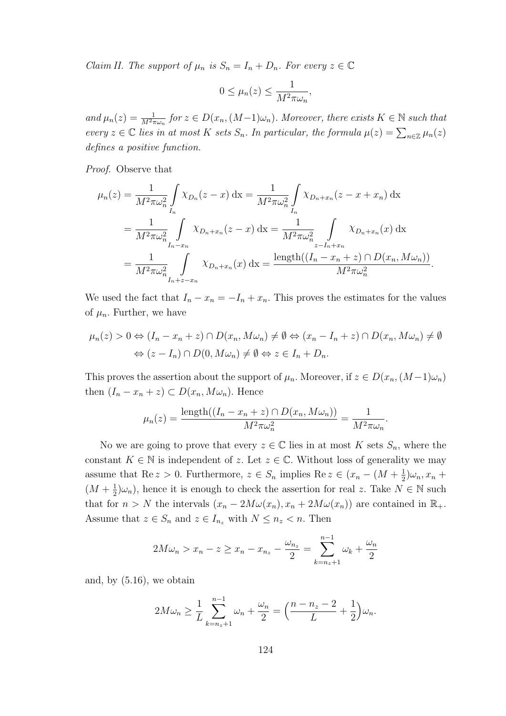*Claim II. The support of*  $\mu_n$  is  $S_n = I_n + D_n$ *. For every*  $z \in \mathbb{C}$ 

$$
0 \le \mu_n(z) \le \frac{1}{M^2 \pi \omega_n},
$$

and  $\mu_n(z) = \frac{1}{M^2 \pi \omega_n}$  for  $z \in D(x_n, (M-1)\omega_n)$ . Moreover, there exists  $K \in \mathbb{N}$  such that every  $z \in \mathbb{C}$  lies in at most K sets  $S_n$ . In particular, the formula  $\mu(z) = \sum_{n \in \mathbb{Z}} \mu_n(z)$ defines a positive function.

Proof. Observe that

$$
\mu_n(z) = \frac{1}{M^2 \pi \omega_n^2} \int_{I_n} \chi_{D_n}(z - x) dx = \frac{1}{M^2 \pi \omega_n^2} \int_{I_n} \chi_{D_n + x_n}(z - x + x_n) dx
$$
  
= 
$$
\frac{1}{M^2 \pi \omega_n^2} \int_{I_n - x_n} \chi_{D_n + x_n}(z - x) dx = \frac{1}{M^2 \pi \omega_n^2} \int_{z - I_n + x_n} \chi_{D_n + x_n}(x) dx
$$
  
= 
$$
\frac{1}{M^2 \pi \omega_n^2} \int_{I_n + z - x_n} \chi_{D_n + x_n}(x) dx = \frac{\text{length}((I_n - x_n + z) \cap D(x_n, M\omega_n))}{M^2 \pi \omega_n^2}.
$$

We used the fact that  $I_n - x_n = -I_n + x_n$ . This proves the estimates for the values of  $\mu_n$ . Further, we have

$$
\mu_n(z) > 0 \Leftrightarrow (I_n - x_n + z) \cap D(x_n, M\omega_n) \neq \emptyset \Leftrightarrow (x_n - I_n + z) \cap D(x_n, M\omega_n) \neq \emptyset
$$
\n
$$
\Leftrightarrow (z - I_n) \cap D(0, M\omega_n) \neq \emptyset \Leftrightarrow z \in I_n + D_n.
$$

This proves the assertion about the support of  $\mu_n$ . Moreover, if  $z \in D(x_n,(M-1)\omega_n)$ then  $(I_n - x_n + z) \subset D(x_n, M\omega_n)$ . Hence

$$
\mu_n(z) = \frac{\text{length}((I_n - x_n + z) \cap D(x_n, M\omega_n))}{M^2 \pi \omega_n^2} = \frac{1}{M^2 \pi \omega_n}.
$$

No we are going to prove that every  $z \in \mathbb{C}$  lies in at most K sets  $S_n$ , where the constant  $K \in \mathbb{N}$  is independent of z. Let  $z \in \mathbb{C}$ . Without loss of generality we may assume that Re  $z > 0$ . Furthermore,  $z \in S_n$  implies Re  $z \in (x_n - (M + \frac{1}{2})$  $(\frac{1}{2})\omega_n, x_n +$  $(M + \frac{1}{2})$  $\frac{1}{2}|\omega_n\rangle$ , hence it is enough to check the assertion for real z. Take  $N \in \mathbb{N}$  such that for  $n > N$  the intervals  $(x_n - 2M\omega(x_n), x_n + 2M\omega(x_n))$  are contained in  $\mathbb{R}_+$ . Assume that  $z \in S_n$  and  $z \in I_{n_z}$  with  $N \leq n_z < n$ . Then

$$
2M\omega_n > x_n - z \ge x_n - x_{n_z} - \frac{\omega_{n_z}}{2} = \sum_{k=n_z+1}^{n-1} \omega_k + \frac{\omega_n}{2}
$$

and, by (5.16), we obtain

$$
2M\omega_n \ge \frac{1}{L} \sum_{k=n_z+1}^{n-1} \omega_n + \frac{\omega_n}{2} = \left(\frac{n-n_z-2}{L} + \frac{1}{2}\right)\omega_n.
$$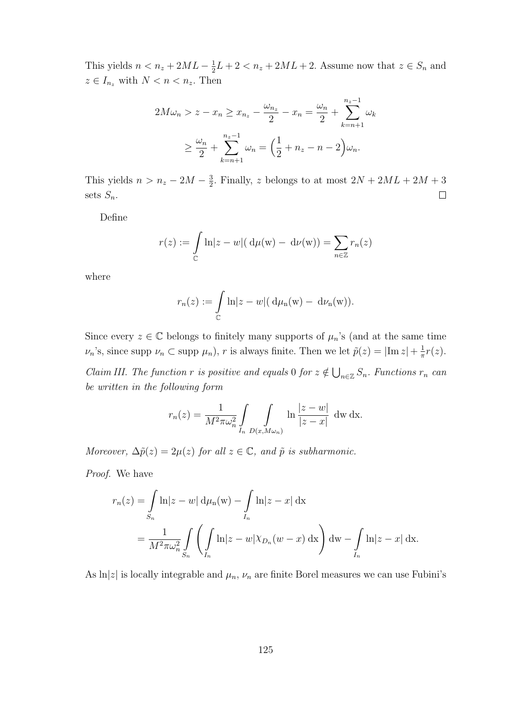This yields  $n < n_z + 2ML - \frac{1}{2}$  $\frac{1}{2}L + 2 < n_z + 2ML + 2$ . Assume now that  $z \in S_n$  and  $z \in I_{n_z}$  with  $N < n < n_z$ . Then

$$
2M\omega_n > z - x_n \ge x_{n_z} - \frac{\omega_{n_z}}{2} - x_n = \frac{\omega_n}{2} + \sum_{k=n+1}^{n_z - 1} \omega_k
$$
  
 
$$
\ge \frac{\omega_n}{2} + \sum_{k=n+1}^{n_z - 1} \omega_k = \left(\frac{1}{2} + n_z - n - 2\right)\omega_n.
$$

This yields  $n > n_z - 2M - \frac{3}{2}$  $\frac{3}{2}$ . Finally, z belongs to at most  $2N + 2ML + 2M + 3$ sets  $S_n$ .  $\Box$ 

Define

$$
r(z) := \int\limits_{\mathbb{C}} \ln|z - w| (\mathrm{d}\mu(\mathbf{w}) - \mathrm{d}\nu(\mathbf{w})) = \sum_{n \in \mathbb{Z}} r_n(z)
$$

where

$$
r_n(z) := \int\limits_{\mathbb{C}} \ln|z - w| \big( d\mu_n(w) - d\nu_n(w) \big).
$$

Since every  $z \in \mathbb{C}$  belongs to finitely many supports of  $\mu_n$ 's (and at the same time  $\nu_n$ 's, since supp  $\nu_n \subset \text{supp } \mu_n$ ), r is always finite. Then we let  $\tilde{p}(z) = |\text{Im } z| + \frac{1}{\pi}$  $rac{1}{\pi}r(z).$ 

*Claim III. The function r is positive and equals* 0 *for*  $z \notin \bigcup_{n \in \mathbb{Z}} S_n$ . Functions  $r_n$  can be written in the following form

$$
r_n(z) = \frac{1}{M^2 \pi \omega_n^2} \int\limits_{I_n} \int\limits_{D(x,M\omega_n)} \ln \frac{|z-w|}{|z-x|} \, dw \, dx.
$$

Moreover,  $\Delta \tilde{p}(z) = 2\mu(z)$  for all  $z \in \mathbb{C}$ , and  $\tilde{p}$  is subharmonic.

Proof. We have

$$
r_n(z) = \int_{S_n} \ln|z - w| d\mu_n(w) - \int_{I_n} \ln|z - x| dx
$$
  
= 
$$
\frac{1}{M^2 \pi \omega_n^2} \int_{S_n} \left( \int_{I_n} \ln|z - w| \chi_{D_n}(w - x) dx \right) dw - \int_{I_n} \ln|z - x| dx.
$$

As  $\ln|z|$  is locally integrable and  $\mu_n$ ,  $\nu_n$  are finite Borel measures we can use Fubini's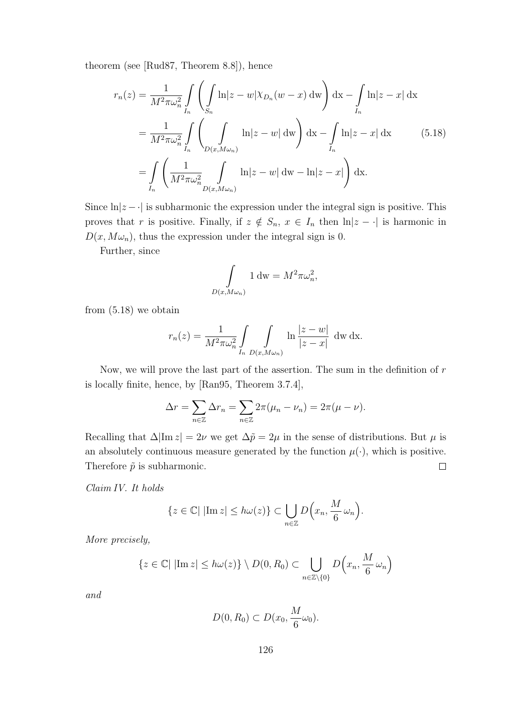theorem (see [Rud87, Theorem 8.8]), hence

$$
r_n(z) = \frac{1}{M^2 \pi \omega_n^2} \int\limits_{I_n} \left( \int\limits_{S_n} \ln|z - w| \chi_{D_n}(w - x) \, dw \right) dx - \int\limits_{I_n} \ln|z - x| \, dx
$$
  
= 
$$
\frac{1}{M^2 \pi \omega_n^2} \int\limits_{I_n} \left( \int\limits_{D(x, M \omega_n)} \ln|z - w| \, dw \right) dx - \int\limits_{I_n} \ln|z - x| \, dx \qquad (5.18)
$$
  
= 
$$
\int\limits_{I_n} \left( \frac{1}{M^2 \pi \omega_n^2} \int\limits_{D(x, M \omega_n)} \ln|z - w| \, dw - \ln|z - x| \right) dx.
$$

Since  $\ln|z-\cdot|$  is subharmonic the expression under the integral sign is positive. This proves that r is positive. Finally, if  $z \notin S_n$ ,  $x \in I_n$  then  $\ln|z - \cdot|$  is harmonic in  $D(x, M\omega_n)$ , thus the expression under the integral sign is 0.

Further, since

$$
\int_{D(x,M\omega_n)} 1 \, \mathrm{dw} = M^2 \pi \omega_n^2,
$$

from (5.18) we obtain

$$
r_n(z) = \frac{1}{M^2 \pi \omega_n^2} \int\limits_{I_n} \int\limits_{D(x, M\omega_n)} \ln \frac{|z - w|}{|z - x|} \, dw \, dx.
$$

Now, we will prove the last part of the assertion. The sum in the definition of  $r$ is locally finite, hence, by [Ran95, Theorem 3.7.4],

$$
\Delta r = \sum_{n \in \mathbb{Z}} \Delta r_n = \sum_{n \in \mathbb{Z}} 2\pi (\mu_n - \nu_n) = 2\pi (\mu - \nu).
$$

Recalling that  $\Delta |\text{Im } z| = 2\nu$  we get  $\Delta \tilde{p} = 2\mu$  in the sense of distributions. But  $\mu$  is an absolutely continuous measure generated by the function  $\mu(\cdot)$ , which is positive.  $\Box$ Therefore  $\tilde{p}$  is subharmonic.

Claim IV. It holds

$$
\{z \in \mathbb{C} | |\text{Im } z| \le h\omega(z)\} \subset \bigcup_{n \in \mathbb{Z}} D\Big(x_n, \frac{M}{6} \omega_n\Big).
$$

More precisely,

$$
\{z \in \mathbb{C} \mid |\text{Im } z| \le h\omega(z)\} \setminus D(0, R_0) \subset \bigcup_{n \in \mathbb{Z} \setminus \{0\}} D\left(x_n, \frac{M}{6} \omega_n\right)
$$

and

$$
D(0, R_0) \subset D(x_0, \frac{M}{6}\omega_0).
$$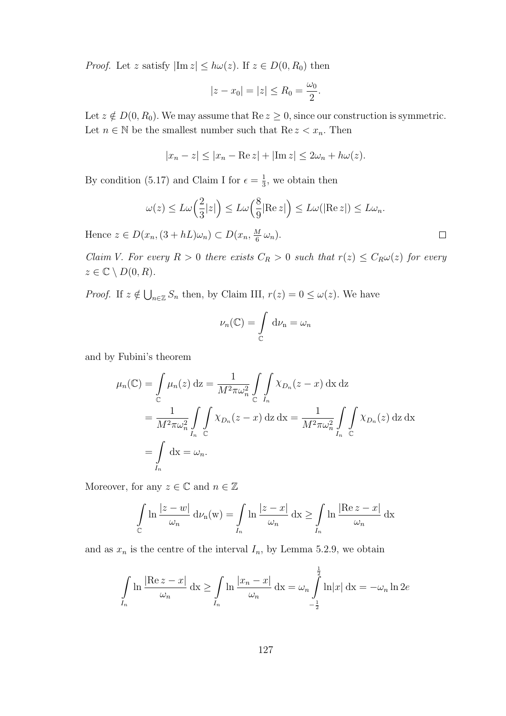*Proof.* Let z satisfy  $|\text{Im } z| \le h\omega(z)$ . If  $z \in D(0, R_0)$  then

$$
|z - x_0| = |z| \le R_0 = \frac{\omega_0}{2}.
$$

Let  $z \notin D(0, R_0)$ . We may assume that  $\text{Re } z \geq 0$ , since our construction is symmetric. Let  $n \in \mathbb{N}$  be the smallest number such that  $\text{Re } z < x_n$ . Then

$$
|x_n - z| \le |x_n - \operatorname{Re} z| + |\operatorname{Im} z| \le 2\omega_n + h\omega(z).
$$

By condition (5.17) and Claim I for  $\epsilon = \frac{1}{3}$  $\frac{1}{3}$ , we obtain then

$$
\omega(z) \le L\omega\left(\frac{2}{3}|z|\right) \le L\omega\left(\frac{8}{9}|\text{Re }z|\right) \le L\omega(|\text{Re }z|) \le L\omega_n.
$$

Hence  $z \in D(x_n, (3 + hL)\omega_n) \subset D(x_n, \frac{M}{6})$  $\frac{M}{6} \omega_n$ ).

Claim V. For every  $R > 0$  there exists  $C_R > 0$  such that  $r(z) \leq C_R \omega(z)$  for every  $z \in \mathbb{C} \setminus D(0, R).$ 

*Proof.* If  $z \notin \bigcup_{n \in \mathbb{Z}} S_n$  then, by Claim III,  $r(z) = 0 \leq \omega(z)$ . We have

$$
\nu_n(\mathbb{C}) = \int\limits_{\mathbb{C}} \mathrm{d}\nu_n = \omega_n
$$

and by Fubini's theorem

$$
\mu_n(\mathbb{C}) = \int_{\mathbb{C}} \mu_n(z) dz = \frac{1}{M^2 \pi \omega_n^2} \int_{\mathbb{C}} \int_{I_n} \chi_{D_n}(z - x) dx dz
$$
  
= 
$$
\frac{1}{M^2 \pi \omega_n^2} \int_{I_n} \int_{\mathbb{C}} \chi_{D_n}(z - x) dz dx = \frac{1}{M^2 \pi \omega_n^2} \int_{I_n} \int_{\mathbb{C}} \chi_{D_n}(z) dz dx
$$
  
= 
$$
\int_{I_n} dx = \omega_n.
$$

Moreover, for any  $z \in \mathbb{C}$  and  $n \in \mathbb{Z}$ 

$$
\int_{\mathbb{C}} \ln \frac{|z - w|}{\omega_n} d\nu_n(w) = \int_{I_n} \ln \frac{|z - x|}{\omega_n} dx \ge \int_{I_n} \ln \frac{|\text{Re } z - x|}{\omega_n} dx
$$

and as  $x_n$  is the centre of the interval  $I_n$ , by Lemma 5.2.9, we obtain

$$
\int\limits_{I_n} \ln \frac{|\text{Re } z - x|}{\omega_n} \, \mathrm{d}x \ge \int\limits_{I_n} \ln \frac{|x_n - x|}{\omega_n} \, \mathrm{d}x = \omega_n \int\limits_{-\frac{1}{2}}^{\frac{1}{2}} \ln |x| \, \mathrm{d}x = -\omega_n \ln 2e
$$

 $\Box$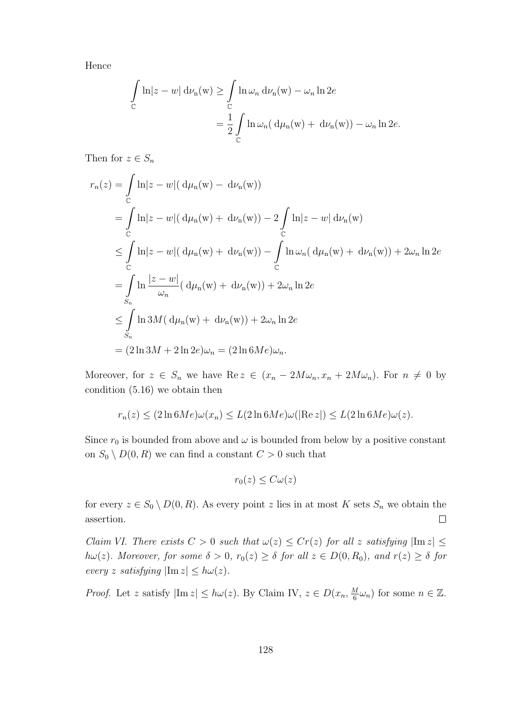Hence

$$
\int_{\mathbb{C}} \ln|z - w| d\nu_n(w) \ge \int_{\mathbb{C}} \ln \omega_n d\nu_n(w) - \omega_n \ln 2e
$$

$$
= \frac{1}{2} \int_{\mathbb{C}} \ln \omega_n (d\mu_n(w) + d\nu_n(w)) - \omega_n \ln 2e.
$$

Then for  $z \in S_n$ 

$$
r_n(z) = \int_{\mathbb{C}} \ln|z - w| (\mathrm{d}\mu_n(w) - \mathrm{d}\nu_n(w))
$$
  
= 
$$
\int_{\mathbb{C}} \ln|z - w| (\mathrm{d}\mu_n(w) + \mathrm{d}\nu_n(w)) - 2 \int_{\mathbb{C}} \ln|z - w| \mathrm{d}\nu_n(w)
$$
  

$$
\leq \int_{\mathbb{C}} \ln|z - w| (\mathrm{d}\mu_n(w) + \mathrm{d}\nu_n(w)) - \int_{\mathbb{C}} \ln \omega_n (\mathrm{d}\mu_n(w) + \mathrm{d}\nu_n(w)) + 2\omega_n \ln 2e
$$
  
= 
$$
\int_{S_n} \ln \frac{|z - w|}{\omega_n} (\mathrm{d}\mu_n(w) + \mathrm{d}\nu_n(w)) + 2\omega_n \ln 2e
$$
  

$$
\leq \int_{S_n} \ln 3M (\mathrm{d}\mu_n(w) + \mathrm{d}\nu_n(w)) + 2\omega_n \ln 2e
$$
  
= 
$$
(2 \ln 3M + 2 \ln 2e)\omega_n = (2 \ln 6Me)\omega_n.
$$

Moreover, for  $z \in S_n$  we have  $\text{Re } z \in (x_n - 2M\omega_n, x_n + 2M\omega_n)$ . For  $n \neq 0$  by condition (5.16) we obtain then

$$
r_n(z) \le (2\ln 6Me)\omega(x_n) \le L(2\ln 6Me)\omega(|\text{Re } z|) \le L(2\ln 6Me)\omega(z).
$$

Since  $r_0$  is bounded from above and  $\omega$  is bounded from below by a positive constant on  $S_0 \setminus D(0, R)$  we can find a constant  $C > 0$  such that

$$
r_0(z) \leq C\omega(z)
$$

for every  $z \in S_0 \setminus D(0, R)$ . As every point z lies in at most K sets  $S_n$  we obtain the assertion.  $\Box$ 

Claim VI. There exists  $C > 0$  such that  $\omega(z) \leq Cr(z)$  for all z satisfying  $|\text{Im } z| \leq$  $h\omega(z)$ . Moreover, for some  $\delta > 0$ ,  $r_0(z) \geq \delta$  for all  $z \in D(0, R_0)$ , and  $r(z) \geq \delta$  for every z satisfying  $|\text{Im } z| \leq h\omega(z)$ .

*Proof.* Let z satisfy  $|\text{Im } z| \leq h\omega(z)$ . By Claim IV,  $z \in D(x_n, \frac{M}{6})$  $\frac{M}{6}\omega_n$ ) for some  $n \in \mathbb{Z}$ .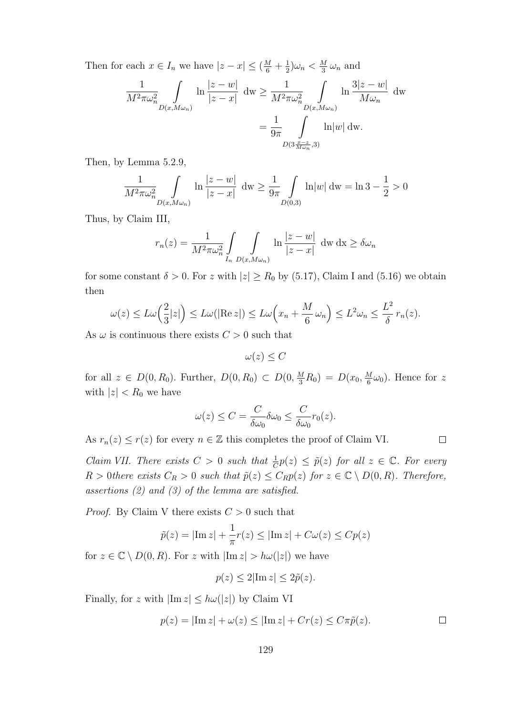Then for each  $x \in I_n$  we have  $|z - x| \leq (\frac{M}{6} + \frac{1}{2})$  $\frac{1}{2}\right)\omega_n < \frac{M}{3}$  $\frac{M}{3} \omega_n$  and

$$
\frac{1}{M^2 \pi \omega_n^2} \int_{D(x,M\omega_n)} \ln \frac{|z-w|}{|z-x|} dw \ge \frac{1}{M^2 \pi \omega_n^2} \int_{D(x,M\omega_n)} \ln \frac{3|z-w|}{M\omega_n} dw
$$

$$
= \frac{1}{9\pi} \int_{D(3\frac{x-z}{M\omega_n},3)} \ln |w| dw.
$$

Then, by Lemma 5.2.9,

$$
\frac{1}{M^2 \pi \omega_n^2} \int\limits_{D(x, M \omega_n)} \ln \frac{|z - w|}{|z - x|} dw \ge \frac{1}{9\pi} \int\limits_{D(0,3)} \ln |w| dw = \ln 3 - \frac{1}{2} > 0
$$

Thus, by Claim III,

$$
r_n(z) = \frac{1}{M^2 \pi \omega_n^2} \int\limits_{I_n} \int\limits_{D(x,M\omega_n)} \ln \frac{|z-w|}{|z-x|} dw dx \ge \delta \omega_n
$$

for some constant  $\delta > 0$ . For z with  $|z| \ge R_0$  by (5.17), Claim I and (5.16) we obtain then

$$
\omega(z) \le L\omega\left(\frac{2}{3}|z|\right) \le L\omega\left(|\text{Re } z|\right) \le L\omega\left(x_n + \frac{M}{6}\omega_n\right) \le L^2\omega_n \le \frac{L^2}{\delta}r_n(z).
$$

As  $\omega$  is continuous there exists  $C > 0$  such that

 $\omega(z) \leq C$ 

for all  $z \in D(0, R_0)$ . Further,  $D(0, R_0) \subset D(0, \frac{M}{3}R_0) = D(x_0, \frac{M}{6}R_0)$  $\frac{M}{6}\omega_0$ ). Hence for z with  $|z| < R_0$  we have

$$
\omega(z) \le C = \frac{C}{\delta \omega_0} \delta \omega_0 \le \frac{C}{\delta \omega_0} r_0(z).
$$

As  $r_n(z) \le r(z)$  for every  $n \in \mathbb{Z}$  this completes the proof of Claim VI.

Claim VII. There exists  $C > 0$  such that  $\frac{1}{C}p(z) \leq \tilde{p}(z)$  for all  $z \in \mathbb{C}$ . For every  $R > 0$  there exists  $C_R > 0$  such that  $\tilde{p}(z) \leq C_R p(z)$  for  $z \in \mathbb{C} \setminus D(0, R)$ . Therefore, assertions (2) and (3) of the lemma are satisfied.

*Proof.* By Claim V there exists  $C > 0$  such that

$$
\tilde{p}(z) = |\operatorname{Im} z| + \frac{1}{\pi}r(z) \le |\operatorname{Im} z| + C\omega(z) \le Cp(z)
$$

for  $z \in \mathbb{C} \setminus D(0, R)$ . For z with  $|\text{Im } z| > h\omega(|z|)$  we have

$$
p(z) \le 2|\operatorname{Im} z| \le 2\tilde{p}(z).
$$

Finally, for z with  $|\text{Im } z| \leq h\omega(|z|)$  by Claim VI

$$
p(z) = |\text{Im } z| + \omega(z) \le |\text{Im } z| + Cr(z) \le C\pi \tilde{p}(z).
$$

 $\Box$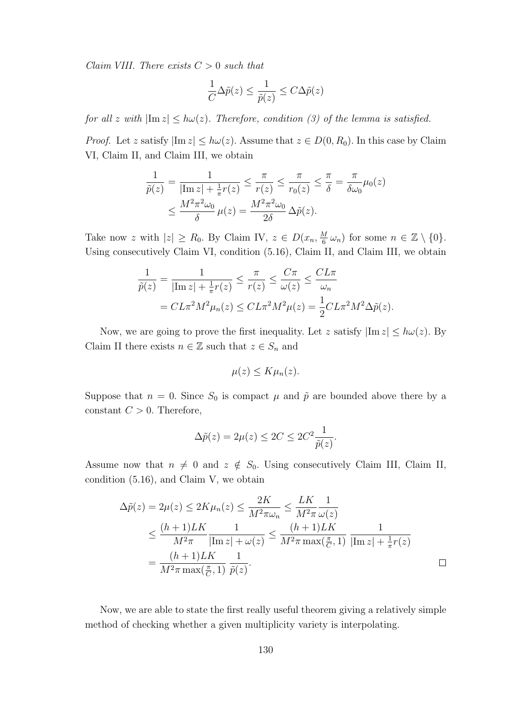Claim VIII. There exists  $C > 0$  such that

$$
\frac{1}{C}\Delta \tilde{p}(z) \leq \frac{1}{\tilde{p}(z)} \leq C \Delta \tilde{p}(z)
$$

for all z with  $|\text{Im } z| \leq h\omega(z)$ . Therefore, condition (3) of the lemma is satisfied.

*Proof.* Let z satisfy  $|\text{Im } z| \leq h\omega(z)$ . Assume that  $z \in D(0, R_0)$ . In this case by Claim VI, Claim II, and Claim III, we obtain

$$
\frac{1}{\tilde{p}(z)} = \frac{1}{|\text{Im } z| + \frac{1}{\pi}r(z)} \le \frac{\pi}{r(z)} \le \frac{\pi}{r_0(z)} \le \frac{\pi}{\delta} = \frac{\pi}{\delta\omega_0} \mu_0(z)
$$

$$
\le \frac{M^2\pi^2\omega_0}{\delta} \mu(z) = \frac{M^2\pi^2\omega_0}{2\delta} \Delta\tilde{p}(z).
$$

Take now z with  $|z| \ge R_0$ . By Claim IV,  $z \in D(x_n, \frac{M}{6})$  $\frac{M}{6} \omega_n$ ) for some  $n \in \mathbb{Z} \setminus \{0\}.$ Using consecutively Claim VI, condition (5.16), Claim II, and Claim III, we obtain

$$
\frac{1}{\tilde{p}(z)} = \frac{1}{|\text{Im } z| + \frac{1}{\pi}r(z)} \le \frac{\pi}{r(z)} \le \frac{C\pi}{\omega(z)} \le \frac{CL\pi}{\omega_n}
$$

$$
= CL\pi^2 M^2 \mu_n(z) \le CL\pi^2 M^2 \mu(z) = \frac{1}{2}CL\pi^2 M^2 \Delta \tilde{p}(z).
$$

Now, we are going to prove the first inequality. Let z satisfy  $|\text{Im } z| \le h\omega(z)$ . By Claim II there exists  $n \in \mathbb{Z}$  such that  $z \in S_n$  and

$$
\mu(z) \leq K\mu_n(z).
$$

Suppose that  $n = 0$ . Since  $S_0$  is compact  $\mu$  and  $\tilde{p}$  are bounded above there by a constant  $C > 0$ . Therefore,

$$
\Delta \tilde{p}(z) = 2\mu(z) \le 2C \le 2C^2 \frac{1}{\tilde{p}(z)}.
$$

Assume now that  $n \neq 0$  and  $z \notin S_0$ . Using consecutively Claim III, Claim II, condition (5.16), and Claim V, we obtain

$$
\Delta \tilde{p}(z) = 2\mu(z) \le 2K\mu_n(z) \le \frac{2K}{M^2\pi\omega_n} \le \frac{LK}{M^2\pi} \frac{1}{\omega(z)}
$$
  

$$
\le \frac{(h+1)LK}{M^2\pi} \frac{1}{|\text{Im } z| + \omega(z)} \le \frac{(h+1)LK}{M^2\pi \max(\frac{\pi}{C}, 1)} \frac{1}{|\text{Im } z| + \frac{1}{\pi}r(z)}
$$
  

$$
= \frac{(h+1)LK}{M^2\pi \max(\frac{\pi}{C}, 1)} \frac{1}{\tilde{p}(z)}.
$$

Now, we are able to state the first really useful theorem giving a relatively simple method of checking whether a given multiplicity variety is interpolating.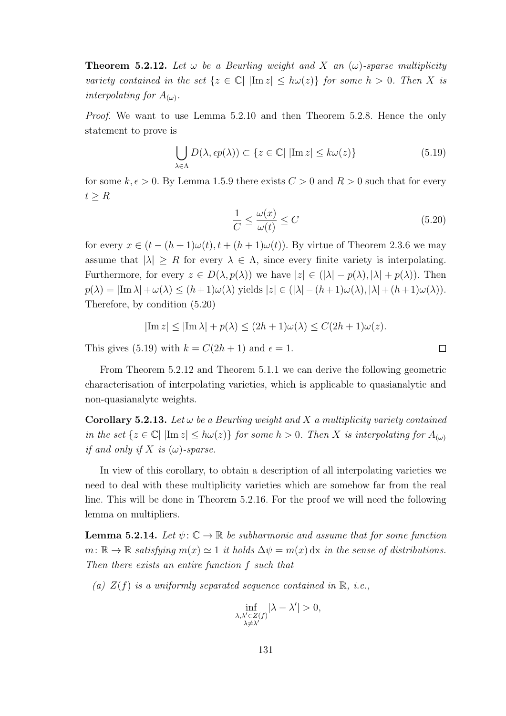**Theorem 5.2.12.** Let  $\omega$  be a Beurling weight and X an  $(\omega)$ -sparse multiplicity variety contained in the set  $\{z \in \mathbb{C} \mid |\text{Im } z| \le h\omega(z)\}$  for some  $h > 0$ . Then X is interpolating for  $A_{(\omega)}$ .

Proof. We want to use Lemma 5.2.10 and then Theorem 5.2.8. Hence the only statement to prove is

$$
\bigcup_{\lambda \in \Lambda} D(\lambda, \epsilon p(\lambda)) \subset \{ z \in \mathbb{C} | |\text{Im } z| \le k\omega(z) \}
$$
\n(5.19)

for some  $k, \epsilon > 0$ . By Lemma 1.5.9 there exists  $C > 0$  and  $R > 0$  such that for every  $t \geq R$ 

$$
\frac{1}{C} \le \frac{\omega(x)}{\omega(t)} \le C \tag{5.20}
$$

 $\Box$ 

for every  $x \in (t - (h + 1)\omega(t), t + (h + 1)\omega(t))$ . By virtue of Theorem 2.3.6 we may assume that  $|\lambda| \ge R$  for every  $\lambda \in \Lambda$ , since every finite variety is interpolating. Furthermore, for every  $z \in D(\lambda, p(\lambda))$  we have  $|z| \in (|\lambda| - p(\lambda), |\lambda| + p(\lambda))$ . Then  $p(\lambda) = |\text{Im }\lambda| + \omega(\lambda) \leq (h+1)\omega(\lambda)$  yields  $|z| \in (|\lambda| - (h+1)\omega(\lambda), |\lambda| + (h+1)\omega(\lambda)).$ Therefore, by condition (5.20)

$$
|\operatorname{Im} z| \le |\operatorname{Im} \lambda| + p(\lambda) \le (2h + 1)\omega(\lambda) \le C(2h + 1)\omega(z).
$$

This gives (5.19) with  $k = C(2h + 1)$  and  $\epsilon = 1$ .

From Theorem 5.2.12 and Theorem 5.1.1 we can derive the following geometric characterisation of interpolating varieties, which is applicable to quasianalytic and non-quasianalytc weights.

**Corollary 5.2.13.** Let  $\omega$  be a Beurling weight and X a multiplicity variety contained in the set  $\{z \in \mathbb{C} | \ |\text{Im } z| \leq h\omega(z)\}\$  for some  $h > 0$ . Then X is interpolating for  $A_{(\omega)}$ if and only if X is  $(\omega)$ -sparse.

In view of this corollary, to obtain a description of all interpolating varieties we need to deal with these multiplicity varieties which are somehow far from the real line. This will be done in Theorem 5.2.16. For the proof we will need the following lemma on multipliers.

**Lemma 5.2.14.** Let  $\psi: \mathbb{C} \to \mathbb{R}$  be subharmonic and assume that for some function  $m: \mathbb{R} \to \mathbb{R}$  satisfying  $m(x) \simeq 1$  it holds  $\Delta \psi = m(x) \, dx$  in the sense of distributions. Then there exists an entire function f such that

(a)  $Z(f)$  is a uniformly separated sequence contained in  $\mathbb{R}$ , *i.e.*,

$$
\inf_{\substack{\lambda,\lambda'\in Z(f)\\ \lambda\neq \lambda'}}|\lambda-\lambda'|>0,
$$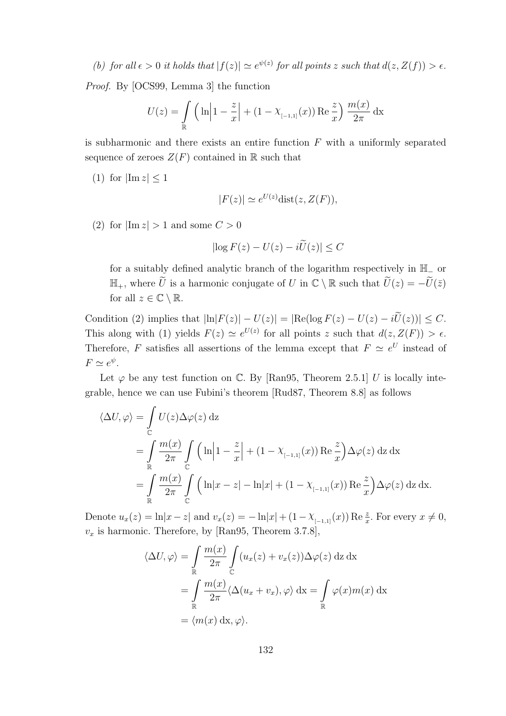(b) for all  $\epsilon > 0$  it holds that  $|f(z)| \simeq e^{\psi(z)}$  for all points z such that  $d(z, Z(f)) > \epsilon$ .

Proof. By [OCS99, Lemma 3] the function

$$
U(z) = \int_{\mathbb{R}} \left( \ln \left| 1 - \frac{z}{x} \right| + (1 - \chi_{[-1,1]}(x)) \operatorname{Re} \frac{z}{x} \right) \frac{m(x)}{2\pi} dx
$$

is subharmonic and there exists an entire function  $F$  with a uniformly separated sequence of zeroes  $Z(F)$  contained in R such that

(1) for  $|\text{Im } z| \leq 1$ 

$$
|F(z)| \simeq e^{U(z)} \text{dist}(z, Z(F)),
$$

(2) for  $|\text{Im } z| > 1$  and some  $C > 0$ 

$$
\left|\log F(z) - U(z) - i\widetilde{U}(z)\right| \le C
$$

for a suitably defined analytic branch of the logarithm respectively in H<sup>−</sup> or  $\mathbb{H}_+$ , where  $\widetilde{U}$  is a harmonic conjugate of U in  $\mathbb{C}\setminus\mathbb{R}$  such that  $\widetilde{U}(z) = -\widetilde{U}(\overline{z})$ for all  $z \in \mathbb{C} \setminus \mathbb{R}$ .

Condition (2) implies that  $|\ln|F(z)| - U(z)| = |\text{Re}(\log F(z) - U(z) - i\tilde{U}(z))| \leq C.$ This along with (1) yields  $F(z) \simeq e^{U(z)}$  for all points z such that  $d(z, Z(F)) > \epsilon$ . Therefore, F satisfies all assertions of the lemma except that  $F \simeq e^U$  instead of  $F \simeq e^{\psi}$ .

Let  $\varphi$  be any test function on  $\mathbb{C}$ . By [Ran95, Theorem 2.5.1] U is locally integrable, hence we can use Fubini's theorem [Rud87, Theorem 8.8] as follows

$$
\langle \Delta U, \varphi \rangle = \int_{\mathbb{C}} U(z) \Delta \varphi(z) dz
$$
  
= 
$$
\int_{\mathbb{R}} \frac{m(x)}{2\pi} \int_{\mathbb{C}} \left( \ln \left| 1 - \frac{z}{x} \right| + (1 - \chi_{[-1,1]}(x)) \operatorname{Re} \frac{z}{x} \right) \Delta \varphi(z) dz dx
$$
  
= 
$$
\int_{\mathbb{R}} \frac{m(x)}{2\pi} \int_{\mathbb{C}} \left( \ln |x - z| - \ln |x| + (1 - \chi_{[-1,1]}(x)) \operatorname{Re} \frac{z}{x} \right) \Delta \varphi(z) dz dx.
$$

Denote  $u_x(z) = \ln|x-z|$  and  $v_x(z) = -\ln|x| + (1 - \chi_{[-1,1]}(x)) \operatorname{Re} \frac{z}{x}$ . For every  $x \neq 0$ ,  $v_x$  is harmonic. Therefore, by [Ran95, Theorem 3.7.8],

$$
\langle \Delta U, \varphi \rangle = \int_{\mathbb{R}} \frac{m(x)}{2\pi} \int_{\mathbb{C}} (u_x(z) + v_x(z)) \Delta \varphi(z) \,dz \,dx
$$
  
= 
$$
\int_{\mathbb{R}} \frac{m(x)}{2\pi} \langle \Delta (u_x + v_x), \varphi \rangle \,dx = \int_{\mathbb{R}} \varphi(x) m(x) \,dx
$$
  
= 
$$
\langle m(x) \,dx, \varphi \rangle.
$$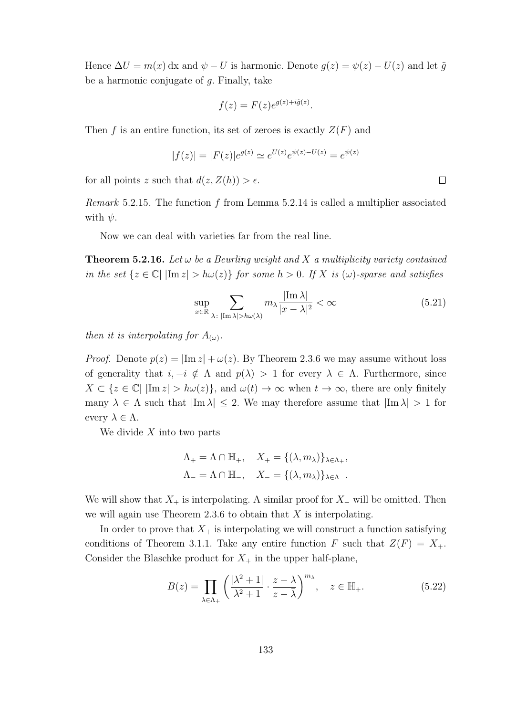Hence  $\Delta U = m(x) dx$  and  $\psi - U$  is harmonic. Denote  $g(z) = \psi(z) - U(z)$  and let  $\tilde{g}$ be a harmonic conjugate of  $q$ . Finally, take

$$
f(z) = F(z)e^{g(z) + i\tilde{g}(z)}.
$$

Then f is an entire function, its set of zeroes is exactly  $Z(F)$  and

$$
|f(z)| = |F(z)|e^{g(z)} \simeq e^{U(z)}e^{\psi(z) - U(z)} = e^{\psi(z)}
$$

for all points z such that  $d(z, Z(h)) > \epsilon$ .

*Remark* 5.2.15. The function f from Lemma 5.2.14 is called a multiplier associated with  $\psi$ .

Now we can deal with varieties far from the real line.

**Theorem 5.2.16.** Let  $\omega$  be a Beurling weight and X a multiplicity variety contained in the set  $\{z \in \mathbb{C} | \ |\text{Im } z| > h\omega(z)\}\)$  for some  $h > 0$ . If X is  $(\omega)$ -sparse and satisfies

$$
\sup_{x \in \mathbb{R}} \sum_{\lambda \colon |\text{Im }\lambda| > h\omega(\lambda)} m_{\lambda} \frac{|\text{Im }\lambda|}{|x - \lambda|^2} < \infty \tag{5.21}
$$

then it is interpolating for  $A_{(\omega)}$ .

*Proof.* Denote  $p(z) = |\text{Im } z| + \omega(z)$ . By Theorem 2.3.6 we may assume without loss of generality that  $i, -i \notin \Lambda$  and  $p(\lambda) > 1$  for every  $\lambda \in \Lambda$ . Furthermore, since  $X \subset \{z \in \mathbb{C} \mid |\text{Im } z| > h\omega(z)\}\$ , and  $\omega(t) \to \infty$  when  $t \to \infty$ , there are only finitely many  $\lambda \in \Lambda$  such that  $|\text{Im }\lambda| \leq 2$ . We may therefore assume that  $|\text{Im }\lambda| > 1$  for every  $\lambda \in \Lambda$ .

We divide  $X$  into two parts

$$
\Lambda_{+} = \Lambda \cap \mathbb{H}_{+}, \quad X_{+} = \{(\lambda, m_{\lambda})\}_{\lambda \in \Lambda_{+}},
$$

$$
\Lambda_{-} = \Lambda \cap \mathbb{H}_{-}, \quad X_{-} = \{(\lambda, m_{\lambda})\}_{\lambda \in \Lambda_{-}}.
$$

We will show that  $X_+$  is interpolating. A similar proof for  $X_-\,$  will be omitted. Then we will again use Theorem 2.3.6 to obtain that  $X$  is interpolating.

In order to prove that  $X_+$  is interpolating we will construct a function satisfying conditions of Theorem 3.1.1. Take any entire function F such that  $Z(F) = X_+$ . Consider the Blaschke product for  $X_+$  in the upper half-plane,

$$
B(z) = \prod_{\lambda \in \Lambda_+} \left( \frac{|\lambda^2 + 1|}{\lambda^2 + 1} \cdot \frac{z - \lambda}{z - \overline{\lambda}} \right)^{m_{\lambda}}, \quad z \in \mathbb{H}_+.
$$
 (5.22)

 $\Box$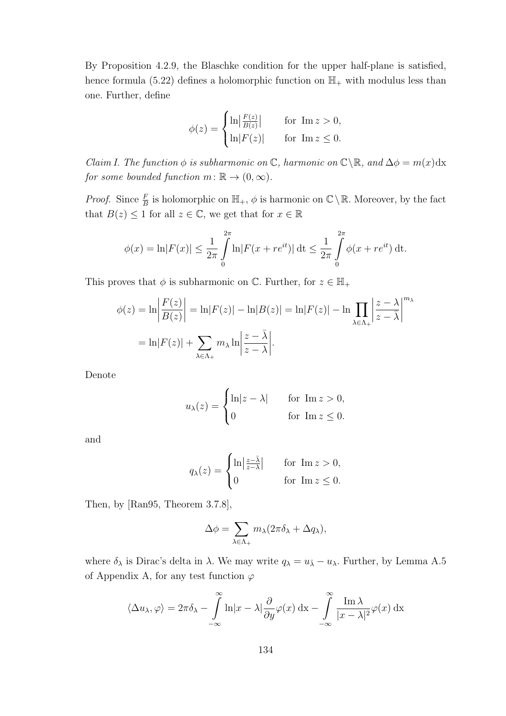By Proposition 4.2.9, the Blaschke condition for the upper half-plane is satisfied, hence formula (5.22) defines a holomorphic function on  $\mathbb{H}_+$  with modulus less than one. Further, define

$$
\phi(z) = \begin{cases} \ln \left| \frac{F(z)}{B(z)} \right| & \text{for } \operatorname{Im} z > 0, \\ \ln \left| F(z) \right| & \text{for } \operatorname{Im} z \le 0. \end{cases}
$$

Claim I. The function  $\phi$  is subharmonic on  $\mathbb{C}$ , harmonic on  $\mathbb{C}\backslash\mathbb{R}$ , and  $\Delta\phi = m(x)dx$ for some bounded function  $m: \mathbb{R} \to (0, \infty)$ .

*Proof.* Since  $\frac{F}{B}$  is holomorphic on  $\mathbb{H}_+$ ,  $\phi$  is harmonic on  $\mathbb{C}\setminus\mathbb{R}$ . Moreover, by the fact that  $B(z) \leq 1$  for all  $z \in \mathbb{C}$ , we get that for  $x \in \mathbb{R}$ 

$$
\phi(x) = \ln |F(x)| \le \frac{1}{2\pi} \int_{0}^{2\pi} \ln |F(x + re^{it})| \, dt \le \frac{1}{2\pi} \int_{0}^{2\pi} \phi(x + re^{it}) \, dt.
$$

This proves that  $\phi$  is subharmonic on  $\mathbb{C}$ . Further, for  $z \in \mathbb{H}_+$ 

$$
\phi(z) = \ln \left| \frac{F(z)}{B(z)} \right| = \ln |F(z)| - \ln |B(z)| = \ln |F(z)| - \ln \prod_{\lambda \in \Lambda_+} \left| \frac{z - \lambda}{z - \overline{\lambda}} \right|^{m_{\lambda}}
$$

$$
= \ln |F(z)| + \sum_{\lambda \in \Lambda_+} m_{\lambda} \ln \left| \frac{z - \overline{\lambda}}{z - \lambda} \right|.
$$

Denote

$$
u_{\lambda}(z) = \begin{cases} \ln|z - \lambda| & \text{for } \operatorname{Im} z > 0, \\ 0 & \text{for } \operatorname{Im} z \le 0. \end{cases}
$$

and

$$
q_{\lambda}(z) = \begin{cases} \ln\left|\frac{z-\bar{\lambda}}{z-\bar{\lambda}}\right| & \text{for } \operatorname{Im} z > 0, \\ 0 & \text{for } \operatorname{Im} z \le 0. \end{cases}
$$

Then, by [Ran95, Theorem 3.7.8],

$$
\Delta \phi = \sum_{\lambda \in \Lambda_+} m_{\lambda} (2\pi \delta_{\lambda} + \Delta q_{\lambda}),
$$

where  $\delta_{\lambda}$  is Dirac's delta in  $\lambda$ . We may write  $q_{\lambda} = u_{\overline{\lambda}} - u_{\lambda}$ . Further, by Lemma A.5 of Appendix A, for any test function  $\varphi$ 

$$
\langle \Delta u_{\lambda}, \varphi \rangle = 2\pi \delta_{\lambda} - \int_{-\infty}^{\infty} \ln|x - \lambda| \frac{\partial}{\partial y} \varphi(x) dx - \int_{-\infty}^{\infty} \frac{\operatorname{Im} \lambda}{|x - \lambda|^2} \varphi(x) dx
$$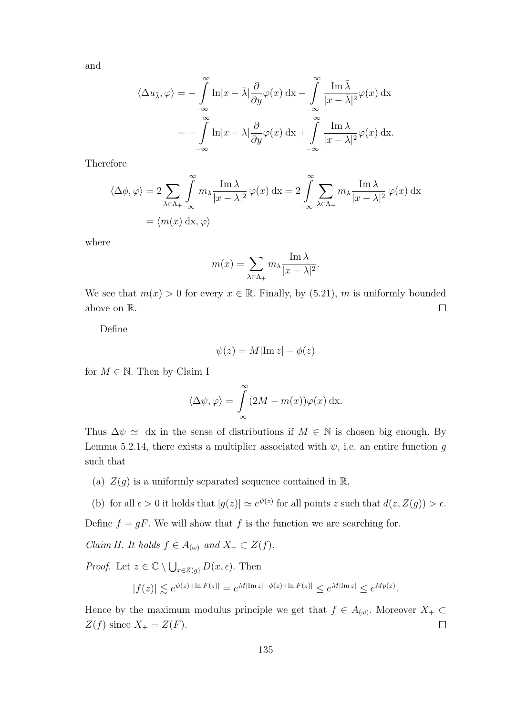and

$$
\langle \Delta u_{\bar{\lambda}}, \varphi \rangle = -\int_{-\infty}^{\infty} \ln |x - \bar{\lambda}| \frac{\partial}{\partial y} \varphi(x) dx - \int_{-\infty}^{\infty} \frac{\operatorname{Im} \bar{\lambda}}{|x - \bar{\lambda}|^2} \varphi(x) dx
$$

$$
= -\int_{-\infty}^{\infty} \ln |x - \lambda| \frac{\partial}{\partial y} \varphi(x) dx + \int_{-\infty}^{\infty} \frac{\operatorname{Im} \lambda}{|x - \lambda|^2} \varphi(x) dx.
$$

Therefore

$$
\langle \Delta \phi, \varphi \rangle = 2 \sum_{\lambda \in \Lambda_+} \int_{-\infty}^{\infty} m_{\lambda} \frac{\operatorname{Im} \lambda}{|x - \lambda|^2} \varphi(x) dx = 2 \int_{-\infty}^{\infty} \sum_{\lambda \in \Lambda_+} m_{\lambda} \frac{\operatorname{Im} \lambda}{|x - \lambda|^2} \varphi(x) dx
$$

$$
= \langle m(x) dx, \varphi \rangle
$$

where

$$
m(x) = \sum_{\lambda \in \Lambda_+} m_{\lambda} \frac{\operatorname{Im} \lambda}{|x - \lambda|^2}.
$$

We see that  $m(x) > 0$  for every  $x \in \mathbb{R}$ . Finally, by (5.21), m is uniformly bounded above on R.  $\Box$ 

Define

$$
\psi(z) = M|\text{Im } z| - \phi(z)
$$

for  $M \in \mathbb{N}$ . Then by Claim I

$$
\langle \Delta \psi, \varphi \rangle = \int_{-\infty}^{\infty} (2M - m(x)) \varphi(x) \, \mathrm{dx}.
$$

Thus  $\Delta \psi \simeq$  dx in the sense of distributions if  $M \in \mathbb{N}$  is chosen big enough. By Lemma 5.2.14, there exists a multiplier associated with  $\psi$ , i.e. an entire function g such that

(a)  $Z(g)$  is a uniformly separated sequence contained in  $\mathbb{R}$ ,

(b) for all  $\epsilon > 0$  it holds that  $|g(z)| \simeq e^{\psi(z)}$  for all points z such that  $d(z, Z(g)) > \epsilon$ .

Define  $f = gF$ . We will show that f is the function we are searching for.

*Claim II. It holds*  $f \in A_{(\omega)}$  and  $X_+ \subset Z(f)$ .

*Proof.* Let  $z \in \mathbb{C} \setminus \bigcup_{x \in Z(g)} D(x, \epsilon)$ . Then

$$
|f(z)| \lesssim e^{\psi(z) + \ln |F(z)|} = e^{M |\text{Im } z| - \phi(z) + \ln |F(z)|} \leq e^{M |\text{Im } z|} \leq e^{M p(z)}.
$$

Hence by the maximum modulus principle we get that  $f \in A_{(\omega)}$ . Moreover  $X_+ \subset$  $Z(f)$  since  $X_+ = Z(F)$ .  $\Box$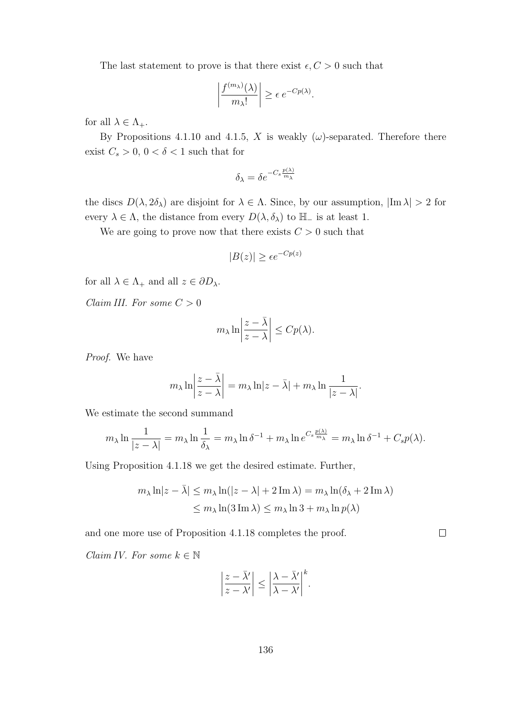The last statement to prove is that there exist  $\epsilon, C > 0$  such that

$$
\left|\frac{f^{(m_\lambda)}(\lambda)}{m_\lambda!}\right| \geq \epsilon \, e^{-Cp(\lambda)}.
$$

for all  $\lambda \in \Lambda_+$ .

By Propositions 4.1.10 and 4.1.5, X is weakly  $(\omega)$ -separated. Therefore there exist  $C_s > 0$ ,  $0 < \delta < 1$  such that for

$$
\delta_{\lambda} = \delta e^{-C_s \frac{p(\lambda)}{m_{\lambda}}}
$$

the discs  $D(\lambda, 2\delta_{\lambda})$  are disjoint for  $\lambda \in \Lambda$ . Since, by our assumption,  $|\text{Im }\lambda| > 2$  for every  $\lambda \in \Lambda$ , the distance from every  $D(\lambda, \delta_{\lambda})$  to  $\mathbb{H}_{-}$  is at least 1.

We are going to prove now that there exists  $C > 0$  such that

$$
|B(z)| \ge \epsilon e^{-Cp(z)}
$$

for all  $\lambda \in \Lambda_+$  and all  $z \in \partial D_\lambda$ .

Claim III. For some  $C > 0$ 

$$
m_{\lambda} \ln \left| \frac{z - \bar{\lambda}}{z - \lambda} \right| \leq C p(\lambda).
$$

Proof. We have

$$
m_{\lambda} \ln \left| \frac{z - \bar{\lambda}}{z - \lambda} \right| = m_{\lambda} \ln |z - \bar{\lambda}| + m_{\lambda} \ln \frac{1}{|z - \lambda|}.
$$

We estimate the second summand

$$
m_{\lambda} \ln \frac{1}{|z - \lambda|} = m_{\lambda} \ln \frac{1}{\delta_{\lambda}} = m_{\lambda} \ln \delta^{-1} + m_{\lambda} \ln e^{C_s \frac{p(\lambda)}{m_{\lambda}}} = m_{\lambda} \ln \delta^{-1} + C_s p(\lambda).
$$

Using Proposition 4.1.18 we get the desired estimate. Further,

$$
m_{\lambda} \ln|z - \bar{\lambda}| \le m_{\lambda} \ln(|z - \lambda| + 2 \operatorname{Im} \lambda) = m_{\lambda} \ln(\delta_{\lambda} + 2 \operatorname{Im} \lambda)
$$
  

$$
\le m_{\lambda} \ln(3 \operatorname{Im} \lambda) \le m_{\lambda} \ln 3 + m_{\lambda} \ln p(\lambda)
$$

 $\Box$ 

and one more use of Proposition 4.1.18 completes the proof.

Claim IV. For some  $k \in \mathbb{N}$ 

$$
\left|\frac{z-\bar{\lambda}'}{z-\lambda'}\right| \leq \left|\frac{\lambda-\bar{\lambda}'}{\lambda-\lambda'}\right|^k.
$$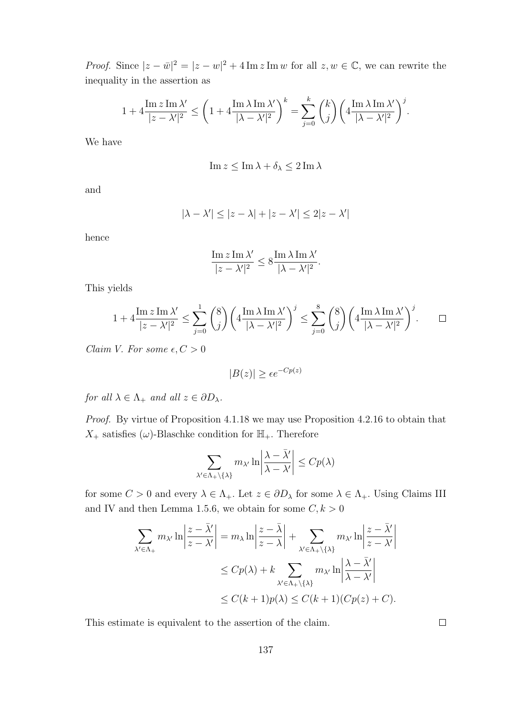*Proof.* Since  $|z - \bar{w}|^2 = |z - w|^2 + 4 \operatorname{Im} z \operatorname{Im} w$  for all  $z, w \in \mathbb{C}$ , we can rewrite the inequality in the assertion as

$$
1+4\frac{\operatorname{Im} z\operatorname{Im} \lambda'}{|z-\lambda'|^2}\leq \bigg(1+4\frac{\operatorname{Im} \lambda\operatorname{Im} \lambda'}{|\lambda-\lambda'|^2}\bigg)^k=\sum_{j=0}^k \binom{k}{j}\bigg(4\frac{\operatorname{Im} \lambda\operatorname{Im} \lambda'}{|\lambda-\lambda'|^2}\bigg)^j.
$$

We have

$$
\operatorname{Im} z \le \operatorname{Im} \lambda + \delta_{\lambda} \le 2 \operatorname{Im} \lambda
$$

and

$$
|\lambda - \lambda'| \le |z - \lambda| + |z - \lambda'| \le 2|z - \lambda'|
$$

hence

$$
\frac{\mathop{\rm Im}\nolimits z\mathop{\rm Im}\nolimits \lambda'}{|z-\lambda'|^2}\leq 8\frac{\mathop{\rm Im}\nolimits \lambda\mathop{\rm Im}\nolimits \lambda'}{|\lambda-\lambda'|^2}.
$$

This yields

$$
1 + 4\frac{\operatorname{Im} z \operatorname{Im} \lambda'}{|z - \lambda'|^2} \le \sum_{j=0}^1 {8 \choose j} \left( 4 \frac{\operatorname{Im} \lambda \operatorname{Im} \lambda'}{|\lambda - \lambda'|^2} \right)^j \le \sum_{j=0}^8 {8 \choose j} \left( 4 \frac{\operatorname{Im} \lambda \operatorname{Im} \lambda'}{|\lambda - \lambda'|^2} \right)^j.
$$

Claim V. For some  $\epsilon, C > 0$ 

$$
|B(z)| \ge \epsilon e^{-Cp(z)}
$$

for all  $\lambda \in \Lambda_+$  and all  $z \in \partial D_\lambda$ .

Proof. By virtue of Proposition 4.1.18 we may use Proposition 4.2.16 to obtain that  $X_+$  satisfies ( $\omega$ )-Blaschke condition for  $\mathbb{H}_+$ . Therefore

$$
\sum_{\lambda' \in \Lambda_+\setminus \{\lambda\}} m_{\lambda'} \ln \left| \frac{\lambda - \bar{\lambda}'}{\lambda - \lambda'} \right| \le C p(\lambda)
$$

for some  $C > 0$  and every  $\lambda \in \Lambda_+$ . Let  $z \in \partial D_\lambda$  for some  $\lambda \in \Lambda_+$ . Using Claims III and IV and then Lemma 1.5.6, we obtain for some  $C, k > 0$ 

$$
\sum_{\lambda' \in \Lambda_+} m_{\lambda'} \ln \left| \frac{z - \bar{\lambda}'}{z - \lambda'} \right| = m_{\lambda} \ln \left| \frac{z - \bar{\lambda}}{z - \lambda} \right| + \sum_{\lambda' \in \Lambda_+ \setminus \{\lambda\}} m_{\lambda'} \ln \left| \frac{z - \bar{\lambda}'}{z - \lambda'} \right|
$$
  

$$
\leq C p(\lambda) + k \sum_{\lambda' \in \Lambda_+ \setminus \{\lambda\}} m_{\lambda'} \ln \left| \frac{\lambda - \bar{\lambda}'}{\lambda - \lambda'} \right|
$$
  

$$
\leq C(k+1)p(\lambda) \leq C(k+1)(Cp(z) + C).
$$

This estimate is equivalent to the assertion of the claim.

 $\Box$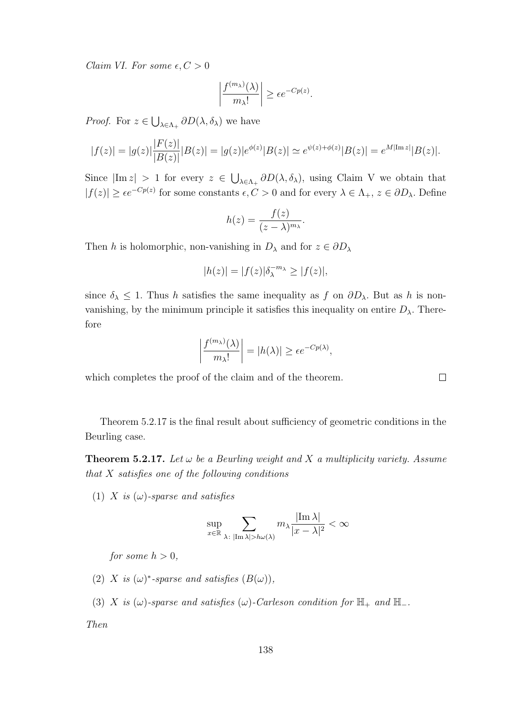Claim VI. For some  $\epsilon, C > 0$ 

$$
\left|\frac{f^{(m_\lambda)}(\lambda)}{m_\lambda!}\right| \ge \epsilon e^{-Cp(z)}.
$$

*Proof.* For  $z \in \bigcup_{\lambda \in \Lambda_+} \partial D(\lambda, \delta_\lambda)$  we have

$$
|f(z)| = |g(z)| \frac{|F(z)|}{|B(z)|} |B(z)| = |g(z)| e^{\phi(z)} |B(z)| \simeq e^{\psi(z) + \phi(z)} |B(z)| = e^{M|\text{Im } z|} |B(z)|.
$$

Since  $|\text{Im } z| > 1$  for every  $z \in \bigcup_{\lambda \in \Lambda_+} \partial D(\lambda, \delta_\lambda)$ , using Claim V we obtain that  $|f(z)| \geq \epsilon e^{-Cp(z)}$  for some constants  $\epsilon, C > 0$  and for every  $\lambda \in \Lambda_+$ ,  $z \in \partial D_\lambda$ . Define

$$
h(z) = \frac{f(z)}{(z-\lambda)^{m_{\lambda}}}.
$$

Then h is holomorphic, non-vanishing in  $D_{\lambda}$  and for  $z \in \partial D_{\lambda}$ 

$$
|h(z)| = |f(z)|\delta_{\lambda}^{-m_{\lambda}} \ge |f(z)|,
$$

since  $\delta_{\lambda} \leq 1$ . Thus h satisfies the same inequality as f on  $\partial D_{\lambda}$ . But as h is nonvanishing, by the minimum principle it satisfies this inequality on entire  $D_{\lambda}$ . Therefore

$$
\left|\frac{f^{(m_{\lambda})}(\lambda)}{m_{\lambda}!}\right| = |h(\lambda)| \ge \epsilon e^{-Cp(\lambda)},
$$

which completes the proof of the claim and of the theorem.

Theorem 5.2.17 is the final result about sufficiency of geometric conditions in the Beurling case.

**Theorem 5.2.17.** Let  $\omega$  be a Beurling weight and X a multiplicity variety. Assume that  $X$  satisfies one of the following conditions

(1) X is  $(\omega)$ -sparse and satisfies

$$
\sup_{x\in\mathbb{R}}\sum_{\lambda\colon |\mathrm{Im}\,\lambda|>h\omega(\lambda)}m_{\lambda}\frac{|\mathrm{Im}\,\lambda|}{|x-\lambda|^2}<\infty
$$

for some  $h > 0$ .

- (2) X is  $(\omega)^*$ -sparse and satisfies  $(B(\omega))$ ,
- (3) X is  $(\omega)$ -sparse and satisfies  $(\omega)$ -Carleson condition for  $\mathbb{H}_+$  and  $\mathbb{H}_-$ .

Then

 $\Box$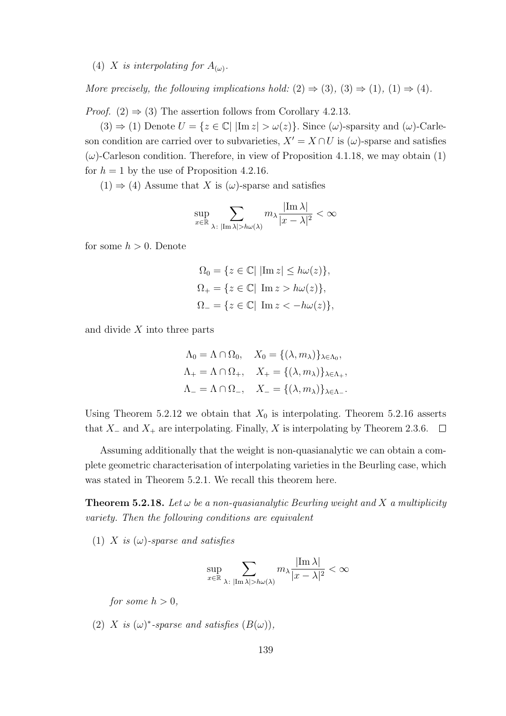(4) X is interpolating for  $A_{(\omega)}$ .

More precisely, the following implications hold:  $(2) \Rightarrow (3)$ ,  $(3) \Rightarrow (1)$ ,  $(1) \Rightarrow (4)$ .

*Proof.* (2)  $\Rightarrow$  (3) The assertion follows from Corollary 4.2.13.

 $(3) \Rightarrow (1)$  Denote  $U = \{z \in \mathbb{C} \mid |\text{Im } z| > \omega(z)\}\.$  Since  $(\omega)$ -sparsity and  $(\omega)$ -Carleson condition are carried over to subvarieties,  $X' = X \cap U$  is  $(\omega)$ -sparse and satisfies  $(\omega)$ -Carleson condition. Therefore, in view of Proposition 4.1.18, we may obtain (1) for  $h = 1$  by the use of Proposition 4.2.16.

 $(1) \Rightarrow (4)$  Assume that X is  $(\omega)$ -sparse and satisfies

$$
\sup_{x \in \mathbb{R}} \sum_{\lambda \colon |\text{Im }\lambda| > h\omega(\lambda)} m_{\lambda} \frac{|\text{Im }\lambda|}{|x - \lambda|^2} < \infty
$$

for some  $h > 0$ . Denote

$$
\Omega_0 = \{ z \in \mathbb{C} | |\text{Im } z| \le h\omega(z) \},
$$
  

$$
\Omega_+ = \{ z \in \mathbb{C} | \text{Im } z > h\omega(z) \},
$$
  

$$
\Omega_- = \{ z \in \mathbb{C} | \text{Im } z < -h\omega(z) \},
$$

and divide  $X$  into three parts

$$
\Lambda_0 = \Lambda \cap \Omega_0, \quad X_0 = \{ (\lambda, m_\lambda) \}_{\lambda \in \Lambda_0},
$$
  

$$
\Lambda_+ = \Lambda \cap \Omega_+, \quad X_+ = \{ (\lambda, m_\lambda) \}_{\lambda \in \Lambda_+},
$$
  

$$
\Lambda_- = \Lambda \cap \Omega_-, \quad X_- = \{ (\lambda, m_\lambda) \}_{\lambda \in \Lambda_-}.
$$

Using Theorem 5.2.12 we obtain that  $X_0$  is interpolating. Theorem 5.2.16 asserts that  $X_-\$  and  $X_+$  are interpolating. Finally, X is interpolating by Theorem 2.3.6.  $\Box$ 

Assuming additionally that the weight is non-quasianalytic we can obtain a complete geometric characterisation of interpolating varieties in the Beurling case, which was stated in Theorem 5.2.1. We recall this theorem here.

**Theorem 5.2.18.** Let  $\omega$  be a non-quasianalytic Beurling weight and X a multiplicity variety. Then the following conditions are equivalent

(1) X is  $(\omega)$ -sparse and satisfies

$$
\sup_{x \in \mathbb{R}} \sum_{\lambda \colon |\text{Im }\lambda| > h\omega(\lambda)} m_{\lambda} \frac{|\text{Im }\lambda|}{|x - \lambda|^2} < \infty
$$

for some  $h > 0$ .

(2) X is  $(\omega)^*$ -sparse and satisfies  $(B(\omega))$ ,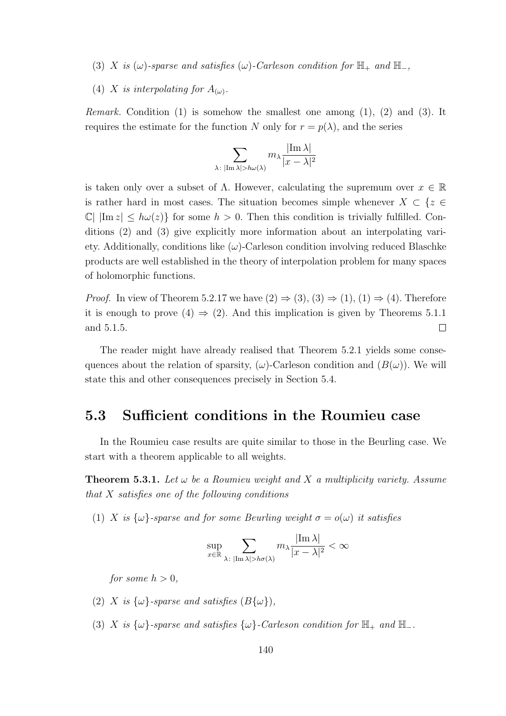(3) X is  $(\omega)$ -sparse and satisfies  $(\omega)$ -Carleson condition for  $\mathbb{H}_+$  and  $\mathbb{H}_-,$ 

(4) X is interpolating for  $A_{(\omega)}$ .

*Remark.* Condition (1) is somehow the smallest one among  $(1)$ ,  $(2)$  and  $(3)$ . It requires the estimate for the function N only for  $r = p(\lambda)$ , and the series

$$
\sum_{\lambda \colon |\text{Im }\lambda| > h\omega(\lambda)} m_{\lambda} \frac{|\text{Im }\lambda|}{|x - \lambda|^2}
$$

is taken only over a subset of  $\Lambda$ . However, calculating the supremum over  $x \in \mathbb{R}$ is rather hard in most cases. The situation becomes simple whenever  $X \subset \{z \in \mathbb{R}^n : |z| \leq 1\}$  $\mathbb{C}$  |  $\text{Im } z \leq h\omega(z)$  for some  $h > 0$ . Then this condition is trivially fulfilled. Conditions (2) and (3) give explicitly more information about an interpolating variety. Additionally, conditions like  $(\omega)$ -Carleson condition involving reduced Blaschke products are well established in the theory of interpolation problem for many spaces of holomorphic functions.

*Proof.* In view of Theorem 5.2.17 we have  $(2) \Rightarrow (3), (3) \Rightarrow (1), (1) \Rightarrow (4)$ . Therefore it is enough to prove (4)  $\Rightarrow$  (2). And this implication is given by Theorems 5.1.1 and 5.1.5.  $\Box$ 

The reader might have already realised that Theorem 5.2.1 yields some consequences about the relation of sparsity,  $(\omega)$ -Carleson condition and  $(B(\omega))$ . We will state this and other consequences precisely in Section 5.4.

## 5.3 Sufficient conditions in the Roumieu case

In the Roumieu case results are quite similar to those in the Beurling case. We start with a theorem applicable to all weights.

**Theorem 5.3.1.** Let  $\omega$  be a Roumieu weight and X a multiplicity variety. Assume that  $X$  satisfies one of the following conditions

(1) X is  $\{\omega\}$ -sparse and for some Beurling weight  $\sigma = o(\omega)$  it satisfies

$$
\sup_{x \in \mathbb{R}} \sum_{\lambda \colon |\text{Im }\lambda| > h\sigma(\lambda)} m_{\lambda} \frac{|\text{Im }\lambda|}{|x - \lambda|^2} < \infty
$$

for some  $h > 0$ ,

- (2) X is  $\{\omega\}$ -sparse and satisfies  $(B\{\omega\})$ ,
- (3) X is  $\{\omega\}$ -sparse and satisfies  $\{\omega\}$ -Carleson condition for  $\mathbb{H}_+$  and  $\mathbb{H}_-$ .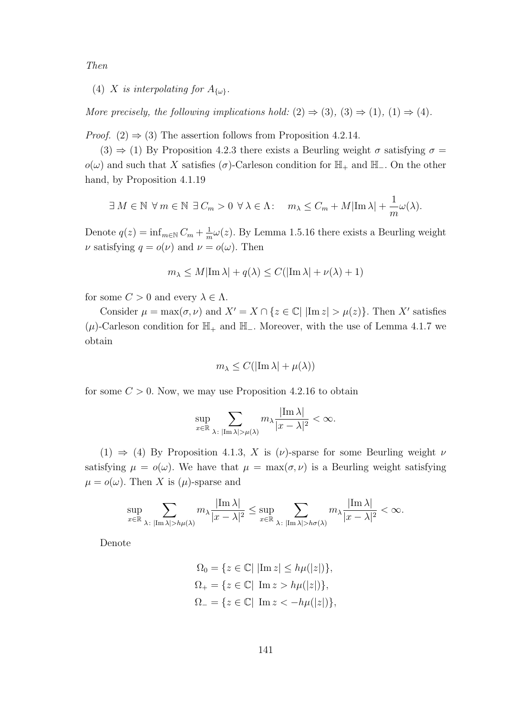Then

(4) X is interpolating for  $A_{\{\omega\}}$ .

More precisely, the following implications hold:  $(2) \Rightarrow (3)$ ,  $(3) \Rightarrow (1)$ ,  $(1) \Rightarrow (4)$ .

*Proof.* (2)  $\Rightarrow$  (3) The assertion follows from Proposition 4.2.14.

 $(3) \Rightarrow (1)$  By Proposition 4.2.3 there exists a Beurling weight  $\sigma$  satisfying  $\sigma =$  $o(\omega)$  and such that X satisfies ( $\sigma$ )-Carleson condition for  $\mathbb{H}_+$  and  $\mathbb{H}_-$ . On the other hand, by Proposition 4.1.19

$$
\exists M \in \mathbb{N} \ \forall m \in \mathbb{N} \ \exists C_m > 0 \ \forall \lambda \in \Lambda: \quad m_{\lambda} \leq C_m + M |\text{Im}\,\lambda| + \frac{1}{m}\omega(\lambda).
$$

Denote  $q(z) = \inf_{m \in \mathbb{N}} C_m + \frac{1}{m}$  $\frac{1}{m}\omega(z)$ . By Lemma 1.5.16 there exists a Beurling weight  $\nu$  satisfying  $q = o(\nu)$  and  $\nu = o(\omega)$ . Then

$$
m_{\lambda} \le M|\operatorname{Im}\lambda| + q(\lambda) \le C(|\operatorname{Im}\lambda| + \nu(\lambda) + 1)
$$

for some  $C > 0$  and every  $\lambda \in \Lambda$ .

Consider  $\mu = \max(\sigma, \nu)$  and  $X' = X \cap \{z \in \mathbb{C} | \vert \text{Im } z \vert > \mu(z) \}.$  Then X' satisfies  $(\mu)$ -Carleson condition for  $\mathbb{H}_+$  and  $\mathbb{H}_-$ . Moreover, with the use of Lemma 4.1.7 we obtain

$$
m_{\lambda} \le C(|\mathrm{Im}\,\lambda| + \mu(\lambda))
$$

for some  $C > 0$ . Now, we may use Proposition 4.2.16 to obtain

$$
\sup_{x\in\mathbb{R}}\sum_{\lambda\colon |\mathrm{Im}\,\lambda|>\mu(\lambda)}m_{\lambda}\frac{|\mathrm{Im}\,\lambda|}{|x-\lambda|^2}<\infty.
$$

(1)  $\Rightarrow$  (4) By Proposition 4.1.3, X is ( $\nu$ )-sparse for some Beurling weight  $\nu$ satisfying  $\mu = o(\omega)$ . We have that  $\mu = \max(\sigma, \nu)$  is a Beurling weight satisfying  $\mu = o(\omega)$ . Then X is  $(\mu)$ -sparse and

$$
\sup_{x\in\mathbb{R}}\sum_{\lambda:\ |\text{Im }\lambda|>h\mu(\lambda)}m_{\lambda}\frac{|\text{Im }\lambda|}{|x-\lambda|^2}\leq \sup_{x\in\mathbb{R}}\sum_{\lambda:\ |\text{Im }\lambda|>h\sigma(\lambda)}m_{\lambda}\frac{|\text{Im }\lambda|}{|x-\lambda|^2}<\infty.
$$

Denote

$$
\Omega_0 = \{ z \in \mathbb{C} | |\text{Im } z| \le h\mu(|z|) \},
$$
  

$$
\Omega_+ = \{ z \in \mathbb{C} | \text{Im } z > h\mu(|z|) \},
$$
  

$$
\Omega_- = \{ z \in \mathbb{C} | \text{Im } z < -h\mu(|z|) \},
$$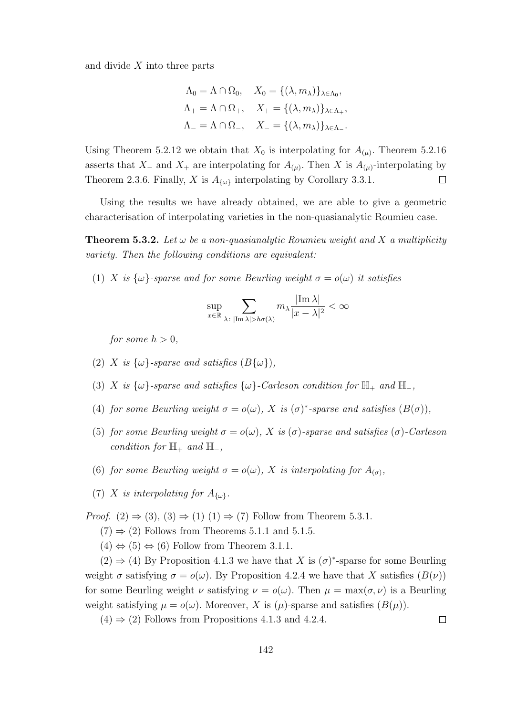and divide  $X$  into three parts

$$
\Lambda_0 = \Lambda \cap \Omega_0, \quad X_0 = \{ (\lambda, m_\lambda) \}_{\lambda \in \Lambda_0},
$$
  

$$
\Lambda_+ = \Lambda \cap \Omega_+, \quad X_+ = \{ (\lambda, m_\lambda) \}_{\lambda \in \Lambda_+},
$$
  

$$
\Lambda_- = \Lambda \cap \Omega_-, \quad X_- = \{ (\lambda, m_\lambda) \}_{\lambda \in \Lambda_-}.
$$

Using Theorem 5.2.12 we obtain that  $X_0$  is interpolating for  $A_{(\mu)}$ . Theorem 5.2.16 asserts that  $X_-\,$  and  $X_+\,$  are interpolating for  $A_{(\mu)}$ . Then X is  $A_{(\mu)}$ -interpolating by Theorem 2.3.6. Finally, X is  $A_{\{\omega\}}$  interpolating by Corollary 3.3.1.  $\Box$ 

Using the results we have already obtained, we are able to give a geometric characterisation of interpolating varieties in the non-quasianalytic Roumieu case.

**Theorem 5.3.2.** Let  $\omega$  be a non-quasianalytic Roumieu weight and X a multiplicity variety. Then the following conditions are equivalent:

(1) X is  $\{\omega\}$ -sparse and for some Beurling weight  $\sigma = o(\omega)$  it satisfies

$$
\sup_{x \in \mathbb{R}} \sum_{\lambda \colon |\text{Im }\lambda| > h\sigma(\lambda)} m_{\lambda} \frac{|\text{Im }\lambda|}{|x - \lambda|^2} < \infty
$$

for some  $h > 0$ ,

- (2) X is  $\{\omega\}$ -sparse and satisfies  $(B\{\omega\}),$
- (3) X is  $\{\omega\}$ -sparse and satisfies  $\{\omega\}$ -Carleson condition for  $\mathbb{H}_+$  and  $\mathbb{H}_-,$
- (4) for some Beurling weight  $\sigma = o(\omega)$ , X is  $(\sigma)^*$ -sparse and satisfies  $(B(\sigma))$ ,
- (5) for some Beurling weight  $\sigma = o(\omega)$ , X is  $(\sigma)$ -sparse and satisfies  $(\sigma)$ -Carleson condition for  $\mathbb{H}_+$  and  $\mathbb{H}_-,$
- (6) for some Beurling weight  $\sigma = o(\omega)$ , X is interpolating for  $A_{(\sigma)}$ ,
- (7) X is interpolating for  $A_{\{\omega\}}$ .

*Proof.* (2)  $\Rightarrow$  (3), (3)  $\Rightarrow$  (1) (1)  $\Rightarrow$  (7) Follow from Theorem 5.3.1.

- $(7) \Rightarrow (2)$  Follows from Theorems 5.1.1 and 5.1.5.
- $(4) \Leftrightarrow (5) \Leftrightarrow (6)$  Follow from Theorem 3.1.1.

 $(2) \Rightarrow (4)$  By Proposition 4.1.3 we have that X is  $(\sigma)^*$ -sparse for some Beurling weight  $\sigma$  satisfying  $\sigma = o(\omega)$ . By Proposition 4.2.4 we have that X satisfies  $(B(\nu))$ for some Beurling weight  $\nu$  satisfying  $\nu = o(\omega)$ . Then  $\mu = \max(\sigma, \nu)$  is a Beurling weight satisfying  $\mu = o(\omega)$ . Moreover, X is  $(\mu)$ -sparse and satisfies  $(B(\mu))$ .

 $(4) \Rightarrow (2)$  Follows from Propositions 4.1.3 and 4.2.4.

 $\Box$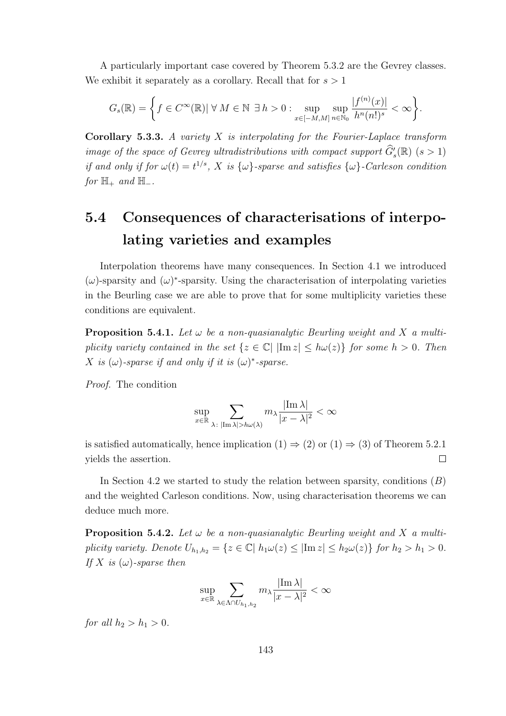A particularly important case covered by Theorem 5.3.2 are the Gevrey classes. We exhibit it separately as a corollary. Recall that for  $s > 1$ 

$$
G_s(\mathbb{R}) = \bigg\{ f \in C^{\infty}(\mathbb{R}) \vert \ \forall \ M \in \mathbb{N} \ \exists \ h > 0 : \sup_{x \in [-M,M]} \sup_{n \in \mathbb{N}_0} \frac{|f^{(n)}(x)|}{h^n(n!)^s} < \infty \bigg\}.
$$

Corollary 5.3.3. A variety  $X$  is interpolating for the Fourier-Laplace transform image of the space of Gevrey ultradistributions with compact support  $\widehat{G}'_s(\mathbb{R})$   $(s > 1)$ if and only if for  $\omega(t) = t^{1/s}$ , X is  $\{\omega\}$ -sparse and satisfies  $\{\omega\}$ -Carleson condition for  $\mathbb{H}_+$  and  $\mathbb{H}_-$ .

## 5.4 Consequences of characterisations of interpolating varieties and examples

Interpolation theorems have many consequences. In Section 4.1 we introduced  $(\omega)$ -sparsity and  $(\omega)$ <sup>\*</sup>-sparsity. Using the characterisation of interpolating varieties in the Beurling case we are able to prove that for some multiplicity varieties these conditions are equivalent.

**Proposition 5.4.1.** Let  $\omega$  be a non-quasianalytic Beurling weight and X a multiplicity variety contained in the set  $\{z \in \mathbb{C} | \ |\text{Im } z| \le h\omega(z)\}\$  for some  $h > 0$ . Then X is  $(\omega)$ -sparse if and only if it is  $(\omega)^*$ -sparse.

Proof. The condition

$$
\sup_{x\in\mathbb{R}}\sum_{\lambda\colon |\mathrm{Im}\,\lambda|>h\omega(\lambda)}m_{\lambda}\frac{|\mathrm{Im}\,\lambda|}{|x-\lambda|^2}<\infty
$$

is satisfied automatically, hence implication  $(1) \Rightarrow (2)$  or  $(1) \Rightarrow (3)$  of Theorem 5.2.1 yields the assertion.  $\Box$ 

In Section 4.2 we started to study the relation between sparsity, conditions  $(B)$ and the weighted Carleson conditions. Now, using characterisation theorems we can deduce much more.

**Proposition 5.4.2.** Let  $\omega$  be a non-quasianalytic Beurling weight and X a multiplicity variety. Denote  $U_{h_1,h_2} = \{z \in \mathbb{C} \mid h_1 \omega(z) \leq |\text{Im } z| \leq h_2 \omega(z) \}$  for  $h_2 > h_1 > 0$ . If X is  $(\omega)$ -sparse then

$$
\sup_{x \in \mathbb{R}} \sum_{\lambda \in \Lambda \cap U_{h_1, h_2}} m_{\lambda} \frac{|\mathrm{Im}\,\lambda|}{|x - \lambda|^2} < \infty
$$

for all  $h_2 > h_1 > 0$ .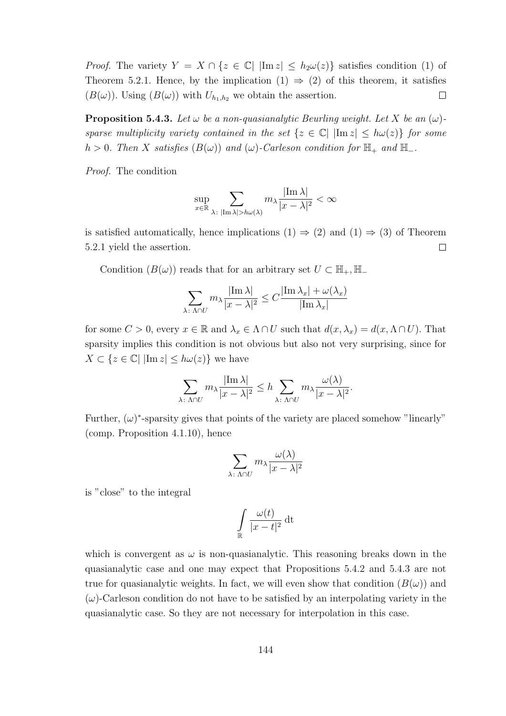*Proof.* The variety  $Y = X \cap \{z \in \mathbb{C} \mid |\text{Im } z| \le h_2 \omega(z)\}\$  satisfies condition (1) of Theorem 5.2.1. Hence, by the implication  $(1) \Rightarrow (2)$  of this theorem, it satisfies  $(B(\omega))$ . Using  $(B(\omega))$  with  $U_{h_1,h_2}$  we obtain the assertion.  $\Box$ 

**Proposition 5.4.3.** Let  $\omega$  be a non-quasianalytic Beurling weight. Let X be an  $(\omega)$ sparse multiplicity variety contained in the set  $\{z \in \mathbb{C} | \ |\text{Im } z| \le h\omega(z)\}\$  for some h > 0. Then X satisfies  $(B(\omega))$  and  $(\omega)$ -Carleson condition for  $\mathbb{H}_+$  and  $\mathbb{H}_-$ .

Proof. The condition

$$
\sup_{x \in \mathbb{R}} \sum_{\lambda \colon |\text{Im }\lambda| > h\omega(\lambda)} m_{\lambda} \frac{|\text{Im }\lambda|}{|x - \lambda|^2} < \infty
$$

is satisfied automatically, hence implications  $(1) \Rightarrow (2)$  and  $(1) \Rightarrow (3)$  of Theorem  $\Box$ 5.2.1 yield the assertion.

Condition  $(B(\omega))$  reads that for an arbitrary set  $U \subset \mathbb{H}_{+}$ ,  $\mathbb{H}_{-}$ 

$$
\sum_{\lambda \colon \Lambda \cap U} m_{\lambda} \frac{|\operatorname{Im} \lambda|}{|x - \lambda|^2} \le C \frac{|\operatorname{Im} \lambda_x| + \omega(\lambda_x)}{|\operatorname{Im} \lambda_x|}
$$

for some  $C > 0$ , every  $x \in \mathbb{R}$  and  $\lambda_x \in \Lambda \cap U$  such that  $d(x, \lambda_x) = d(x, \Lambda \cap U)$ . That sparsity implies this condition is not obvious but also not very surprising, since for  $X \subset \{z \in \mathbb{C} \mid |\text{Im } z| \leq h\omega(z)\}\$  we have

$$
\sum_{\lambda \colon \Lambda \cap U} m_{\lambda} \frac{|\text{Im } \lambda|}{|x - \lambda|^2} \le h \sum_{\lambda \colon \Lambda \cap U} m_{\lambda} \frac{\omega(\lambda)}{|x - \lambda|^2}.
$$

Further,  $(\omega)^*$ -sparsity gives that points of the variety are placed somehow "linearly" (comp. Proposition 4.1.10), hence

$$
\sum_{\lambda\colon \Lambda\cap U} m_\lambda \frac{\omega(\lambda)}{|x-\lambda|^2}
$$

is "close" to the integral

$$
\int\limits_{\mathbb{R}} \frac{\omega(t)}{|x-t|^2} \, \mathrm{d}t
$$

which is convergent as  $\omega$  is non-quasianalytic. This reasoning breaks down in the quasianalytic case and one may expect that Propositions 5.4.2 and 5.4.3 are not true for quasianalytic weights. In fact, we will even show that condition  $(B(\omega))$  and  $(\omega)$ -Carleson condition do not have to be satisfied by an interpolating variety in the quasianalytic case. So they are not necessary for interpolation in this case.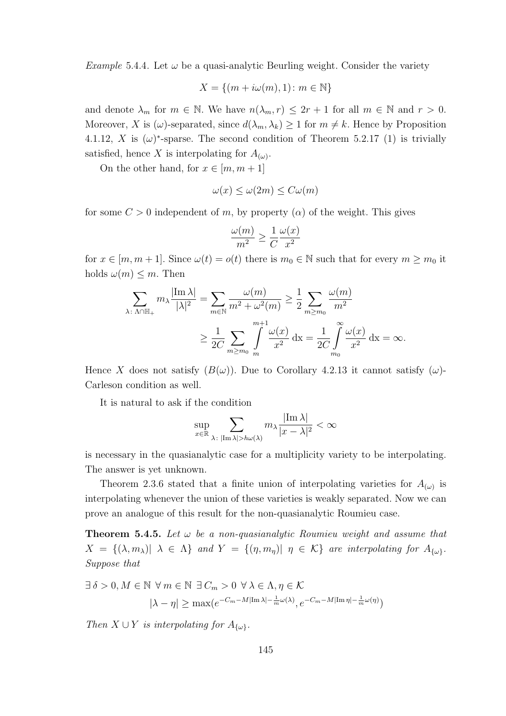*Example* 5.4.4. Let  $\omega$  be a quasi-analytic Beurling weight. Consider the variety

$$
X = \{(m + i\omega(m), 1) \colon m \in \mathbb{N}\}
$$

and denote  $\lambda_m$  for  $m \in \mathbb{N}$ . We have  $n(\lambda_m, r) \leq 2r + 1$  for all  $m \in \mathbb{N}$  and  $r > 0$ . Moreover, X is  $(\omega)$ -separated, since  $d(\lambda_m, \lambda_k) \geq 1$  for  $m \neq k$ . Hence by Proposition 4.1.12, X is  $(\omega)^*$ -sparse. The second condition of Theorem 5.2.17 (1) is trivially satisfied, hence X is interpolating for  $A_{(\omega)}$ .

On the other hand, for  $x \in [m, m + 1]$ 

$$
\omega(x) \le \omega(2m) \le C\omega(m)
$$

for some  $C > 0$  independent of m, by property  $(\alpha)$  of the weight. This gives

$$
\frac{\omega(m)}{m^2} \ge \frac{1}{C} \frac{\omega(x)}{x^2}
$$

for  $x \in [m, m + 1]$ . Since  $\omega(t) = o(t)$  there is  $m_0 \in \mathbb{N}$  such that for every  $m \geq m_0$  it holds  $\omega(m) \leq m$ . Then

$$
\sum_{\lambda \colon \Lambda \cap \mathbb{H}_+} m_{\lambda} \frac{|\text{Im }\lambda|}{|\lambda|^2} = \sum_{m \in \mathbb{N}} \frac{\omega(m)}{m^2 + \omega^2(m)} \ge \frac{1}{2} \sum_{m \ge m_0} \frac{\omega(m)}{m^2}
$$

$$
\ge \frac{1}{2C} \sum_{m \ge m_0} \int_{m}^{m+1} \frac{\omega(x)}{x^2} dx = \frac{1}{2C} \int_{m_0}^{\infty} \frac{\omega(x)}{x^2} dx = \infty.
$$

Hence X does not satisfy  $(B(\omega))$ . Due to Corollary 4.2.13 it cannot satisfy  $(\omega)$ -Carleson condition as well.

It is natural to ask if the condition

$$
\sup_{x\in\mathbb{R}}\sum_{\lambda\colon |\mathrm{Im}\,\lambda|>h\omega(\lambda)}m_{\lambda}\frac{|\mathrm{Im}\,\lambda|}{|x-\lambda|^2}<\infty
$$

is necessary in the quasianalytic case for a multiplicity variety to be interpolating. The answer is yet unknown.

Theorem 2.3.6 stated that a finite union of interpolating varieties for  $A_{(\omega)}$  is interpolating whenever the union of these varieties is weakly separated. Now we can prove an analogue of this result for the non-quasianalytic Roumieu case.

**Theorem 5.4.5.** Let  $\omega$  be a non-quasianalytic Roumieu weight and assume that  $X = \{(\lambda, m_\lambda) | \lambda \in \Lambda\}$  and  $Y = \{(\eta, m_\eta) | \eta \in \mathcal{K}\}$  are interpolating for  $A_{\{\omega\}}$ . Suppose that

$$
\exists \delta > 0, M \in \mathbb{N} \ \forall m \in \mathbb{N} \ \exists C_m > 0 \ \forall \lambda \in \Lambda, \eta \in \mathcal{K}
$$

$$
|\lambda - \eta| \ge \max(e^{-C_m - M|\text{Im }\lambda| - \frac{1}{m}\omega(\lambda)}, e^{-C_m - M|\text{Im }\eta| - \frac{1}{m}\omega(\eta)})
$$

Then  $X \cup Y$  is interpolating for  $A_{\{\omega\}}$ .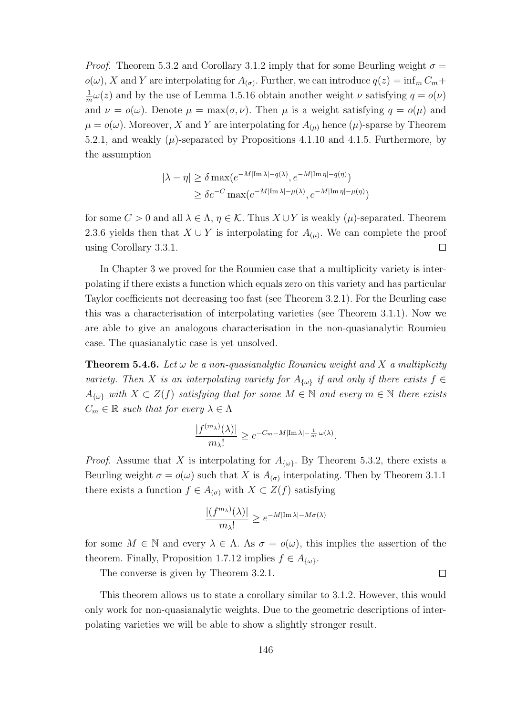*Proof.* Theorem 5.3.2 and Corollary 3.1.2 imply that for some Beurling weight  $\sigma =$  $o(\omega)$ , X and Y are interpolating for  $A_{(\sigma)}$ . Further, we can introduce  $q(z) = \inf_m C_m +$ 1  $\frac{1}{m}\omega(z)$  and by the use of Lemma 1.5.16 obtain another weight  $\nu$  satisfying  $q = o(\nu)$ and  $\nu = o(\omega)$ . Denote  $\mu = \max(\sigma, \nu)$ . Then  $\mu$  is a weight satisfying  $q = o(\mu)$  and  $\mu = o(\omega)$ . Moreover, X and Y are interpolating for  $A_{(\mu)}$  hence  $(\mu)$ -sparse by Theorem 5.2.1, and weakly  $(\mu)$ -separated by Propositions 4.1.10 and 4.1.5. Furthermore, by the assumption

$$
|\lambda - \eta| \ge \delta \max(e^{-M|\text{Im }\lambda| - q(\lambda)}, e^{-M|\text{Im }\eta| - q(\eta)})
$$
  
 
$$
\ge \delta e^{-C} \max(e^{-M|\text{Im }\lambda| - \mu(\lambda)}, e^{-M|\text{Im }\eta| - \mu(\eta)})
$$

for some  $C > 0$  and all  $\lambda \in \Lambda$ ,  $\eta \in \mathcal{K}$ . Thus  $X \cup Y$  is weakly  $(\mu)$ -separated. Theorem 2.3.6 yields then that  $X \cup Y$  is interpolating for  $A_{(\mu)}$ . We can complete the proof using Corollary 3.3.1.  $\Box$ 

In Chapter 3 we proved for the Roumieu case that a multiplicity variety is interpolating if there exists a function which equals zero on this variety and has particular Taylor coefficients not decreasing too fast (see Theorem 3.2.1). For the Beurling case this was a characterisation of interpolating varieties (see Theorem 3.1.1). Now we are able to give an analogous characterisation in the non-quasianalytic Roumieu case. The quasianalytic case is yet unsolved.

**Theorem 5.4.6.** Let  $\omega$  be a non-quasianalytic Roumieu weight and X a multiplicity variety. Then X is an interpolating variety for  $A_{\{\omega\}}$  if and only if there exists  $f \in$  $A_{\{\omega\}}$  with  $X \subset Z(f)$  satisfying that for some  $M \in \mathbb{N}$  and every  $m \in \mathbb{N}$  there exists  $C_m \in \mathbb{R}$  such that for every  $\lambda \in \Lambda$ 

$$
\frac{|f^{(m_\lambda)}(\lambda)|}{m_\lambda!} \ge e^{-C_m - M|\operatorname{Im} \lambda| - \frac{1}{m} \omega(\lambda)}.
$$

*Proof.* Assume that X is interpolating for  $A_{\{\omega\}}$ . By Theorem 5.3.2, there exists a Beurling weight  $\sigma = o(\omega)$  such that X is  $A_{(\sigma)}$  interpolating. Then by Theorem 3.1.1 there exists a function  $f \in A_{(\sigma)}$  with  $X \subset Z(f)$  satisfying

$$
\frac{|(f^{m_\lambda})(\lambda)|}{m_\lambda!}\geq e^{-M|{\rm Im}\,\lambda|-M\sigma(\lambda)}
$$

for some  $M \in \mathbb{N}$  and every  $\lambda \in \Lambda$ . As  $\sigma = o(\omega)$ , this implies the assertion of the theorem. Finally, Proposition 1.7.12 implies  $f \in A_{\{\omega\}}$ .

 $\Box$ 

The converse is given by Theorem 3.2.1.

This theorem allows us to state a corollary similar to 3.1.2. However, this would only work for non-quasianalytic weights. Due to the geometric descriptions of interpolating varieties we will be able to show a slightly stronger result.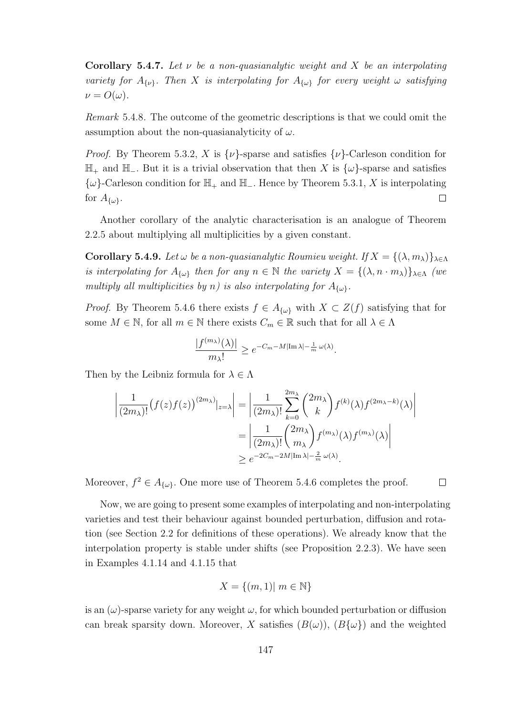Corollary 5.4.7. Let  $\nu$  be a non-quasianalytic weight and X be an interpolating variety for  $A_{\{\nu\}}$ . Then X is interpolating for  $A_{\{\omega\}}$  for every weight  $\omega$  satisfying  $\nu = O(\omega)$ .

Remark 5.4.8. The outcome of the geometric descriptions is that we could omit the assumption about the non-quasianalyticity of  $\omega$ .

*Proof.* By Theorem 5.3.2, X is  $\{\nu\}$ -sparse and satisfies  $\{\nu\}$ -Carleson condition for H<sup>+</sup> and H−. But it is a trivial observation that then X is {ω}-sparse and satisfies  $\{\omega\}$ -Carleson condition for  $\mathbb{H}_+$  and  $\mathbb{H}_-$ . Hence by Theorem 5.3.1, X is interpolating  $\Box$ for  $A_{\{\omega\}}$ .

Another corollary of the analytic characterisation is an analogue of Theorem 2.2.5 about multiplying all multiplicities by a given constant.

Corollary 5.4.9. Let  $\omega$  be a non-quasianalytic Roumieu weight. If  $X = \{(\lambda, m_{\lambda})\}_{\lambda \in \Lambda}$ is interpolating for  $A_{\{\omega\}}$  then for any  $n \in \mathbb{N}$  the variety  $X = \{(\lambda, n \cdot m_\lambda)\}_{\lambda \in \Lambda}$  (we multiply all multiplicities by n) is also interpolating for  $A_{\{\omega\}}$ .

*Proof.* By Theorem 5.4.6 there exists  $f \in A_{\{\omega\}}$  with  $X \subset Z(f)$  satisfying that for some  $M \in \mathbb{N}$ , for all  $m \in \mathbb{N}$  there exists  $C_m \in \mathbb{R}$  such that for all  $\lambda \in \Lambda$ 

$$
\frac{|f^{(m_\lambda)}(\lambda)|}{m_\lambda!} \ge e^{-C_m - M|\operatorname{Im} \lambda| - \frac{1}{m} \omega(\lambda)}.
$$

Then by the Leibniz formula for  $\lambda \in \Lambda$ 

$$
\left| \frac{1}{(2m_{\lambda})!} (f(z)f(z))^{(2m_{\lambda})} \right|_{z=\lambda} = \left| \frac{1}{(2m_{\lambda})!} \sum_{k=0}^{2m_{\lambda}} {2m_{\lambda} \choose k} f^{(k)}(\lambda) f^{(2m_{\lambda}-k)}(\lambda) \right|
$$
  
= 
$$
\left| \frac{1}{(2m_{\lambda})!} {2m_{\lambda} \choose m_{\lambda}} f^{(m_{\lambda})}(\lambda) f^{(m_{\lambda})}(\lambda) \right|
$$
  

$$
\geq e^{-2C_m - 2M |\text{Im }\lambda| - \frac{2}{m} \omega(\lambda)}.
$$

Moreover,  $f^2 \in A_{\{\omega\}}$ . One more use of Theorem 5.4.6 completes the proof.

 $\Box$ 

Now, we are going to present some examples of interpolating and non-interpolating varieties and test their behaviour against bounded perturbation, diffusion and rotation (see Section 2.2 for definitions of these operations). We already know that the interpolation property is stable under shifts (see Proposition 2.2.3). We have seen in Examples 4.1.14 and 4.1.15 that

$$
X = \{(m, 1)| m \in \mathbb{N}\}\
$$

is an  $(\omega)$ -sparse variety for any weight  $\omega$ , for which bounded perturbation or diffusion can break sparsity down. Moreover, X satisfies  $(B(\omega), (B\{\omega\})$  and the weighted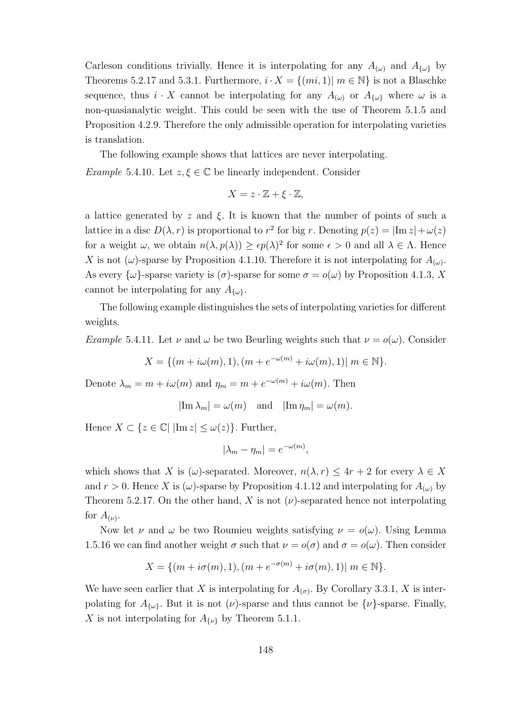Carleson conditions trivially. Hence it is interpolating for any  $A_{(\omega)}$  and  $A_{\{\omega\}}$  by Theorems 5.2.17 and 5.3.1. Furthermore,  $i \cdot X = \{(mi, 1) | m \in \mathbb{N}\}\$ is not a Blaschke sequence, thus  $i \cdot X$  cannot be interpolating for any  $A_{(\omega)}$  or  $A_{\{\omega\}}$  where  $\omega$  is a non-quasianalytic weight. This could be seen with the use of Theorem 5.1.5 and Proposition 4.2.9. Therefore the only admissible operation for interpolating varieties is translation.

The following example shows that lattices are never interpolating. Example 5.4.10. Let  $z, \xi \in \mathbb{C}$  be linearly independent. Consider

$$
X = z \cdot \mathbb{Z} + \xi \cdot \mathbb{Z},
$$

a lattice generated by z and  $\xi$ . It is known that the number of points of such a lattice in a disc  $D(\lambda, r)$  is proportional to  $r^2$  for big r. Denoting  $p(z) = |\text{Im } z| + \omega(z)$ for a weight  $\omega$ , we obtain  $n(\lambda, p(\lambda)) \geq \epsilon p(\lambda)^2$  for some  $\epsilon > 0$  and all  $\lambda \in \Lambda$ . Hence X is not  $(\omega)$ -sparse by Proposition 4.1.10. Therefore it is not interpolating for  $A_{(\omega)}$ . As every  $\{\omega\}$ -sparse variety is  $(\sigma)$ -sparse for some  $\sigma = o(\omega)$  by Proposition 4.1.3, X cannot be interpolating for any  $A_{\{\omega\}}$ .

The following example distinguishes the sets of interpolating varieties for different weights.

*Example* 5.4.11. Let  $\nu$  and  $\omega$  be two Beurling weights such that  $\nu = o(\omega)$ . Consider

$$
X = \{ (m + i\omega(m), 1), (m + e^{-\omega(m)} + i\omega(m), 1) | m \in \mathbb{N} \}.
$$

Denote  $\lambda_m = m + i\omega(m)$  and  $\eta_m = m + e^{-\omega(m)} + i\omega(m)$ . Then

$$
|\text{Im }\lambda_m| = \omega(m)
$$
 and  $|\text{Im }\eta_m| = \omega(m)$ .

Hence  $X \subset \{z \in \mathbb{C} | \vert \text{Im } z \vert \leq \omega(z) \}$ . Further,

$$
|\lambda_m - \eta_m| = e^{-\omega(m)},
$$

which shows that X is  $(\omega)$ -separated. Moreover,  $n(\lambda, r) \leq 4r + 2$  for every  $\lambda \in X$ and  $r > 0$ . Hence X is  $(\omega)$ -sparse by Proposition 4.1.12 and interpolating for  $A_{(\omega)}$  by Theorem 5.2.17. On the other hand, X is not  $(\nu)$ -separated hence not interpolating for  $A_{(\nu)}$ .

Now let  $\nu$  and  $\omega$  be two Roumieu weights satisfying  $\nu = o(\omega)$ . Using Lemma 1.5.16 we can find another weight  $\sigma$  such that  $\nu = o(\sigma)$  and  $\sigma = o(\omega)$ . Then consider

$$
X = \{ (m + i\sigma(m), 1), (m + e^{-\sigma(m)} + i\sigma(m), 1) | m \in \mathbb{N} \}.
$$

We have seen earlier that X is interpolating for  $A_{(\sigma)}$ . By Corollary 3.3.1, X is interpolating for  $A_{\{\omega\}}$ . But it is not  $(\nu)$ -sparse and thus cannot be  $\{\nu\}$ -sparse. Finally, X is not interpolating for  $A_{\{\nu\}}$  by Theorem 5.1.1.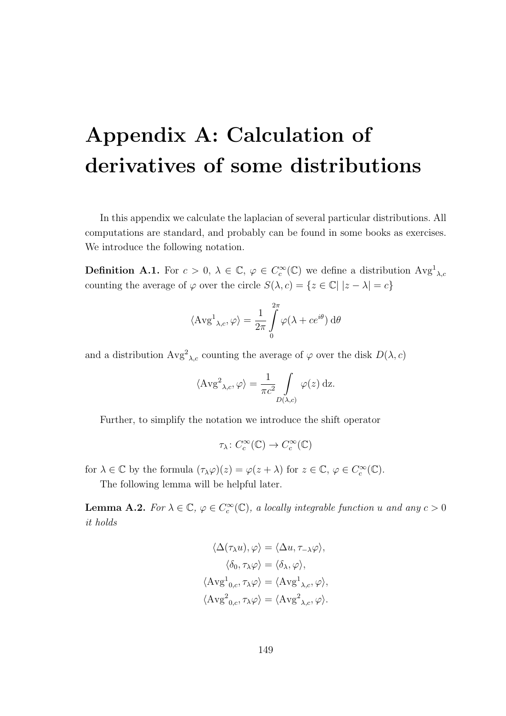## Appendix A: Calculation of derivatives of some distributions

In this appendix we calculate the laplacian of several particular distributions. All computations are standard, and probably can be found in some books as exercises. We introduce the following notation.

**Definition A.1.** For  $c > 0$ ,  $\lambda \in \mathbb{C}$ ,  $\varphi \in C_c^{\infty}(\mathbb{C})$  we define a distribution  $Avg_{\lambda,c}$ counting the average of  $\varphi$  over the circle  $S(\lambda, c) = \{z \in \mathbb{C} | |z - \lambda| = c\}$ 

$$
\langle \operatorname{Avg}^1_{\lambda,c}, \varphi \rangle = \frac{1}{2\pi} \int_{0}^{2\pi} \varphi(\lambda + ce^{i\theta}) d\theta
$$

and a distribution  $Avg^{2}{}_{\lambda,c}$  counting the average of  $\varphi$  over the disk  $D(\lambda, c)$ 

$$
\langle \operatorname{Avg}^2_{\lambda,c}, \varphi \rangle = \frac{1}{\pi c^2} \int\limits_{D(\lambda,c)} \varphi(z) \, \mathrm{d}z.
$$

Further, to simplify the notation we introduce the shift operator

$$
\tau_{\lambda} \colon C_c^{\infty}(\mathbb{C}) \to C_c^{\infty}(\mathbb{C})
$$

for  $\lambda \in \mathbb{C}$  by the formula  $(\tau_{\lambda}\varphi)(z) = \varphi(z + \lambda)$  for  $z \in \mathbb{C}, \varphi \in C_c^{\infty}(\mathbb{C})$ .

The following lemma will be helpful later.

**Lemma A.2.** For  $\lambda \in \mathbb{C}$ ,  $\varphi \in C_c^{\infty}(\mathbb{C})$ , a locally integrable function u and any  $c > 0$ it holds

$$
\langle \Delta(\tau_{\lambda} u), \varphi \rangle = \langle \Delta u, \tau_{-\lambda} \varphi \rangle,
$$

$$
\langle \delta_0, \tau_{\lambda} \varphi \rangle = \langle \delta_{\lambda}, \varphi \rangle,
$$

$$
\langle \text{Avg}^1_{0,c}, \tau_{\lambda} \varphi \rangle = \langle \text{Avg}^1_{\lambda,c}, \varphi \rangle,
$$

$$
\langle \text{Avg}^2_{0,c}, \tau_{\lambda} \varphi \rangle = \langle \text{Avg}^2_{\lambda,c}, \varphi \rangle.
$$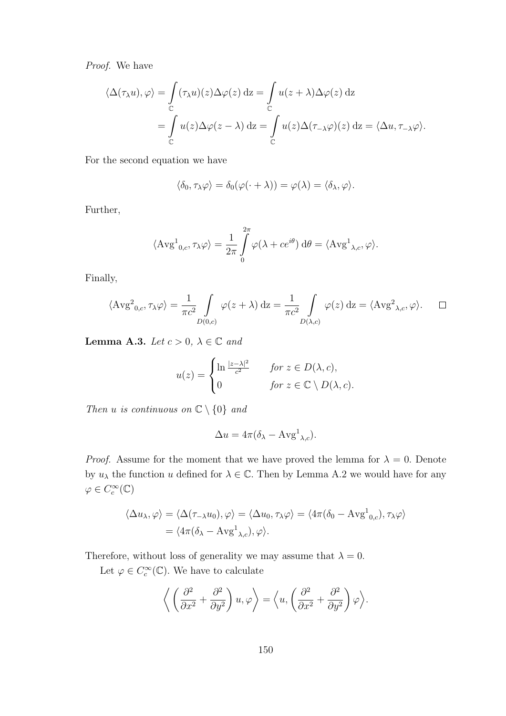Proof. We have

$$
\langle \Delta(\tau_{\lambda} u), \varphi \rangle = \int_{\mathbb{C}} (\tau_{\lambda} u)(z) \Delta \varphi(z) dz = \int_{\mathbb{C}} u(z + \lambda) \Delta \varphi(z) dz
$$
  
= 
$$
\int_{\mathbb{C}} u(z) \Delta \varphi(z - \lambda) dz = \int_{\mathbb{C}} u(z) \Delta(\tau_{-\lambda} \varphi)(z) dz = \langle \Delta u, \tau_{-\lambda} \varphi \rangle.
$$

For the second equation we have

$$
\langle \delta_0, \tau_\lambda \varphi \rangle = \delta_0(\varphi(\cdot + \lambda)) = \varphi(\lambda) = \langle \delta_\lambda, \varphi \rangle.
$$

Further,

$$
\langle \operatorname{Avg}^1_{0,c}, \tau_{\lambda} \varphi \rangle = \frac{1}{2\pi} \int_{0}^{2\pi} \varphi(\lambda + ce^{i\theta}) \, d\theta = \langle \operatorname{Avg}^1_{\lambda,c}, \varphi \rangle.
$$

Finally,

$$
\langle \operatorname{Avg}^2_{0,c}, \tau_{\lambda} \varphi \rangle = \frac{1}{\pi c^2} \int_{D(0,c)} \varphi(z + \lambda) dz = \frac{1}{\pi c^2} \int_{D(\lambda,c)} \varphi(z) dz = \langle \operatorname{Avg}^2_{\lambda,c}, \varphi \rangle. \quad \Box
$$

Lemma A.3. Let  $c > 0$ ,  $\lambda \in \mathbb{C}$  and

$$
u(z) = \begin{cases} \ln \frac{|z - \lambda|^2}{c^2} & \text{for } z \in D(\lambda, c), \\ 0 & \text{for } z \in \mathbb{C} \setminus D(\lambda, c). \end{cases}
$$

Then u is continuous on  $\mathbb{C} \setminus \{0\}$  and

$$
\Delta u = 4\pi (\delta_{\lambda} - \mathbf{Avg}^1_{\lambda,c}).
$$

*Proof.* Assume for the moment that we have proved the lemma for  $\lambda = 0$ . Denote by  $u_{\lambda}$  the function u defined for  $\lambda \in \mathbb{C}$ . Then by Lemma A.2 we would have for any  $\varphi \in C_c^{\infty}(\mathbb{C})$ 

$$
\langle \Delta u_{\lambda}, \varphi \rangle = \langle \Delta(\tau_{-\lambda} u_0), \varphi \rangle = \langle \Delta u_0, \tau_{\lambda} \varphi \rangle = \langle 4\pi (\delta_0 - \text{Avg}^1_{0,c}), \tau_{\lambda} \varphi \rangle
$$
  
=  $\langle 4\pi (\delta_{\lambda} - \text{Avg}^1_{\lambda,c}), \varphi \rangle$ .

Therefore, without loss of generality we may assume that  $\lambda = 0$ .

Let  $\varphi \in C_c^{\infty}(\mathbb{C})$ . We have to calculate

$$
\left\langle \left( \frac{\partial^2}{\partial x^2} + \frac{\partial^2}{\partial y^2} \right) u, \varphi \right\rangle = \left\langle u, \left( \frac{\partial^2}{\partial x^2} + \frac{\partial^2}{\partial y^2} \right) \varphi \right\rangle.
$$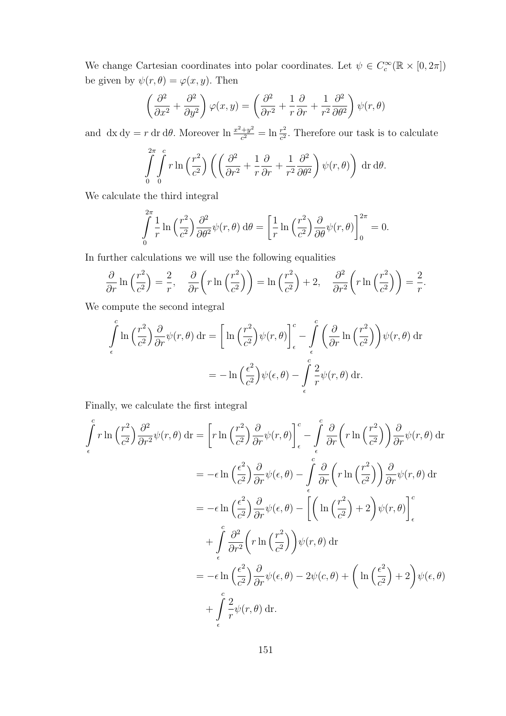We change Cartesian coordinates into polar coordinates. Let  $\psi \in C_c^{\infty}(\mathbb{R} \times [0, 2\pi])$ be given by  $\psi(r, \theta) = \varphi(x, y)$ . Then

$$
\left(\frac{\partial^2}{\partial x^2} + \frac{\partial^2}{\partial y^2}\right)\varphi(x,y) = \left(\frac{\partial^2}{\partial r^2} + \frac{1}{r}\frac{\partial}{\partial r} + \frac{1}{r^2}\frac{\partial^2}{\partial \theta^2}\right)\psi(r,\theta)
$$

and dx dy = r dr d $\theta$ . Moreover  $\ln \frac{x^2+y^2}{c^2}$  $\frac{c^4+y^2}{c^2} = \ln \frac{r^2}{c^2}$  $\frac{r^2}{c^2}$ . Therefore our task is to calculate

$$
\int_{0}^{2\pi} \int_{0}^{c} r \ln\left(\frac{r^2}{c^2}\right) \left( \left( \frac{\partial^2}{\partial r^2} + \frac{1}{r} \frac{\partial}{\partial r} + \frac{1}{r^2} \frac{\partial^2}{\partial \theta^2} \right) \psi(r,\theta) \right) dr d\theta.
$$

We calculate the third integral

$$
\int_{0}^{2\pi} \frac{1}{r} \ln\left(\frac{r^2}{c^2}\right) \frac{\partial^2}{\partial \theta^2} \psi(r,\theta) d\theta = \left[\frac{1}{r} \ln\left(\frac{r^2}{c^2}\right) \frac{\partial}{\partial \theta} \psi(r,\theta)\right]_{0}^{2\pi} = 0.
$$

In further calculations we will use the following equalities

$$
\frac{\partial}{\partial r} \ln \left( \frac{r^2}{c^2} \right) = \frac{2}{r}, \quad \frac{\partial}{\partial r} \left( r \ln \left( \frac{r^2}{c^2} \right) \right) = \ln \left( \frac{r^2}{c^2} \right) + 2, \quad \frac{\partial^2}{\partial r^2} \left( r \ln \left( \frac{r^2}{c^2} \right) \right) = \frac{2}{r}.
$$

We compute the second integral

$$
\int_{\epsilon}^{c} \ln\left(\frac{r^2}{c^2}\right) \frac{\partial}{\partial r} \psi(r,\theta) \, \mathrm{d}\mathbf{r} = \left[ \ln\left(\frac{r^2}{c^2}\right) \psi(r,\theta) \right]_{\epsilon}^{c} - \int_{\epsilon}^{c} \left(\frac{\partial}{\partial r} \ln\left(\frac{r^2}{c^2}\right) \right) \psi(r,\theta) \, \mathrm{d}\mathbf{r}
$$
\n
$$
= -\ln\left(\frac{\epsilon^2}{c^2}\right) \psi(\epsilon,\theta) - \int_{\epsilon}^{c} \frac{2}{r} \psi(r,\theta) \, \mathrm{d}\mathbf{r}.
$$

Finally, we calculate the first integral

$$
\int_{\epsilon}^{c} r \ln \left(\frac{r^2}{c^2}\right) \frac{\partial^2}{\partial r^2} \psi(r,\theta) \, \mathrm{d}\mathbf{r} = \left[r \ln \left(\frac{r^2}{c^2}\right) \frac{\partial}{\partial r} \psi(r,\theta)\right]_{\epsilon}^{c} - \int_{\epsilon}^{c} \frac{\partial}{\partial r} \left(r \ln \left(\frac{r^2}{c^2}\right)\right) \frac{\partial}{\partial r} \psi(r,\theta) \, \mathrm{d}\mathbf{r}
$$
\n
$$
= -\epsilon \ln \left(\frac{\epsilon^2}{c^2}\right) \frac{\partial}{\partial r} \psi(\epsilon,\theta) - \int_{\epsilon}^{c} \frac{\partial}{\partial r} \left(r \ln \left(\frac{r^2}{c^2}\right)\right) \frac{\partial}{\partial r} \psi(r,\theta) \, \mathrm{d}\mathbf{r}
$$
\n
$$
= -\epsilon \ln \left(\frac{\epsilon^2}{c^2}\right) \frac{\partial}{\partial r} \psi(\epsilon,\theta) - \left[\left(\ln \left(\frac{r^2}{c^2}\right) + 2\right) \psi(r,\theta)\right]_{\epsilon}^{c}
$$
\n
$$
+ \int_{\epsilon}^{c} \frac{\partial^2}{\partial r^2} \left(r \ln \left(\frac{r^2}{c^2}\right)\right) \psi(r,\theta) \, \mathrm{d}\mathbf{r}
$$
\n
$$
= -\epsilon \ln \left(\frac{\epsilon^2}{c^2}\right) \frac{\partial}{\partial r} \psi(\epsilon,\theta) - 2\psi(c,\theta) + \left(\ln \left(\frac{\epsilon^2}{c^2}\right) + 2\right) \psi(\epsilon,\theta)
$$
\n
$$
+ \int_{\epsilon}^{c} \frac{2}{r} \psi(r,\theta) \, \mathrm{d}\mathbf{r}.
$$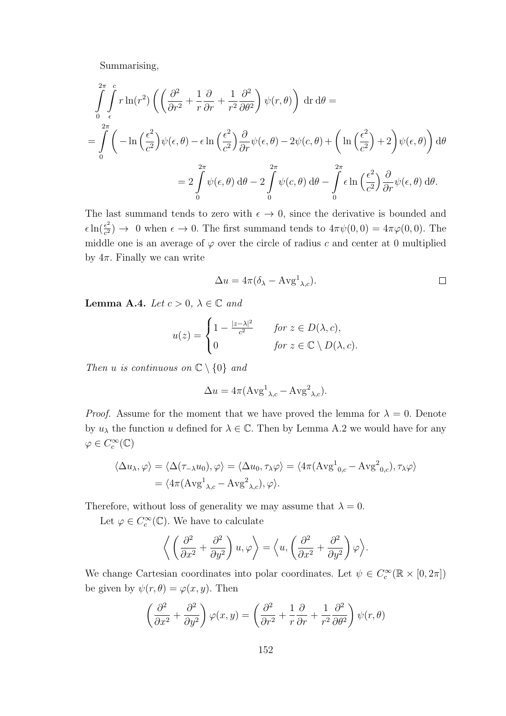Summarising,

$$
\int_{0}^{2\pi} \int_{\epsilon}^{c} r \ln(r^{2}) \left( \left( \frac{\partial^{2}}{\partial r^{2}} + \frac{1}{r} \frac{\partial}{\partial r} + \frac{1}{r^{2}} \frac{\partial^{2}}{\partial \theta^{2}} \right) \psi(r, \theta) \right) dr d\theta =
$$
\n
$$
= \int_{0}^{2\pi} \left( -\ln\left(\frac{\epsilon^{2}}{c^{2}}\right) \psi(\epsilon, \theta) - \epsilon \ln\left(\frac{\epsilon^{2}}{c^{2}}\right) \frac{\partial}{\partial r} \psi(\epsilon, \theta) - 2\psi(c, \theta) + \left(\ln\left(\frac{\epsilon^{2}}{c^{2}}\right) + 2\right) \psi(\epsilon, \theta) \right) d\theta
$$
\n
$$
= 2 \int_{0}^{2\pi} \psi(\epsilon, \theta) d\theta - 2 \int_{0}^{2\pi} \psi(c, \theta) d\theta - \int_{0}^{2\pi} \epsilon \ln\left(\frac{\epsilon^{2}}{c^{2}}\right) \frac{\partial}{\partial r} \psi(\epsilon, \theta) d\theta.
$$

The last summand tends to zero with  $\epsilon \to 0$ , since the derivative is bounded and  $\epsilon \ln(\frac{\epsilon^2}{c^2})$  $\frac{\epsilon^2}{c^2}$   $\rightarrow$  0 when  $\epsilon \rightarrow 0$ . The first summand tends to  $4\pi\psi(0,0) = 4\pi\varphi(0,0)$ . The middle one is an average of  $\varphi$  over the circle of radius c and center at 0 multiplied by  $4\pi$ . Finally we can write

$$
\Delta u = 4\pi (\delta_{\lambda} - \text{Avg}^1_{\lambda,c}).
$$

Lemma A.4. Let  $c > 0$ ,  $\lambda \in \mathbb{C}$  and

$$
u(z) = \begin{cases} 1 - \frac{|z - \lambda|^2}{c^2} & \text{for } z \in D(\lambda, c), \\ 0 & \text{for } z \in \mathbb{C} \setminus D(\lambda, c). \end{cases}
$$

Then u is continuous on  $\mathbb{C} \setminus \{0\}$  and

$$
\Delta u = 4\pi (\text{Avg}^1_{\lambda,c} - \text{Avg}^2_{\lambda,c}).
$$

*Proof.* Assume for the moment that we have proved the lemma for  $\lambda = 0$ . Denote by  $u_{\lambda}$  the function u defined for  $\lambda \in \mathbb{C}$ . Then by Lemma A.2 we would have for any  $\varphi \in C_c^{\infty}(\mathbb{C})$ 

$$
\langle \Delta u_{\lambda}, \varphi \rangle = \langle \Delta(\tau_{-\lambda} u_0), \varphi \rangle = \langle \Delta u_0, \tau_{\lambda} \varphi \rangle = \langle 4\pi (\text{Avg}^1_{0,c} - \text{Avg}^2_{0,c}), \tau_{\lambda} \varphi \rangle = \langle 4\pi (\text{Avg}^1_{\lambda,c} - \text{Avg}^2_{\lambda,c}), \varphi \rangle.
$$

Therefore, without loss of generality we may assume that  $\lambda = 0$ .

Let  $\varphi \in C_c^{\infty}(\mathbb{C})$ . We have to calculate

$$
\left\langle \left( \frac{\partial^2}{\partial x^2} + \frac{\partial^2}{\partial y^2} \right) u, \varphi \right\rangle = \left\langle u, \left( \frac{\partial^2}{\partial x^2} + \frac{\partial^2}{\partial y^2} \right) \varphi \right\rangle.
$$

We change Cartesian coordinates into polar coordinates. Let  $\psi \in C_c^{\infty}(\mathbb{R} \times [0, 2\pi])$ be given by  $\psi(r, \theta) = \varphi(x, y)$ . Then

$$
\left(\frac{\partial^2}{\partial x^2} + \frac{\partial^2}{\partial y^2}\right)\varphi(x,y) = \left(\frac{\partial^2}{\partial r^2} + \frac{1}{r}\frac{\partial}{\partial r} + \frac{1}{r^2}\frac{\partial^2}{\partial \theta^2}\right)\psi(r,\theta)
$$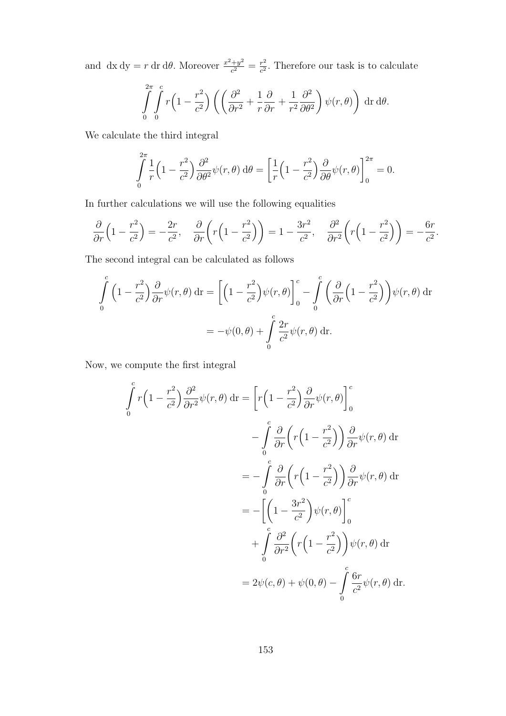and dx dy = r dr d $\theta$ . Moreover  $\frac{x^2+y^2}{a^2}$  $\frac{y^2}{c^2} = \frac{r^2}{c^2}$  $\frac{r^2}{c^2}$ . Therefore our task is to calculate

$$
\int_{0}^{2\pi} \int_{0}^{c} r\left(1 - \frac{r^2}{c^2}\right) \left( \left(\frac{\partial^2}{\partial r^2} + \frac{1}{r}\frac{\partial}{\partial r} + \frac{1}{r^2}\frac{\partial^2}{\partial \theta^2}\right) \psi(r,\theta) \right) dr d\theta.
$$

We calculate the third integral

$$
\int_{0}^{2\pi} \frac{1}{r} \left(1 - \frac{r^2}{c^2}\right) \frac{\partial^2}{\partial \theta^2} \psi(r,\theta) d\theta = \left[\frac{1}{r} \left(1 - \frac{r^2}{c^2}\right) \frac{\partial}{\partial \theta} \psi(r,\theta)\right]_{0}^{2\pi} = 0.
$$

In further calculations we will use the following equalities

$$
\frac{\partial}{\partial r}\left(1-\frac{r^2}{c^2}\right)=-\frac{2r}{c^2}, \quad \frac{\partial}{\partial r}\left(r\left(1-\frac{r^2}{c^2}\right)\right)=1-\frac{3r^2}{c^2}, \quad \frac{\partial^2}{\partial r^2}\left(r\left(1-\frac{r^2}{c^2}\right)\right)=-\frac{6r}{c^2}.
$$

The second integral can be calculated as follows

$$
\int_{0}^{c} \left(1 - \frac{r^2}{c^2}\right) \frac{\partial}{\partial r} \psi(r,\theta) \, \mathrm{d}\mathbf{r} = \left[ \left(1 - \frac{r^2}{c^2}\right) \psi(r,\theta) \right]_{0}^{c} - \int_{0}^{c} \left(\frac{\partial}{\partial r} \left(1 - \frac{r^2}{c^2}\right)\right) \psi(r,\theta) \, \mathrm{d}\mathbf{r}
$$
\n
$$
= -\psi(0,\theta) + \int_{0}^{c} \frac{2r}{c^2} \psi(r,\theta) \, \mathrm{d}\mathbf{r}.
$$

Now, we compute the first integral

$$
\int_{0}^{c} r\left(1 - \frac{r^{2}}{c^{2}}\right) \frac{\partial^{2}}{\partial r^{2}} \psi(r, \theta) \, dr = \left[r\left(1 - \frac{r^{2}}{c^{2}}\right) \frac{\partial}{\partial r} \psi(r, \theta)\right]_{0}^{c}
$$
\n
$$
- \int_{0}^{c} \frac{\partial}{\partial r} \left(r\left(1 - \frac{r^{2}}{c^{2}}\right)\right) \frac{\partial}{\partial r} \psi(r, \theta) \, dr
$$
\n
$$
= - \int_{0}^{c} \frac{\partial}{\partial r} \left(r\left(1 - \frac{r^{2}}{c^{2}}\right)\right) \frac{\partial}{\partial r} \psi(r, \theta) \, dr
$$
\n
$$
= - \left[\left(1 - \frac{3r^{2}}{c^{2}}\right) \psi(r, \theta)\right]_{0}^{c}
$$
\n
$$
+ \int_{0}^{c} \frac{\partial^{2}}{\partial r^{2}} \left(r\left(1 - \frac{r^{2}}{c^{2}}\right)\right) \psi(r, \theta) \, dr
$$
\n
$$
= 2\psi(c, \theta) + \psi(0, \theta) - \int_{0}^{c} \frac{6r}{c^{2}} \psi(r, \theta) \, dr.
$$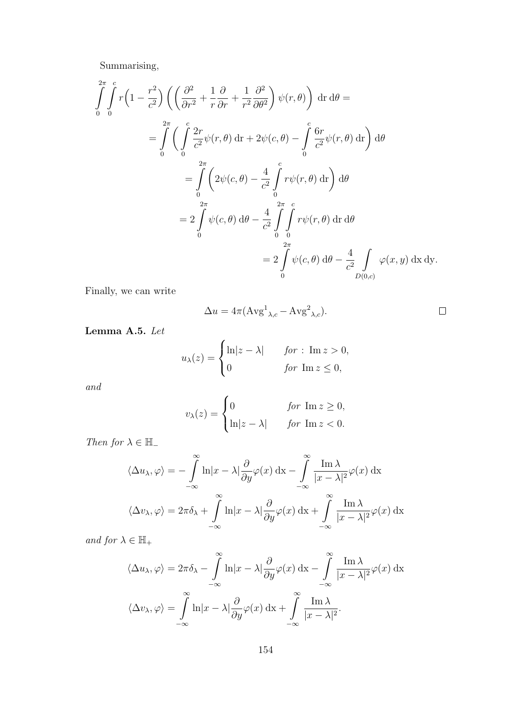Summarising,

$$
\int_{0}^{2\pi} \int_{0}^{c} r\left(1 - \frac{r^2}{c^2}\right) \left(\left(\frac{\partial^2}{\partial r^2} + \frac{1}{r}\frac{\partial}{\partial r} + \frac{1}{r^2}\frac{\partial^2}{\partial \theta^2}\right) \psi(r,\theta)\right) dr d\theta =
$$
\n
$$
= \int_{0}^{2\pi} \left(\int_{0}^{c} \frac{2r}{c^2} \psi(r,\theta) dr + 2\psi(c,\theta) - \int_{0}^{c} \frac{6r}{c^2} \psi(r,\theta) dr\right) d\theta
$$
\n
$$
= \int_{0}^{2\pi} \left(2\psi(c,\theta) - \frac{4}{c^2} \int_{0}^{c} r\psi(r,\theta) dr\right) d\theta
$$
\n
$$
= 2 \int_{0}^{2\pi} \psi(c,\theta) d\theta - \frac{4}{c^2} \int_{0}^{2\pi} \int_{0}^{c} r\psi(r,\theta) dr d\theta
$$
\n
$$
= 2 \int_{0}^{2\pi} \psi(c,\theta) d\theta - \frac{4}{c^2} \int_{0}^{2\pi} \psi(c,\theta) d\theta - \frac{4}{c^2} \int_{D(0,c)}^{2\pi} \psi(r,\theta) dr d\theta
$$

Finally, we can write

$$
\Delta u = 4\pi (\text{Avg}^1{}_{\lambda,c} - \text{Avg}^2{}_{\lambda,c}).
$$

Lemma A.5. Let

$$
u_{\lambda}(z) = \begin{cases} \ln|z - \lambda| & \text{for : } \operatorname{Im} z > 0, \\ 0 & \text{for } \operatorname{Im} z \le 0, \end{cases}
$$

and

$$
v_{\lambda}(z) = \begin{cases} 0 & \text{for } \operatorname{Im} z \ge 0, \\ \ln|z - \lambda| & \text{for } \operatorname{Im} z < 0. \end{cases}
$$

Then for  $\lambda \in \mathbb{H}$ 

$$
\langle \Delta u_{\lambda}, \varphi \rangle = -\int_{-\infty}^{\infty} \ln|x - \lambda| \frac{\partial}{\partial y} \varphi(x) dx - \int_{-\infty}^{\infty} \frac{\operatorname{Im} \lambda}{|x - \lambda|^2} \varphi(x) dx
$$

$$
\langle \Delta v_{\lambda}, \varphi \rangle = 2\pi \delta_{\lambda} + \int_{-\infty}^{\infty} \ln|x - \lambda| \frac{\partial}{\partial y} \varphi(x) dx + \int_{-\infty}^{\infty} \frac{\operatorname{Im} \lambda}{|x - \lambda|^2} \varphi(x) dx
$$

and for  $\lambda \in \mathbb{H}_+$ 

$$
\langle \Delta u_{\lambda}, \varphi \rangle = 2\pi \delta_{\lambda} - \int_{-\infty}^{\infty} \ln|x - \lambda| \frac{\partial}{\partial y} \varphi(x) dx - \int_{-\infty}^{\infty} \frac{\operatorname{Im} \lambda}{|x - \lambda|^2} \varphi(x) dx
$$

$$
\langle \Delta v_{\lambda}, \varphi \rangle = \int_{-\infty}^{\infty} \ln|x - \lambda| \frac{\partial}{\partial y} \varphi(x) dx + \int_{-\infty}^{\infty} \frac{\operatorname{Im} \lambda}{|x - \lambda|^2}.
$$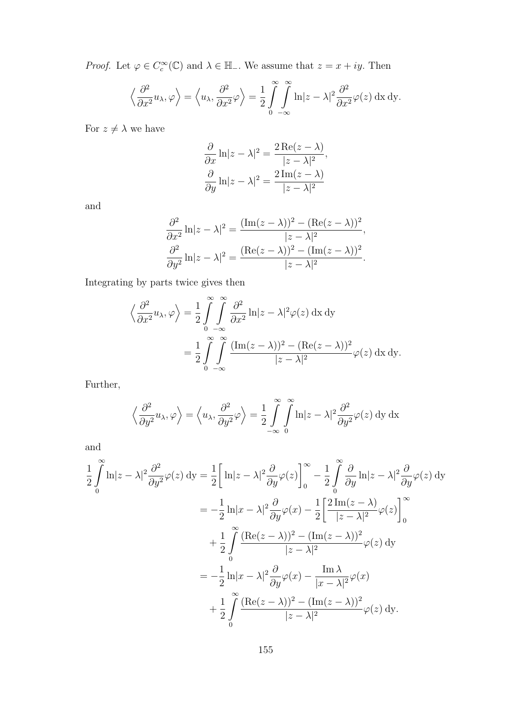*Proof.* Let  $\varphi \in C_c^{\infty}(\mathbb{C})$  and  $\lambda \in \mathbb{H}_-$ . We assume that  $z = x + iy$ . Then

$$
\left\langle \frac{\partial^2}{\partial x^2} u_\lambda, \varphi \right\rangle = \left\langle u_\lambda, \frac{\partial^2}{\partial x^2} \varphi \right\rangle = \frac{1}{2} \int_0^\infty \int_0^\infty \ln|z - \lambda|^2 \frac{\partial^2}{\partial x^2} \varphi(z) \, dx \, dy.
$$

For  $z \neq \lambda$  we have

$$
\frac{\partial}{\partial x} \ln |z - \lambda|^2 = \frac{2 \operatorname{Re}(z - \lambda)}{|z - \lambda|^2},
$$

$$
\frac{\partial}{\partial y} \ln |z - \lambda|^2 = \frac{2 \operatorname{Im}(z - \lambda)}{|z - \lambda|^2}
$$

and

$$
\frac{\partial^2}{\partial x^2} \ln |z - \lambda|^2 = \frac{(\text{Im}(z - \lambda))^2 - (\text{Re}(z - \lambda))^2}{|z - \lambda|^2},
$$

$$
\frac{\partial^2}{\partial y^2} \ln |z - \lambda|^2 = \frac{(\text{Re}(z - \lambda))^2 - (\text{Im}(z - \lambda))^2}{|z - \lambda|^2}.
$$

Integrating by parts twice gives then

$$
\left\langle \frac{\partial^2}{\partial x^2} u_\lambda, \varphi \right\rangle = \frac{1}{2} \int_{0}^{\infty} \int_{-\infty}^{\infty} \frac{\partial^2}{\partial x^2} \ln|z - \lambda|^2 \varphi(z) \, dx \, dy
$$

$$
= \frac{1}{2} \int_{0}^{\infty} \int_{-\infty}^{\infty} \frac{(\text{Im}(z - \lambda))^2 - (\text{Re}(z - \lambda))^2}{|z - \lambda|^2} \varphi(z) \, dx \, dy.
$$

Further,

$$
\left\langle \frac{\partial^2}{\partial y^2} u_\lambda, \varphi \right\rangle = \left\langle u_\lambda, \frac{\partial^2}{\partial y^2} \varphi \right\rangle = \frac{1}{2} \int_{-\infty}^{\infty} \int_{0}^{\infty} \ln|z - \lambda|^2 \frac{\partial^2}{\partial y^2} \varphi(z) \, dy \, dx
$$

and

$$
\frac{1}{2} \int_{0}^{\infty} \ln|z - \lambda|^2 \frac{\partial^2}{\partial y^2} \varphi(z) \, dy = \frac{1}{2} \left[ \ln|z - \lambda|^2 \frac{\partial}{\partial y} \varphi(z) \right]_{0}^{\infty} - \frac{1}{2} \int_{0}^{\infty} \frac{\partial}{\partial y} \ln|z - \lambda|^2 \frac{\partial}{\partial y} \varphi(z) \, dy
$$
  
\n
$$
= -\frac{1}{2} \ln|x - \lambda|^2 \frac{\partial}{\partial y} \varphi(x) - \frac{1}{2} \left[ \frac{2 \operatorname{Im}(z - \lambda)}{|z - \lambda|^2} \varphi(z) \right]_{0}^{\infty}
$$
  
\n
$$
+ \frac{1}{2} \int_{0}^{\infty} \frac{(\operatorname{Re}(z - \lambda))^2 - (\operatorname{Im}(z - \lambda))^2}{|z - \lambda|^2} \varphi(z) \, dy
$$
  
\n
$$
= -\frac{1}{2} \ln|x - \lambda|^2 \frac{\partial}{\partial y} \varphi(x) - \frac{\operatorname{Im} \lambda}{|x - \lambda|^2} \varphi(x)
$$
  
\n
$$
+ \frac{1}{2} \int_{0}^{\infty} \frac{(\operatorname{Re}(z - \lambda))^2 - (\operatorname{Im}(z - \lambda))^2}{|z - \lambda|^2} \varphi(z) \, dy.
$$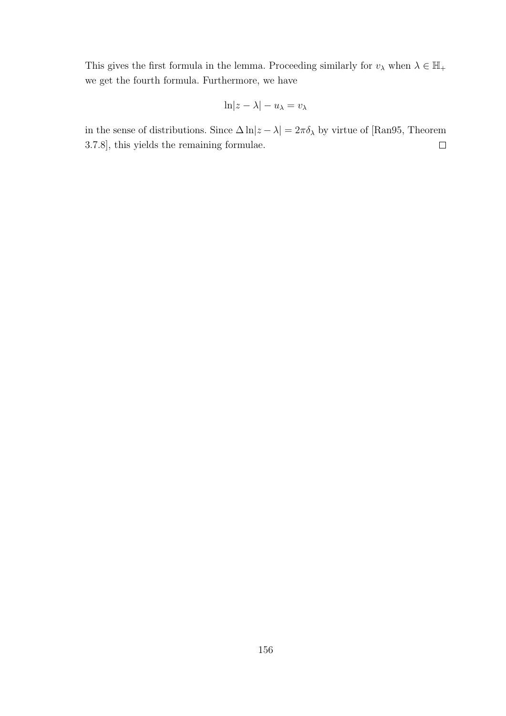This gives the first formula in the lemma. Proceeding similarly for  $v_\lambda$  when  $\lambda \in \mathbb{H}_+$ we get the fourth formula. Furthermore, we have

$$
\ln|z-\lambda|-u_\lambda=v_\lambda
$$

in the sense of distributions. Since  $\Delta \ln \lvert z-\lambda\rvert = 2\pi \delta_\lambda$  by virtue of [Ran95, Theorem 3.7.8], this yields the remaining formulae.  $\Box$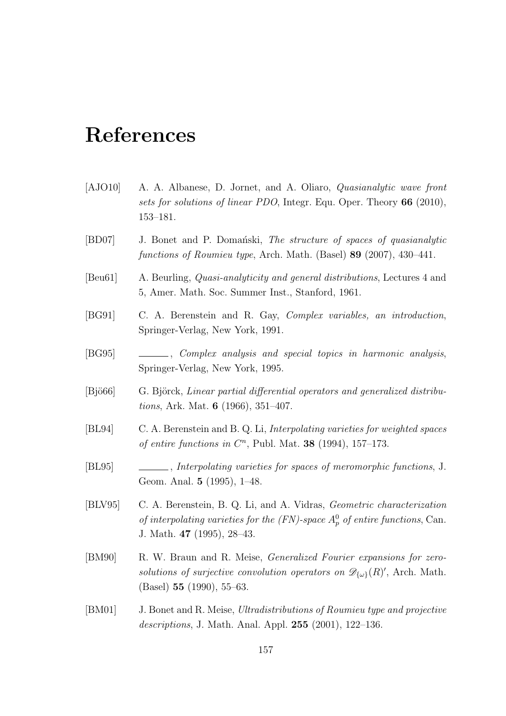## References

- [AJO10] A. A. Albanese, D. Jornet, and A. Oliaro, Quasianalytic wave front sets for solutions of linear PDO, Integr. Equ. Oper. Theory 66 (2010), 153–181.
- [BD07] J. Bonet and P. Domański, *The structure of spaces of quasianalytic* functions of Roumieu type, Arch. Math. (Basel) 89 (2007), 430–441.
- [Beu61] A. Beurling, Quasi-analyticity and general distributions, Lectures 4 and 5, Amer. Math. Soc. Summer Inst., Stanford, 1961.
- [BG91] C. A. Berenstein and R. Gay, Complex variables, an introduction, Springer-Verlag, New York, 1991.
- [BG95] , Complex analysis and special topics in harmonic analysis, Springer-Verlag, New York, 1995.
- [Bjö66] G. Björck, Linear partial differential operators and generalized distributions, Ark. Mat. 6 (1966), 351–407.
- [BL94] C. A. Berenstein and B. Q. Li, Interpolating varieties for weighted spaces of entire functions in  $C<sup>n</sup>$ , Publ. Mat. **38** (1994), 157-173.
- [BL95] , Interpolating varieties for spaces of meromorphic functions, J. Geom. Anal. 5 (1995), 1–48.
- [BLV95] C. A. Berenstein, B. Q. Li, and A. Vidras, Geometric characterization of interpolating varieties for the  $(FN)$ -space  $A_p^0$  of entire functions, Can. J. Math. 47 (1995), 28–43.
- [BM90] R. W. Braun and R. Meise, Generalized Fourier expansions for zerosolutions of surjective convolution operators on  $\mathscr{D}_{\{\omega\}}(R)'$ , Arch. Math. (Basel) 55 (1990), 55–63.
- [BM01] J. Bonet and R. Meise, Ultradistributions of Roumieu type and projective descriptions, J. Math. Anal. Appl. 255 (2001), 122–136.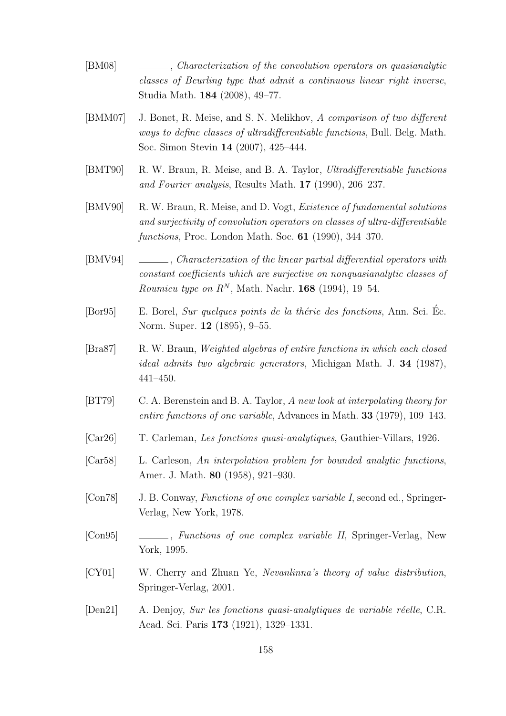- [BM08] , Characterization of the convolution operators on quasianalytic classes of Beurling type that admit a continuous linear right inverse, Studia Math. 184 (2008), 49–77.
- [BMM07] J. Bonet, R. Meise, and S. N. Melikhov, A comparison of two different ways to define classes of ultradifferentiable functions, Bull. Belg. Math. Soc. Simon Stevin 14 (2007), 425–444.
- [BMT90] R. W. Braun, R. Meise, and B. A. Taylor, Ultradifferentiable functions and Fourier analysis, Results Math. 17 (1990), 206–237.
- [BMV90] R. W. Braun, R. Meise, and D. Vogt, Existence of fundamental solutions and surjectivity of convolution operators on classes of ultra-differentiable functions, Proc. London Math. Soc. 61 (1990), 344–370.
- [BMV94] , Characterization of the linear partial differential operators with constant coefficients which are surjective on nonquasianalytic classes of *Roumieu type on*  $R^N$ , Math. Nachr. **168** (1994), 19–54.
- $[Bor95]$  E. Borel, *Sur quelques points de la thérie des fonctions*, Ann. Sci. Éc. Norm. Super. 12 (1895), 9–55.
- [Bra87] R. W. Braun, Weighted algebras of entire functions in which each closed ideal admits two algebraic generators, Michigan Math. J. 34 (1987), 441–450.
- [BT79] C. A. Berenstein and B. A. Taylor, A new look at interpolating theory for entire functions of one variable, Advances in Math. 33 (1979), 109–143.
- [Car26] T. Carleman, Les fonctions quasi-analytiques, Gauthier-Villars, 1926.
- [Car58] L. Carleson, An interpolation problem for bounded analytic functions, Amer. J. Math. 80 (1958), 921–930.
- [Con78] J. B. Conway, Functions of one complex variable I, second ed., Springer-Verlag, New York, 1978.
- [Con95] , Functions of one complex variable II, Springer-Verlag, New York, 1995.
- [CY01] W. Cherry and Zhuan Ye, Nevanlinna's theory of value distribution, Springer-Verlag, 2001.
- [Den21] A. Denjoy, Sur les fonctions quasi-analytiques de variable réelle, C.R. Acad. Sci. Paris 173 (1921), 1329–1331.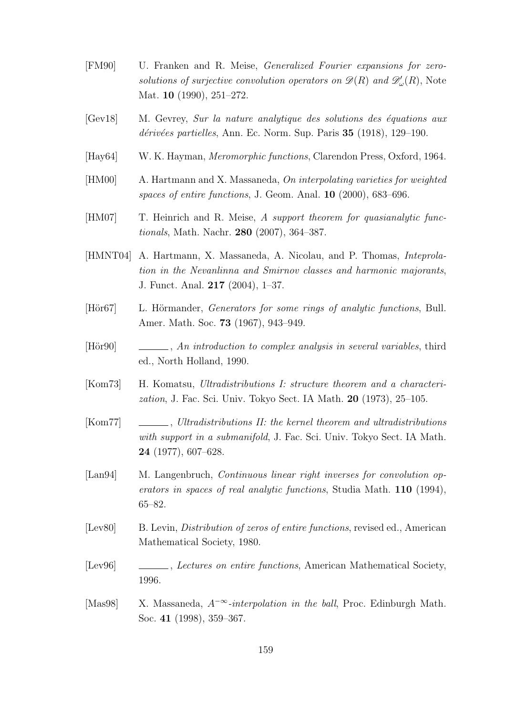- [FM90] U. Franken and R. Meise, Generalized Fourier expansions for zerosolutions of surjective convolution operators on  $\mathscr{D}(R)$  and  $\mathscr{D}'_{\omega}(R)$ , Note Mat. **10** (1990), 251–272.
- [Gev18] M. Gevrey, Sur la nature analytique des solutions des équations aux  $d\acute{e}riv\acute{e}es$  partielles, Ann. Ec. Norm. Sup. Paris 35 (1918), 129–190.
- [Hay64] W. K. Hayman, Meromorphic functions, Clarendon Press, Oxford, 1964.
- [HM00] A. Hartmann and X. Massaneda, On interpolating varieties for weighted spaces of entire functions, J. Geom. Anal. 10 (2000), 683–696.
- [HM07] T. Heinrich and R. Meise, A support theorem for quasianalytic functionals, Math. Nachr. 280 (2007), 364–387.
- [HMNT04] A. Hartmann, X. Massaneda, A. Nicolau, and P. Thomas, Inteprolation in the Nevanlinna and Smirnov classes and harmonic majorants, J. Funct. Anal. 217 (2004), 1–37.
- [Hör67] L. Hörmander, *Generators for some rings of analytic functions*, Bull. Amer. Math. Soc. 73 (1967), 943–949.
- [Hör90] , An introduction to complex analysis in several variables, third ed., North Holland, 1990.
- [Kom73] H. Komatsu, Ultradistributions I: structure theorem and a characterization, J. Fac. Sci. Univ. Tokyo Sect. IA Math. 20 (1973), 25–105.
- [Kom77] , Ultradistributions II: the kernel theorem and ultradistributions with support in a submanifold, J. Fac. Sci. Univ. Tokyo Sect. IA Math. 24 (1977), 607–628.
- [Lan94] M. Langenbruch, Continuous linear right inverses for convolution operators in spaces of real analytic functions, Studia Math. 110 (1994), 65–82.
- [Lev80] B. Levin, Distribution of zeros of entire functions, revised ed., American Mathematical Society, 1980.
- [Lev96] , Lectures on entire functions, American Mathematical Society, 1996.
- [Mas98] X. Massaneda,  $A^{-\infty}$ -interpolation in the ball, Proc. Edinburgh Math. Soc. 41 (1998), 359–367.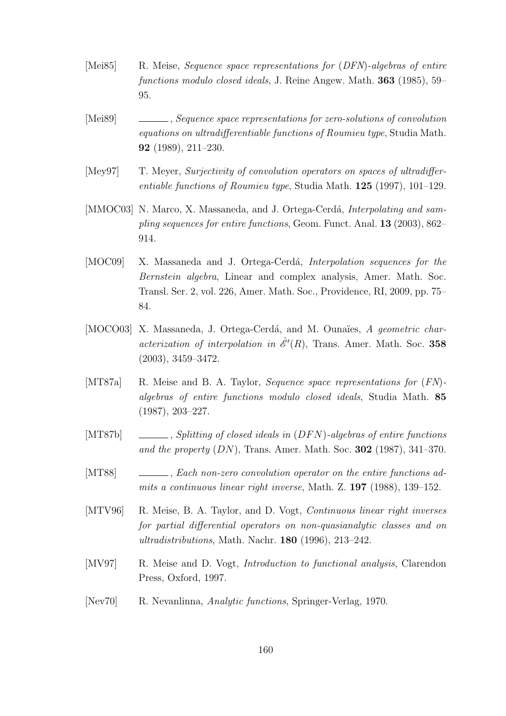- [Mei85] R. Meise, Sequence space representations for (DFN)-algebras of entire functions modulo closed ideals, J. Reine Angew. Math. 363 (1985), 59– 95.
- [Mei89] , Sequence space representations for zero-solutions of convolution equations on ultradifferentiable functions of Roumieu type, Studia Math. 92 (1989), 211–230.
- [Mey97] T. Meyer, Surjectivity of convolution operators on spaces of ultradifferentiable functions of Roumieu type, Studia Math.  $125$  (1997), 101–129.
- [MMOC03] N. Marco, X. Massaneda, and J. Ortega-Cerdá, *Interpolating and sam*pling sequences for entire functions, Geom. Funct. Anal. 13 (2003), 862– 914.
- [MOC09] X. Massaneda and J. Ortega-Cerdá, *Interpolation sequences for the* Bernstein algebra, Linear and complex analysis, Amer. Math. Soc. Transl. Ser. 2, vol. 226, Amer. Math. Soc., Providence, RI, 2009, pp. 75– 84.
- [MOCO03] X. Massaneda, J. Ortega-Cerdá, and M. Ounaïes, A geometric characterization of interpolation in  $\hat{\mathcal{E}}'(R)$ , Trans. Amer. Math. Soc. 358 (2003), 3459–3472.
- [MT87a] R. Meise and B. A. Taylor, *Sequence space representations for*  $(FN)$ algebras of entire functions modulo closed ideals, Studia Math. 85 (1987), 203–227.
- [MT87b] , Splitting of closed ideals in  $(DFN)$ -algebras of entire functions and the property  $(DN)$ , Trans. Amer. Math. Soc. 302 (1987), 341–370.
- [MT88] , Each non-zero convolution operator on the entire functions admits a continuous linear right inverse, Math. Z. 197 (1988), 139–152.
- [MTV96] R. Meise, B. A. Taylor, and D. Vogt, Continuous linear right inverses for partial differential operators on non-quasianalytic classes and on ultradistributions, Math. Nachr. 180 (1996), 213–242.
- [MV97] R. Meise and D. Vogt, *Introduction to functional analysis*, Clarendon Press, Oxford, 1997.
- [Nev70] R. Nevanlinna, Analytic functions, Springer-Verlag, 1970.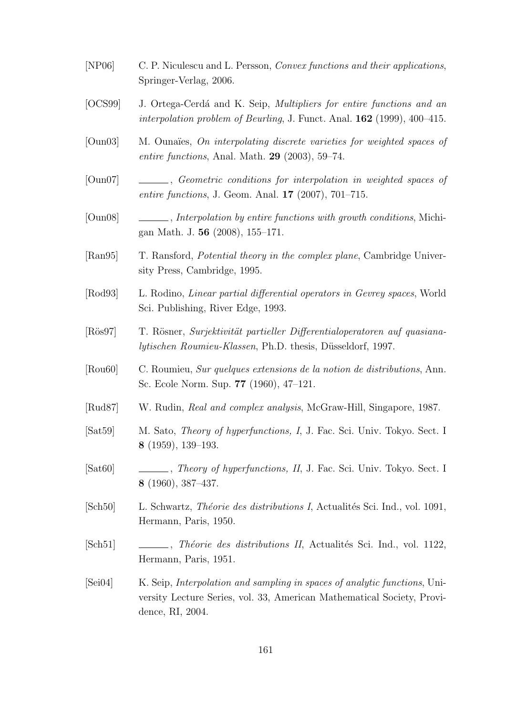- [NP06] C. P. Niculescu and L. Persson, Convex functions and their applications, Springer-Verlag, 2006.
- [OCS99] J. Ortega-Cerda<sup>c</sup> and K. Seip, *Multipliers for entire functions and an* interpolation problem of Beurling, J. Funct. Anal. 162 (1999), 400–415.
- [Oun03] M. Ounaïes, *On interpolating discrete varieties for weighted spaces of* entire functions, Anal. Math.  $29$  (2003), 59–74.
- [Oun07] , Geometric conditions for interpolation in weighted spaces of entire functions, J. Geom. Anal. 17 (2007), 701–715.
- [Oun08]  $\quad \quad \_$ , *Interpolation by entire functions with growth conditions*, Michigan Math. J. 56 (2008), 155–171.
- [Ran95] T. Ransford, Potential theory in the complex plane, Cambridge University Press, Cambridge, 1995.
- [Rod93] L. Rodino, Linear partial differential operators in Gevrey spaces, World Sci. Publishing, River Edge, 1993.
- [Rös97] T. Rösner, *Surjektivität partieller Differentialoperatoren auf quasiana*lytischen Roumieu-Klassen, Ph.D. thesis, Düsseldorf, 1997.
- [Rou60] C. Roumieu, Sur quelques extensions de la notion de distributions, Ann. Sc. Ecole Norm. Sup. 77 (1960), 47–121.
- [Rud87] W. Rudin, Real and complex analysis, McGraw-Hill, Singapore, 1987.
- [Sat59] M. Sato, Theory of hyperfunctions, I, J. Fac. Sci. Univ. Tokyo. Sect. I 8 (1959), 139–193.
- [Sat60] , Theory of hyperfunctions, II, J. Fac. Sci. Univ. Tokyo. Sect. I 8 (1960), 387–437.
- [Sch50] L. Schwartz, *Théorie des distributions I*, Actualités Sci. Ind., vol. 1091, Hermann, Paris, 1950.
- [Sch51] , Théorie des distributions II, Actualités Sci. Ind., vol. 1122, Hermann, Paris, 1951.
- [Sei04] K. Seip, Interpolation and sampling in spaces of analytic functions, University Lecture Series, vol. 33, American Mathematical Society, Providence, RI, 2004.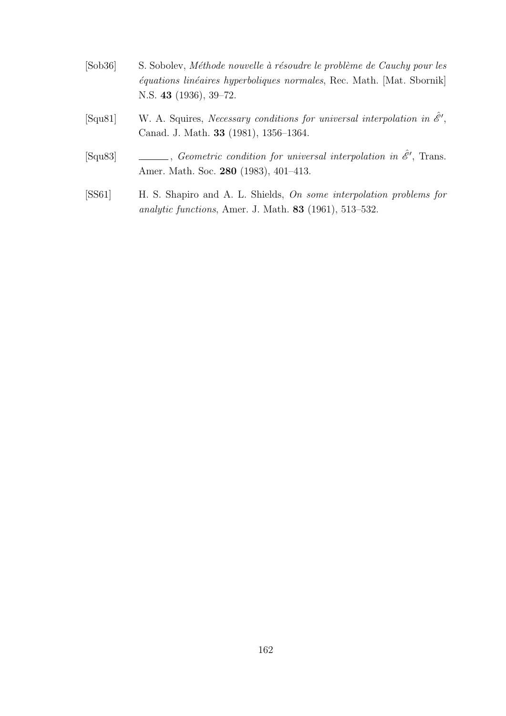- [Sob36] S. Sobolev, Méthode nouvelle à résoudre le problème de Cauchy pour les  $équations linéaires hyperboliques normales, Rec. Math. [Mat. Sbornik]$ N.S. 43 (1936), 39–72.
- [Squ81] W. A. Squires, Necessary conditions for universal interpolation in  $\hat{\mathscr{E}}'$ , Canad. J. Math. 33 (1981), 1356–1364.
- [Squ83]  $\qquad \qquad \qquad$ , Geometric condition for universal interpolation in  $\hat{\mathscr{E}}'$ , Trans. Amer. Math. Soc. 280 (1983), 401–413.
- [SS61] H. S. Shapiro and A. L. Shields, On some interpolation problems for analytic functions, Amer. J. Math. 83 (1961), 513–532.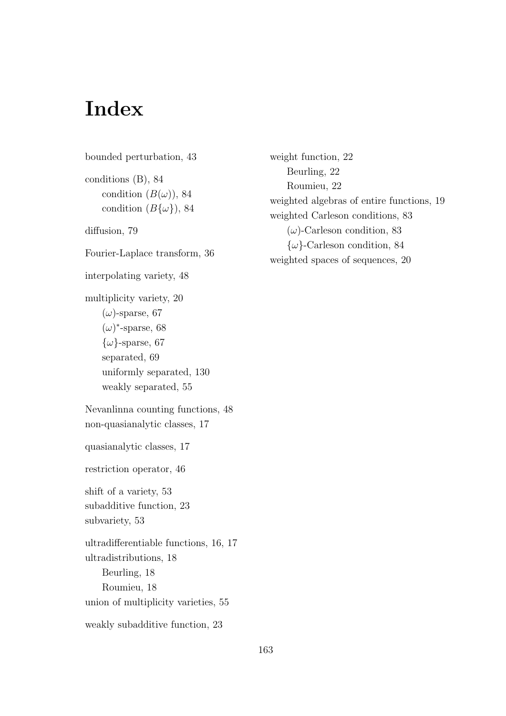## Index

bounded perturbation, 43 conditions (B), 84 condition  $(B(\omega))$ , 84 condition  $(B\{\omega\}), 84$ diffusion, 79 Fourier-Laplace transform, 36 interpolating variety, 48 multiplicity variety, 20  $(\omega)$ -sparse, 67  $(\omega)^*$ -sparse, 68  $\{\omega\}$ -sparse, 67 separated, 69 uniformly separated, 130 weakly separated, 55 Nevanlinna counting functions, 48 non-quasianalytic classes, 17 quasianalytic classes, 17 restriction operator, 46 shift of a variety, 53 subadditive function, 23 subvariety, 53 ultradifferentiable functions, 16, 17 ultradistributions, 18 Beurling, 18 Roumieu, 18 union of multiplicity varieties, 55 weakly subadditive function, 23

weight function, 22 Beurling, 22 Roumieu, 22 weighted algebras of entire functions, 19 weighted Carleson conditions, 83  $(\omega)$ -Carleson condition, 83  $\{\omega\}$ -Carleson condition, 84 weighted spaces of sequences, 20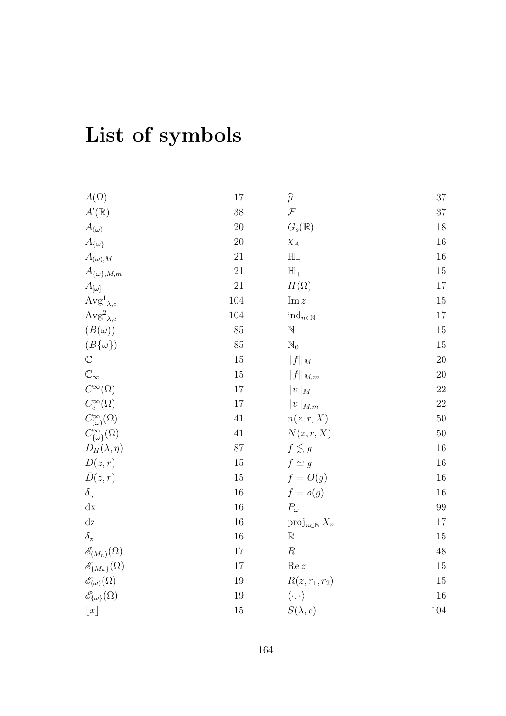## List of symbols

| $A(\Omega)$                        | 17      | $\widehat{\mu}$                       | $37\,$ |
|------------------------------------|---------|---------------------------------------|--------|
| $A'(\mathbb{R})$                   | 38      | ${\mathcal F}$                        | $37\,$ |
| $A_{(\omega)}$                     | 20      | $G_s(\mathbb{R})$                     | $18\,$ |
| $A_{\{\omega\}}$                   | 20      | $\chi_A$                              | $16\,$ |
| $A_{(\omega),M}$                   | 21      | $\mathbb{H}_-$                        | $16\,$ |
| $A_{\{\omega\},M,m}$               | 21      | $\mathbb{H}_+$                        | $15\,$ |
| $A_{[\omega]}$                     | 21      | $H(\Omega)$                           | $17\,$ |
| $\mathrm{Avg}^1{}_{\lambda,c}$     | 104     | $\text{Im } z$                        | $15\,$ |
| $\text{Avg}^2_{\lambda,c}$         | $104\,$ | $\operatorname{ind}_{n\in\mathbb{N}}$ | $17\,$ |
| $(B(\omega))$                      | 85      | $\mathbb N$                           | 15     |
| $(B\{\omega\})$                    | 85      | $\mathbb{N}_0$                        | $15\,$ |
| $\mathbb C$                        | 15      | $  f  _M$                             | $20\,$ |
| $\mathbb{C}_\infty$                | 15      | $  f  _{M,m}$                         | $20\,$ |
| $C^{\infty}(\Omega)$               | 17      | $  v  _M$                             | $22\,$ |
| $C_c^{\infty}(\Omega)$             | 17      | $  v  _{M,m}$                         | $22\,$ |
| $C^{\infty}_{(\omega)}(\Omega)$    | 41      | n(z, r, X)                            | $50\,$ |
| $C^{\infty}_{\{\omega\}}(\Omega)$  | 41      | N(z, r, X)                            | $50\,$ |
| $D_H(\lambda, \eta)$               | 87      | $f \lesssim g$                        | $16\,$ |
| D(z,r)                             | 15      | $f \simeq g$                          | $16\,$ |
| $\bar{D}(z,r)$                     | 15      | $f = O(g)$                            | $16\,$ |
| $\delta_{\cdot,\cdot}$             | 16      | $f = o(g)$                            | $16\,$ |
| $\mathrm{d} \mathbf{x}$            | 16      | $P_\omega$                            | $99\,$ |
| dz                                 | 16      | $proj_{n\in\mathbb{N}} X_n$           | $17\,$ |
| $\delta_z$                         | 16      | $\mathbb R$                           | 15     |
| $\mathscr{E}_{(M_n)}(\Omega)$      | $17\,$  | $\boldsymbol{R}$                      | $48\,$ |
| $\mathscr{E}_{\{M_n\}}(\Omega)$    | 17      | Re z                                  | $15\,$ |
| $\mathscr{E}_{(\omega)}(\Omega)$   | 19      | $R(z, r_1, r_2)$                      | 15     |
| $\mathscr{E}_{\{\omega\}}(\Omega)$ | 19      | $\langle \cdot, \cdot \rangle$        | 16     |
| $\lfloor x \rfloor$                | 15      | $S(\lambda, c)$                       | 104    |